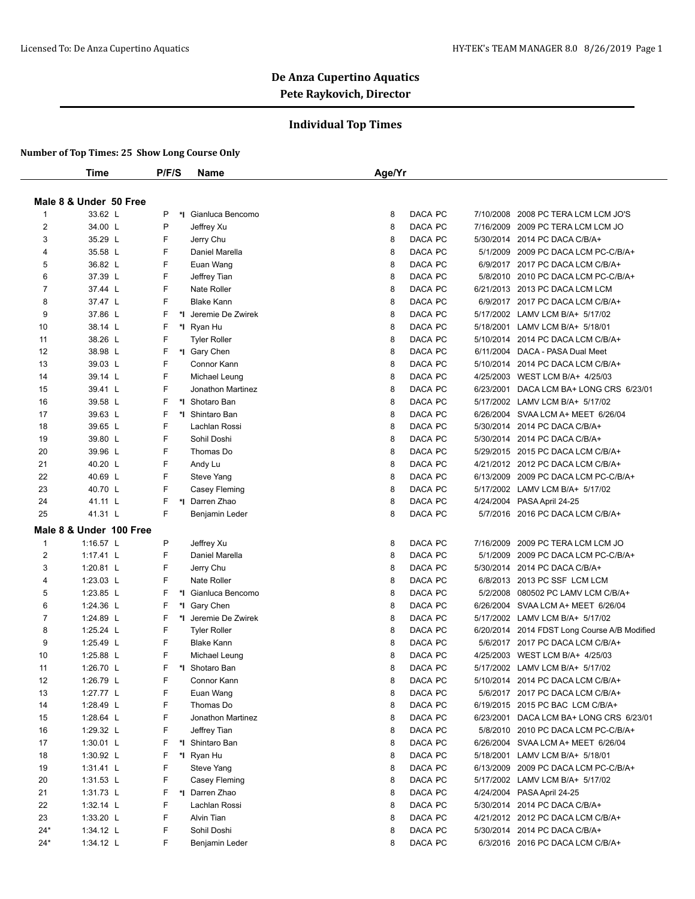### **Individual Top Times**

|                | <b>Time</b>              | P/F/S  | Name                     | Age/Yr                                                               |
|----------------|--------------------------|--------|--------------------------|----------------------------------------------------------------------|
|                |                          |        |                          |                                                                      |
|                | Male 8 & Under 50 Free   |        |                          |                                                                      |
| 1              | 33.62 L                  | P      | *I Gianluca Bencomo      | DACA PC<br>7/10/2008 2008 PC TERA LCM LCM JO'S<br>8                  |
| 2              | 34.00 L                  | P      | Jeffrey Xu               | DACA PC<br>8<br>7/16/2009 2009 PC TERA LCM LCM JO                    |
| 3              | 35.29 L                  | F      | Jerry Chu                | DACA PC<br>8<br>5/30/2014 2014 PC DACA C/B/A+                        |
| 4              | 35.58 L                  | F      | Daniel Marella           | 8<br>DACA PC<br>5/1/2009 2009 PC DACA LCM PC-C/B/A+                  |
| 5              | 36.82 L                  | F      | Euan Wang                | DACA PC<br>8<br>6/9/2017 2017 PC DACA LCM C/B/A+                     |
| 6              | 37.39 L                  | F      | Jeffrey Tian             | 8<br>DACA PC<br>5/8/2010 2010 PC DACA LCM PC-C/B/A+                  |
| $\overline{7}$ | 37.44 L                  | F      | Nate Roller              | 8<br>DACA PC<br>6/21/2013 2013 PC DACA LCM LCM                       |
| 8              | 37.47 L                  | F      | <b>Blake Kann</b>        | 8<br>DACA PC<br>6/9/2017 2017 PC DACA LCM C/B/A+                     |
| 9              | 37.86 L                  | F      | *1 Jeremie De Zwirek     | 8<br>DACA PC<br>5/17/2002 LAMV LCM B/A+ 5/17/02                      |
| 10             | 38.14 L                  | F      | *I Ryan Hu               | 8<br>DACA PC<br>5/18/2001 LAMV LCM B/A+ 5/18/01                      |
| 11             | 38.26 L                  | F      | <b>Tyler Roller</b>      | 8<br>DACA PC<br>5/10/2014 2014 PC DACA LCM C/B/A+                    |
| 12             | 38.98 L                  | F      | *I Gary Chen             | 8<br>DACA PC<br>6/11/2004 DACA - PASA Dual Meet                      |
| 13             | 39.03 L                  | F      | Connor Kann              | 8<br>DACA PC<br>5/10/2014 2014 PC DACA LCM C/B/A+                    |
| 14             | 39.14 L                  | F      | Michael Leung            | 8<br>DACA PC<br>4/25/2003 WEST LCM B/A+ 4/25/03                      |
| 15             | 39.41 L                  | F      | Jonathon Martinez        | 8<br>DACA PC<br>6/23/2001 DACA LCM BA+ LONG CRS 6/23/01              |
| 16             | 39.58 L                  | F      | *I Shotaro Ban           | 8<br>DACA PC<br>5/17/2002 LAMV LCM B/A+ 5/17/02                      |
| 17             | 39.63 L                  | F      | *1 Shintaro Ban          | DACA PC<br>8<br>6/26/2004 SVAA LCM A+ MEET 6/26/04                   |
| 18             | 39.65 L                  | F      | Lachlan Rossi            | 8<br>DACA PC<br>5/30/2014 2014 PC DACA C/B/A+                        |
| 19             | 39.80 L                  | F      | Sohil Doshi              | 8<br>DACA PC<br>5/30/2014 2014 PC DACA C/B/A+                        |
| 20             | 39.96 L                  | F      | Thomas Do                | 8<br>DACA PC<br>5/29/2015 2015 PC DACA LCM C/B/A+                    |
| 21             | 40.20 L                  | F      | Andy Lu                  | 8<br>DACA PC<br>4/21/2012 2012 PC DACA LCM C/B/A+                    |
| 22             | 40.69 L                  | F      | Steve Yang               | 8<br>DACA PC<br>6/13/2009<br>2009 PC DACA LCM PC-C/B/A+              |
| 23             | 40.70 L                  | F      | Casey Fleming            | 8<br>DACA PC<br>5/17/2002 LAMV LCM B/A+ 5/17/02                      |
| 24             | 41.11 L                  | F      | *1 Darren Zhao           | 8<br>DACA PC<br>4/24/2004 PASA April 24-25                           |
| 25             | 41.31 L                  | F      | Benjamin Leder           | 8<br>DACA PC<br>5/7/2016 2016 PC DACA LCM C/B/A+                     |
|                | Male 8 & Under 100 Free  |        |                          |                                                                      |
| $\mathbf{1}$   | 1:16.57 L                | P      | Jeffrey Xu               | DACA PC<br>7/16/2009 2009 PC TERA LCM LCM JO<br>8                    |
| $\overline{2}$ | $1:17.41$ L              | F      | Daniel Marella           | DACA PC<br>8<br>5/1/2009<br>2009 PC DACA LCM PC-C/B/A+               |
| 3              | 1:20.81 L                | F      | Jerry Chu                | 8<br>DACA PC<br>5/30/2014 2014 PC DACA C/B/A+                        |
| $\overline{4}$ | 1:23.03 $L$              | F      | Nate Roller              | 8<br>DACA PC<br>6/8/2013 2013 PC SSF LCM LCM                         |
| 5              | 1:23.85 L                | F      | *I Gianluca Bencomo      | 8<br>DACA PC<br>5/2/2008 080502 PC LAMV LCM C/B/A+                   |
| 6              | 1:24.36 L                | F      | *I Gary Chen             | 8<br>DACA PC<br>6/26/2004 SVAA LCM A+ MEET 6/26/04                   |
| $\overline{7}$ | 1:24.89 L                | F      | *I Jeremie De Zwirek     | 8<br>DACA PC<br>5/17/2002 LAMV LCM B/A+ 5/17/02                      |
| 8              | 1:25.24 L                | F      | <b>Tyler Roller</b>      | 8<br>DACA PC<br>6/20/2014 2014 FDST Long Course A/B Modified         |
| 9              | 1:25.49 L                | F      | <b>Blake Kann</b>        | 8<br>5/6/2017 2017 PC DACA LCM C/B/A+<br>DACA PC                     |
| 10             | 1:25.88 L                | F      | Michael Leung            | DACA PC<br>4/25/2003 WEST LCM B/A+ 4/25/03<br>8                      |
| 11             | 1:26.70 L                | F      | *I Shotaro Ban           | 8<br>DACA PC<br>5/17/2002 LAMV LCM B/A+ 5/17/02                      |
| 12             | 1:26.79 L                | F      | Connor Kann              | DACA PC<br>8<br>5/10/2014 2014 PC DACA LCM C/B/A+                    |
| 13             | 1:27.77 L                | F      | Euan Wang                | 8<br>DACA PC<br>5/6/2017 2017 PC DACA LCM C/B/A+                     |
| 14             | 1:28.49 L                | F      | Thomas Do                | DACA PC<br>6/19/2015 2015 PC BAC LCM C/B/A+<br>8                     |
| 15             | 1:28.64 L                | F      | Jonathon Martinez        | 8<br>DACA PC<br>6/23/2001 DACA LCM BA+ LONG CRS 6/23/01              |
| 16             | 1:29.32 L                | F      | Jeffrey Tian             | DACA PC<br>5/8/2010 2010 PC DACA LCM PC-C/B/A+<br>8                  |
| 17             | 1:30.01 $L$              | F      | *I Shintaro Ban          | 8<br>DACA PC<br>6/26/2004 SVAA LCM A+ MEET 6/26/04                   |
|                |                          |        |                          | 5/18/2001 LAMV LCM B/A+ 5/18/01                                      |
| 18<br>19       | 1:30.92 L<br>1:31.41 $L$ | F<br>F | *I Ryan Hu<br>Steve Yang | 8<br>DACA PC<br>DACA PC<br>6/13/2009 2009 PC DACA LCM PC-C/B/A+<br>8 |
| 20             | 1:31.53 $L$              | F      | Casey Fleming            | 8<br>DACA PC<br>5/17/2002 LAMV LCM B/A+ 5/17/02                      |
|                |                          |        | *1 Darren Zhao           |                                                                      |
| 21             | $1:31.73$ L              | F      |                          | 8<br>DACA PC<br>4/24/2004 PASA April 24-25                           |
| 22             | 1:32.14 L                | F      | Lachlan Rossi            | DACA PC<br>5/30/2014 2014 PC DACA C/B/A+<br>8                        |
| 23             | 1:33.20 L                | F      | Alvin Tian               | 8<br>DACA PC<br>4/21/2012 2012 PC DACA LCM C/B/A+                    |
| $24*$          | $1:34.12$ L              | F      | Sohil Doshi              | DACA PC<br>5/30/2014 2014 PC DACA C/B/A+<br>8                        |
| $24*$          | $1:34.12$ L              | F      | Benjamin Leder           | DACA PC<br>6/3/2016 2016 PC DACA LCM C/B/A+<br>8                     |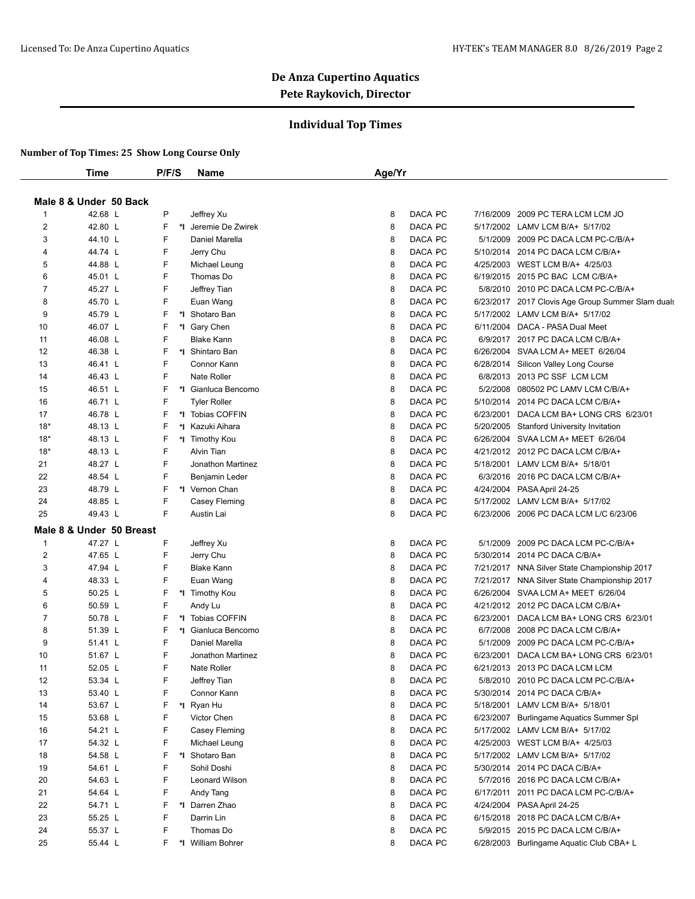#### **Individual Top Times**

|       | Time                     | P/F/S | <b>Name</b>          | Age/Yr |         |           |                                                   |
|-------|--------------------------|-------|----------------------|--------|---------|-----------|---------------------------------------------------|
|       |                          |       |                      |        |         |           |                                                   |
|       | Male 8 & Under 50 Back   |       |                      |        |         |           |                                                   |
| 1     | 42.68 L                  | P     | Jeffrey Xu           | 8      | DACA PC | 7/16/2009 | 2009 PC TERA LCM LCM JO                           |
| 2     | 42.80 L                  | F     | *1 Jeremie De Zwirek | 8      | DACA PC |           | 5/17/2002 LAMV LCM B/A+ 5/17/02                   |
| 3     | 44.10 L                  | F     | Daniel Marella       | 8      | DACA PC | 5/1/2009  | 2009 PC DACA LCM PC-C/B/A+                        |
| 4     | 44.74 L                  | F     | Jerry Chu            | 8      | DACA PC |           | 5/10/2014 2014 PC DACA LCM C/B/A+                 |
| 5     | 44.88 L                  | F     | Michael Leung        | 8      | DACA PC | 4/25/2003 | WEST LCM B/A+ 4/25/03                             |
| 6     | 45.01 L                  | F     | Thomas Do            | 8      | DACA PC | 6/19/2015 | 2015 PC BAC LCM C/B/A+                            |
| 7     | 45.27 L                  | F     | Jeffrey Tian         | 8      | DACA PC | 5/8/2010  | 2010 PC DACA LCM PC-C/B/A+                        |
| 8     | 45.70 L                  | F     | Euan Wang            | 8      | DACA PC |           | 6/23/2017 2017 Clovis Age Group Summer Slam duals |
| 9     | 45.79 L                  | F     | *1 Shotaro Ban       | 8      | DACA PC |           | 5/17/2002 LAMV LCM B/A+ 5/17/02                   |
| 10    | 46.07 L                  | F     | *I Gary Chen         | 8      | DACA PC |           | 6/11/2004 DACA - PASA Dual Meet                   |
| 11    | 46.08 L                  | F     | <b>Blake Kann</b>    | 8      | DACA PC |           | 6/9/2017 2017 PC DACA LCM C/B/A+                  |
| 12    | 46.38 L                  | F     | *I Shintaro Ban      | 8      | DACA PC | 6/26/2004 | SVAA LCM A+ MEET 6/26/04                          |
| 13    | 46.41 L                  | F     | Connor Kann          | 8      | DACA PC | 6/28/2014 | Silicon Valley Long Course                        |
| 14    | 46.43 L                  | F     | Nate Roller          | 8      | DACA PC |           | 6/8/2013 2013 PC SSF LCM LCM                      |
| 15    | 46.51 L                  | F     | *I Gianluca Bencomo  | 8      | DACA PC | 5/2/2008  | 080502 PC LAMV LCM C/B/A+                         |
| 16    | 46.71 L                  | F     | <b>Tyler Roller</b>  | 8      | DACA PC | 5/10/2014 | 2014 PC DACA LCM C/B/A+                           |
| 17    | 46.78 L                  | F     | *I Tobias COFFIN     | 8      | DACA PC | 6/23/2001 | DACA LCM BA+ LONG CRS 6/23/01                     |
| $18*$ | 48.13 L                  | F     | *1 Kazuki Aihara     | 8      | DACA PC | 5/20/2005 | <b>Stanford University Invitation</b>             |
| $18*$ | 48.13 L                  | F     | *I Timothy Kou       | 8      | DACA PC | 6/26/2004 | SVAA LCM A+ MEET 6/26/04                          |
| $18*$ | 48.13 L                  | F     | Alvin Tian           | 8      | DACA PC |           | 4/21/2012 2012 PC DACA LCM C/B/A+                 |
| 21    | 48.27 L                  | F     | Jonathon Martinez    | 8      | DACA PC |           | 5/18/2001 LAMV LCM B/A+ 5/18/01                   |
| 22    | 48.54 L                  | F     | Benjamin Leder       | 8      | DACA PC | 6/3/2016  | 2016 PC DACA LCM C/B/A+                           |
| 23    | 48.79 L                  | F     | *I Vernon Chan       | 8      | DACA PC | 4/24/2004 | PASA April 24-25                                  |
| 24    | 48.85 L                  | F     | Casey Fleming        | 8      | DACA PC |           | 5/17/2002 LAMV LCM B/A+ 5/17/02                   |
| 25    | 49.43 L                  | F     | Austin Lai           | 8      | DACA PC |           | 6/23/2006 2006 PC DACA LCM L/C 6/23/06            |
|       | Male 8 & Under 50 Breast |       |                      |        |         |           |                                                   |
| 1     | 47.27 L                  | F     | Jeffrey Xu           | 8      | DACA PC | 5/1/2009  | 2009 PC DACA LCM PC-C/B/A+                        |
| 2     | 47.65 L                  | F     | Jerry Chu            | 8      | DACA PC | 5/30/2014 | 2014 PC DACA C/B/A+                               |
| 3     | 47.94 L                  | F     | <b>Blake Kann</b>    | 8      | DACA PC |           | 7/21/2017 NNA Silver State Championship 2017      |
| 4     | 48.33 L                  | F     | Euan Wang            | 8      | DACA PC | 7/21/2017 | NNA Silver State Championship 2017                |
| 5     | 50.25 L                  | F     | *I Timothy Kou       | 8      | DACA PC |           | 6/26/2004 SVAA LCM A+ MEET 6/26/04                |
| 6     | 50.59 L                  | F     | Andy Lu              | 8      | DACA PC |           | 4/21/2012 2012 PC DACA LCM C/B/A+                 |
| 7     | 50.78 L                  | F     | *I Tobias COFFIN     | 8      | DACA PC | 6/23/2001 | DACA LCM BA+ LONG CRS 6/23/01                     |
| 8     | 51.39 L                  | F     | *I Gianluca Bencomo  | 8      | DACA PC | 6/7/2008  | 2008 PC DACA LCM C/B/A+                           |
| 9     | 51.41 L                  | F     | Daniel Marella       | 8      | DACA PC | 5/1/2009  | 2009 PC DACA LCM PC-C/B/A+                        |
| 10    | 51.67 L                  | F     | Jonathon Martinez    | 8      | DACA PC | 6/23/2001 | DACA LCM BA+ LONG CRS 6/23/01                     |
| 11    | 52.05 L                  | F     | Nate Roller          | 8      | DACA PC |           | 6/21/2013 2013 PC DACA LCM LCM                    |
| 12    | 53.34 L                  | F     | Jeffrey Tian         | 8      | DACA PC | 5/8/2010  | 2010 PC DACA LCM PC-C/B/A+                        |
| 13    | 53.40 L                  | F     | Connor Kann          | 8      | DACA PC |           | 5/30/2014 2014 PC DACA C/B/A+                     |
| 14    | 53.67 L                  | F     | *I Ryan Hu           | 8      | DACA PC |           | 5/18/2001 LAMV LCM B/A+ 5/18/01                   |
| 15    | 53.68 L                  | F     | Victor Chen          | 8      | DACA PC |           | 6/23/2007 Burlingame Aquatics Summer Spl          |
| 16    | 54.21 L                  | F     | Casey Fleming        | 8      | DACA PC |           | 5/17/2002 LAMV LCM B/A+ 5/17/02                   |
| 17    | 54.32 L                  | F     | Michael Leung        | 8      | DACA PC |           | 4/25/2003 WEST LCM B/A+ 4/25/03                   |
| 18    | 54.58 L                  | F     | *I Shotaro Ban       | 8      | DACA PC |           | 5/17/2002 LAMV LCM B/A+ 5/17/02                   |
| 19    | 54.61 L                  | F     | Sohil Doshi          | 8      | DACA PC |           | 5/30/2014 2014 PC DACA C/B/A+                     |
| 20    | 54.63 L                  | F     | Leonard Wilson       | 8      | DACA PC | 5/7/2016  | 2016 PC DACA LCM C/B/A+                           |
| 21    | 54.64 L                  | F     | Andy Tang            | 8      | DACA PC | 6/17/2011 | 2011 PC DACA LCM PC-C/B/A+                        |
| 22    | 54.71 L                  | F     | *I Darren Zhao       | 8      | DACA PC |           | 4/24/2004 PASA April 24-25                        |
| 23    | 55.25 L                  | F     | Darrin Lin           | 8      | DACA PC |           | 6/15/2018 2018 PC DACA LCM C/B/A+                 |
| 24    | 55.37 L                  | F     | Thomas Do            | 8      | DACA PC |           | 5/9/2015 2015 PC DACA LCM C/B/A+                  |
|       | 55.44 L                  | F     | *I William Bohrer    | 8      | DACA PC |           |                                                   |
| 25    |                          |       |                      |        |         |           | 6/28/2003 Burlingame Aquatic Club CBA+ L          |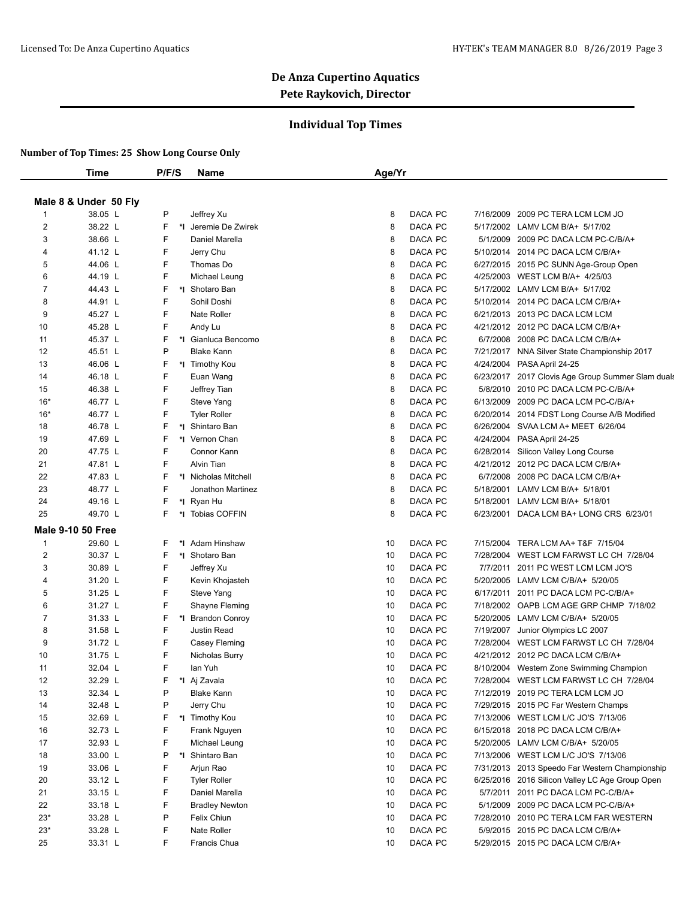### **Individual Top Times**

|                | Time                     | P/F/S | <b>Name</b>           | Age/Yr        |           |                                                   |
|----------------|--------------------------|-------|-----------------------|---------------|-----------|---------------------------------------------------|
|                |                          |       |                       |               |           |                                                   |
|                | Male 8 & Under 50 Fly    |       |                       |               |           |                                                   |
| 1              | 38.05 L                  | P     | Jeffrey Xu            | DACA PC<br>8  | 7/16/2009 | 2009 PC TERA LCM LCM JO                           |
| 2              | 38.22 L                  | F     | *1 Jeremie De Zwirek  | 8<br>DACA PC  |           | 5/17/2002 LAMV LCM B/A+ 5/17/02                   |
| 3              | 38.66 L                  | F     | Daniel Marella        | DACA PC<br>8  |           | 5/1/2009 2009 PC DACA LCM PC-C/B/A+               |
| 4              | 41.12 L                  | F     | Jerry Chu             | DACA PC<br>8  |           | 5/10/2014 2014 PC DACA LCM C/B/A+                 |
| 5              | 44.06 L                  | F     | Thomas Do             | 8<br>DACA PC  |           | 6/27/2015 2015 PC SUNN Age-Group Open             |
| 6              | 44.19 L                  | F     | Michael Leung         | 8<br>DACA PC  |           | 4/25/2003 WEST LCM B/A+ 4/25/03                   |
| 7              | 44.43 L                  | F     | *I Shotaro Ban        | DACA PC<br>8  |           | 5/17/2002 LAMV LCM B/A+ 5/17/02                   |
| 8              | 44.91 L                  | F     | Sohil Doshi           | 8<br>DACA PC  | 5/10/2014 | 2014 PC DACA LCM C/B/A+                           |
| 9              | 45.27 L                  | F     | Nate Roller           | 8<br>DACA PC  |           | 6/21/2013 2013 PC DACA LCM LCM                    |
| 10             | 45.28 L                  | F     | Andy Lu               | DACA PC<br>8  |           | 4/21/2012 2012 PC DACA LCM C/B/A+                 |
| 11             | 45.37 L                  | F     | *I Gianluca Bencomo   | 8<br>DACA PC  |           | 6/7/2008 2008 PC DACA LCM C/B/A+                  |
| 12             | 45.51 L                  | P     | <b>Blake Kann</b>     | 8<br>DACA PC  |           | 7/21/2017 NNA Silver State Championship 2017      |
| 13             | 46.06 L                  | F     | *I Timothy Kou        | 8<br>DACA PC  |           | 4/24/2004 PASA April 24-25                        |
| 14             | 46.18 L                  | F     | Euan Wang             | 8<br>DACA PC  |           | 6/23/2017 2017 Clovis Age Group Summer Slam duals |
| 15             | 46.38 L                  | F     | Jeffrey Tian          | 8<br>DACA PC  |           | 5/8/2010 2010 PC DACA LCM PC-C/B/A+               |
| $16*$          | 46.77 L                  | F     | Steve Yang            | DACA PC<br>8  | 6/13/2009 | 2009 PC DACA LCM PC-C/B/A+                        |
| $16*$          | 46.77 L                  | F     | <b>Tyler Roller</b>   | 8<br>DACA PC  | 6/20/2014 | 2014 FDST Long Course A/B Modified                |
| 18             | 46.78 L                  | F     | *1 Shintaro Ban       | 8<br>DACA PC  | 6/26/2004 | SVAA LCM A+ MEET 6/26/04                          |
| 19             | 47.69 L                  | F     | *I Vernon Chan        | DACA PC<br>8  | 4/24/2004 | PASA April 24-25                                  |
| 20             | 47.75 L                  | F     | Connor Kann           | 8<br>DACA PC  | 6/28/2014 | Silicon Valley Long Course                        |
| 21             | 47.81 L                  | F     | Alvin Tian            | 8<br>DACA PC  |           | 4/21/2012 2012 PC DACA LCM C/B/A+                 |
| 22             | 47.83 L                  | F     | *I Nicholas Mitchell  | DACA PC<br>8  | 6/7/2008  | 2008 PC DACA LCM C/B/A+                           |
| 23             | 48.77 L                  | F     | Jonathon Martinez     | 8<br>DACA PC  | 5/18/2001 | LAMV LCM B/A+ 5/18/01                             |
| 24             | 49.16 L                  | F     | *I Ryan Hu            | 8<br>DACA PC  | 5/18/2001 | LAMV LCM B/A+ 5/18/01                             |
| 25             | 49.70 L                  | F     | *I Tobias COFFIN      | 8<br>DACA PC  |           | 6/23/2001 DACA LCM BA+ LONG CRS 6/23/01           |
|                | <b>Male 9-10 50 Free</b> |       |                       |               |           |                                                   |
| $\mathbf{1}$   | 29.60 L                  | F     | *I Adam Hinshaw       | DACA PC<br>10 | 7/15/2004 | TERA LCM AA+ T&F 7/15/04                          |
| 2              | 30.37 L                  | F     | *1 Shotaro Ban        | 10<br>DACA PC | 7/28/2004 | WEST LCM FARWST LC CH 7/28/04                     |
| 3              | 30.89 L                  | F     | Jeffrey Xu            | 10<br>DACA PC | 7/7/2011  | 2011 PC WEST LCM LCM JO'S                         |
| 4              | 31.20 L                  | F     | Kevin Khojasteh       | 10<br>DACA PC | 5/20/2005 | LAMV LCM C/B/A+ 5/20/05                           |
| 5              | 31.25 L                  | F     | Steve Yang            | 10<br>DACA PC | 6/17/2011 | 2011 PC DACA LCM PC-C/B/A+                        |
| 6              | 31.27 L                  | F     | Shayne Fleming        | 10<br>DACA PC | 7/18/2002 | OAPB LCM AGE GRP CHMP 7/18/02                     |
| $\overline{7}$ | 31.33 L                  | F     | *I Brandon Conroy     | DACA PC<br>10 | 5/20/2005 | LAMV LCM C/B/A+ 5/20/05                           |
| 8              | 31.58 L                  | F     | <b>Justin Read</b>    | 10<br>DACA PC | 7/19/2007 | Junior Olympics LC 2007                           |
| 9              | 31.72 L                  | F     | Casey Fleming         | 10<br>DACA PC | 7/28/2004 | WEST LCM FARWST LC CH 7/28/04                     |
| 10             | 31.75 L                  | F     | Nicholas Burry        | DACA PC<br>10 |           | 4/21/2012 2012 PC DACA LCM C/B/A+                 |
| 11             | 32.04 L                  | F     | lan Yuh               | 10<br>DACA PC |           | 8/10/2004 Western Zone Swimming Champion          |
| 12             | 32.29 L                  | F     | *I Aj Zavala          | DACA PC<br>10 |           | 7/28/2004 WEST LCM FARWST LC CH 7/28/04           |
| 13             | 32.34 L                  | P     | <b>Blake Kann</b>     | DACA PC<br>10 |           | 7/12/2019 2019 PC TERA LCM LCM JO                 |
| 14             | 32.48 L                  | P     | Jerry Chu             | DACA PC<br>10 |           | 7/29/2015 2015 PC Far Western Champs              |
| 15             | 32.69 L                  | F     | *I Timothy Kou        | DACA PC<br>10 |           | 7/13/2006 WEST LCM L/C JO'S 7/13/06               |
| 16             | 32.73 L                  | F     | Frank Nguyen          | DACA PC<br>10 |           | 6/15/2018 2018 PC DACA LCM C/B/A+                 |
| 17             | 32.93 L                  | F     | Michael Leung         | DACA PC<br>10 |           | 5/20/2005 LAMV LCM C/B/A+ 5/20/05                 |
| 18             | 33.00 L                  | P     | *1 Shintaro Ban       | DACA PC<br>10 |           | 7/13/2006 WEST LCM L/C JO'S 7/13/06               |
| 19             | 33.06 L                  | F     | Arjun Rao             | DACA PC<br>10 |           | 7/31/2013 2013 Speedo Far Western Championship    |
| 20             | 33.12 L                  | F     | <b>Tyler Roller</b>   | 10<br>DACA PC | 6/25/2016 | 2016 Silicon Valley LC Age Group Open             |
| 21             | 33.15 L                  | F     | Daniel Marella        | 10<br>DACA PC | 5/7/2011  | 2011 PC DACA LCM PC-C/B/A+                        |
| 22             | 33.18 L                  | F     | <b>Bradley Newton</b> | DACA PC<br>10 |           | 5/1/2009 2009 PC DACA LCM PC-C/B/A+               |
| $23*$          | 33.28 L                  | P     | Felix Chiun           | DACA PC<br>10 |           | 7/28/2010 2010 PC TERA LCM FAR WESTERN            |
| $23*$          | 33.28 L                  | F     | Nate Roller           | DACA PC<br>10 |           | 5/9/2015 2015 PC DACA LCM C/B/A+                  |
| 25             | 33.31 L                  | F     | Francis Chua          | DACA PC<br>10 |           | 5/29/2015 2015 PC DACA LCM C/B/A+                 |
|                |                          |       |                       |               |           |                                                   |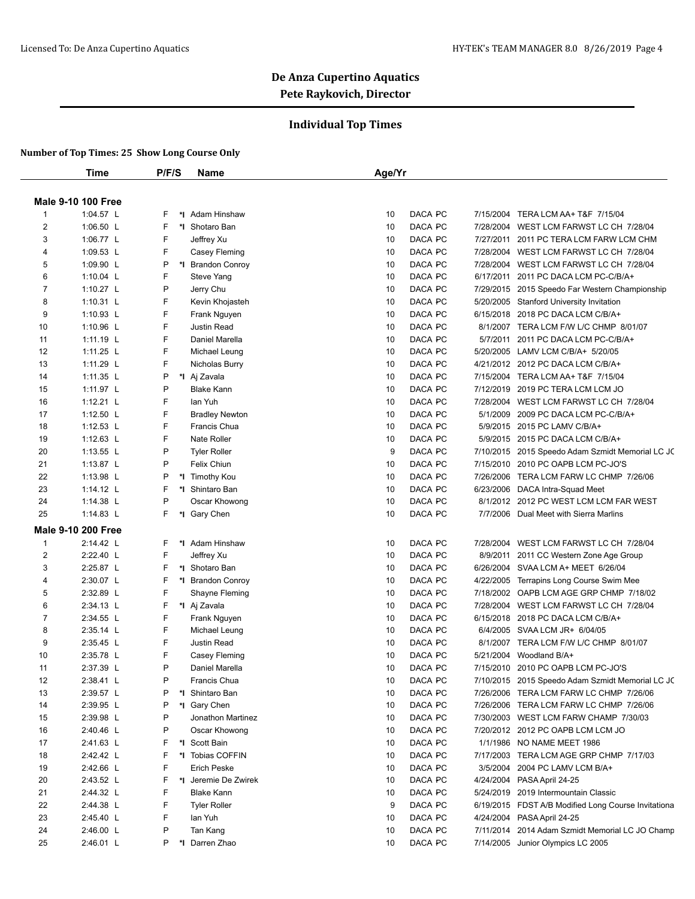### **Individual Top Times**

|              | Time                      | P/F/S   | <b>Name</b>                    | Age/Yr |         |           |                                                                 |
|--------------|---------------------------|---------|--------------------------------|--------|---------|-----------|-----------------------------------------------------------------|
|              |                           |         |                                |        |         |           |                                                                 |
|              | <b>Male 9-10 100 Free</b> |         |                                |        |         |           |                                                                 |
| $\mathbf{1}$ | 1:04.57 L                 | F       | *I Adam Hinshaw                | 10     | DACA PC | 7/15/2004 | TERA LCM AA+ T&F 7/15/04                                        |
| 2            | 1:06.50 L                 | F       | *I Shotaro Ban                 | 10     | DACA PC |           | 7/28/2004 WEST LCM FARWST LC CH 7/28/04                         |
| 3            | 1:06.77 L                 | F       | Jeffrey Xu                     | 10     | DACA PC |           | 7/27/2011 2011 PC TERA LCM FARW LCM CHM                         |
| 4            | 1:09.53 L                 | F       | Casey Fleming                  | 10     | DACA PC | 7/28/2004 | WEST LCM FARWST LC CH 7/28/04                                   |
| 5            | 1:09.90 L                 | P       | *I Brandon Conroy              | 10     | DACA PC |           | 7/28/2004 WEST LCM FARWST LC CH 7/28/04                         |
| 6            | 1:10.04 L                 | F       | Steve Yang                     | 10     | DACA PC | 6/17/2011 | 2011 PC DACA LCM PC-C/B/A+                                      |
| 7            | 1:10.27 $L$               | P       | Jerry Chu                      | 10     | DACA PC | 7/29/2015 | 2015 Speedo Far Western Championship                            |
| 8            | 1:10.31 $L$               | F       | Kevin Khojasteh                | 10     | DACA PC |           | 5/20/2005 Stanford University Invitation                        |
| 9            | 1:10.93 L                 | F       | Frank Nguyen                   | 10     | DACA PC |           | 6/15/2018 2018 PC DACA LCM C/B/A+                               |
| 10           | 1:10.96 $L$               | F       | Justin Read                    | 10     | DACA PC |           | 8/1/2007 TERA LCM F/W L/C CHMP 8/01/07                          |
| 11           | 1:11.19 L                 | F       | Daniel Marella                 | 10     | DACA PC |           | 5/7/2011 2011 PC DACA LCM PC-C/B/A+                             |
| 12           | 1:11.25 L                 | F       | Michael Leung                  | 10     | DACA PC |           | 5/20/2005 LAMV LCM C/B/A+ 5/20/05                               |
| 13           | 1:11.29 L                 | F       | Nicholas Burry                 | 10     | DACA PC |           | 4/21/2012 2012 PC DACA LCM C/B/A+                               |
| 14           | 1:11.35 L                 | P       | *I Aj Zavala                   | 10     | DACA PC |           | 7/15/2004 TERA LCM AA+ T&F 7/15/04                              |
| 15           | 1:11.97 L                 | P       | <b>Blake Kann</b>              | 10     | DACA PC |           | 7/12/2019 2019 PC TERA LCM LCM JO                               |
| 16           | 1:12.21 $L$               | F       | lan Yuh                        | 10     | DACA PC |           | 7/28/2004 WEST LCM FARWST LC CH 7/28/04                         |
| 17           | 1:12.50 L                 | F       | <b>Bradley Newton</b>          | 10     | DACA PC | 5/1/2009  | 2009 PC DACA LCM PC-C/B/A+                                      |
| 18           | 1:12.53 L                 | F       | Francis Chua                   | 10     | DACA PC | 5/9/2015  | 2015 PC LAMV C/B/A+                                             |
| 19           | 1:12.63 $L$               | F       | Nate Roller                    | 10     | DACA PC |           | 5/9/2015 2015 PC DACA LCM C/B/A+                                |
| 20           | 1:13.55 L                 | P       | <b>Tyler Roller</b>            | 9      | DACA PC |           | 7/10/2015 2015 Speedo Adam Szmidt Memorial LC JC                |
| 21           | 1:13.87 L                 | P       | Felix Chiun                    | 10     | DACA PC |           | 7/15/2010 2010 PC OAPB LCM PC-JO'S                              |
| 22           | 1:13.98 L                 | P       | *I Timothy Kou                 | 10     | DACA PC | 7/26/2006 | TERA LCM FARW LC CHMP 7/26/06                                   |
| 23           | 1:14.12 L                 | F       | *I Shintaro Ban                | 10     | DACA PC |           | 6/23/2006 DACA Intra-Squad Meet                                 |
| 24           | 1:14.38 L                 | P       | Oscar Khowong                  | 10     | DACA PC |           | 8/1/2012 2012 PC WEST LCM LCM FAR WEST                          |
| 25           | 1:14.83 L                 | F.      | *I Gary Chen                   | 10     | DACA PC |           | 7/7/2006 Dual Meet with Sierra Marlins                          |
|              | <b>Male 9-10 200 Free</b> |         |                                |        |         |           |                                                                 |
| $\mathbf{1}$ | 2:14.42 L                 | F.      | *I Adam Hinshaw                | 10     | DACA PC | 7/28/2004 | WEST LCM FARWST LC CH 7/28/04                                   |
| 2            | 2:22.40 L                 | F       | Jeffrey Xu                     | 10     | DACA PC |           | 8/9/2011 2011 CC Western Zone Age Group                         |
| 3            | 2:25.87 L                 | F       | *I Shotaro Ban                 | 10     | DACA PC |           | 6/26/2004 SVAA LCM A+ MEET 6/26/04                              |
| 4            | 2:30.07 L                 | F       | *I Brandon Conroy              | 10     | DACA PC | 4/22/2005 | Terrapins Long Course Swim Mee                                  |
| 5            | 2:32.89 L                 | F       | Shayne Fleming                 | 10     | DACA PC |           | 7/18/2002 OAPB LCM AGE GRP CHMP 7/18/02                         |
| 6            | 2:34.13 L                 | F       | *I Aj Zavala                   | 10     | DACA PC | 7/28/2004 | WEST LCM FARWST LC CH 7/28/04                                   |
| 7            | 2:34.55 L                 | F       | Frank Nguyen                   | 10     | DACA PC |           | 6/15/2018 2018 PC DACA LCM C/B/A+                               |
| 8            | 2:35.14 L                 | F       | Michael Leung                  | 10     | DACA PC | 6/4/2005  | SVAA LCM JR+ 6/04/05                                            |
| 9            | 2:35.45 L                 | F       | Justin Read                    | 10     | DACA PC | 8/1/2007  | TERA LCM F/W L/C CHMP 8/01/07                                   |
| 10           | 2:35.78 L                 | F       | Casey Fleming                  | 10     | DACA PC | 5/21/2004 | Woodland B/A+                                                   |
| 11           | 2:37.39 L                 | P       | Daniel Marella                 | 10     | DACA PC |           | 7/15/2010 2010 PC OAPB LCM PC-JO'S                              |
| 12           | 2:38.41 L                 |         | Francis Chua                   | 10     | DACA PC |           | 7/10/2015 2015 Speedo Adam Szmidt Memorial LC JC                |
| 13           | 2:39.57 L                 | Ρ       | *I Shintaro Ban                | 10     | DACA PC |           | 7/26/2006 TERA LCM FARW LC CHMP 7/26/06                         |
| 14           | 2:39.95 L                 | Ρ       | *I Gary Chen                   | 10     | DACA PC |           | 7/26/2006 TERA LCM FARW LC CHMP 7/26/06                         |
| 15           | 2:39.98 L                 | P       | Jonathon Martinez              | 10     | DACA PC |           | 7/30/2003 WEST LCM FARW CHAMP 7/30/03                           |
|              |                           | P       |                                |        | DACA PC |           |                                                                 |
| 16           | 2:40.46 L                 |         | Oscar Khowong<br>*I Scott Bain | 10     | DACA PC |           | 7/20/2012 2012 PC OAPB LCM LCM JO<br>1/1/1986 NO NAME MEET 1986 |
| 17           | 2:41.63 L                 | F.      |                                | 10     |         |           |                                                                 |
| 18           | 2:42.42 L                 | F       | *I Tobias COFFIN               | 10     | DACA PC |           | 7/17/2003 TERA LCM AGE GRP CHMP 7/17/03                         |
| 19           | 2:42.66 L                 | F       | <b>Erich Peske</b>             | 10     | DACA PC | 3/5/2004  | 2004 PC LAMV LCM B/A+                                           |
| 20           | 2:43.52 L                 | F       | *I Jeremie De Zwirek           | 10     | DACA PC |           | 4/24/2004 PASA April 24-25                                      |
| 21           | 2:44.32 L                 | F       | <b>Blake Kann</b>              | 10     | DACA PC |           | 5/24/2019 2019 Intermountain Classic                            |
| 22           | 2:44.38 L                 | F       | <b>Tyler Roller</b>            | 9      | DACA PC |           | 6/19/2015 FDST A/B Modified Long Course Invitationa             |
| 23           | 2:45.40 L                 | F.      | lan Yuh                        | 10     | DACA PC |           | 4/24/2004 PASA April 24-25                                      |
| 24           | 2:46.00 L                 | P       | Tan Kang                       | 10     | DACA PC |           | 7/11/2014 2014 Adam Szmidt Memorial LC JO Champ                 |
| 25           | 2:46.01 L                 | P<br>*l | Darren Zhao                    | 10     | DACA PC |           | 7/14/2005 Junior Olympics LC 2005                               |
|              |                           |         |                                |        |         |           |                                                                 |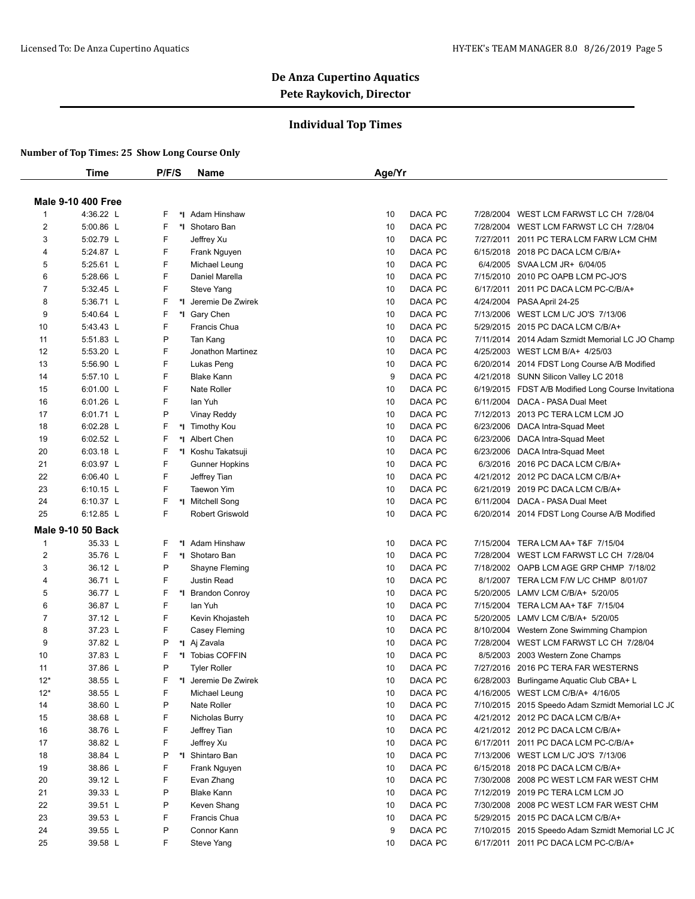#### **Individual Top Times**

|                | Time                      | P/F/S   | <b>Name</b>            | Age/Yr |         |           |                                                     |
|----------------|---------------------------|---------|------------------------|--------|---------|-----------|-----------------------------------------------------|
|                |                           |         |                        |        |         |           |                                                     |
|                | <b>Male 9-10 400 Free</b> |         |                        |        |         |           |                                                     |
| $\mathbf{1}$   | 4:36.22 L                 | F       | *I Adam Hinshaw        | 10     | DACA PC | 7/28/2004 | WEST LCM FARWST LC CH 7/28/04                       |
| 2              | 5:00.86 L                 | F       | *I Shotaro Ban         | 10     | DACA PC |           | 7/28/2004 WEST LCM FARWST LC CH 7/28/04             |
| 3              | 5:02.79 L                 | F       | Jeffrey Xu             | 10     | DACA PC | 7/27/2011 | 2011 PC TERA LCM FARW LCM CHM                       |
| 4              | 5:24.87 L                 | F       | Frank Nguyen           | 10     | DACA PC |           | 6/15/2018 2018 PC DACA LCM C/B/A+                   |
| 5              | 5:25.61 L                 | F       | Michael Leung          | 10     | DACA PC |           | 6/4/2005 SVAA LCM JR+ 6/04/05                       |
| 6              | 5:28.66 L                 | F       | Daniel Marella         | 10     | DACA PC |           | 7/15/2010 2010 PC OAPB LCM PC-JO'S                  |
| 7              | 5:32.45 L                 | F       | Steve Yang             | 10     | DACA PC | 6/17/2011 | 2011 PC DACA LCM PC-C/B/A+                          |
| 8              | 5:36.71 L                 | F       | *1 Jeremie De Zwirek   | 10     | DACA PC |           | 4/24/2004 PASA April 24-25                          |
| 9              | 5:40.64 L                 | F       | *I Gary Chen           | 10     | DACA PC |           | 7/13/2006 WEST LCM L/C JO'S 7/13/06                 |
| 10             | 5:43.43 L                 | F       | Francis Chua           | 10     | DACA PC |           | 5/29/2015 2015 PC DACA LCM C/B/A+                   |
| 11             | 5:51.83 L                 | P       | Tan Kang               | 10     | DACA PC |           | 7/11/2014 2014 Adam Szmidt Memorial LC JO Champ     |
| 12             | 5:53.20 L                 | F       | Jonathon Martinez      | 10     | DACA PC | 4/25/2003 | WEST LCM B/A+ 4/25/03                               |
| 13             | 5:56.90 L                 | F       | Lukas Peng             | 10     | DACA PC |           | 6/20/2014 2014 FDST Long Course A/B Modified        |
| 14             | 5:57.10 L                 | F       | <b>Blake Kann</b>      | 9      | DACA PC |           | 4/21/2018 SUNN Silicon Valley LC 2018               |
| 15             | 6:01.00 L                 | F       | Nate Roller            | 10     | DACA PC |           | 6/19/2015 FDST A/B Modified Long Course Invitationa |
| 16             | 6:01.26 L                 | F       | lan Yuh                | 10     | DACA PC |           | 6/11/2004 DACA - PASA Dual Meet                     |
| 17             | 6:01.71 L                 | P       | <b>Vinay Reddy</b>     | 10     | DACA PC |           | 7/12/2013 2013 PC TERA LCM LCM JO                   |
| 18             | 6:02.28 L                 | F<br>*I | <b>Timothy Kou</b>     | 10     | DACA PC |           | 6/23/2006 DACA Intra-Squad Meet                     |
| 19             | 6:02.52 L                 | F       | *I Albert Chen         | 10     | DACA PC |           | 6/23/2006 DACA Intra-Squad Meet                     |
| 20             | 6:03.18 L                 | F       | *I Koshu Takatsuji     | 10     | DACA PC |           | 6/23/2006 DACA Intra-Squad Meet                     |
| 21             | 6:03.97 L                 | F       | <b>Gunner Hopkins</b>  | 10     | DACA PC |           | 6/3/2016 2016 PC DACA LCM C/B/A+                    |
| 22             | 6:06.40 L                 | F       | Jeffrey Tian           | 10     | DACA PC |           | 4/21/2012 2012 PC DACA LCM C/B/A+                   |
| 23             | 6:10.15 L                 | F       | Taewon Yim             | 10     | DACA PC |           | 6/21/2019 2019 PC DACA LCM C/B/A+                   |
| 24             | 6:10.37 L                 | F<br>*I | <b>Mitchell Song</b>   | 10     | DACA PC |           | 6/11/2004 DACA - PASA Dual Meet                     |
| 25             | 6:12.85 L                 | F       | <b>Robert Griswold</b> | 10     | DACA PC |           | 6/20/2014 2014 FDST Long Course A/B Modified        |
|                | <b>Male 9-10 50 Back</b>  |         |                        |        |         |           |                                                     |
| $\mathbf{1}$   | 35.33 L                   | F       | *I Adam Hinshaw        | 10     | DACA PC |           | 7/15/2004 TERA LCM AA+ T&F 7/15/04                  |
| 2              | 35.76 L                   | F       | *1 Shotaro Ban         | 10     | DACA PC |           | 7/28/2004 WEST LCM FARWST LC CH 7/28/04             |
| 3              | 36.12 L                   | P       | Shayne Fleming         | 10     | DACA PC |           | 7/18/2002 OAPB LCM AGE GRP CHMP 7/18/02             |
| 4              | 36.71 L                   | F       | Justin Read            | 10     | DACA PC |           | 8/1/2007 TERA LCM F/W L/C CHMP 8/01/07              |
| 5              | 36.77 L                   | F       | *I Brandon Conroy      | 10     | DACA PC |           | 5/20/2005 LAMV LCM C/B/A+ 5/20/05                   |
| 6              | 36.87 L                   | F       | lan Yuh                | 10     | DACA PC | 7/15/2004 | TERA LCM AA+ T&F 7/15/04                            |
| $\overline{7}$ | 37.12 L                   | F       | Kevin Khojasteh        | 10     | DACA PC |           | 5/20/2005 LAMV LCM C/B/A+ 5/20/05                   |
| 8              | 37.23 L                   | F       | Casey Fleming          | 10     | DACA PC |           | 8/10/2004 Western Zone Swimming Champion            |
| 9              | 37.82 L                   | P       | *I Aj Zavala           | 10     | DACA PC |           | 7/28/2004 WEST LCM FARWST LC CH 7/28/04             |
| 10             | 37.83 L                   | F       | *I Tobias COFFIN       | 10     | DACA PC |           | 8/5/2003 2003 Western Zone Champs                   |
| 11             | 37.86 L                   | P       | <b>Tyler Roller</b>    | 10     | DACA PC |           | 7/27/2016 2016 PC TERA FAR WESTERNS                 |
| $12^*$         | 38.55 L                   | F<br>*l | Jeremie De Zwirek      | 10     | DACA PC |           | 6/28/2003 Burlingame Aquatic Club CBA+ L            |
| $12*$          | 38.55 L                   | F       | Michael Leung          | 10     | DACA PC |           | 4/16/2005 WEST LCM C/B/A+ 4/16/05                   |
| 14             | 38.60 L                   | P       | Nate Roller            | 10     | DACA PC |           | 7/10/2015 2015 Speedo Adam Szmidt Memorial LC JC    |
| 15             | 38.68 L                   | F       | Nicholas Burry         | 10     | DACA PC |           | 4/21/2012 2012 PC DACA LCM C/B/A+                   |
| 16             | 38.76 L                   | F       | Jeffrey Tian           | 10     | DACA PC |           | 4/21/2012 2012 PC DACA LCM C/B/A+                   |
| 17             | 38.82 L                   | F       | Jeffrey Xu             | 10     | DACA PC |           | 6/17/2011 2011 PC DACA LCM PC-C/B/A+                |
| 18             | 38.84 L                   | P       | *I Shintaro Ban        | 10     | DACA PC |           | 7/13/2006 WEST LCM L/C JO'S 7/13/06                 |
| 19             | 38.86 L                   | F       | Frank Nguyen           | 10     | DACA PC |           | 6/15/2018 2018 PC DACA LCM C/B/A+                   |
| 20             | 39.12 L                   | F       | Evan Zhang             | 10     | DACA PC |           | 7/30/2008 2008 PC WEST LCM FAR WEST CHM             |
| 21             | 39.33 L                   | P       | <b>Blake Kann</b>      | 10     | DACA PC |           | 7/12/2019 2019 PC TERA LCM LCM JO                   |
| 22             | 39.51 L                   | P       | Keven Shang            | 10     | DACA PC |           | 7/30/2008 2008 PC WEST LCM FAR WEST CHM             |
| 23             | 39.53 L                   | F       | Francis Chua           | 10     | DACA PC |           | 5/29/2015 2015 PC DACA LCM C/B/A+                   |
| 24             | 39.55 L                   | P       | Connor Kann            | 9      | DACA PC |           | 7/10/2015 2015 Speedo Adam Szmidt Memorial LC JC    |
| 25             | 39.58 L                   | F       | Steve Yang             | 10     | DACA PC |           | 6/17/2011 2011 PC DACA LCM PC-C/B/A+                |
|                |                           |         |                        |        |         |           |                                                     |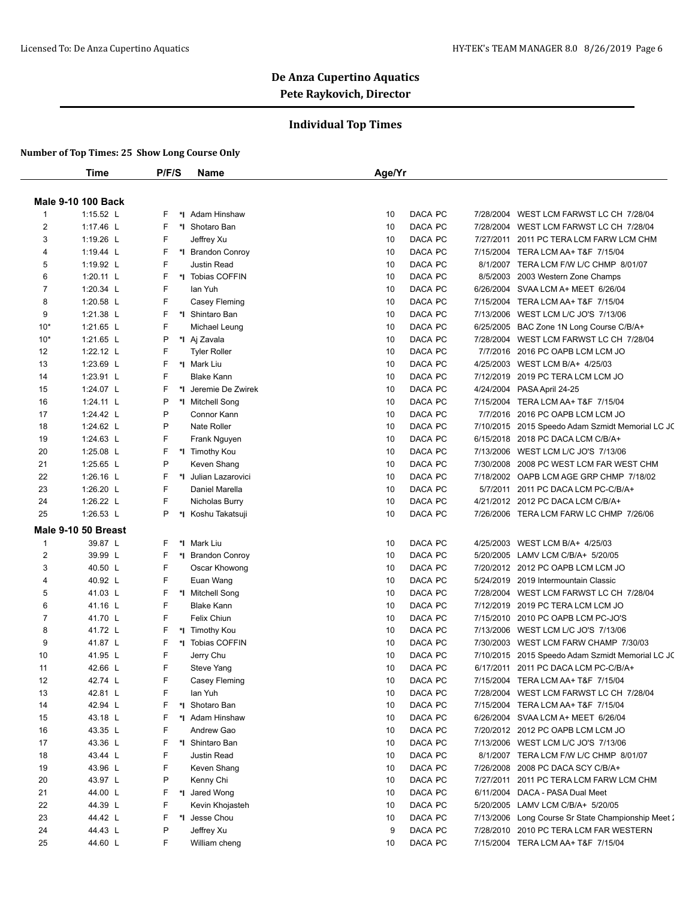### **Individual Top Times**

|                | Time                      | P/F/S   | Name                     | Age/Yr        |                                                    |
|----------------|---------------------------|---------|--------------------------|---------------|----------------------------------------------------|
|                | <b>Male 9-10 100 Back</b> |         |                          |               |                                                    |
| $\mathbf{1}$   | $1:15.52$ L               | F<br>*∣ | Adam Hinshaw             | DACA PC<br>10 | 7/28/2004 WEST LCM FARWST LC CH 7/28/04            |
| $\overline{2}$ | 1:17.46 L                 | F       | *I Shotaro Ban           | DACA PC<br>10 | 7/28/2004 WEST LCM FARWST LC CH 7/28/04            |
| 3              | 1:19.26 L                 | F       | Jeffrey Xu               | DACA PC<br>10 | 7/27/2011 2011 PC TERA LCM FARW LCM CHM            |
| 4              | 1:19.44 L                 | F       | *I Brandon Conroy        | DACA PC<br>10 | 7/15/2004 TERA LCM AA+ T&F 7/15/04                 |
| 5              | 1:19.92 L                 | F       | Justin Read              | DACA PC<br>10 | 8/1/2007 TERA LCM F/W L/C CHMP 8/01/07             |
| 6              | $1:20.11$ L               | F       | *1 Tobias COFFIN         | DACA PC<br>10 | 8/5/2003 2003 Western Zone Champs                  |
| 7              | 1:20.34 $L$               | F       | lan Yuh                  | DACA PC<br>10 | 6/26/2004 SVAA LCM A+ MEET 6/26/04                 |
| 8              | 1:20.58 L                 | F       | Casey Fleming            | DACA PC<br>10 | 7/15/2004 TERA LCM AA+ T&F 7/15/04                 |
| 9              | 1:21.38 L                 | F       | *I Shintaro Ban          | DACA PC<br>10 | 7/13/2006 WEST LCM L/C JO'S 7/13/06                |
| $10*$          | 1:21.65 L                 | F       | Michael Leung            | DACA PC<br>10 | 6/25/2005 BAC Zone 1N Long Course C/B/A+           |
| $10*$          | 1:21.65 L                 | P       | *I Aj Zavala             | DACA PC<br>10 | 7/28/2004 WEST LCM FARWST LC CH 7/28/04            |
| 12             | 1:22.12 L                 | F       | <b>Tyler Roller</b>      | DACA PC<br>10 | 7/7/2016 2016 PC OAPB LCM LCM JO                   |
| 13             | 1:23.69 L                 | F       | *I Mark Liu              | DACA PC<br>10 | 4/25/2003 WEST LCM B/A+ 4/25/03                    |
| 14             | 1:23.91 L                 | F       | <b>Blake Kann</b>        | DACA PC<br>10 | 7/12/2019 2019 PC TERA LCM LCM JO                  |
| 15             | 1:24.07 L                 | F<br>۰ı | Jeremie De Zwirek        | DACA PC<br>10 | 4/24/2004 PASA April 24-25                         |
|                |                           |         |                          |               | 7/15/2004 TERA LCM AA+ T&F 7/15/04                 |
| 16             | 1:24.11 L                 | P       | *I Mitchell Song         | DACA PC<br>10 |                                                    |
| 17             | 1:24.42 L                 | P       | Connor Kann              | DACA PC<br>10 | 7/7/2016 2016 PC OAPB LCM LCM JO                   |
| 18             | 1:24.62 L                 | P       | Nate Roller              | DACA PC<br>10 | 7/10/2015 2015 Speedo Adam Szmidt Memorial LC JC   |
| 19             | 1:24.63 $L$               | F       | Frank Nguyen             | DACA PC<br>10 | 6/15/2018 2018 PC DACA LCM C/B/A+                  |
| 20             | 1:25.08 L                 | F       | *I Timothy Kou           | DACA PC<br>10 | 7/13/2006 WEST LCM L/C JO'S 7/13/06                |
| 21             | 1:25.65 L                 | P       | Keven Shang              | DACA PC<br>10 | 7/30/2008 2008 PC WEST LCM FAR WEST CHM            |
| 22             | 1:26.16 L                 | F       | *I Julian Lazarovici     | DACA PC<br>10 | 7/18/2002 OAPB LCM AGE GRP CHMP 7/18/02            |
| 23             | 1:26.20 L                 | F       | Daniel Marella           | DACA PC<br>10 | 5/7/2011 2011 PC DACA LCM PC-C/B/A+                |
| 24             | 1:26.22 L                 | F       | Nicholas Burry           | DACA PC<br>10 | 4/21/2012 2012 PC DACA LCM C/B/A+                  |
| 25             | 1:26.53 L                 | P       | *I Koshu Takatsuji       | DACA PC<br>10 | 7/26/2006 TERA LCM FARW LC CHMP 7/26/06            |
|                | Male 9-10 50 Breast       |         |                          |               |                                                    |
| $\mathbf{1}$   | 39.87 L                   | F<br>*l | Mark Liu                 | DACA PC<br>10 | 4/25/2003 WEST LCM B/A+ 4/25/03                    |
| 2              | 39.99 L                   | F<br>*I | <b>Brandon Conroy</b>    | DACA PC<br>10 | 5/20/2005 LAMV LCM C/B/A+ 5/20/05                  |
| 3              | 40.50 L                   | F       | Oscar Khowong            | DACA PC<br>10 | 7/20/2012 2012 PC OAPB LCM LCM JO                  |
| 4              | 40.92 L                   | F       | Euan Wang                | DACA PC<br>10 | 5/24/2019 2019 Intermountain Classic               |
| 5              | 41.03 L                   | F       | *I Mitchell Song         | DACA PC<br>10 | 7/28/2004 WEST LCM FARWST LC CH 7/28/04            |
| 6              | 41.16 L                   | F       | <b>Blake Kann</b>        | DACA PC<br>10 | 7/12/2019 2019 PC TERA LCM LCM JO                  |
| $\overline{7}$ | 41.70 L                   | F       | Felix Chiun              | DACA PC<br>10 | 7/15/2010 2010 PC OAPB LCM PC-JO'S                 |
| 8              | 41.72 L                   | F<br>*l | Timothy Kou              | DACA PC<br>10 | 7/13/2006 WEST LCM L/C JO'S 7/13/06                |
| 9              | 41.87 L                   | F       | *I Tobias COFFIN         | DACA PC<br>10 | 7/30/2003 WEST LCM FARW CHAMP 7/30/03              |
| 10             | 41.95 L                   | F       | Jerry Chu                | DACA PC<br>10 | 7/10/2015 2015 Speedo Adam Szmidt Memorial LC JC   |
| 11             | 42.66 L                   | F       | Steve Yang               | DACA PC<br>10 | 6/17/2011 2011 PC DACA LCM PC-C/B/A+               |
| 12             | 42.74 L                   | F       | Casey Fleming            | 10<br>DACA PC | 7/15/2004 TERA LCM AA+ T&F  7/15/04                |
| 13             | 42.81 L                   | F       | lan Yuh                  | DACA PC<br>10 | 7/28/2004 WEST LCM FARWST LC CH 7/28/04            |
| 14             | 42.94 L                   | F       | *I Shotaro Ban           | DACA PC<br>10 | 7/15/2004 TERA LCM AA+ T&F 7/15/04                 |
| 15             | 43.18 L                   | F       | *I Adam Hinshaw          | DACA PC<br>10 | 6/26/2004 SVAA LCM A+ MEET 6/26/04                 |
| 16             | 43.35 L                   | F       | Andrew Gao               | DACA PC<br>10 | 7/20/2012 2012 PC OAPB LCM LCM JO                  |
| 17             | 43.36 L                   | F       | *1 Shintaro Ban          | DACA PC<br>10 | 7/13/2006 WEST LCM L/C JO'S 7/13/06                |
| 18             | 43.44 L                   | F       | Justin Read              | DACA PC<br>10 | 8/1/2007 TERA LCM F/W L/C CHMP 8/01/07             |
| 19             | 43.96 L                   | F       |                          | DACA PC<br>10 | 7/26/2008 2008 PC DACA SCY C/B/A+                  |
|                |                           | P       | Keven Shang<br>Kenny Chi |               |                                                    |
| 20             | 43.97 L                   |         |                          | DACA PC<br>10 | 7/27/2011 2011 PC TERA LCM FARW LCM CHM            |
| 21             | 44.00 L                   | F       | *I Jared Wong            | DACA PC<br>10 | 6/11/2004 DACA - PASA Dual Meet                    |
| 22             | 44.39 L                   | F       | Kevin Khojasteh          | DACA PC<br>10 | 5/20/2005 LAMV LCM C/B/A+ 5/20/05                  |
| 23             | 44.42 L                   | F       | *I Jesse Chou            | DACA PC<br>10 | 7/13/2006 Long Course Sr State Championship Meet 2 |
| 24             | 44.43 L                   | P       | Jeffrey Xu               | DACA PC<br>9  | 7/28/2010 2010 PC TERA LCM FAR WESTERN             |
| 25             | 44.60 L                   | F       | William cheng            | DACA PC<br>10 | 7/15/2004 TERA LCM AA+ T&F 7/15/04                 |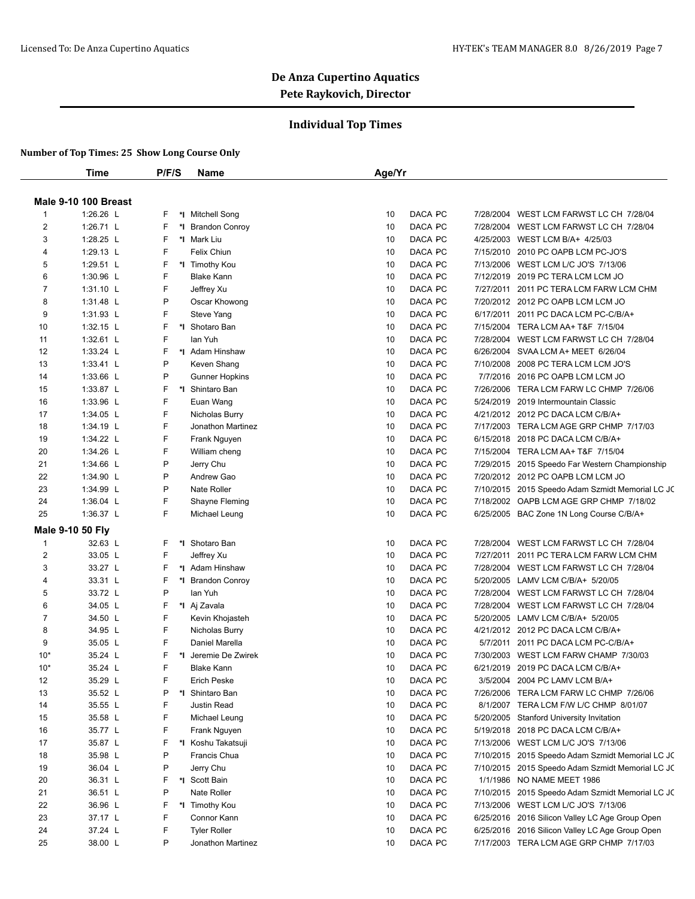### **Individual Top Times**

|                         | <b>Time</b>                 | P/F/S  | Name                                | Age/Yr                                                                                                                  |  |
|-------------------------|-----------------------------|--------|-------------------------------------|-------------------------------------------------------------------------------------------------------------------------|--|
|                         |                             |        |                                     |                                                                                                                         |  |
|                         | <b>Male 9-10 100 Breast</b> |        |                                     |                                                                                                                         |  |
| $\mathbf{1}$<br>2       | 1:26.26 L<br>1:26.71 L      | F<br>F | *I Mitchell Song                    | DACA PC<br>WEST LCM FARWST LC CH 7/28/04<br>10<br>7/28/2004<br>DACA PC<br>10<br>7/28/2004 WEST LCM FARWST LC CH 7/28/04 |  |
| 3                       | 1:28.25 L                   | F      | *I Brandon Conroy<br>*I Mark Liu    | DACA PC<br>10<br>4/25/2003 WEST LCM B/A+ 4/25/03                                                                        |  |
| 4                       | 1:29.13 L                   | F      | Felix Chiun                         | 10<br>DACA PC<br>7/15/2010 2010 PC OAPB LCM PC-JO'S                                                                     |  |
| 5                       | 1:29.51 L                   | F      | *I Timothy Kou                      | 10<br>DACA PC<br>7/13/2006<br>WEST LCM L/C JO'S 7/13/06                                                                 |  |
| 6                       | 1:30.96 L                   | F      | <b>Blake Kann</b>                   | 10<br>DACA PC<br>7/12/2019 2019 PC TERA LCM LCM JO                                                                      |  |
| $\overline{7}$          | 1:31.10 L                   | F      | Jeffrey Xu                          | DACA PC<br>10<br>7/27/2011 2011 PC TERA LCM FARW LCM CHM                                                                |  |
| 8                       | 1:31.48 L                   | P      | Oscar Khowong                       | DACA PC<br>10<br>7/20/2012 2012 PC OAPB LCM LCM JO                                                                      |  |
| 9                       | $1:31.93$ L                 | F      | Steve Yang                          | DACA PC<br>10<br>6/17/2011 2011 PC DACA LCM PC-C/B/A+                                                                   |  |
| 10                      | 1:32.15 L                   | F      | *I Shotaro Ban                      | DACA PC<br>10<br>7/15/2004 TERA LCM AA+ T&F 7/15/04                                                                     |  |
| 11                      | 1:32.61 L                   | F      | lan Yuh                             | DACA PC<br>10<br>7/28/2004<br>WEST LCM FARWST LC CH 7/28/04                                                             |  |
| 12                      | 1:33.24 L                   | F      | *I Adam Hinshaw                     | DACA PC<br>10<br>6/26/2004<br>SVAA LCM A+ MEET 6/26/04                                                                  |  |
| 13                      | 1:33.41 L                   | P      | Keven Shang                         | DACA PC<br>10<br>7/10/2008 2008 PC TERA LCM LCM JO'S                                                                    |  |
| 14                      | 1:33.66 L                   | P      | <b>Gunner Hopkins</b>               | DACA PC<br>10<br>7/7/2016 2016 PC OAPB LCM LCM JO                                                                       |  |
| 15                      | 1:33.87 L                   | F      | *1 Shintaro Ban                     | DACA PC<br>10<br>7/26/2006<br>TERA LCM FARW LC CHMP 7/26/06                                                             |  |
| 16                      | 1:33.96 L                   | F      |                                     | 10<br>DACA PC<br>5/24/2019 2019 Intermountain Classic                                                                   |  |
| 17                      | 1:34.05 L                   | F      | Euan Wang                           | 10<br>DACA PC<br>4/21/2012 2012 PC DACA LCM C/B/A+                                                                      |  |
| 18                      |                             | F      | Nicholas Burry<br>Jonathon Martinez | 10<br>DACA PC<br>7/17/2003 TERA LCM AGE GRP CHMP 7/17/03                                                                |  |
| 19                      | 1:34.19 L<br>1:34.22 L      | F      |                                     | 10<br>DACA PC                                                                                                           |  |
| 20                      | 1:34.26 L                   | F      | Frank Nguyen                        | 6/15/2018<br>2018 PC DACA LCM C/B/A+<br>DACA PC<br>10<br>7/15/2004 TERA LCM AA+ T&F 7/15/04                             |  |
| 21                      | 1:34.66 L                   | P      | William cheng<br>Jerry Chu          | DACA PC<br>10<br>7/29/2015 2015 Speedo Far Western Championship                                                         |  |
| 22                      | 1:34.90 L                   | P      | Andrew Gao                          | DACA PC<br>10<br>7/20/2012 2012 PC OAPB LCM LCM JO                                                                      |  |
| 23                      |                             | P      | Nate Roller                         | DACA PC<br>10                                                                                                           |  |
| 24                      | 1:34.99 L<br>1:36.04 L      | F      | Shayne Fleming                      | 7/10/2015 2015 Speedo Adam Szmidt Memorial LC JC<br>10<br>DACA PC<br>7/18/2002 OAPB LCM AGE GRP CHMP 7/18/02            |  |
| 25                      | 1:36.37 L                   | F      |                                     | DACA PC<br>10                                                                                                           |  |
|                         |                             |        | Michael Leung                       | 6/25/2005 BAC Zone 1N Long Course C/B/A+                                                                                |  |
|                         | Male 9-10 50 Fly            |        |                                     |                                                                                                                         |  |
| $\mathbf{1}$            | 32.63 L                     | F      | *I Shotaro Ban                      | 10<br>DACA PC<br>WEST LCM FARWST LC CH 7/28/04<br>7/28/2004                                                             |  |
| $\overline{\mathbf{c}}$ | 33.05 L                     | F      | Jeffrey Xu                          | DACA PC<br>10<br>7/27/2011 2011 PC TERA LCM FARW LCM CHM                                                                |  |
| 3                       | 33.27 L                     | F      | *I Adam Hinshaw                     | DACA PC<br>10<br>7/28/2004 WEST LCM FARWST LC CH 7/28/04                                                                |  |
| 4                       | 33.31 L                     | F      | *I Brandon Conroy                   | DACA PC<br>10<br>5/20/2005<br>LAMV LCM C/B/A+ 5/20/05                                                                   |  |
| 5                       | 33.72 L                     | P      | lan Yuh                             | 10<br>DACA PC<br>7/28/2004 WEST LCM FARWST LC CH 7/28/04                                                                |  |
| 6                       | 34.05 L                     | F      | *I Aj Zavala                        | 10<br>DACA PC<br>7/28/2004<br>WEST LCM FARWST LC CH 7/28/04                                                             |  |
| 7                       | 34.50 L                     | F      | Kevin Khojasteh                     | DACA PC<br>5/20/2005 LAMV LCM C/B/A+ 5/20/05<br>10                                                                      |  |
| 8                       | 34.95 L                     | F      | Nicholas Burry                      | 10<br>DACA PC<br>4/21/2012 2012 PC DACA LCM C/B/A+                                                                      |  |
| 9                       | 35.05 L                     | F      | Daniel Marella                      | 10<br>DACA PC<br>5/7/2011 2011 PC DACA LCM PC-C/B/A+                                                                    |  |
| $10*$                   | 35.24 L                     | F      | *I Jeremie De Zwirek                | 10<br>DACA PC<br>7/30/2003 WEST LCM FARW CHAMP 7/30/03                                                                  |  |
| $10*$                   | 35.24 L                     | F      | Blake Kann                          | 10<br>DACA PC<br>6/21/2019 2019 PC DACA LCM C/B/A+                                                                      |  |
| 12                      | 35.29 L                     | F      | Erich Peske                         | 10<br>DACA PC<br>3/5/2004<br>2004 PC LAMV LCM B/A+                                                                      |  |
| 13                      | 35.52 L                     | P      | *I Shintaro Ban                     | DACA PC<br>10<br>7/26/2006 TERA LCM FARW LC CHMP 7/26/06                                                                |  |
| 14                      | 35.55 L                     | F      | Justin Read                         | DACA PC<br>10<br>8/1/2007 TERA LCM F/W L/C CHMP 8/01/07                                                                 |  |
| 15                      | 35.58 L                     | F      | Michael Leung                       | 10<br>DACA PC<br>5/20/2005 Stanford University Invitation                                                               |  |
| 16                      | 35.77 L                     | F      | Frank Nguyen                        | DACA PC<br>5/19/2018 2018 PC DACA LCM C/B/A+<br>10                                                                      |  |
| 17                      | 35.87 L                     | F      | *I Koshu Takatsuji                  | DACA PC<br>10<br>7/13/2006 WEST LCM L/C JO'S 7/13/06                                                                    |  |
| 18                      | 35.98 L                     | P      | Francis Chua                        | 10<br>DACA PC<br>7/10/2015 2015 Speedo Adam Szmidt Memorial LC JC                                                       |  |
| 19                      | 36.04 L                     | P      | Jerry Chu                           | DACA PC<br>7/10/2015 2015 Speedo Adam Szmidt Memorial LC JC<br>10                                                       |  |
| 20                      | 36.31 L                     | F      | *I Scott Bain                       | DACA PC<br>1/1/1986 NO NAME MEET 1986<br>10                                                                             |  |
| 21                      | 36.51 L                     | P      | Nate Roller                         | 10<br>DACA PC<br>7/10/2015 2015 Speedo Adam Szmidt Memorial LC JC                                                       |  |
| 22                      | 36.96 L                     | F      | *I Timothy Kou                      | 10<br>DACA PC<br>7/13/2006 WEST LCM L/C JO'S 7/13/06                                                                    |  |
| 23                      | 37.17 L                     | F      | Connor Kann                         | DACA PC<br>6/25/2016 2016 Silicon Valley LC Age Group Open<br>10                                                        |  |
| 24                      | 37.24 L                     | F      | <b>Tyler Roller</b>                 | 10<br>DACA PC<br>6/25/2016 2016 Silicon Valley LC Age Group Open                                                        |  |
| 25                      | 38.00 L                     | P      | Jonathon Martinez                   | DACA PC<br>7/17/2003 TERA LCM AGE GRP CHMP 7/17/03<br>10                                                                |  |
|                         |                             |        |                                     |                                                                                                                         |  |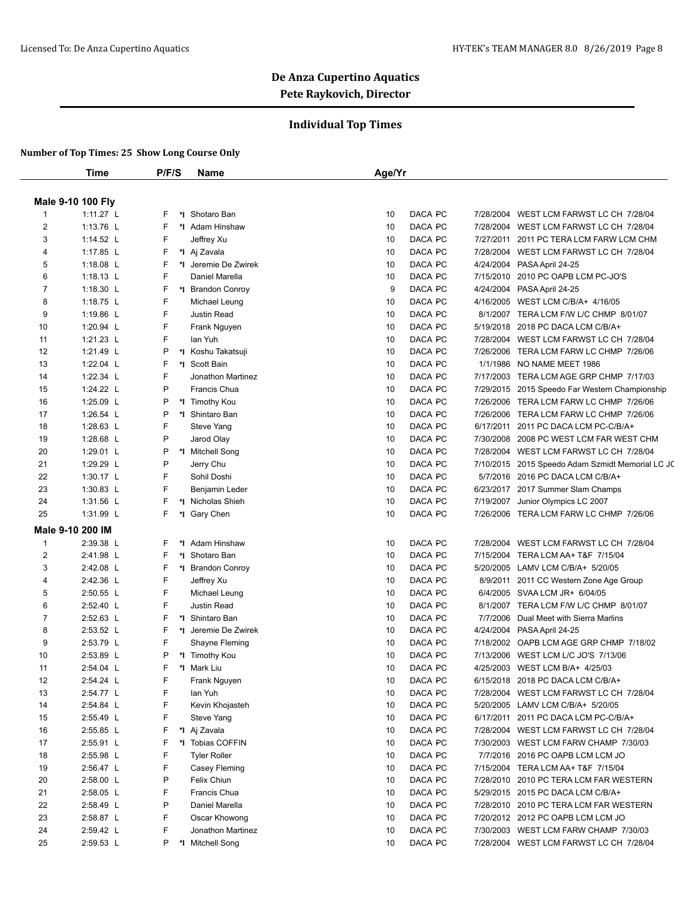### **Individual Top Times**

|                | Time              | P/F/S | <b>Name</b>          | Age/Yr        |           |                                                  |
|----------------|-------------------|-------|----------------------|---------------|-----------|--------------------------------------------------|
|                |                   |       |                      |               |           |                                                  |
|                | Male 9-10 100 Fly |       |                      |               |           |                                                  |
| $\mathbf{1}$   | 1:11.27 L         | F     | *I Shotaro Ban       | DACA PC<br>10 | 7/28/2004 | WEST LCM FARWST LC CH 7/28/04                    |
| 2              | 1:13.76 L         | F     | *I Adam Hinshaw      | 10<br>DACA PC |           | 7/28/2004 WEST LCM FARWST LC CH 7/28/04          |
| 3              | 1:14.52 L         | F     | Jeffrey Xu           | 10<br>DACA PC |           | 7/27/2011 2011 PC TERA LCM FARW LCM CHM          |
| 4              | 1:17.85 L         | F     | *I Aj Zavala         | DACA PC<br>10 |           | 7/28/2004 WEST LCM FARWST LC CH 7/28/04          |
| 5              | 1:18.08 $L$       | F     | *1 Jeremie De Zwirek | DACA PC<br>10 | 4/24/2004 | PASA April 24-25                                 |
| 6              | 1:18.13 $L$       | F     | Daniel Marella       | 10<br>DACA PC | 7/15/2010 | 2010 PC OAPB LCM PC-JO'S                         |
| $\overline{7}$ | 1:18.30 $L$       | F     | *I Brandon Conroy    | 9<br>DACA PC  | 4/24/2004 | PASA April 24-25                                 |
| 8              | 1:18.75 $L$       | F     | Michael Leung        | 10<br>DACA PC | 4/16/2005 | WEST LCM C/B/A+ 4/16/05                          |
| 9              | 1:19.86 L         | F     | Justin Read          | 10<br>DACA PC | 8/1/2007  | TERA LCM F/W L/C CHMP 8/01/07                    |
| 10             | 1:20.94 L         | F     | Frank Nguyen         | DACA PC<br>10 | 5/19/2018 | 2018 PC DACA LCM C/B/A+                          |
| 11             | 1:21.23 L         | F     | lan Yuh              | 10<br>DACA PC | 7/28/2004 | WEST LCM FARWST LC CH 7/28/04                    |
| 12             | 1:21.49 L         | P     | *I Koshu Takatsuji   | 10<br>DACA PC | 7/26/2006 | TERA LCM FARW LC CHMP 7/26/06                    |
| 13             | 1:22.04 $L$       | F     | *I Scott Bain        | 10<br>DACA PC | 1/1/1986  | NO NAME MEET 1986                                |
| 14             | 1:22.34 L         | F     | Jonathon Martinez    | 10<br>DACA PC | 7/17/2003 | TERA LCM AGE GRP CHMP 7/17/03                    |
| 15             | 1:24.22 L         | P     | Francis Chua         | 10<br>DACA PC |           | 7/29/2015 2015 Speedo Far Western Championship   |
| 16             | 1:25.09 L         | P     | *I Timothy Kou       | DACA PC<br>10 | 7/26/2006 | TERA LCM FARW LC CHMP 7/26/06                    |
| 17             | 1:26.54 $L$       | P     | *1 Shintaro Ban      | DACA PC<br>10 | 7/26/2006 | TERA LCM FARW LC CHMP 7/26/06                    |
| 18             | 1:28.63 L         | F     | Steve Yang           | 10<br>DACA PC | 6/17/2011 | 2011 PC DACA LCM PC-C/B/A+                       |
| 19             | 1:28.68 L         | P     | Jarod Olay           | 10<br>DACA PC | 7/30/2008 | 2008 PC WEST LCM FAR WEST CHM                    |
| 20             | 1:29.01 $L$       | P     | *I Mitchell Song     | 10<br>DACA PC |           | 7/28/2004 WEST LCM FARWST LC CH 7/28/04          |
| 21             | 1:29.29 L         | P     | Jerry Chu            | 10<br>DACA PC |           | 7/10/2015 2015 Speedo Adam Szmidt Memorial LC JC |
| 22             | 1:30.17 L         | F     | Sohil Doshi          | DACA PC<br>10 | 5/7/2016  | 2016 PC DACA LCM C/B/A+                          |
| 23             | 1:30.83 L         | F     | Benjamin Leder       | DACA PC<br>10 |           | 6/23/2017 2017 Summer Slam Champs                |
| 24             | 1:31.56 L         | F     | *I Nicholas Shieh    | 10<br>DACA PC | 7/19/2007 | Junior Olympics LC 2007                          |
| 25             | 1:31.99 L         | F     | *I Gary Chen         | 10<br>DACA PC |           | 7/26/2006 TERA LCM FARW LC CHMP 7/26/06          |
|                | Male 9-10 200 IM  |       |                      |               |           |                                                  |
| $\mathbf{1}$   | 2:39.38 L         | F     | *I Adam Hinshaw      | DACA PC<br>10 | 7/28/2004 | WEST LCM FARWST LC CH 7/28/04                    |
| 2              | 2:41.98 L         | F     | *1 Shotaro Ban       | 10<br>DACA PC |           | 7/15/2004 TERA LCM AA+ T&F 7/15/04               |
| 3              | 2:42.08 L         | F     | *I Brandon Conroy    | 10<br>DACA PC |           | 5/20/2005 LAMV LCM C/B/A+ 5/20/05                |
| 4              | 2:42.36 L         | F     | Jeffrey Xu           | 10<br>DACA PC | 8/9/2011  | 2011 CC Western Zone Age Group                   |
| 5              | 2:50.55 L         | F     | Michael Leung        | 10<br>DACA PC |           | 6/4/2005 SVAA LCM JR+ 6/04/05                    |
| 6              | 2:52.40 L         | F     | <b>Justin Read</b>   | 10<br>DACA PC | 8/1/2007  | TERA LCM F/W L/C CHMP 8/01/07                    |
| $\overline{7}$ | 2:52.63 L         | F     | *I Shintaro Ban      | DACA PC<br>10 | 7/7/2006  | Dual Meet with Sierra Marlins                    |
| 8              | 2:53.52 L         | F     | *1 Jeremie De Zwirek | DACA PC<br>10 | 4/24/2004 | PASA April 24-25                                 |
| 9              | 2:53.79 L         | F     | Shayne Fleming       | 10<br>DACA PC |           | 7/18/2002 OAPB LCM AGE GRP CHMP 7/18/02          |
| 10             | 2:53.89 L         | P     | *I Timothy Kou       | DACA PC<br>10 | 7/13/2006 | WEST LCM L/C JO'S 7/13/06                        |
| 11             | 2:54.04 L         | F     | *I Mark Liu          | DACA PC<br>10 |           | 4/25/2003 WEST LCM B/A+ 4/25/03                  |
| 12             | 2:54.24 L         | F     | Frank Nguyen         | 10<br>DACA PC |           | 6/15/2018 2018 PC DACA LCM C/B/A+                |
| 13             | 2:54.77 L         | F     | lan Yuh              | DACA PC<br>10 |           | 7/28/2004 WEST LCM FARWST LC CH 7/28/04          |
| 14             | 2:54.84 L         | F     | Kevin Khojasteh      | DACA PC<br>10 |           | 5/20/2005 LAMV LCM C/B/A+ 5/20/05                |
| 15             | 2:55.49 L         | F     | Steve Yang           | DACA PC<br>10 |           | 6/17/2011 2011 PC DACA LCM PC-C/B/A+             |
| 16             | 2:55.85 L         | F     | *I Aj Zavala         | DACA PC<br>10 |           | 7/28/2004 WEST LCM FARWST LC CH 7/28/04          |
| 17             | 2:55.91 L         | F     | *I Tobias COFFIN     | DACA PC<br>10 |           | 7/30/2003 WEST LCM FARW CHAMP 7/30/03            |
| 18             | 2:55.98 L         | F     | <b>Tyler Roller</b>  | DACA PC<br>10 |           | 7/7/2016 2016 PC OAPB LCM LCM JO                 |
| 19             | 2:56.47 L         | F     | Casey Fleming        | DACA PC<br>10 |           | 7/15/2004 TERA LCM AA+ T&F 7/15/04               |
| 20             | 2:58.00 L         | P     | Felix Chiun          | DACA PC<br>10 |           | 7/28/2010 2010 PC TERA LCM FAR WESTERN           |
| 21             | 2:58.05 L         | F     | Francis Chua         | 10<br>DACA PC |           | 5/29/2015 2015 PC DACA LCM C/B/A+                |
| 22             | 2:58.49 L         | P     | Daniel Marella       | DACA PC<br>10 |           | 7/28/2010 2010 PC TERA LCM FAR WESTERN           |
| 23             | 2:58.87 L         | F     | Oscar Khowong        | DACA PC<br>10 |           | 7/20/2012 2012 PC OAPB LCM LCM JO                |
| 24             | 2:59.42 L         | F     | Jonathon Martinez    | 10<br>DACA PC |           | 7/30/2003 WEST LCM FARW CHAMP 7/30/03            |
| 25             | 2:59.53 L         | P     | *I Mitchell Song     | 10<br>DACA PC |           | 7/28/2004 WEST LCM FARWST LC CH 7/28/04          |
|                |                   |       |                      |               |           |                                                  |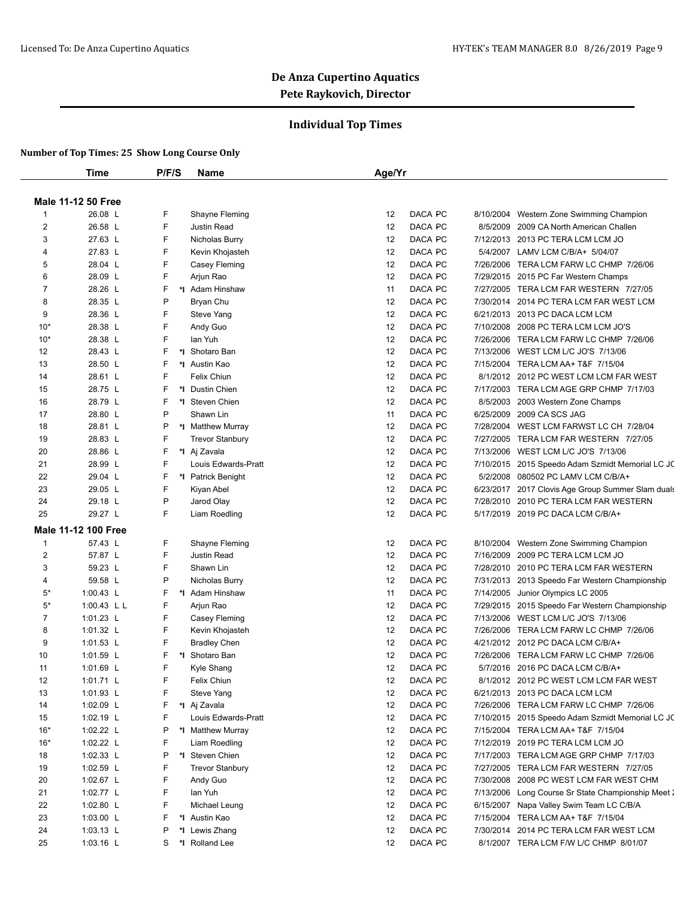### **Individual Top Times**

|                | Time                       | P/F/S   | <b>Name</b>                         | Age/Yr |         |           |                                                    |
|----------------|----------------------------|---------|-------------------------------------|--------|---------|-----------|----------------------------------------------------|
|                |                            |         |                                     |        |         |           |                                                    |
|                | <b>Male 11-12 50 Free</b>  |         |                                     |        |         |           |                                                    |
| $\mathbf{1}$   | 26.08 L                    | F       | Shayne Fleming                      | 12     | DACA PC | 8/10/2004 | Western Zone Swimming Champion                     |
| 2              | 26.58 L                    | F       | Justin Read                         | 12     | DACA PC | 8/5/2009  | 2009 CA North American Challen                     |
| 3              | 27.63 L                    | F       | Nicholas Burry                      | 12     | DACA PC |           | 7/12/2013 2013 PC TERA LCM LCM JO                  |
| 4              | 27.83 L                    | F       | Kevin Khojasteh                     | 12     | DACA PC | 5/4/2007  | LAMV LCM C/B/A+ 5/04/07                            |
| 5              | 28.04 L                    | F       | Casey Fleming                       | 12     | DACA PC |           | 7/26/2006 TERA LCM FARW LC CHMP 7/26/06            |
| 6              | 28.09 L                    | F       | Arjun Rao                           | 12     | DACA PC |           | 7/29/2015 2015 PC Far Western Champs               |
| $\overline{7}$ | 28.26 L                    | F<br>*∣ | Adam Hinshaw                        | 11     | DACA PC |           | 7/27/2005 TERA LCM FAR WESTERN 7/27/05             |
| 8              | 28.35 L                    | P       | Bryan Chu                           | 12     | DACA PC |           | 7/30/2014 2014 PC TERA LCM FAR WEST LCM            |
| 9              | 28.36 L                    | F       | Steve Yang                          | 12     | DACA PC |           | 6/21/2013 2013 PC DACA LCM LCM                     |
| $10*$          | 28.38 L                    | F       | Andy Guo                            | 12     | DACA PC | 7/10/2008 | 2008 PC TERA LCM LCM JO'S                          |
| $10*$          | 28.38 L                    | F       | lan Yuh                             | 12     | DACA PC |           | 7/26/2006 TERA LCM FARW LC CHMP 7/26/06            |
| 12             | 28.43 L                    | F       | *1 Shotaro Ban                      | 12     | DACA PC |           | 7/13/2006 WEST LCM L/C JO'S 7/13/06                |
| 13             | 28.50 L                    | F       | *I Austin Kao                       | 12     | DACA PC |           | 7/15/2004 TERA LCM AA+ T&F 7/15/04                 |
| 14             | 28.61 L                    | F       | Felix Chiun                         | 12     | DACA PC |           | 8/1/2012 2012 PC WEST LCM LCM FAR WEST             |
| 15             | 28.75 L                    | F       | *1 Dustin Chien                     | 12     | DACA PC |           | 7/17/2003 TERA LCM AGE GRP CHMP 7/17/03            |
| 16             | 28.79 L                    | F       | *I Steven Chien                     | 12     | DACA PC | 8/5/2003  | 2003 Western Zone Champs                           |
| 17             | 28.80 L                    | P       | Shawn Lin                           | 11     | DACA PC | 6/25/2009 | 2009 CA SCS JAG                                    |
| 18             | 28.81 L                    | P       | *I Matthew Murray                   | 12     | DACA PC |           | 7/28/2004 WEST LCM FARWST LC CH 7/28/04            |
| 19             | 28.83 L                    | F       | <b>Trevor Stanbury</b>              | 12     | DACA PC |           | 7/27/2005 TERA LCM FAR WESTERN 7/27/05             |
| 20             | 28.86 L                    | F       |                                     | 12     | DACA PC |           | 7/13/2006 WEST LCM L/C JO'S 7/13/06                |
| 21             | 28.99 L                    | F       | *I Aj Zavala<br>Louis Edwards-Pratt | 12     | DACA PC |           | 7/10/2015 2015 Speedo Adam Szmidt Memorial LC JC   |
|                |                            |         |                                     |        |         |           |                                                    |
| 22             | 29.04 L                    | F       | *I Patrick Benight                  | 12     | DACA PC | 5/2/2008  | 080502 PC LAMV LCM C/B/A+                          |
| 23             | 29.05 L                    | F       | Kiyan Abel                          | 12     | DACA PC |           | 6/23/2017 2017 Clovis Age Group Summer Slam duals  |
| 24             | 29.18 L                    | P       | Jarod Olay                          | 12     | DACA PC | 7/28/2010 | 2010 PC TERA LCM FAR WESTERN                       |
| 25             | 29.27 L                    | F       | Liam Roedling                       | 12     | DACA PC |           | 5/17/2019 2019 PC DACA LCM C/B/A+                  |
|                | <b>Male 11-12 100 Free</b> |         |                                     |        |         |           |                                                    |
| $\mathbf{1}$   | 57.43 L                    | F       | Shayne Fleming                      | 12     | DACA PC |           | 8/10/2004 Western Zone Swimming Champion           |
| 2              | 57.87 L                    | F       | Justin Read                         | 12     | DACA PC | 7/16/2009 | 2009 PC TERA LCM LCM JO                            |
| 3              | 59.23 L                    | F       | Shawn Lin                           | 12     | DACA PC |           | 7/28/2010 2010 PC TERA LCM FAR WESTERN             |
| 4              | 59.58 L                    | P       | Nicholas Burry                      | 12     | DACA PC |           | 7/31/2013 2013 Speedo Far Western Championship     |
| 5*             | 1:00.43 L                  | F<br>*l | Adam Hinshaw                        | 11     | DACA PC | 7/14/2005 | Junior Olympics LC 2005                            |
| $5*$           | 1:00.43 L L                | F       | Arjun Rao                           | 12     | DACA PC |           | 7/29/2015 2015 Speedo Far Western Championship     |
| $\overline{7}$ | 1:01.23 L                  | F       | Casey Fleming                       | 12     | DACA PC |           | 7/13/2006 WEST LCM L/C JO'S 7/13/06                |
| 8              | 1:01.32 L                  | F       | Kevin Khojasteh                     | 12     | DACA PC | 7/26/2006 | TERA LCM FARW LC CHMP 7/26/06                      |
| 9              | 1:01.53 $L$                | F       | <b>Bradley Chen</b>                 | 12     | DACA PC |           | 4/21/2012 2012 PC DACA LCM C/B/A+                  |
| 10             | 1:01.59 $L$                | F<br>*∣ | Shotaro Ban                         | 12     | DACA PC |           | 7/26/2006 TERA LCM FARW LC CHMP 7/26/06            |
| 11             | 1:01.69 $L$                | F       | Kyle Shang                          | 12     | DACA PC |           | 5/7/2016 2016 PC DACA LCM C/B/A+                   |
| 12             | 1:01.71 L                  | F       | Felix Chiun                         | 12     | DACA PC |           | 8/1/2012 2012 PC WEST LCM LCM FAR WEST             |
| 13             | $1:01.93$ L                | F       | Steve Yang                          | 12     | DACA PC |           | 6/21/2013 2013 PC DACA LCM LCM                     |
| 14             | 1:02.09 $L$                | F       | *I Aj Zavala                        | 12     | DACA PC |           | 7/26/2006 TERA LCM FARW LC CHMP 7/26/06            |
| 15             | $1:02.19$ L                | F       | Louis Edwards-Pratt                 | 12     | DACA PC |           | 7/10/2015 2015 Speedo Adam Szmidt Memorial LC JC   |
| $16*$          | 1:02.22 $L$                | Ρ       | *I Matthew Murray                   | 12     | DACA PC |           | 7/15/2004 TERA LCM AA+ T&F 7/15/04                 |
| $16*$          | 1:02.22 L                  | F       | Liam Roedling                       | 12     | DACA PC |           | 7/12/2019 2019 PC TERA LCM LCM JO                  |
| 18             | 1:02.33 $L$                | P       | *1 Steven Chien                     | 12     | DACA PC |           | 7/17/2003 TERA LCM AGE GRP CHMP 7/17/03            |
| 19             | 1:02.59 L                  | F       | <b>Trevor Stanbury</b>              | 12     | DACA PC |           | 7/27/2005 TERA LCM FAR WESTERN 7/27/05             |
| 20             | 1:02.67 L                  | F       | Andy Guo                            | 12     | DACA PC |           | 7/30/2008 2008 PC WEST LCM FAR WEST CHM            |
| 21             | 1:02.77 $L$                | F       | lan Yuh                             | 12     | DACA PC |           | 7/13/2006 Long Course Sr State Championship Meet 2 |
| 22             | 1:02.80 L                  | F       | Michael Leung                       | 12     | DACA PC |           | 6/15/2007 Napa Valley Swim Team LC C/B/A           |
| 23             | 1:03.00 L                  | F       | *1 Austin Kao                       | 12     | DACA PC |           |                                                    |
|                |                            |         |                                     | 12     |         |           | 7/15/2004 TERA LCM AA+ T&F 7/15/04                 |
| 24             | $1:03.13$ L                | Ρ       | *I Lewis Zhang                      |        | DACA PC |           | 7/30/2014 2014 PC TERA LCM FAR WEST LCM            |
| 25             | 1:03.16 $L$                | S       | *I Rolland Lee                      | 12     | DACA PC |           | 8/1/2007 TERA LCM F/W L/C CHMP 8/01/07             |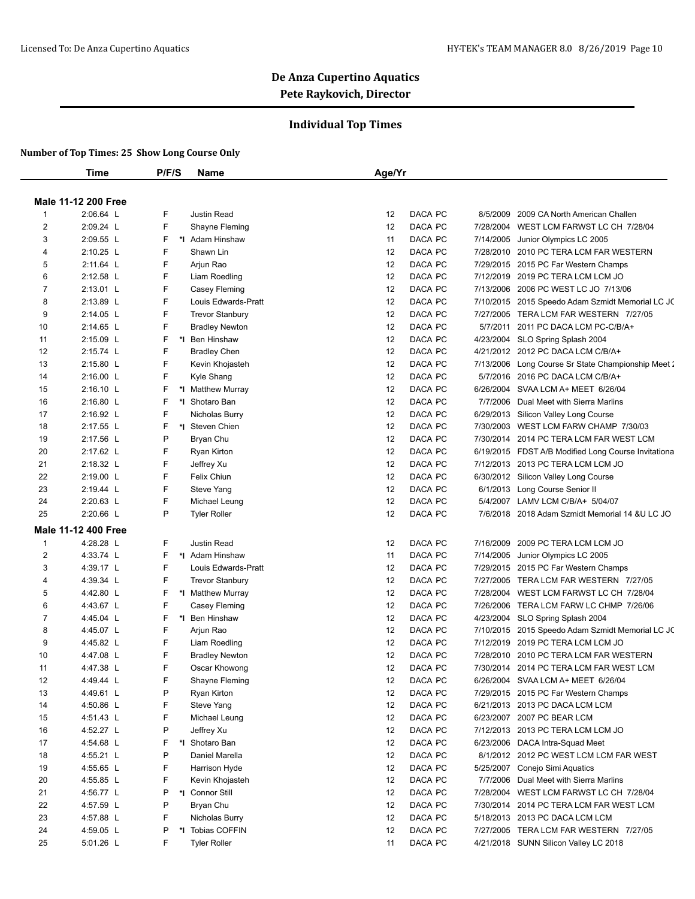### **Individual Top Times**

|                | Time                       | P/F/S   | Name                                 | Age/Yr                   |                                                     |
|----------------|----------------------------|---------|--------------------------------------|--------------------------|-----------------------------------------------------|
|                | <b>Male 11-12 200 Free</b> |         |                                      |                          |                                                     |
| $\mathbf{1}$   | 2:06.64 L                  | F       | Justin Read                          | DACA PC<br>12            | 8/5/2009<br>2009 CA North American Challen          |
| $\overline{2}$ | 2:09.24 L                  | F       | Shayne Fleming                       | DACA PC<br>12            | 7/28/2004 WEST LCM FARWST LC CH 7/28/04             |
| 3              | 2:09.55 L                  | F       | *I Adam Hinshaw                      | DACA PC<br>11            | 7/14/2005<br>Junior Olympics LC 2005                |
| 4              | 2:10.25 L                  | F       | Shawn Lin                            | DACA PC<br>12            | 7/28/2010 2010 PC TERA LCM FAR WESTERN              |
| 5              | 2:11.64 L                  | F       | Arjun Rao                            | DACA PC<br>12            | 7/29/2015 2015 PC Far Western Champs                |
| 6              | 2:12.58 L                  | F       | Liam Roedling                        | DACA PC<br>12            | 7/12/2019 2019 PC TERA LCM LCM JO                   |
| 7              |                            | F       |                                      | DACA PC<br>12            | 7/13/2006<br>2006 PC WEST LC JO 7/13/06             |
| 8              | 2:13.01 L<br>2:13.89 L     | F       | Casey Fleming<br>Louis Edwards-Pratt | DACA PC<br>12            | 7/10/2015 2015 Speedo Adam Szmidt Memorial LC JC    |
| 9              | 2:14.05 L                  | F       | <b>Trevor Stanbury</b>               | DACA PC<br>12            | 7/27/2005 TERA LCM FAR WESTERN 7/27/05              |
|                |                            |         |                                      |                          | 5/7/2011                                            |
| 10             | 2:14.65 L                  | F<br>F  | <b>Bradley Newton</b>                | DACA PC<br>12<br>DACA PC | 2011 PC DACA LCM PC-C/B/A+                          |
| 11<br>12       | 2:15.09 L                  | F       | *I Ben Hinshaw                       | 12<br>DACA PC            | 4/23/2004 SLO Spring Splash 2004                    |
|                | 2:15.74 L                  |         | <b>Bradley Chen</b>                  | 12                       | 4/21/2012 2012 PC DACA LCM C/B/A+                   |
| 13             | 2:15.80 L                  | F<br>F  | Kevin Khojasteh                      | DACA PC<br>12            | 7/13/2006 Long Course Sr State Championship Meet 2  |
| 14             | 2:16.00 L                  |         | Kyle Shang                           | DACA PC<br>12            | 5/7/2016 2016 PC DACA LCM C/B/A+                    |
| 15             | $2:16.10$ L                | F       | *I Matthew Murray                    | DACA PC<br>12            | 6/26/2004 SVAA LCM A+ MEET 6/26/04                  |
| 16             | 2:16.80 L                  | F       | *I Shotaro Ban                       | DACA PC<br>12            | 7/7/2006 Dual Meet with Sierra Marlins              |
| 17             | 2:16.92 L                  | F       | Nicholas Burry                       | 12<br>DACA PC            | 6/29/2013 Silicon Valley Long Course                |
| 18             | 2:17.55 L                  | F       | *1 Steven Chien                      | 12<br>DACA PC            | 7/30/2003 WEST LCM FARW CHAMP 7/30/03               |
| 19             | 2:17.56 L                  | P       | Bryan Chu                            | DACA PC<br>12            | 7/30/2014 2014 PC TERA LCM FAR WEST LCM             |
| 20             | 2:17.62 L                  | F       | Ryan Kirton                          | DACA PC<br>12            | 6/19/2015 FDST A/B Modified Long Course Invitationa |
| 21             | 2:18.32 L                  | F       | Jeffrey Xu                           | DACA PC<br>12            | 7/12/2013 2013 PC TERA LCM LCM JO                   |
| 22             | 2:19.00 L                  | F       | Felix Chiun                          | DACA PC<br>12            | 6/30/2012 Silicon Valley Long Course                |
| 23             | 2:19.44 L                  | F       | Steve Yang                           | DACA PC<br>12            | 6/1/2013 Long Course Senior II                      |
| 24             | 2:20.63 L                  | F       | Michael Leung                        | 12<br>DACA PC            | 5/4/2007 LAMV LCM C/B/A+ 5/04/07                    |
| 25             | 2:20.66 L                  | P       | <b>Tyler Roller</b>                  | DACA PC<br>12            | 7/6/2018 2018 Adam Szmidt Memorial 14 & U LC JO     |
|                | Male 11-12 400 Free        |         |                                      |                          |                                                     |
| 1              | 4:28.28 L                  | F       | Justin Read                          | DACA PC<br>12            | 7/16/2009 2009 PC TERA LCM LCM JO                   |
| 2              | 4:33.74 L                  | F       | *I Adam Hinshaw                      | DACA PC<br>11            | Junior Olympics LC 2005<br>7/14/2005                |
| 3              | 4:39.17 L                  | F       | Louis Edwards-Pratt                  | DACA PC<br>12            | 7/29/2015 2015 PC Far Western Champs                |
| 4              | 4:39.34 L                  | F       | <b>Trevor Stanbury</b>               | DACA PC<br>12            | 7/27/2005 TERA LCM FAR WESTERN 7/27/05              |
| 5              | 4:42.80 L                  | F       | *I Matthew Murray                    | DACA PC<br>12            | 7/28/2004 WEST LCM FARWST LC CH 7/28/04             |
| 6              | 4:43.67 L                  | F       | Casey Fleming                        | 12<br>DACA PC            | 7/26/2006 TERA LCM FARW LC CHMP 7/26/06             |
| 7              | 4:45.04 L                  | F<br>*l | Ben Hinshaw                          | DACA PC<br>12            | 4/23/2004 SLO Spring Splash 2004                    |
| 8              | 4:45.07 L                  | F       | Arjun Rao                            | DACA PC<br>12            | 7/10/2015 2015 Speedo Adam Szmidt Memorial LC JC    |
| 9              | 4:45.82 L                  | F       | Liam Roedling                        | DACA PC<br>12            | 7/12/2019 2019 PC TERA LCM LCM JO                   |
| 10             | 4:47.08 L                  | F       | <b>Bradley Newton</b>                | DACA PC<br>12            | 7/28/2010 2010 PC TERA LCM FAR WESTERN              |
| 11             | 4:47.38 L                  | F       | Oscar Khowong                        | DACA PC<br>12            | 7/30/2014 2014 PC TERA LCM FAR WEST LCM             |
| 12             | 4:49.44 L                  | F       | Shayne Fleming                       | 12<br>DACA PC            | 6/26/2004 SVAA LCM A+ MEET 6/26/04                  |
| 13             | 4:49.61 L                  | P       | Ryan Kirton                          | DACA PC<br>12            | 7/29/2015 2015 PC Far Western Champs                |
| 14             | 4:50.86 L                  | F       | Steve Yang                           | 12<br>DACA PC            | 6/21/2013 2013 PC DACA LCM LCM                      |
| 15             | 4:51.43 L                  | F       | Michael Leung                        | 12<br>DACA PC            | 6/23/2007 2007 PC BEAR LCM                          |
| 16             | 4:52.27 L                  | P       | Jeffrey Xu                           | DACA PC<br>12            | 7/12/2013 2013 PC TERA LCM LCM JO                   |
| 17             | 4:54.68 L                  | F       | *1 Shotaro Ban                       | DACA PC<br>12            | 6/23/2006 DACA Intra-Squad Meet                     |
| 18             | 4:55.21 L                  | P       | Daniel Marella                       | DACA PC<br>12            | 8/1/2012 2012 PC WEST LCM LCM FAR WEST              |
| 19             | 4:55.65 L                  | F       | Harrison Hyde                        | DACA PC<br>12            | 5/25/2007 Conejo Simi Aquatics                      |
| 20             | 4:55.85 L                  | F       | Kevin Khojasteh                      | 12<br>DACA PC            | 7/7/2006 Dual Meet with Sierra Marlins              |
| 21             | 4:56.77 L                  | Ρ       | *I Connor Still                      | 12<br>DACA PC            | 7/28/2004 WEST LCM FARWST LC CH 7/28/04             |
| 22             | 4:57.59 L                  | P       | Bryan Chu                            | DACA PC                  | 7/30/2014 2014 PC TERA LCM FAR WEST LCM             |
|                |                            | F       |                                      | 12                       | 5/18/2013 2013 PC DACA LCM LCM                      |
| 23             | 4:57.88 L                  |         | Nicholas Burry                       | DACA PC<br>12            |                                                     |
| 24             | 4:59.05 L                  | P       | *I Tobias COFFIN                     | 12<br>DACA PC            | 7/27/2005 TERA LCM FAR WESTERN 7/27/05              |
| 25             | 5:01.26 L                  | F       | <b>Tyler Roller</b>                  | DACA PC<br>11            | 4/21/2018 SUNN Silicon Valley LC 2018               |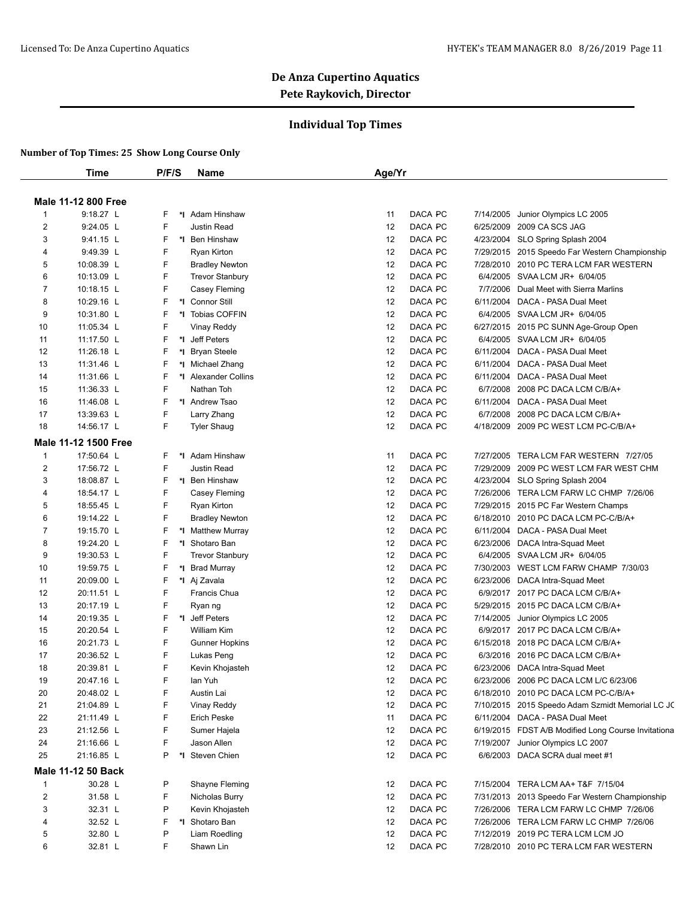### **Individual Top Times**

|                | <b>Time</b>               | P/F/S | <b>Name</b>            | Age/Yr |         |           |                                                     |
|----------------|---------------------------|-------|------------------------|--------|---------|-----------|-----------------------------------------------------|
|                |                           |       |                        |        |         |           |                                                     |
|                | Male 11-12 800 Free       |       |                        |        |         |           |                                                     |
| 1              | 9:18.27 L                 | F     | *I Adam Hinshaw        | 11     | DACA PC | 7/14/2005 | Junior Olympics LC 2005                             |
| $\overline{2}$ | $9:24.05$ L               | F     | <b>Justin Read</b>     | 12     | DACA PC | 6/25/2009 | 2009 CA SCS JAG                                     |
| 3              | 9:41.15 L                 | F     | *1 Ben Hinshaw         | 12     | DACA PC | 4/23/2004 | SLO Spring Splash 2004                              |
| 4              | 9:49.39 L                 | F     | Ryan Kirton            | 12     | DACA PC |           | 7/29/2015 2015 Speedo Far Western Championship      |
| 5              | 10:08.39 L                | F     | <b>Bradley Newton</b>  | 12     | DACA PC |           | 7/28/2010 2010 PC TERA LCM FAR WESTERN              |
| 6              | 10:13.09 L                | F     | <b>Trevor Stanbury</b> | 12     | DACA PC | 6/4/2005  | SVAA LCM JR+ 6/04/05                                |
| $\overline{7}$ | 10:18.15 L                | F     | Casey Fleming          | 12     | DACA PC | 7/7/2006  | Dual Meet with Sierra Marlins                       |
| 8              | 10:29.16 L                | F     | *I Connor Still        | 12     | DACA PC | 6/11/2004 | DACA - PASA Dual Meet                               |
| 9              | 10:31.80 L                | F     | *I Tobias COFFIN       | 12     | DACA PC | 6/4/2005  | SVAA LCM JR+ 6/04/05                                |
| 10             | 11:05.34 L                | F     | Vinay Reddy            | 12     | DACA PC |           | 6/27/2015 2015 PC SUNN Age-Group Open               |
| 11             | 11:17.50 L                | F     | *1 Jeff Peters         | 12     | DACA PC | 6/4/2005  | SVAA LCM JR+ 6/04/05                                |
| 12             | 11:26.18 L                | F     | *1 Bryan Steele        | 12     | DACA PC | 6/11/2004 | DACA - PASA Dual Meet                               |
| 13             | 11:31.46 L                | F     | *I Michael Zhang       | 12     | DACA PC | 6/11/2004 | DACA - PASA Dual Meet                               |
| 14             | 11:31.66 L                | F     | *1 Alexander Collins   | 12     | DACA PC | 6/11/2004 | DACA - PASA Dual Meet                               |
| 15             | 11:36.33 L                | F     | Nathan Toh             | 12     | DACA PC | 6/7/2008  | 2008 PC DACA LCM C/B/A+                             |
| 16             | 11:46.08 L                | F     | *I Andrew Tsao         | 12     | DACA PC | 6/11/2004 | DACA - PASA Dual Meet                               |
| 17             | 13:39.63 L                | F     | Larry Zhang            | 12     | DACA PC | 6/7/2008  | 2008 PC DACA LCM C/B/A+                             |
| 18             | 14:56.17 L                | F     | <b>Tyler Shaug</b>     | 12     | DACA PC |           | 4/18/2009 2009 PC WEST LCM PC-C/B/A+                |
|                | Male 11-12 1500 Free      |       |                        |        |         |           |                                                     |
| 1              | 17:50.64 L                | F     | *I Adam Hinshaw        | 11     | DACA PC | 7/27/2005 | TERA LCM FAR WESTERN 7/27/05                        |
| 2              | 17:56.72 L                | F     | Justin Read            | 12     | DACA PC | 7/29/2009 | 2009 PC WEST LCM FAR WEST CHM                       |
| 3              | 18:08.87 L                | F     | *1 Ben Hinshaw         | 12     | DACA PC | 4/23/2004 | SLO Spring Splash 2004                              |
| 4              | 18:54.17 L                | F     | Casey Fleming          | 12     | DACA PC | 7/26/2006 | TERA LCM FARW LC CHMP 7/26/06                       |
| 5              | 18:55.45 L                | F     | Ryan Kirton            | 12     | DACA PC | 7/29/2015 | 2015 PC Far Western Champs                          |
| 6              | 19:14.22 L                | F     | <b>Bradley Newton</b>  | 12     | DACA PC | 6/18/2010 | 2010 PC DACA LCM PC-C/B/A+                          |
| $\overline{7}$ | 19:15.70 L                | F     | *I Matthew Murray      | 12     | DACA PC | 6/11/2004 | DACA - PASA Dual Meet                               |
| 8              | 19:24.20 L                | F     | *I Shotaro Ban         | 12     | DACA PC | 6/23/2006 | DACA Intra-Squad Meet                               |
| 9              | 19:30.53 L                | F     | <b>Trevor Stanbury</b> | 12     | DACA PC | 6/4/2005  | SVAA LCM JR+ 6/04/05                                |
| 10             | 19:59.75 L                | F     | *I Brad Murray         | 12     | DACA PC | 7/30/2003 | WEST LCM FARW CHAMP 7/30/03                         |
| 11             | 20:09.00 L                | F     | *I Aj Zavala           | 12     | DACA PC | 6/23/2006 | DACA Intra-Squad Meet                               |
| 12             | 20:11.51 L                | F     | Francis Chua           | 12     | DACA PC |           | 6/9/2017 2017 PC DACA LCM C/B/A+                    |
| 13             | 20:17.19 L                | F     | Ryan ng                | 12     | DACA PC |           | 5/29/2015 2015 PC DACA LCM C/B/A+                   |
| 14             | 20:19.35 L                | F     | *I Jeff Peters         | 12     | DACA PC | 7/14/2005 | Junior Olympics LC 2005                             |
| 15             | 20:20.54 L                | F     | <b>William Kim</b>     | 12     | DACA PC | 6/9/2017  | 2017 PC DACA LCM C/B/A+                             |
| 16             | 20:21.73 L                | F     | <b>Gunner Hopkins</b>  | 12     | DACA PC | 6/15/2018 | 2018 PC DACA LCM C/B/A+                             |
| 17             | 20:36.52 L                | F     | Lukas Peng             | 12     | DACA PC | 6/3/2016  | 2016 PC DACA LCM C/B/A+                             |
| 18             | 20:39.81 L                | F     | Kevin Khojasteh        | 12     | DACA PC |           | 6/23/2006 DACA Intra-Squad Meet                     |
| 19             | 20:47.16 L                | F     | lan Yuh                | 12     | DACA PC |           | 6/23/2006 2006 PC DACA LCM L/C 6/23/06              |
| 20             | 20:48.02 L                | F     | Austin Lai             | 12     | DACA PC |           | 6/18/2010 2010 PC DACA LCM PC-C/B/A+                |
| 21             | 21:04.89 L                | F     | Vinay Reddy            | 12     | DACA PC |           | 7/10/2015 2015 Speedo Adam Szmidt Memorial LC JC    |
| 22             | 21:11.49 L                | F     | Erich Peske            | 11     | DACA PC |           | 6/11/2004 DACA - PASA Dual Meet                     |
| 23             | 21:12.56 L                | F     | Sumer Hajela           | 12     | DACA PC |           | 6/19/2015 FDST A/B Modified Long Course Invitationa |
| 24             | 21:16.66 L                | F     | Jason Allen            | 12     | DACA PC |           | 7/19/2007 Junior Olympics LC 2007                   |
| 25             | 21:16.85 L                | P     | *1 Steven Chien        | 12     | DACA PC |           | 6/6/2003 DACA SCRA dual meet #1                     |
|                | <b>Male 11-12 50 Back</b> |       |                        |        |         |           |                                                     |
| 1              | 30.28 L                   | P     | Shayne Fleming         | 12     | DACA PC |           | 7/15/2004 TERA LCM AA+ T&F 7/15/04                  |
| $\overline{c}$ | 31.58 L                   | F     | Nicholas Burry         | 12     | DACA PC |           | 7/31/2013 2013 Speedo Far Western Championship      |
| 3              | 32.31 L                   | P     | Kevin Khojasteh        | 12     | DACA PC |           | 7/26/2006 TERA LCM FARW LC CHMP 7/26/06             |
| 4              | 32.52 L                   | F     | *I Shotaro Ban         | 12     | DACA PC |           | 7/26/2006 TERA LCM FARW LC CHMP 7/26/06             |
| 5              | 32.80 L                   | P     | Liam Roedling          | 12     | DACA PC |           | 7/12/2019 2019 PC TERA LCM LCM JO                   |
| 6              | 32.81 L                   | F     | Shawn Lin              | 12     | DACA PC |           | 7/28/2010 2010 PC TERA LCM FAR WESTERN              |
|                |                           |       |                        |        |         |           |                                                     |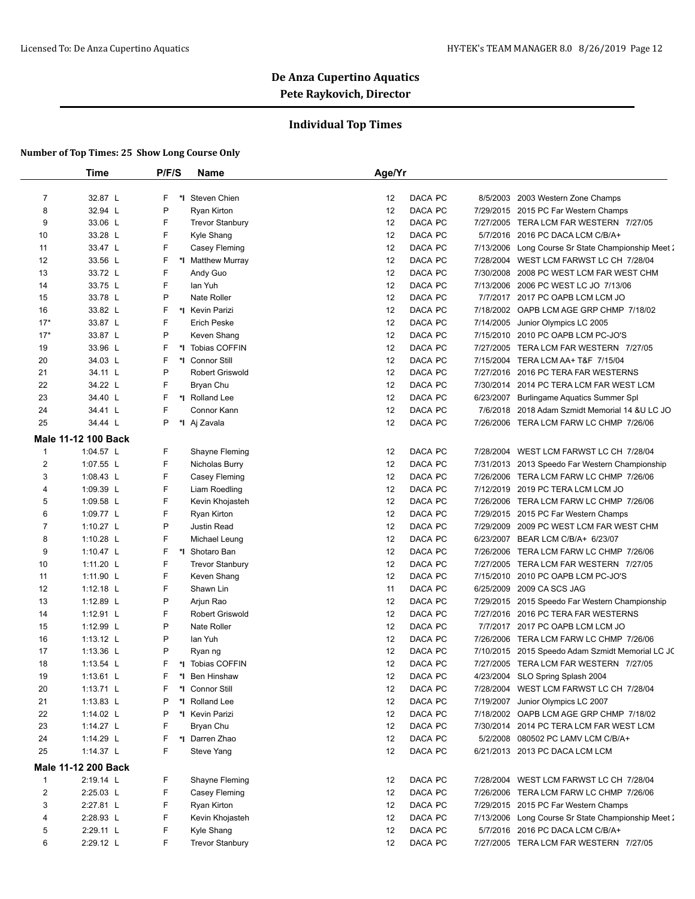### **Individual Top Times**

|                         | Time                       | P/F/S   | <b>Name</b>            | Age/Yr |         |           |                                                    |
|-------------------------|----------------------------|---------|------------------------|--------|---------|-----------|----------------------------------------------------|
|                         |                            |         |                        |        |         |           |                                                    |
| 7                       | 32.87 L                    | F<br>*I | Steven Chien           | 12     | DACA PC |           | 8/5/2003 2003 Western Zone Champs                  |
| 8                       | 32.94 L                    | P       | Ryan Kirton            | 12     | DACA PC |           | 7/29/2015 2015 PC Far Western Champs               |
| 9                       | 33.06 L                    | F       | <b>Trevor Stanbury</b> | 12     | DACA PC |           | 7/27/2005 TERA LCM FAR WESTERN 7/27/05             |
| 10                      | 33.28 L                    | F       | Kyle Shang             | 12     | DACA PC |           | 5/7/2016 2016 PC DACA LCM C/B/A+                   |
| 11                      | 33.47 L                    | F.      | Casey Fleming          | 12     | DACA PC |           | 7/13/2006 Long Course Sr State Championship Meet 2 |
| 12                      | 33.56 L                    | F       | *I Matthew Murray      | 12     | DACA PC |           | 7/28/2004 WEST LCM FARWST LC CH 7/28/04            |
| 13                      | 33.72 L                    | F       | Andy Guo               | 12     | DACA PC | 7/30/2008 | 2008 PC WEST LCM FAR WEST CHM                      |
| 14                      | 33.75 L                    | F.      | lan Yuh                | 12     | DACA PC |           | 7/13/2006 2006 PC WEST LC JO 7/13/06               |
| 15                      | 33.78 L                    | P       | Nate Roller            | 12     | DACA PC |           | 7/7/2017 2017 PC OAPB LCM LCM JO                   |
| 16                      | 33.82 L                    | F       | *1 Kevin Parizi        | 12     | DACA PC |           | 7/18/2002 OAPB LCM AGE GRP CHMP 7/18/02            |
| $17*$                   | 33.87 L                    | F       | <b>Erich Peske</b>     | 12     | DACA PC |           | 7/14/2005 Junior Olympics LC 2005                  |
| $17*$                   | 33.87 L                    | P       | Keven Shang            | 12     | DACA PC |           | 7/15/2010 2010 PC OAPB LCM PC-JO'S                 |
| 19                      | 33.96 L                    | F       | *I Tobias COFFIN       | 12     | DACA PC |           | 7/27/2005 TERA LCM FAR WESTERN 7/27/05             |
| 20                      | 34.03 L                    | F       | *1 Connor Still        | 12     | DACA PC |           | 7/15/2004 TERA LCM AA+ T&F 7/15/04                 |
| 21                      | 34.11 L                    | P       | <b>Robert Griswold</b> | 12     | DACA PC |           | 7/27/2016 2016 PC TERA FAR WESTERNS                |
| 22                      | 34.22 L                    | F       | Bryan Chu              | 12     | DACA PC |           | 7/30/2014 2014 PC TERA LCM FAR WEST LCM            |
| 23                      | 34.40 L                    | F.      | *I Rolland Lee         | 12     | DACA PC |           | 6/23/2007 Burlingame Aquatics Summer Spl           |
| 24                      | 34.41 L                    | F       | Connor Kann            | 12     | DACA PC |           | 7/6/2018 2018 Adam Szmidt Memorial 14 &U LC JO     |
| 25                      | 34.44 L                    | P       | *I Aj Zavala           | 12     | DACA PC |           | 7/26/2006 TERA LCM FARW LC CHMP 7/26/06            |
|                         | <b>Male 11-12 100 Back</b> |         |                        |        |         |           |                                                    |
| $\mathbf{1}$            | 1:04.57 $L$                | F       | Shayne Fleming         | 12     | DACA PC |           | 7/28/2004 WEST LCM FARWST LC CH 7/28/04            |
| $\overline{\mathbf{c}}$ | 1:07.55 L                  | F       | Nicholas Burry         | 12     | DACA PC |           | 7/31/2013 2013 Speedo Far Western Championship     |
| 3                       | 1:08.43 $L$                | F       | Casey Fleming          | 12     | DACA PC |           | 7/26/2006 TERA LCM FARW LC CHMP 7/26/06            |
| 4                       | 1:09.39 L                  | F.      | Liam Roedling          | 12     | DACA PC |           | 7/12/2019 2019 PC TERA LCM LCM JO                  |
| 5                       | 1:09.58 L                  | F.      | Kevin Khojasteh        | 12     | DACA PC |           | 7/26/2006 TERA LCM FARW LC CHMP 7/26/06            |
| 6                       | 1:09.77 L                  | F       | Ryan Kirton            | 12     | DACA PC |           | 7/29/2015 2015 PC Far Western Champs               |
| 7                       | 1:10.27 L                  | P       | Justin Read            | 12     | DACA PC |           | 7/29/2009 2009 PC WEST LCM FAR WEST CHM            |
| 8                       | 1:10.28 L                  | F.      | Michael Leung          | 12     | DACA PC |           | 6/23/2007 BEAR LCM C/B/A+ 6/23/07                  |
| 9                       | 1:10.47 $\lfloor$          | F       | *I Shotaro Ban         | 12     | DACA PC |           | 7/26/2006 TERA LCM FARW LC CHMP 7/26/06            |
| 10                      | 1:11.20 $L$                | F       | <b>Trevor Stanbury</b> | 12     | DACA PC |           | 7/27/2005 TERA LCM FAR WESTERN 7/27/05             |
| 11                      | 1:11.90 L                  | F.      | Keven Shang            | 12     | DACA PC |           | 7/15/2010 2010 PC OAPB LCM PC-JO'S                 |
| 12                      | 1:12.18 $L$                | F       | Shawn Lin              | 11     | DACA PC |           | 6/25/2009 2009 CA SCS JAG                          |
| 13                      | 1:12.89 $L$                | P       | Arjun Rao              | 12     | DACA PC |           | 7/29/2015 2015 Speedo Far Western Championship     |
| 14                      | $1:12.91$ L                | F       | <b>Robert Griswold</b> | 12     | DACA PC |           | 7/27/2016 2016 PC TERA FAR WESTERNS                |
| 15                      | 1:12.99 L                  | P       | Nate Roller            | 12     | DACA PC |           | 7/7/2017 2017 PC OAPB LCM LCM JO                   |
| 16                      | 1:13.12 $L$                | P       | lan Yuh                | 12     | DACA PC |           | 7/26/2006 TERA LCM FARW LC CHMP 7/26/06            |
| 17                      | 1:13.36 L                  | P       | Ryan ng                | 12     | DACA PC |           | 7/10/2015 2015 Speedo Adam Szmidt Memorial LC JC   |
| 18                      | 1:13.54 $L$                | F.      | *I Tobias COFFIN       | 12     | DACA PC |           | 7/27/2005 TERA LCM FAR WESTERN 7/27/05             |
| 19                      | 1:13.61 L                  | F       | Ben Hinshaw            | 12     | DACA PC |           | 4/23/2004 SLO Spring Splash 2004                   |
| 20                      | 1:13.71 L                  | F<br>*l | Connor Still           | 12     | DACA PC |           | 7/28/2004 WEST LCM FARWST LC CH 7/28/04            |
| 21                      | 1:13.83 $L$                | P       | *I Rolland Lee         | 12     | DACA PC |           | 7/19/2007 Junior Olympics LC 2007                  |
| 22                      | 1:14.02 L                  | P       | *I Kevin Parizi        | 12     | DACA PC |           | 7/18/2002 OAPB LCM AGE GRP CHMP 7/18/02            |
| 23                      | 1:14.27 L                  | F       | Bryan Chu              | 12     | DACA PC |           | 7/30/2014 2014 PC TERA LCM FAR WEST LCM            |
| 24                      | 1:14.29 L                  | F       | *I Darren Zhao         | 12     | DACA PC |           | 5/2/2008 080502 PC LAMV LCM C/B/A+                 |
| 25                      | 1:14.37 L                  | F       | Steve Yang             | 12     | DACA PC |           | 6/21/2013 2013 PC DACA LCM LCM                     |
|                         | Male 11-12 200 Back        |         |                        |        |         |           |                                                    |
| $\mathbf{1}$            | 2:19.14 L                  | F.      | Shayne Fleming         | 12     | DACA PC |           | 7/28/2004 WEST LCM FARWST LC CH 7/28/04            |
| $\overline{c}$          | 2:25.03 L                  | F       | Casey Fleming          | 12     | DACA PC |           | 7/26/2006 TERA LCM FARW LC CHMP 7/26/06            |
| 3                       | 2:27.81 L                  | F       | Ryan Kirton            | 12     | DACA PC |           | 7/29/2015 2015 PC Far Western Champs               |
| 4                       | 2:28.93 L                  | F       | Kevin Khojasteh        | 12     | DACA PC |           | 7/13/2006 Long Course Sr State Championship Meet 2 |
| 5                       | 2:29.11 L                  | F       | Kyle Shang             | 12     | DACA PC |           | 5/7/2016 2016 PC DACA LCM C/B/A+                   |
| 6                       | 2:29.12 L                  | F       | <b>Trevor Stanbury</b> | 12     | DACA PC |           | 7/27/2005 TERA LCM FAR WESTERN 7/27/05             |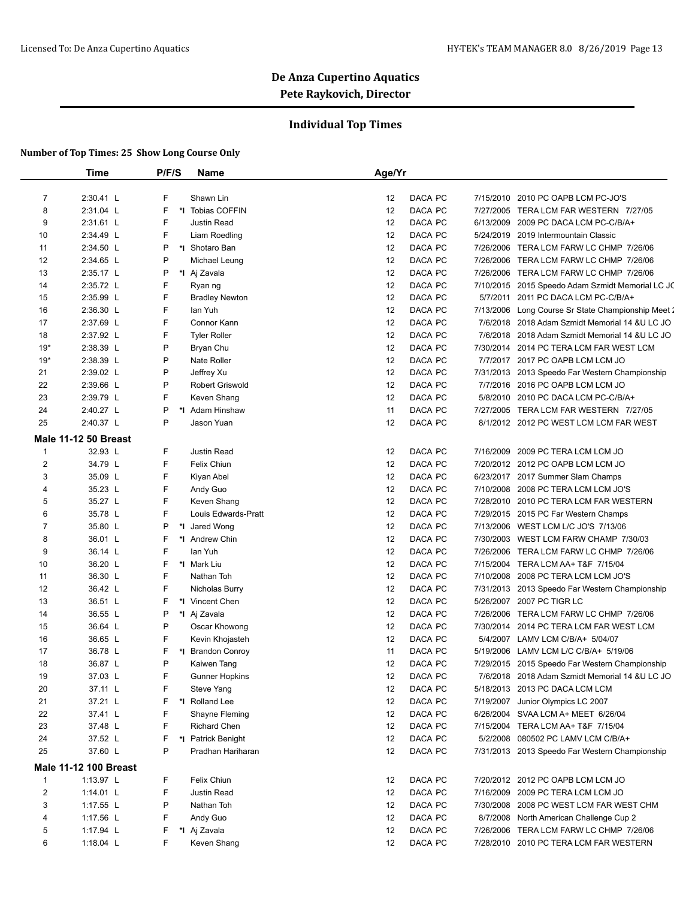### **Individual Top Times**

|                | <b>Time</b>                  | P/F/S   | <b>Name</b>            | Age/Yr        |           |                                                  |
|----------------|------------------------------|---------|------------------------|---------------|-----------|--------------------------------------------------|
|                |                              |         |                        |               |           |                                                  |
| $\overline{7}$ | 2:30.41 L                    | F       | Shawn Lin              | DACA PC<br>12 | 7/15/2010 | 2010 PC OAPB LCM PC-JO'S                         |
| 8              | 2:31.04 L                    | F       | *I Tobias COFFIN       | DACA PC<br>12 |           | 7/27/2005 TERA LCM FAR WESTERN 7/27/05           |
| 9              | 2:31.61 L                    | F       | Justin Read            | DACA PC<br>12 |           | 6/13/2009 2009 PC DACA LCM PC-C/B/A+             |
| 10             | 2:34.49 L                    | F       | Liam Roedling          | DACA PC<br>12 | 5/24/2019 | 2019 Intermountain Classic                       |
| 11             | 2:34.50 L                    | P       | *I Shotaro Ban         | 12<br>DACA PC |           | 7/26/2006 TERA LCM FARW LC CHMP 7/26/06          |
| 12             | 2:34.65 L                    | P       | Michael Leung          | 12<br>DACA PC |           | 7/26/2006 TERA LCM FARW LC CHMP 7/26/06          |
| 13             | 2:35.17 L                    | P       | *I Aj Zavala           | DACA PC<br>12 |           | 7/26/2006 TERA LCM FARW LC CHMP 7/26/06          |
| 14             | 2:35.72 L                    | F       | Ryan ng                | 12<br>DACA PC |           | 7/10/2015 2015 Speedo Adam Szmidt Memorial LC JC |
| 15             | 2:35.99 L                    | F       | <b>Bradley Newton</b>  | DACA PC<br>12 |           | 5/7/2011 2011 PC DACA LCM PC-C/B/A+              |
| 16             | 2:36.30 L                    | F       | lan Yuh                | DACA PC<br>12 | 7/13/2006 | Long Course Sr State Championship Meet 2         |
| 17             | 2:37.69 L                    | F       | Connor Kann            | 12<br>DACA PC |           | 7/6/2018 2018 Adam Szmidt Memorial 14 &U LC JO   |
| 18             | 2:37.92 L                    | F       | <b>Tyler Roller</b>    | 12<br>DACA PC |           | 7/6/2018 2018 Adam Szmidt Memorial 14 &U LC JO   |
| $19*$          | 2:38.39 L                    | P       | Bryan Chu              | DACA PC<br>12 | 7/30/2014 | 2014 PC TERA LCM FAR WEST LCM                    |
| $19*$          | 2:38.39 L                    | P       | Nate Roller            | 12<br>DACA PC |           | 7/7/2017 2017 PC OAPB LCM LCM JO                 |
| 21             | 2:39.02 L                    | P       | Jeffrey Xu             | DACA PC<br>12 |           | 7/31/2013 2013 Speedo Far Western Championship   |
| 22             | 2:39.66 L                    | P       | <b>Robert Griswold</b> | DACA PC<br>12 |           | 7/7/2016 2016 PC OAPB LCM LCM JO                 |
| 23             | 2:39.79 L                    | F       | Keven Shang            | 12<br>DACA PC |           | 5/8/2010 2010 PC DACA LCM PC-C/B/A+              |
| 24             | 2:40.27 L                    | P<br>*I | Adam Hinshaw           | 11<br>DACA PC |           | 7/27/2005 TERA LCM FAR WESTERN 7/27/05           |
| 25             | 2:40.37 L                    | P       | Jason Yuan             | 12<br>DACA PC |           | 8/1/2012 2012 PC WEST LCM LCM FAR WEST           |
|                | <b>Male 11-12 50 Breast</b>  |         |                        |               |           |                                                  |
| 1              | 32.93 L                      | F       | <b>Justin Read</b>     | DACA PC<br>12 |           | 7/16/2009 2009 PC TERA LCM LCM JO                |
| 2              | 34.79 L                      | F       | <b>Felix Chiun</b>     | DACA PC<br>12 |           | 7/20/2012 2012 PC OAPB LCM LCM JO                |
| 3              | 35.09 L                      | F       | Kiyan Abel             | 12<br>DACA PC |           | 6/23/2017 2017 Summer Slam Champs                |
| 4              | 35.23 L                      | F       | Andy Guo               | DACA PC<br>12 |           | 7/10/2008 2008 PC TERA LCM LCM JO'S              |
| 5              | 35.27 L                      | F       | Keven Shang            | DACA PC<br>12 |           | 7/28/2010 2010 PC TERA LCM FAR WESTERN           |
| 6              | 35.78 L                      | F       | Louis Edwards-Pratt    | 12<br>DACA PC |           | 7/29/2015 2015 PC Far Western Champs             |
| $\overline{7}$ | 35.80 L                      | P       | *I Jared Wong          | 12<br>DACA PC |           | 7/13/2006 WEST LCM L/C JO'S 7/13/06              |
| 8              | 36.01 L                      | F       | *I Andrew Chin         | DACA PC<br>12 |           | 7/30/2003 WEST LCM FARW CHAMP 7/30/03            |
| 9              | 36.14 L                      | F       | lan Yuh                | DACA PC<br>12 |           | 7/26/2006 TERA LCM FARW LC CHMP 7/26/06          |
| 10             | 36.20 L                      | F       | *I Mark Liu            | DACA PC<br>12 |           | 7/15/2004 TERA LCM AA+ T&F 7/15/04               |
| 11             | 36.30 L                      | F       | Nathan Toh             | DACA PC<br>12 |           | 7/10/2008 2008 PC TERA LCM LCM JO'S              |
| 12             | 36.42 L                      | F       | Nicholas Burry         | 12<br>DACA PC |           | 7/31/2013 2013 Speedo Far Western Championship   |
| 13             | 36.51 L                      | F       | *1 Vincent Chen        | 12<br>DACA PC |           | 5/26/2007 2007 PC TIGR LC                        |
| 14             | 36.55 L                      | P       | *I Aj Zavala           | 12<br>DACA PC |           | 7/26/2006 TERA LCM FARW LC CHMP 7/26/06          |
| 15             | 36.64 L                      | P       | Oscar Khowong          | 12<br>DACA PC |           | 7/30/2014 2014 PC TERA LCM FAR WEST LCM          |
| 16             | 36.65 L                      | F       | Kevin Khojasteh        | DACA PC<br>12 |           | 5/4/2007 LAMV LCM C/B/A+ 5/04/07                 |
| 17             | 36.78 L                      | F<br>*I | <b>Brandon Conroy</b>  | 11<br>DACA PC |           | 5/19/2006 LAMV LCM L/C C/B/A+ 5/19/06            |
| 18             | 36.87 L                      | P       | Kaiwen Tang            | DACA PC<br>12 |           | 7/29/2015 2015 Speedo Far Western Championship   |
| 19             | 37.03 L                      | F       | <b>Gunner Hopkins</b>  | 12<br>DACA PC |           | 7/6/2018 2018 Adam Szmidt Memorial 14 &U LC JO   |
| 20             | 37.11 L                      | F       | Steve Yang             | 12<br>DACA PC |           | 5/18/2013 2013 PC DACA LCM LCM                   |
| 21             | 37.21 L                      | F       | *I Rolland Lee         | 12<br>DACA PC |           | 7/19/2007 Junior Olympics LC 2007                |
| 22             | 37.41 L                      | F       | Shayne Fleming         | DACA PC<br>12 |           | 6/26/2004 SVAA LCM A+ MEET 6/26/04               |
| 23             | 37.48 L                      | F       | <b>Richard Chen</b>    | 12<br>DACA PC |           | 7/15/2004 TERA LCM AA+ T&F 7/15/04               |
| 24             | 37.52 L                      | F       | *I Patrick Benight     | DACA PC<br>12 |           | 5/2/2008 080502 PC LAMV LCM C/B/A+               |
| 25             | 37.60 L                      | P       | Pradhan Hariharan      | DACA PC<br>12 |           | 7/31/2013 2013 Speedo Far Western Championship   |
|                | <b>Male 11-12 100 Breast</b> |         |                        |               |           |                                                  |
| $\mathbf{1}$   | 1:13.97 L                    | F       | Felix Chiun            | 12<br>DACA PC |           | 7/20/2012 2012 PC OAPB LCM LCM JO                |
| 2              | 1:14.01 L                    | F       | Justin Read            | 12<br>DACA PC |           | 7/16/2009 2009 PC TERA LCM LCM JO                |
| 3              | 1:17.55 L                    | P       | Nathan Toh             | DACA PC<br>12 |           | 7/30/2008 2008 PC WEST LCM FAR WEST CHM          |
| 4              | 1:17.56 L                    | F       | Andy Guo               | DACA PC<br>12 |           | 8/7/2008 North American Challenge Cup 2          |
| 5              | 1:17.94 L                    | F       | *I Aj Zavala           | 12<br>DACA PC |           | 7/26/2006 TERA LCM FARW LC CHMP 7/26/06          |
| 6              | 1:18.04 $L$                  | F       | Keven Shang            | DACA PC<br>12 |           | 7/28/2010 2010 PC TERA LCM FAR WESTERN           |
|                |                              |         |                        |               |           |                                                  |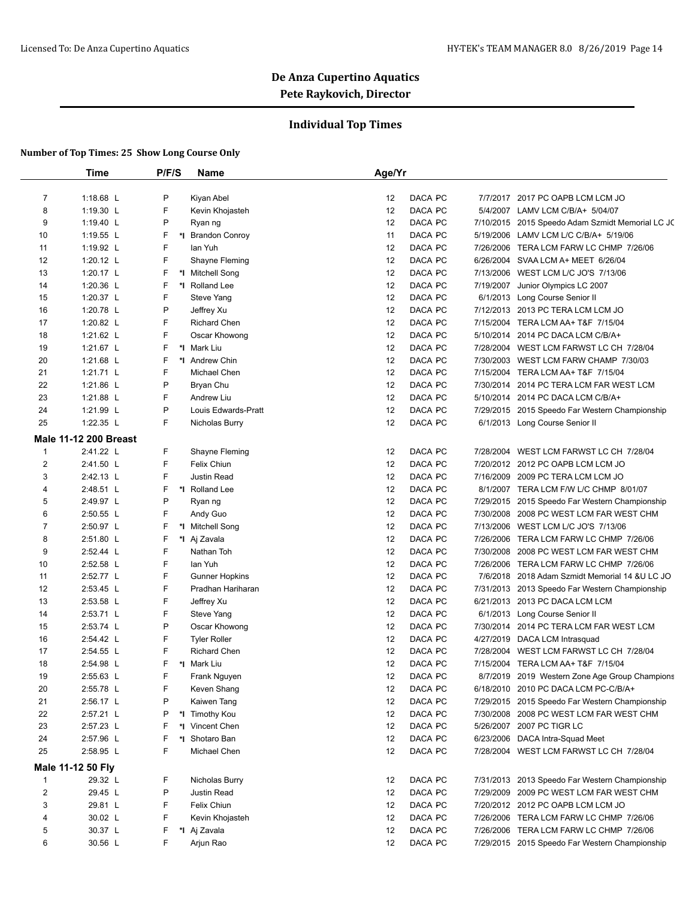### **Individual Top Times**

|                | <b>Time</b>                  | P/F/S | Name                  | Age/Yr                                                            |  |
|----------------|------------------------------|-------|-----------------------|-------------------------------------------------------------------|--|
|                |                              |       |                       |                                                                   |  |
| $\overline{7}$ | 1:18.68 L                    | P     | Kiyan Abel            | DACA PC<br>7/7/2017 2017 PC OAPB LCM LCM JO<br>12                 |  |
| 8              | 1:19.30 L                    | F     | Kevin Khojasteh       | 12<br>DACA PC<br>5/4/2007 LAMV LCM C/B/A+ 5/04/07                 |  |
| 9              | 1:19.40 $L$                  | P     | Ryan ng               | DACA PC<br>12<br>7/10/2015 2015 Speedo Adam Szmidt Memorial LC JC |  |
| 10             | 1:19.55 L                    | F     | *I Brandon Conroy     | DACA PC<br>11<br>5/19/2006 LAMV LCM L/C C/B/A+ 5/19/06            |  |
| 11             | 1:19.92 L                    | F     | lan Yuh               | DACA PC<br>12<br>7/26/2006 TERA LCM FARW LC CHMP 7/26/06          |  |
| 12             | 1:20.12 $L$                  | F     | Shayne Fleming        | DACA PC<br>12<br>6/26/2004 SVAA LCM A+ MEET 6/26/04               |  |
| 13             | 1:20.17 L                    | F     | *I Mitchell Song      | 12<br>DACA PC<br>7/13/2006 WEST LCM L/C JO'S 7/13/06              |  |
| 14             | 1:20.36 L                    | F     | *I Rolland Lee        | 12<br>DACA PC<br>7/19/2007 Junior Olympics LC 2007                |  |
| 15             | 1:20.37 L                    | F     | <b>Steve Yang</b>     | DACA PC<br>12<br>6/1/2013 Long Course Senior II                   |  |
| 16             | 1:20.78 L                    | P     | Jeffrey Xu            | DACA PC<br>7/12/2013 2013 PC TERA LCM LCM JO<br>12                |  |
| 17             | 1:20.82 L                    | F     | <b>Richard Chen</b>   | DACA PC<br>7/15/2004 TERA LCM AA+ T&F 7/15/04<br>12               |  |
| 18             | 1:21.62 L                    | F     | Oscar Khowong         | DACA PC<br>5/10/2014 2014 PC DACA LCM C/B/A+<br>12                |  |
| 19             | 1:21.67 L                    | F     | *I Mark Liu           | 12<br>DACA PC<br>7/28/2004 WEST LCM FARWST LC CH 7/28/04          |  |
| 20             | 1:21.68 L                    | F     | *1 Andrew Chin        | 12<br>DACA PC<br>7/30/2003 WEST LCM FARW CHAMP 7/30/03            |  |
| 21             | 1:21.71 L                    | F     | Michael Chen          | DACA PC<br>7/15/2004 TERA LCM AA+ T&F 7/15/04<br>12               |  |
| 22             | 1:21.86 L                    | P     | Bryan Chu             | DACA PC<br>7/30/2014 2014 PC TERA LCM FAR WEST LCM<br>12          |  |
| 23             | 1:21.88 L                    | F     | Andrew Liu            | 12<br>DACA PC<br>5/10/2014 2014 PC DACA LCM C/B/A+                |  |
| 24             | 1:21.99 L                    | P     | Louis Edwards-Pratt   | DACA PC<br>12<br>7/29/2015 2015 Speedo Far Western Championship   |  |
| 25             | 1:22.35 L                    | F     | Nicholas Burry        | 12<br>DACA PC<br>6/1/2013 Long Course Senior II                   |  |
|                | <b>Male 11-12 200 Breast</b> |       |                       |                                                                   |  |
| $\overline{1}$ | 2:41.22 L                    | F     | Shayne Fleming        | DACA PC<br>12<br>7/28/2004 WEST LCM FARWST LC CH 7/28/04          |  |
| $\overline{2}$ | 2:41.50 L                    | F     | Felix Chiun           | 12<br>DACA PC<br>7/20/2012 2012 PC OAPB LCM LCM JO                |  |
| 3              | 2:42.13 L                    | F     | Justin Read           | DACA PC<br>12<br>7/16/2009 2009 PC TERA LCM LCM JO                |  |
| 4              | 2:48.51 L                    | F     | *I Rolland Lee        | DACA PC<br>12<br>8/1/2007 TERA LCM F/W L/C CHMP 8/01/07           |  |
| 5              | 2:49.97 L                    | P     | Ryan ng               | DACA PC<br>12<br>7/29/2015 2015 Speedo Far Western Championship   |  |
| 6              | 2:50.55 L                    | F     | Andy Guo              | DACA PC<br>12<br>7/30/2008 2008 PC WEST LCM FAR WEST CHM          |  |
| $\overline{7}$ | 2:50.97 L                    | F     | *I Mitchell Song      | DACA PC<br>7/13/2006 WEST LCM L/C JO'S 7/13/06<br>12              |  |
| 8              | 2:51.80 L                    | F     | *I Aj Zavala          | 12<br>DACA PC<br>7/26/2006 TERA LCM FARW LC CHMP 7/26/06          |  |
| 9              | 2:52.44 L                    | F     | Nathan Toh            | DACA PC<br>12<br>7/30/2008<br>2008 PC WEST LCM FAR WEST CHM       |  |
| 10             | 2:52.58 L                    | F     | lan Yuh               | DACA PC<br>12<br>7/26/2006 TERA LCM FARW LC CHMP 7/26/06          |  |
| 11             | 2:52.77 L                    | F     | <b>Gunner Hopkins</b> | DACA PC<br>12<br>7/6/2018 2018 Adam Szmidt Memorial 14 & U LC JO  |  |
| 12             | 2:53.45 L                    | F     | Pradhan Hariharan     | DACA PC<br>12<br>7/31/2013 2013 Speedo Far Western Championship   |  |
| 13             | 2:53.58 L                    | F     | Jeffrey Xu            | DACA PC<br>6/21/2013 2013 PC DACA LCM LCM<br>12                   |  |
| 14             | 2:53.71 L                    | F     | Steve Yang            | 12<br>DACA PC<br>6/1/2013 Long Course Senior II                   |  |
| 15             | 2:53.74 L                    | P     | Oscar Khowong         | DACA PC<br>7/30/2014 2014 PC TERA LCM FAR WEST LCM<br>12          |  |
| 16             | 2:54.42 L                    | F     | <b>Tyler Roller</b>   | DACA PC<br>12<br>4/27/2019 DACA LCM Intrasquad                    |  |
| 17             | 2:54.55 L                    | F     | Richard Chen          | DACA PC<br>7/28/2004 WEST LCM FARWST LC CH 7/28/04<br>12          |  |
| 18             | 2:54.98 L                    | F.    | *I Mark Liu           | 12<br>DACA PC<br>7/15/2004 TERA LCM AA+ T&F 7/15/04               |  |
| 19             | 2:55.63 L                    | F     | Frank Nguyen          | DACA PC<br>12<br>8/7/2019 2019 Western Zone Age Group Champions   |  |
| 20             | 2:55.78 L                    | F     | Keven Shang           | 12<br>DACA PC<br>6/18/2010 2010 PC DACA LCM PC-C/B/A+             |  |
| 21             | 2:56.17 L                    | P     | Kaiwen Tang           | DACA PC<br>12<br>7/29/2015 2015 Speedo Far Western Championship   |  |
| 22             | 2:57.21 L                    | P     | *I Timothy Kou        | DACA PC<br>7/30/2008 2008 PC WEST LCM FAR WEST CHM<br>12          |  |
| 23             | 2:57.23 L                    | F     | *1 Vincent Chen       | DACA PC<br>5/26/2007 2007 PC TIGR LC<br>12                        |  |
| 24             | 2:57.96 L                    | F     | *I Shotaro Ban        | DACA PC<br>6/23/2006 DACA Intra-Squad Meet<br>12                  |  |
| 25             | 2:58.95 L                    | F     | Michael Chen          | DACA PC<br>7/28/2004 WEST LCM FARWST LC CH 7/28/04<br>12          |  |
|                | Male 11-12 50 Fly            |       |                       |                                                                   |  |
| 1              | 29.32 L                      | F     | Nicholas Burry        | DACA PC<br>12<br>7/31/2013 2013 Speedo Far Western Championship   |  |
| $\overline{c}$ | 29.45 L                      | P     | Justin Read           | DACA PC<br>7/29/2009 2009 PC WEST LCM FAR WEST CHM<br>12          |  |
| 3              | 29.81 L                      | F     | Felix Chiun           | DACA PC<br>7/20/2012 2012 PC OAPB LCM LCM JO<br>12                |  |
| 4              | 30.02 L                      | F     | Kevin Khojasteh       | DACA PC<br>7/26/2006 TERA LCM FARW LC CHMP 7/26/06<br>12          |  |
| 5              | 30.37 L                      | F     | *I Aj Zavala          | DACA PC<br>12<br>7/26/2006 TERA LCM FARW LC CHMP 7/26/06          |  |
| 6              | 30.56 L                      | F     | Arjun Rao             | DACA PC<br>12<br>7/29/2015 2015 Speedo Far Western Championship   |  |
|                |                              |       |                       |                                                                   |  |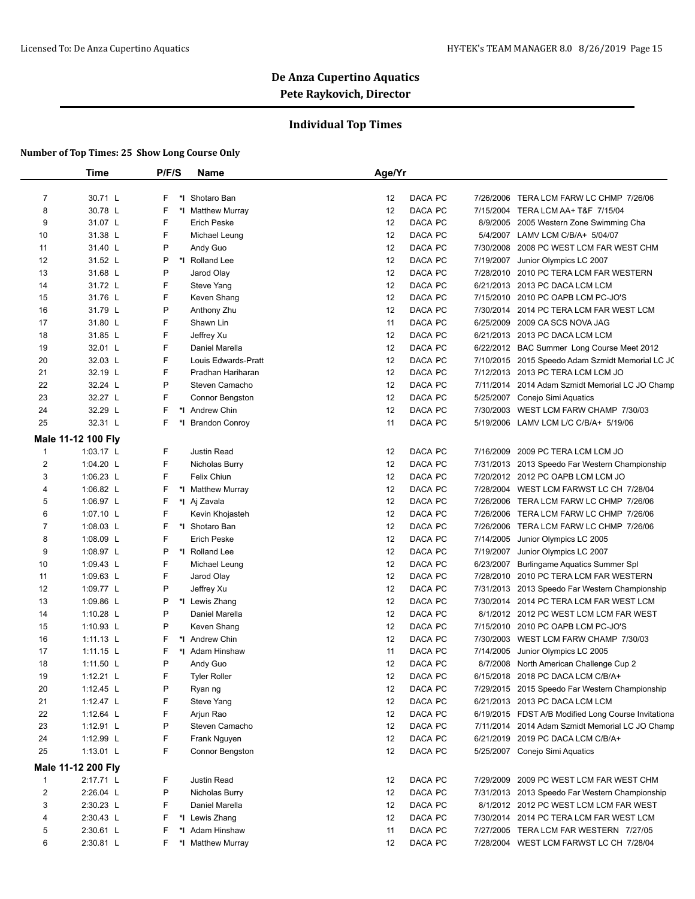### **Individual Top Times**

|                         | <b>Time</b>        | P/F/S   | Name                | Age/Yr |         |           |                                                     |
|-------------------------|--------------------|---------|---------------------|--------|---------|-----------|-----------------------------------------------------|
|                         |                    |         |                     |        |         |           |                                                     |
| 7                       | 30.71 L            | F       | *I Shotaro Ban      | 12     | DACA PC | 7/26/2006 | TERA LCM FARW LC CHMP 7/26/06                       |
| 8                       | 30.78 L            | F       | *I Matthew Murray   | 12     | DACA PC |           | 7/15/2004 TERA LCM AA+ T&F 7/15/04                  |
| 9                       | 31.07 L            | F       | <b>Erich Peske</b>  | 12     | DACA PC | 8/9/2005  | 2005 Western Zone Swimming Cha                      |
| 10                      | 31.38 L            | F       | Michael Leung       | 12     | DACA PC |           | 5/4/2007 LAMV LCM C/B/A+ 5/04/07                    |
| 11                      | 31.40 L            | P       | Andy Guo            | 12     | DACA PC | 7/30/2008 | 2008 PC WEST LCM FAR WEST CHM                       |
| 12                      | 31.52 L            | P<br>*I | Rolland Lee         | 12     | DACA PC | 7/19/2007 | Junior Olympics LC 2007                             |
| 13                      | 31.68 L            | P       | Jarod Olay          | 12     | DACA PC | 7/28/2010 | 2010 PC TERA LCM FAR WESTERN                        |
| 14                      | 31.72 L            | F       | Steve Yang          | 12     | DACA PC |           | 6/21/2013 2013 PC DACA LCM LCM                      |
| 15                      | 31.76 L            | F       | Keven Shang         | 12     | DACA PC | 7/15/2010 | 2010 PC OAPB LCM PC-JO'S                            |
| 16                      | 31.79 L            | P       | Anthony Zhu         | 12     | DACA PC | 7/30/2014 | 2014 PC TERA LCM FAR WEST LCM                       |
| 17                      | 31.80 L            | F       | Shawn Lin           | 11     | DACA PC | 6/25/2009 | 2009 CA SCS NOVA JAG                                |
| 18                      | 31.85 L            | F       | Jeffrey Xu          | 12     | DACA PC |           | 6/21/2013 2013 PC DACA LCM LCM                      |
| 19                      | 32.01 L            | F       | Daniel Marella      | 12     | DACA PC |           | 6/22/2012 BAC Summer Long Course Meet 2012          |
| 20                      | 32.03 L            | F       | Louis Edwards-Pratt | 12     | DACA PC |           | 7/10/2015 2015 Speedo Adam Szmidt Memorial LC JC    |
| 21                      | 32.19 L            | F       | Pradhan Hariharan   | 12     | DACA PC |           | 7/12/2013 2013 PC TERA LCM LCM JO                   |
| 22                      | 32.24 L            | P       | Steven Camacho      | 12     | DACA PC |           | 7/11/2014 2014 Adam Szmidt Memorial LC JO Champ     |
| 23                      | 32.27 L            | F       | Connor Bengston     | 12     | DACA PC |           | 5/25/2007 Conejo Simi Aquatics                      |
| 24                      | 32.29 L            | F       | *I Andrew Chin      | 12     | DACA PC | 7/30/2003 | WEST LCM FARW CHAMP 7/30/03                         |
| 25                      | 32.31 L            | F       | *I Brandon Conroy   | 11     | DACA PC |           | 5/19/2006 LAMV LCM L/C C/B/A+ 5/19/06               |
|                         | Male 11-12 100 Fly |         |                     |        |         |           |                                                     |
| $\mathbf{1}$            | 1:03.17 L          | F       | Justin Read         | 12     | DACA PC | 7/16/2009 | 2009 PC TERA LCM LCM JO                             |
| $\overline{\mathbf{c}}$ | 1:04.20 L          | F       | Nicholas Burry      | 12     | DACA PC |           | 7/31/2013 2013 Speedo Far Western Championship      |
| 3                       | 1:06.23 L          | F       | <b>Felix Chiun</b>  | 12     | DACA PC |           | 7/20/2012 2012 PC OAPB LCM LCM JO                   |
| 4                       | 1:06.82 L          | F       | *I Matthew Murray   | 12     | DACA PC |           | 7/28/2004 WEST LCM FARWST LC CH 7/28/04             |
| 5                       | 1:06.97 $L$        | F       | *I Aj Zavala        | 12     | DACA PC | 7/26/2006 | TERA LCM FARW LC CHMP 7/26/06                       |
| 6                       | 1:07.10 L          | F       | Kevin Khojasteh     | 12     | DACA PC | 7/26/2006 | TERA LCM FARW LC CHMP 7/26/06                       |
| 7                       | 1:08.03 L          | F       | *I Shotaro Ban      | 12     | DACA PC | 7/26/2006 | TERA LCM FARW LC CHMP 7/26/06                       |
| 8                       | 1:08.09 $L$        | F       | <b>Erich Peske</b>  | 12     | DACA PC | 7/14/2005 | Junior Olympics LC 2005                             |
| 9                       | 1:08.97 L          | P       | *I Rolland Lee      | 12     | DACA PC | 7/19/2007 | Junior Olympics LC 2007                             |
| 10                      | 1:09.43 L          | F       | Michael Leung       | 12     | DACA PC | 6/23/2007 | Burlingame Aquatics Summer Spl                      |
| 11                      | 1:09.63 $L$        | F       | Jarod Olay          | 12     | DACA PC | 7/28/2010 | 2010 PC TERA LCM FAR WESTERN                        |
| 12                      | 1:09.77 L          | P       |                     | 12     | DACA PC | 7/31/2013 | 2013 Speedo Far Western Championship                |
|                         | 1:09.86 L          | P       | Jeffrey Xu          |        | DACA PC |           |                                                     |
| 13                      |                    |         | *I Lewis Zhang      | 12     |         | 7/30/2014 | 2014 PC TERA LCM FAR WEST LCM                       |
| 14                      | 1:10.28 $L$        | P       | Daniel Marella      | 12     | DACA PC |           | 8/1/2012 2012 PC WEST LCM LCM FAR WEST              |
| 15                      | 1:10.93 L          | P       | Keven Shang         | 12     | DACA PC |           | 7/15/2010 2010 PC OAPB LCM PC-JO'S                  |
| 16                      | $1:11.13$ L        | F       | *1 Andrew Chin      | 12     | DACA PC |           | 7/30/2003 WEST LCM FARW CHAMP 7/30/03               |
| 17                      | $1:11.15$ L        | F       | *I Adam Hinshaw     | 11     | DACA PC |           | 7/14/2005 Junior Olympics LC 2005                   |
| 18                      | 1:11.50 L          | P       | Andy Guo            | 12     | DACA PC |           | 8/7/2008 North American Challenge Cup 2             |
| 19                      | 1:12.21 L          | F       | <b>Tyler Roller</b> | 12     | DACA PC |           | 6/15/2018 2018 PC DACA LCM C/B/A+                   |
| 20                      | 1:12.45 $L$        | P       | Ryan ng             | 12     | DACA PC |           | 7/29/2015 2015 Speedo Far Western Championship      |
| 21                      | 1:12.47 $L$        | F       | Steve Yang          | 12     | DACA PC |           | 6/21/2013 2013 PC DACA LCM LCM                      |
| 22                      | 1:12.64 L          | F       | Arjun Rao           | 12     | DACA PC |           | 6/19/2015 FDST A/B Modified Long Course Invitationa |
| 23                      | $1:12.91$ L        | P       | Steven Camacho      | 12     | DACA PC |           | 7/11/2014 2014 Adam Szmidt Memorial LC JO Champ     |
| 24                      | 1:12.99 L          | F       | Frank Nguyen        | 12     | DACA PC |           | 6/21/2019 2019 PC DACA LCM C/B/A+                   |
| 25                      | 1:13.01 L          | F       | Connor Bengston     | 12     | DACA PC |           | 5/25/2007 Conejo Simi Aquatics                      |
|                         | Male 11-12 200 Fly |         |                     |        |         |           |                                                     |
| $\mathbf{1}$            | 2:17.71 L          | F       | Justin Read         | 12     | DACA PC |           | 7/29/2009 2009 PC WEST LCM FAR WEST CHM             |
| $\overline{\mathbf{c}}$ | 2:26.04 L          | P       | Nicholas Burry      | 12     | DACA PC |           | 7/31/2013 2013 Speedo Far Western Championship      |
| 3                       | 2:30.23 L          | F       | Daniel Marella      | 12     | DACA PC |           | 8/1/2012 2012 PC WEST LCM LCM FAR WEST              |
| 4                       | 2:30.43 L          | F       | *I Lewis Zhang      | 12     | DACA PC |           | 7/30/2014 2014 PC TERA LCM FAR WEST LCM             |
| 5                       | 2:30.61 L          | F       | *I Adam Hinshaw     | 11     | DACA PC |           | 7/27/2005 TERA LCM FAR WESTERN 7/27/05              |
| 6                       | 2:30.81 L          | F       | *I Matthew Murray   | 12     | DACA PC |           | 7/28/2004 WEST LCM FARWST LC CH 7/28/04             |
|                         |                    |         |                     |        |         |           |                                                     |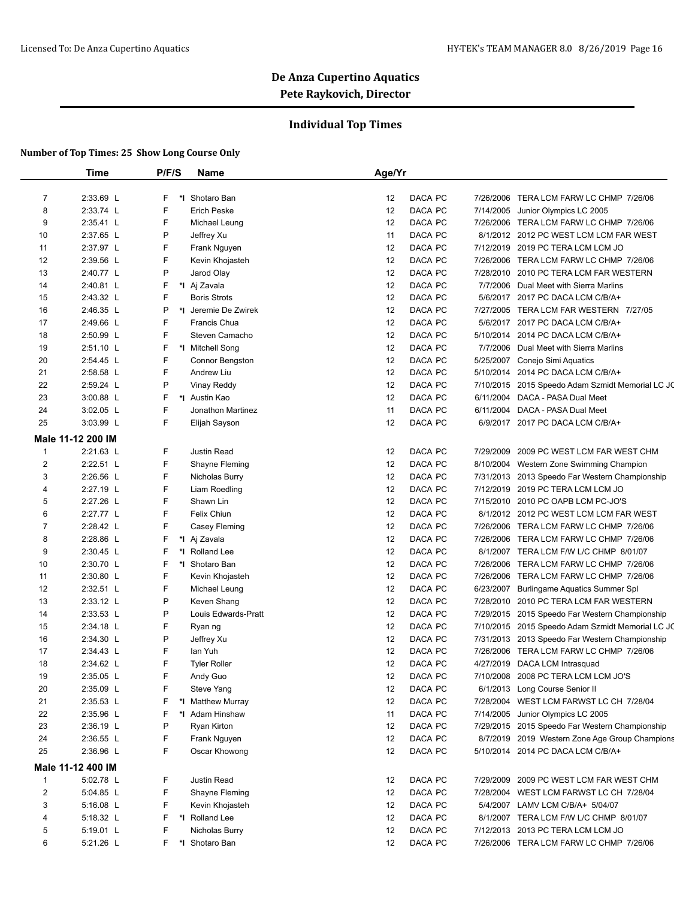### **Individual Top Times**

|                | Time              | P/F/S | <b>Name</b>          | Age/Yr        |                                                  |
|----------------|-------------------|-------|----------------------|---------------|--------------------------------------------------|
|                |                   |       |                      |               |                                                  |
| $\overline{7}$ | 2:33.69 L         | F     | *1 Shotaro Ban       | DACA PC<br>12 | 7/26/2006 TERA LCM FARW LC CHMP 7/26/06          |
| 8              | 2:33.74 L         | F     | <b>Erich Peske</b>   | DACA PC<br>12 | 7/14/2005 Junior Olympics LC 2005                |
| 9              | 2:35.41 L         | F     | Michael Leung        | DACA PC<br>12 | 7/26/2006 TERA LCM FARW LC CHMP 7/26/06          |
| 10             | 2:37.65 L         | Ρ     | Jeffrey Xu           | 11<br>DACA PC | 8/1/2012 2012 PC WEST LCM LCM FAR WEST           |
| 11             | 2:37.97 L         | F     | Frank Nguyen         | DACA PC<br>12 | 7/12/2019 2019 PC TERA LCM LCM JO                |
| 12             | 2:39.56 L         | F     | Kevin Khojasteh      | 12<br>DACA PC | 7/26/2006 TERA LCM FARW LC CHMP 7/26/06          |
| 13             | 2:40.77 L         | Ρ     | Jarod Olay           | 12<br>DACA PC | 7/28/2010 2010 PC TERA LCM FAR WESTERN           |
| 14             | 2:40.81 L         | F     | *I Aj Zavala         | 12<br>DACA PC | 7/7/2006 Dual Meet with Sierra Marlins           |
| 15             | 2:43.32 L         | F     | <b>Boris Strots</b>  | 12<br>DACA PC | 5/6/2017 2017 PC DACA LCM C/B/A+                 |
| 16             | 2:46.35 L         | P     | *1 Jeremie De Zwirek | 12<br>DACA PC | 7/27/2005 TERA LCM FAR WESTERN 7/27/05           |
| 17             | 2:49.66 L         | F     | Francis Chua         | 12<br>DACA PC | 5/6/2017 2017 PC DACA LCM C/B/A+                 |
| 18             | 2:50.99 L         | F     | Steven Camacho       | 12<br>DACA PC | 5/10/2014 2014 PC DACA LCM C/B/A+                |
| 19             | $2:51.10$ L       | F     | *I Mitchell Song     | 12<br>DACA PC | 7/7/2006 Dual Meet with Sierra Marlins           |
| 20             | 2:54.45 L         | F     | Connor Bengston      | 12<br>DACA PC | 5/25/2007 Conejo Simi Aquatics                   |
| 21             | 2:58.58 L         | F     | Andrew Liu           | 12<br>DACA PC | 5/10/2014 2014 PC DACA LCM C/B/A+                |
| 22             | 2:59.24 L         | Ρ     | <b>Vinay Reddy</b>   | 12<br>DACA PC | 7/10/2015 2015 Speedo Adam Szmidt Memorial LC JC |
| 23             | 3:00.88 L         | F.    | *1 Austin Kao        | 12<br>DACA PC | 6/11/2004 DACA - PASA Dual Meet                  |
| 24             | $3:02.05$ L       | F     | Jonathon Martinez    | 11<br>DACA PC | 6/11/2004 DACA - PASA Dual Meet                  |
| 25             | 3:03.99 L         | F     | Elijah Sayson        | 12<br>DACA PC | 6/9/2017 2017 PC DACA LCM C/B/A+                 |
|                | Male 11-12 200 IM |       |                      |               |                                                  |
| $\mathbf{1}$   | 2:21.63 L         | F     | Justin Read          | 12<br>DACA PC | 7/29/2009 2009 PC WEST LCM FAR WEST CHM          |
| $\overline{2}$ | 2:22.51 L         | F     | Shayne Fleming       | 12<br>DACA PC | 8/10/2004 Western Zone Swimming Champion         |
| 3              | $2:26.56$ L       | F     | Nicholas Burry       | 12<br>DACA PC | 7/31/2013 2013 Speedo Far Western Championship   |
| 4              | 2:27.19 L         | F     | Liam Roedling        | 12<br>DACA PC | 7/12/2019 2019 PC TERA LCM LCM JO                |
| 5              | 2:27.26 L         | F     | Shawn Lin            | 12<br>DACA PC | 7/15/2010 2010 PC OAPB LCM PC-JO'S               |
| 6              | 2:27.77 L         | F     | Felix Chiun          | 12<br>DACA PC | 8/1/2012 2012 PC WEST LCM LCM FAR WEST           |
| 7              | 2:28.42 L         | F     | Casey Fleming        | 12<br>DACA PC | 7/26/2006 TERA LCM FARW LC CHMP 7/26/06          |
| 8              | 2:28.86 L         | F     | *I Aj Zavala         | 12<br>DACA PC | 7/26/2006 TERA LCM FARW LC CHMP 7/26/06          |
| 9              | 2:30.45 L         | F     | *I Rolland Lee       | 12<br>DACA PC | 8/1/2007 TERA LCM F/W L/C CHMP 8/01/07           |
| 10             | 2:30.70 L         | F     | *I Shotaro Ban       | 12<br>DACA PC | 7/26/2006 TERA LCM FARW LC CHMP 7/26/06          |
| 11             | 2:30.80 L         | F     | Kevin Khojasteh      | DACA PC<br>12 | 7/26/2006 TERA LCM FARW LC CHMP 7/26/06          |
| 12             | 2:32.51 L         | F     | Michael Leung        | 12<br>DACA PC | 6/23/2007 Burlingame Aquatics Summer Spl         |
| 13             | 2:33.12 L         | P     | Keven Shang          | 12<br>DACA PC | 7/28/2010 2010 PC TERA LCM FAR WESTERN           |
| 14             | 2:33.53 L         | P     | Louis Edwards-Pratt  | 12<br>DACA PC | 7/29/2015 2015 Speedo Far Western Championship   |
| 15             | 2:34.18 L         | F     | Ryan ng              | 12<br>DACA PC | 7/10/2015 2015 Speedo Adam Szmidt Memorial LC JC |
| 16             | 2:34.30 L         | P     | Jeffrey Xu           | 12<br>DACA PC | 7/31/2013 2013 Speedo Far Western Championship   |
| 17             | 2:34.43 L         | F     | lan Yuh              | 12<br>DACA PC | 7/26/2006 TERA LCM FARW LC CHMP 7/26/06          |
| 18             | 2:34.62 L         | F     | <b>Tyler Roller</b>  | 12<br>DACA PC | 4/27/2019 DACA LCM Intrasquad                    |
| 19             | 2:35.05 L         | F     | Andy Guo             | 12<br>DACA PC | 7/10/2008 2008 PC TERA LCM LCM JO'S              |
| 20             | 2:35.09 L         | F     | Steve Yang           | DACA PC<br>12 | 6/1/2013 Long Course Senior II                   |
| 21             | 2:35.53 L         | F     | *I Matthew Murray    | 12<br>DACA PC | 7/28/2004 WEST LCM FARWST LC CH 7/28/04          |
| 22             | 2:35.96 L         | F     | *I Adam Hinshaw      | 11<br>DACA PC | 7/14/2005 Junior Olympics LC 2005                |
| 23             | 2:36.19 L         | Ρ     | Ryan Kirton          | 12<br>DACA PC | 7/29/2015 2015 Speedo Far Western Championship   |
| 24             | 2:36.55 L         | F     | Frank Nguyen         | DACA PC<br>12 | 8/7/2019 2019 Western Zone Age Group Champions   |
| 25             | 2:36.96 L         | F     | Oscar Khowong        | DACA PC<br>12 | 5/10/2014 2014 PC DACA LCM C/B/A+                |
|                | Male 11-12 400 IM |       |                      |               |                                                  |
| $\mathbf{1}$   | 5:02.78 L         | F     | Justin Read          | DACA PC<br>12 | 7/29/2009 2009 PC WEST LCM FAR WEST CHM          |
| $\overline{2}$ | 5:04.85 L         | F     | Shayne Fleming       | DACA PC<br>12 | 7/28/2004 WEST LCM FARWST LC CH 7/28/04          |
| 3              | 5:16.08 L         | F.    | Kevin Khojasteh      | 12<br>DACA PC | 5/4/2007 LAMV LCM C/B/A+ 5/04/07                 |
| 4              | 5:18.32 L         | F     | *I Rolland Lee       | DACA PC<br>12 | 8/1/2007 TERA LCM F/W L/C CHMP 8/01/07           |
| 5              | 5:19.01 L         | F     | Nicholas Burry       | DACA PC<br>12 | 7/12/2013 2013 PC TERA LCM LCM JO                |
| 6              | 5:21.26 L         | F.    | *I Shotaro Ban       | DACA PC<br>12 | 7/26/2006 TERA LCM FARW LC CHMP 7/26/06          |
|                |                   |       |                      |               |                                                  |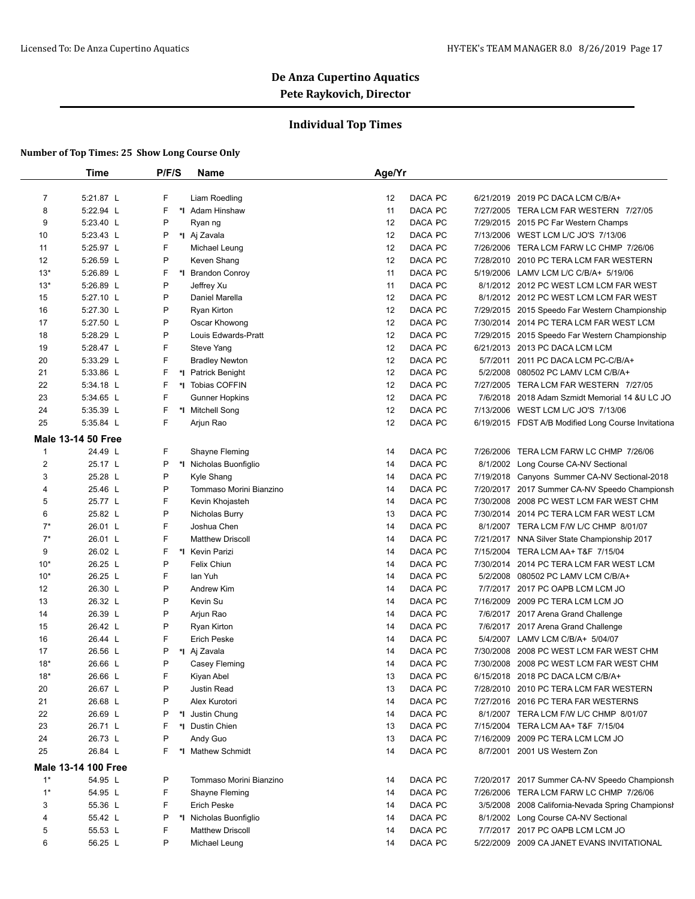### **Individual Top Times**

|                | Time                       | P/F/S | <b>Name</b>             | Age/Yr        |           |                                                     |
|----------------|----------------------------|-------|-------------------------|---------------|-----------|-----------------------------------------------------|
|                |                            |       |                         |               |           |                                                     |
| $\overline{7}$ | 5:21.87 L                  | F     | Liam Roedling           | 12<br>DACA PC |           | 6/21/2019 2019 PC DACA LCM C/B/A+                   |
| 8              | 5:22.94 L                  | F     | *I Adam Hinshaw         | DACA PC<br>11 |           | 7/27/2005 TERA LCM FAR WESTERN 7/27/05              |
| 9              | 5:23.40 L                  | P     | Ryan ng                 | DACA PC<br>12 |           | 7/29/2015 2015 PC Far Western Champs                |
| 10             | 5:23.43 L                  | P     | *I Aj Zavala            | DACA PC<br>12 |           | 7/13/2006 WEST LCM L/C JO'S 7/13/06                 |
| 11             | 5:25.97 L                  | F     | Michael Leung           | 12<br>DACA PC |           | 7/26/2006 TERA LCM FARW LC CHMP 7/26/06             |
| 12             | 5:26.59 L                  | P     | Keven Shang             | 12<br>DACA PC |           | 7/28/2010 2010 PC TERA LCM FAR WESTERN              |
| $13*$          | 5:26.89 L                  | F     | *I Brandon Conroy       | DACA PC<br>11 | 5/19/2006 | LAMV LCM L/C C/B/A+ 5/19/06                         |
| $13*$          | 5:26.89 L                  | P     | Jeffrey Xu              | DACA PC<br>11 |           | 8/1/2012 2012 PC WEST LCM LCM FAR WEST              |
| 15             | 5:27.10 L                  | P     | Daniel Marella          | DACA PC<br>12 |           | 8/1/2012 2012 PC WEST LCM LCM FAR WEST              |
| 16             | 5:27.30 L                  | P     | Ryan Kirton             | DACA PC<br>12 |           | 7/29/2015 2015 Speedo Far Western Championship      |
| 17             | 5:27.50 L                  | P     | Oscar Khowong           | DACA PC<br>12 |           | 7/30/2014 2014 PC TERA LCM FAR WEST LCM             |
| 18             | 5:28.29 L                  | P     | Louis Edwards-Pratt     | DACA PC<br>12 |           | 7/29/2015 2015 Speedo Far Western Championship      |
| 19             | 5:28.47 L                  | F     | Steve Yang              | DACA PC<br>12 |           | 6/21/2013 2013 PC DACA LCM LCM                      |
| 20             | 5:33.29 L                  | F     | <b>Bradley Newton</b>   | 12<br>DACA PC |           | 5/7/2011 2011 PC DACA LCM PC-C/B/A+                 |
| 21             | 5:33.86 L                  | F     | *I Patrick Benight      | DACA PC<br>12 | 5/2/2008  | 080502 PC LAMV LCM C/B/A+                           |
| 22             | 5:34.18 L                  | F     | *I Tobias COFFIN        | DACA PC<br>12 |           | 7/27/2005 TERA LCM FAR WESTERN 7/27/05              |
| 23             | 5:34.65 L                  | F     | <b>Gunner Hopkins</b>   | 12<br>DACA PC |           | 7/6/2018 2018 Adam Szmidt Memorial 14 & ULC JO      |
| 24             | 5:35.39 L                  | F     | *I Mitchell Song        | 12<br>DACA PC |           | 7/13/2006 WEST LCM L/C JO'S 7/13/06                 |
| 25             | 5:35.84 L                  | F     | Arjun Rao               | 12<br>DACA PC |           | 6/19/2015 FDST A/B Modified Long Course Invitationa |
|                | <b>Male 13-14 50 Free</b>  |       |                         |               |           |                                                     |
| $\mathbf{1}$   | 24.49 L                    | F     | Shayne Fleming          | DACA PC<br>14 | 7/26/2006 | TERA LCM FARW LC CHMP 7/26/06                       |
| $\overline{2}$ | 25.17 L                    | P     | *I Nicholas Buonfiglio  | DACA PC<br>14 |           | 8/1/2002 Long Course CA-NV Sectional                |
| 3              | 25.28 L                    | P     | Kyle Shang              | DACA PC<br>14 |           | 7/19/2018 Canyons Summer CA-NV Sectional-2018       |
| 4              | 25.46 L                    | P     | Tommaso Morini Bianzino | DACA PC<br>14 |           | 7/20/2017 2017 Summer CA-NV Speedo Championsh       |
| 5              | 25.77 L                    | F     | Kevin Khojasteh         | DACA PC<br>14 |           | 7/30/2008 2008 PC WEST LCM FAR WEST CHM             |
| 6              | 25.82 L                    | P     | Nicholas Burry          | DACA PC<br>13 |           | 7/30/2014 2014 PC TERA LCM FAR WEST LCM             |
| $7^*$          | 26.01 L                    | F     | Joshua Chen             | DACA PC<br>14 |           | 8/1/2007 TERA LCM F/W L/C CHMP 8/01/07              |
| $7^*$          | 26.01 L                    | F     | <b>Matthew Driscoll</b> | DACA PC<br>14 |           | 7/21/2017 NNA Silver State Championship 2017        |
| 9              | 26.02 L                    | F     | *I Kevin Parizi         | DACA PC<br>14 |           | 7/15/2004 TERA LCM AA+ T&F 7/15/04                  |
| $10*$          | 26.25 L                    | P     | Felix Chiun             | DACA PC<br>14 |           | 7/30/2014 2014 PC TERA LCM FAR WEST LCM             |
| $10*$          | 26.25 L                    | F     | lan Yuh                 | DACA PC<br>14 | 5/2/2008  | 080502 PC LAMV LCM C/B/A+                           |
| 12             | 26.30 L                    | P     | Andrew Kim              | DACA PC<br>14 |           | 7/7/2017 2017 PC OAPB LCM LCM JO                    |
| 13             | 26.32 L                    | P     | Kevin Su                | 14<br>DACA PC |           | 7/16/2009 2009 PC TERA LCM LCM JO                   |
| 14             | 26.39 L                    | P     | Arjun Rao               | DACA PC<br>14 |           | 7/6/2017 2017 Arena Grand Challenge                 |
| 15             | 26.42 L                    | P     | Ryan Kirton             | DACA PC<br>14 |           | 7/6/2017 2017 Arena Grand Challenge                 |
| 16             | 26.44 L                    | F     | <b>Erich Peske</b>      | 14<br>DACA PC |           | 5/4/2007 LAMV LCM C/B/A+ 5/04/07                    |
| 17             | 26.56 L                    | P     | *I Aj Zavala            | DACA PC<br>14 | 7/30/2008 | 2008 PC WEST LCM FAR WEST CHM                       |
| $18*$          | 26.66 L                    | Ρ     | Casey Fleming           | DACA PC<br>14 |           | 7/30/2008 2008 PC WEST LCM FAR WEST CHM             |
| $18*$          | 26.66 L                    | F     | Kiyan Abel              | 13<br>DACA PC |           | 6/15/2018 2018 PC DACA LCM C/B/A+                   |
| 20             | 26.67 L                    | P     | Justin Read             | DACA PC<br>13 |           | 7/28/2010 2010 PC TERA LCM FAR WESTERN              |
| 21             | 26.68 L                    | P     | Alex Kurotori           | DACA PC<br>14 |           | 7/27/2016 2016 PC TERA FAR WESTERNS                 |
| 22             | 26.69 L                    | P     | *I Justin Chung         | DACA PC<br>14 |           | 8/1/2007 TERA LCM F/W L/C CHMP 8/01/07              |
| 23             | 26.71 L                    | F     | *I Dustin Chien         | DACA PC<br>13 |           | 7/15/2004 TERA LCM AA+ T&F 7/15/04                  |
| 24             | 26.73 L                    | P     | Andy Guo                | DACA PC<br>13 |           | 7/16/2009 2009 PC TERA LCM LCM JO                   |
| 25             | 26.84 L                    | F.    | *I Mathew Schmidt       | DACA PC<br>14 |           | 8/7/2001 2001 US Western Zon                        |
|                | <b>Male 13-14 100 Free</b> |       |                         |               |           |                                                     |
| $1*$           | 54.95 L                    | P     | Tommaso Morini Bianzino | DACA PC<br>14 |           | 7/20/2017 2017 Summer CA-NV Speedo Championsh       |
| $1*$           | 54.95 L                    | F     | Shayne Fleming          | DACA PC<br>14 |           | 7/26/2006 TERA LCM FARW LC CHMP 7/26/06             |
| 3              | 55.36 L                    | F     | Erich Peske             | DACA PC<br>14 | 3/5/2008  | 2008 California-Nevada Spring Championsh            |
| 4              | 55.42 L                    | P     | *I Nicholas Buonfiglio  | DACA PC<br>14 |           | 8/1/2002 Long Course CA-NV Sectional                |
| 5              | 55.53 L                    | F     | <b>Matthew Driscoll</b> | DACA PC<br>14 |           | 7/7/2017 2017 PC OAPB LCM LCM JO                    |
| 6              | 56.25 L                    | P     | Michael Leung           | DACA PC<br>14 |           | 5/22/2009 2009 CA JANET EVANS INVITATIONAL          |
|                |                            |       |                         |               |           |                                                     |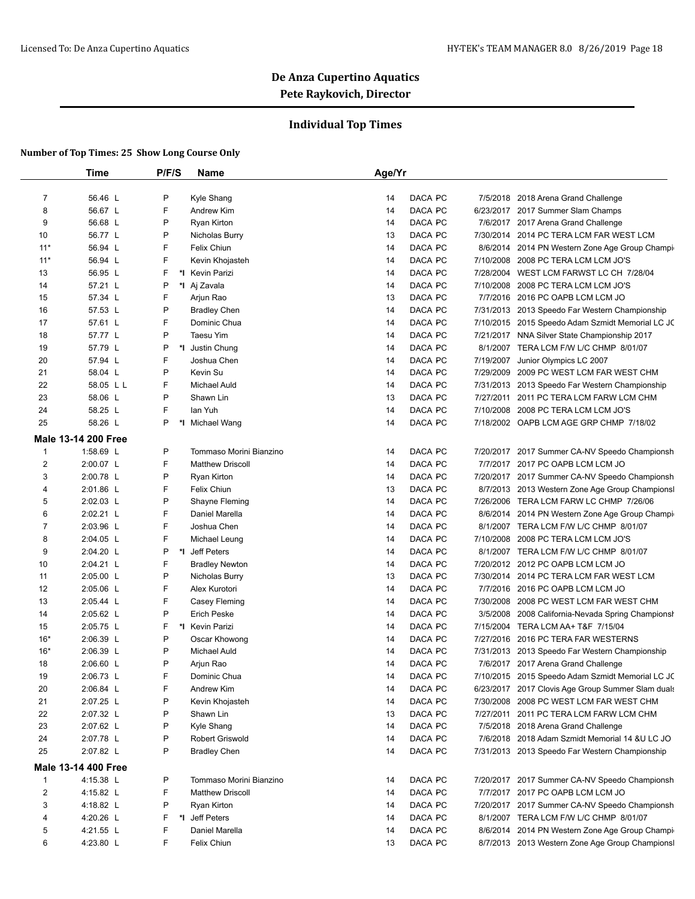### **Individual Top Times**

|                | <b>Time</b>                | P/F/S   | <b>Name</b>             | Age/Yr |         |           |                                                   |
|----------------|----------------------------|---------|-------------------------|--------|---------|-----------|---------------------------------------------------|
| $\overline{7}$ | 56.46 L                    | P       | Kyle Shang              | 14     | DACA PC |           | 7/5/2018 2018 Arena Grand Challenge               |
| 8              | 56.67 L                    | F       | Andrew Kim              | 14     | DACA PC |           | 6/23/2017 2017 Summer Slam Champs                 |
| 9              | 56.68 L                    | P       | Ryan Kirton             | 14     | DACA PC |           | 7/6/2017 2017 Arena Grand Challenge               |
| 10             | 56.77 L                    | P       | Nicholas Burry          | 13     | DACA PC |           | 7/30/2014 2014 PC TERA LCM FAR WEST LCM           |
| $11*$          | 56.94 L                    | F       | Felix Chiun             | 14     | DACA PC |           | 8/6/2014 2014 PN Western Zone Age Group Champir   |
| $11*$          | 56.94 L                    | F       | Kevin Khojasteh         | 14     | DACA PC |           | 7/10/2008 2008 PC TERA LCM LCM JO'S               |
| 13             | 56.95 L                    | F       | *1 Kevin Parizi         | 14     | DACA PC |           | 7/28/2004 WEST LCM FARWST LC CH 7/28/04           |
| 14             | 57.21 L                    | P       | *I Aj Zavala            | 14     | DACA PC |           | 7/10/2008 2008 PC TERA LCM LCM JO'S               |
| 15             | 57.34 L                    | F       | Arjun Rao               | 13     | DACA PC |           | 7/7/2016 2016 PC OAPB LCM LCM JO                  |
| 16             | 57.53 L                    | P       | <b>Bradley Chen</b>     | 14     | DACA PC |           | 7/31/2013 2013 Speedo Far Western Championship    |
| 17             | 57.61 L                    | F       | Dominic Chua            | 14     | DACA PC |           | 7/10/2015 2015 Speedo Adam Szmidt Memorial LC JC  |
| 18             | 57.77 L                    | P       | Taesu Yim               | 14     | DACA PC |           | 7/21/2017 NNA Silver State Championship 2017      |
| 19             | 57.79 L                    | P<br>*1 | Justin Chung            | 14     | DACA PC | 8/1/2007  | TERA LCM F/W L/C CHMP 8/01/07                     |
| 20             | 57.94 L                    | F       | Joshua Chen             | 14     | DACA PC | 7/19/2007 | Junior Olympics LC 2007                           |
| 21             | 58.04 L                    | P       | Kevin Su                | 14     | DACA PC |           | 7/29/2009 2009 PC WEST LCM FAR WEST CHM           |
| 22             |                            | F       |                         |        | DACA PC |           |                                                   |
|                | 58.05 L L                  |         | <b>Michael Auld</b>     | 14     |         |           | 7/31/2013 2013 Speedo Far Western Championship    |
| 23             | 58.06 L                    | P       | Shawn Lin               | 13     | DACA PC | 7/27/2011 | 2011 PC TERA LCM FARW LCM CHM                     |
| 24             | 58.25 L                    | F       | lan Yuh                 | 14     | DACA PC |           | 7/10/2008 2008 PC TERA LCM LCM JO'S               |
| 25             | 58.26 L                    | P<br>*l | Michael Wang            | 14     | DACA PC |           | 7/18/2002 OAPB LCM AGE GRP CHMP 7/18/02           |
|                | <b>Male 13-14 200 Free</b> | P       | Tommaso Morini Bianzino |        | DACA PC |           |                                                   |
| 1              | 1:58.69 L                  | F       |                         | 14     | DACA PC |           | 7/20/2017 2017 Summer CA-NV Speedo Championsh     |
| $\overline{2}$ | 2:00.07 L                  |         | <b>Matthew Driscoll</b> | 14     |         |           | 7/7/2017 2017 PC OAPB LCM LCM JO                  |
| 3              | 2:00.78 L                  | P       | Ryan Kirton             | 14     | DACA PC |           | 7/20/2017 2017 Summer CA-NV Speedo Championsh     |
| 4              | 2:01.86 L                  | F       | <b>Felix Chiun</b>      | 13     | DACA PC |           | 8/7/2013 2013 Western Zone Age Group Championsl   |
| 5              | 2:02.03 L                  | P       | Shayne Fleming          | 14     | DACA PC |           | 7/26/2006 TERA LCM FARW LC CHMP 7/26/06           |
| 6              | 2:02.21 L                  | F       | Daniel Marella          | 14     | DACA PC |           | 8/6/2014 2014 PN Western Zone Age Group Champir   |
| 7              | 2:03.96 L                  | F       | Joshua Chen             | 14     | DACA PC |           | 8/1/2007 TERA LCM F/W L/C CHMP 8/01/07            |
| 8              | 2:04.05 L                  | F       | Michael Leung           | 14     | DACA PC |           | 7/10/2008 2008 PC TERA LCM LCM JO'S               |
| 9              | 2:04.20 L                  | P<br>*1 | Jeff Peters             | 14     | DACA PC | 8/1/2007  | TERA LCM F/W L/C CHMP 8/01/07                     |
| 10             | 2:04.21 L                  | F       | <b>Bradley Newton</b>   | 14     | DACA PC |           | 7/20/2012 2012 PC OAPB LCM LCM JO                 |
| 11             | 2:05.00 L                  | P       | Nicholas Burry          | 13     | DACA PC |           | 7/30/2014 2014 PC TERA LCM FAR WEST LCM           |
| 12             | 2:05.06 L                  | F       | Alex Kurotori           | 14     | DACA PC |           | 7/7/2016 2016 PC OAPB LCM LCM JO                  |
| 13             | 2:05.44 L                  | F       | Casey Fleming           | 14     | DACA PC |           | 7/30/2008 2008 PC WEST LCM FAR WEST CHM           |
| 14             | 2:05.62 L                  | P       | <b>Erich Peske</b>      | 14     | DACA PC |           | 3/5/2008 2008 California-Nevada Spring Championsh |
| 15             | 2:05.75 L                  | F       | *I Kevin Parizi         | 14     | DACA PC | 7/15/2004 | TERA LCM AA+ T&F 7/15/04                          |
| $16*$          | 2:06.39 L                  | P       | Oscar Khowong           | 14     | DACA PC |           | 7/27/2016 2016 PC TERA FAR WESTERNS               |
| $16*$          | 2:06.39 L                  | P       | <b>Michael Auld</b>     | 14     | DACA PC |           | 7/31/2013 2013 Speedo Far Western Championship    |
| 18             | 2:06.60 L                  | P       | Arjun Rao               | 14     | DACA PC |           | 7/6/2017 2017 Arena Grand Challenge               |
| 19             | 2:06.73 L                  | F       | Dominic Chua            | 14     | DACA PC |           | 7/10/2015 2015 Speedo Adam Szmidt Memorial LC JC  |
| 20             | 2:06.84 L                  | F       | Andrew Kim              | 14     | DACA PC |           | 6/23/2017 2017 Clovis Age Group Summer Slam duals |
| 21             | 2:07.25 L                  | P       | Kevin Khojasteh         | 14     | DACA PC |           | 7/30/2008 2008 PC WEST LCM FAR WEST CHM           |
| 22             | 2:07.32 L                  | P       | Shawn Lin               | 13     | DACA PC |           | 7/27/2011 2011 PC TERA LCM FARW LCM CHM           |
| 23             | 2:07.62 L                  | P       | Kyle Shang              | 14     | DACA PC |           | 7/5/2018 2018 Arena Grand Challenge               |
| 24             | 2:07.78 L                  | P       | Robert Griswold         | 14     | DACA PC |           | 7/6/2018 2018 Adam Szmidt Memorial 14 &U LC JO    |
| 25             | 2:07.82 L                  | P       | <b>Bradley Chen</b>     | 14     | DACA PC |           | 7/31/2013 2013 Speedo Far Western Championship    |
|                | <b>Male 13-14 400 Free</b> |         |                         |        |         |           |                                                   |
| 1              | 4:15.38 L                  | P       | Tommaso Morini Bianzino | 14     | DACA PC |           | 7/20/2017 2017 Summer CA-NV Speedo Championsh     |
| $\overline{2}$ | 4:15.82 L                  | F       | <b>Matthew Driscoll</b> | 14     | DACA PC |           | 7/7/2017 2017 PC OAPB LCM LCM JO                  |
| 3              | 4:18.82 L                  | P       | Ryan Kirton             | 14     | DACA PC |           | 7/20/2017 2017 Summer CA-NV Speedo Championsh     |
| 4              | 4:20.26 L                  | F<br>*∣ | Jeff Peters             | 14     | DACA PC |           | 8/1/2007 TERA LCM F/W L/C CHMP 8/01/07            |
| 5              | 4:21.55 L                  | F       | Daniel Marella          | 14     | DACA PC |           | 8/6/2014 2014 PN Western Zone Age Group Champi    |
| 6              | 4:23.80 L                  | F       | Felix Chiun             | 13     | DACA PC |           | 8/7/2013 2013 Western Zone Age Group Championsl   |
|                |                            |         |                         |        |         |           |                                                   |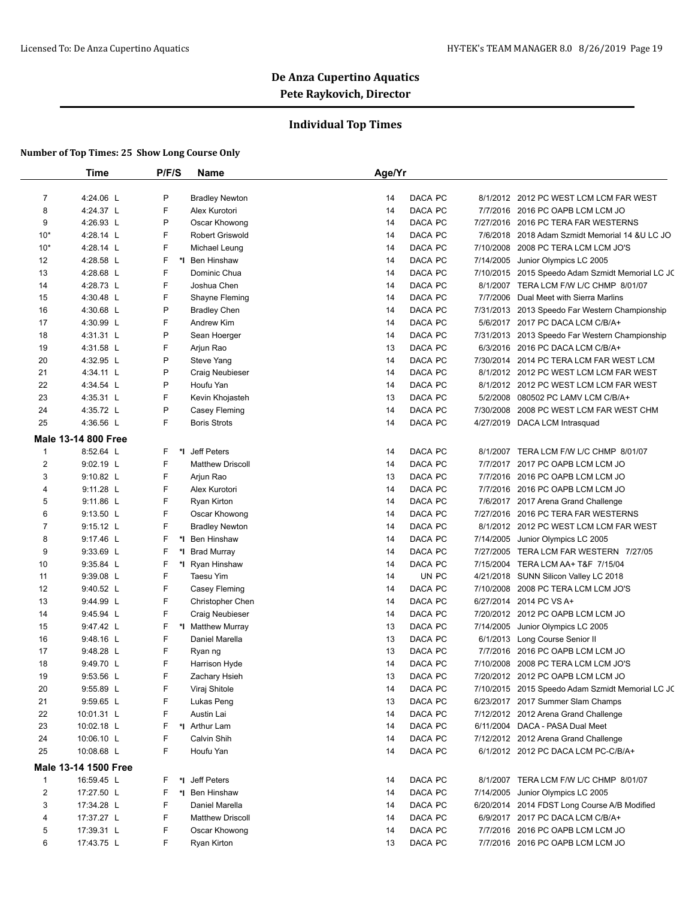### **Individual Top Times**

|                     | Time                       | P/F/S   | Name                                   | Age/Yr   |                    |           |                                                                            |
|---------------------|----------------------------|---------|----------------------------------------|----------|--------------------|-----------|----------------------------------------------------------------------------|
|                     |                            |         |                                        |          |                    |           |                                                                            |
| $\overline{7}$<br>8 | 4:24.06 L<br>4:24.37 L     | P<br>F  | <b>Bradley Newton</b><br>Alex Kurotori | 14<br>14 | DACA PC<br>DACA PC |           | 8/1/2012 2012 PC WEST LCM LCM FAR WEST<br>7/7/2016 2016 PC OAPB LCM LCM JO |
|                     |                            |         |                                        |          | DACA PC            |           | 7/27/2016 2016 PC TERA FAR WESTERNS                                        |
| 9                   | 4:26.93 L                  | P       | Oscar Khowong                          | 14       |                    |           |                                                                            |
| $10*$               | 4:28.14 L                  | F       | Robert Griswold                        | 14       | DACA PC            |           | 7/6/2018 2018 Adam Szmidt Memorial 14 & U LC JO                            |
| $10*$               | 4:28.14 L                  | F       | Michael Leung                          | 14       | DACA PC            |           | 7/10/2008 2008 PC TERA LCM LCM JO'S                                        |
| 12                  | 4:28.58 L                  | F       | *I Ben Hinshaw                         | 14       | DACA PC            | 7/14/2005 | Junior Olympics LC 2005                                                    |
| 13                  | 4:28.68 L                  | F       | Dominic Chua                           | 14       | DACA PC            |           | 7/10/2015 2015 Speedo Adam Szmidt Memorial LC JC                           |
| 14                  | 4:28.73 L                  | F       | Joshua Chen                            | 14       | DACA PC            | 8/1/2007  | TERA LCM F/W L/C CHMP 8/01/07                                              |
| 15                  | 4:30.48 L                  | F       | Shayne Fleming                         | 14       | DACA PC            |           | 7/7/2006 Dual Meet with Sierra Marlins                                     |
| 16                  | 4:30.68 L                  | P       | <b>Bradley Chen</b>                    | 14       | DACA PC            |           | 7/31/2013 2013 Speedo Far Western Championship                             |
| 17                  | 4:30.99 L                  | F       | Andrew Kim                             | 14       | DACA PC            |           | 5/6/2017 2017 PC DACA LCM C/B/A+                                           |
| 18                  | 4:31.31 L                  | Ρ       | Sean Hoerger                           | 14       | DACA PC            |           | 7/31/2013 2013 Speedo Far Western Championship                             |
| 19                  | 4:31.58 L                  | F       | Arjun Rao                              | 13       | DACA PC            |           | 6/3/2016 2016 PC DACA LCM C/B/A+                                           |
| 20                  | 4:32.95 L                  | P       | Steve Yang                             | 14       | DACA PC            |           | 7/30/2014 2014 PC TERA LCM FAR WEST LCM                                    |
| 21                  | 4:34.11 L                  | P       | Craig Neubieser                        | 14       | DACA PC            |           | 8/1/2012 2012 PC WEST LCM LCM FAR WEST                                     |
| 22                  | 4:34.54 L                  | P       | Houfu Yan                              | 14       | DACA PC            |           | 8/1/2012 2012 PC WEST LCM LCM FAR WEST                                     |
| 23                  | 4:35.31 L                  | F       | Kevin Khojasteh                        | 13       | DACA PC            |           | 5/2/2008 080502 PC LAMV LCM C/B/A+                                         |
| 24                  | 4:35.72 L                  | Ρ       | Casey Fleming                          | 14       | DACA PC            |           | 7/30/2008 2008 PC WEST LCM FAR WEST CHM                                    |
| 25                  | 4:36.56 L                  | F       | <b>Boris Strots</b>                    | 14       | DACA PC            |           | 4/27/2019 DACA LCM Intrasquad                                              |
|                     | <b>Male 13-14 800 Free</b> |         |                                        |          |                    |           |                                                                            |
| $\overline{1}$      | 8:52.64 L                  | F       | *I Jeff Peters                         | 14       | DACA PC            | 8/1/2007  | TERA LCM F/W L/C CHMP 8/01/07                                              |
| $\overline{2}$      | 9:02.19 L                  | F       | <b>Matthew Driscoll</b>                | 14       | DACA PC            |           | 7/7/2017 2017 PC OAPB LCM LCM JO                                           |
| 3                   | $9:10.82$ L                | F       | Arjun Rao                              | 13       | DACA PC            |           | 7/7/2016 2016 PC OAPB LCM LCM JO                                           |
| 4                   | $9:11.28$ L                | F       | Alex Kurotori                          | 14       | DACA PC            |           | 7/7/2016 2016 PC OAPB LCM LCM JO                                           |
| 5                   | $9:11.86$ L                | F       | Ryan Kirton                            | 14       | DACA PC            |           | 7/6/2017 2017 Arena Grand Challenge                                        |
| 6                   | 9:13.50 L                  | F       | Oscar Khowong                          | 14       | DACA PC            |           | 7/27/2016 2016 PC TERA FAR WESTERNS                                        |
| $\overline{7}$      | $9:15.12$ L                | F       | <b>Bradley Newton</b>                  | 14       | DACA PC            |           | 8/1/2012 2012 PC WEST LCM LCM FAR WEST                                     |
| 8                   | 9:17.46 L                  | F<br>*l | Ben Hinshaw                            | 14       | DACA PC            |           | 7/14/2005 Junior Olympics LC 2005                                          |
| 9                   | $9:33.69$ L                | F<br>٠. | <b>Brad Murray</b>                     | 14       | DACA PC            | 7/27/2005 | TERA LCM FAR WESTERN 7/27/05                                               |
| 10                  | 9:35.84 L                  | F<br>*I | Ryan Hinshaw                           | 14       | DACA PC            |           | 7/15/2004 TERA LCM AA+ T&F 7/15/04                                         |
| 11                  | 9:39.08 L                  | F       | Taesu Yim                              | 14       | UN PC              |           | 4/21/2018 SUNN Silicon Valley LC 2018                                      |
| 12                  | 9:40.52 L                  | F       | Casey Fleming                          | 14       | DACA PC            |           | 7/10/2008 2008 PC TERA LCM LCM JO'S                                        |
| 13                  | 9:44.99 L                  | F       | <b>Christopher Chen</b>                | 14       | DACA PC            |           | 6/27/2014 2014 PC VS A+                                                    |
| 14                  | 9:45.94 L                  | F       | Craig Neubieser                        | 14       | DACA PC            |           | 7/20/2012 2012 PC OAPB LCM LCM JO                                          |
| 15                  | 9:47.42 L                  | F       | *I Matthew Murray                      | 13       | DACA PC            |           | 7/14/2005 Junior Olympics LC 2005                                          |
| 16                  | $9:48.16$ L                | F       | Daniel Marella                         | 13       | DACA PC            |           | 6/1/2013 Long Course Senior II                                             |
| 17                  | 9:48.28 L                  | F       | Ryan ng                                | 13       | DACA PC            |           | 7/7/2016 2016 PC OAPB LCM LCM JO                                           |
| 18                  | 9:49.70 L                  | F       | Harrison Hyde                          | 14       | DACA PC            |           | 7/10/2008 2008 PC TERA LCM LCM JO'S                                        |
| 19                  | 9:53.56 L                  | F       | Zachary Hsieh                          | 13       | DACA PC            |           | 7/20/2012 2012 PC OAPB LCM LCM JO                                          |
| 20                  | 9:55.89 L                  | F       | Viraj Shitole                          | 14       | DACA PC            |           | 7/10/2015 2015 Speedo Adam Szmidt Memorial LC JC                           |
| 21                  | $9:59.65$ L                | F       | Lukas Peng                             | 13       | DACA PC            |           | 6/23/2017 2017 Summer Slam Champs                                          |
| 22                  | 10:01.31 L                 | F       | Austin Lai                             | 14       | DACA PC            |           | 7/12/2012 2012 Arena Grand Challenge                                       |
| 23                  | 10:02.18 L                 | F       | *I Arthur Lam                          | 14       | DACA PC            |           | 6/11/2004 DACA - PASA Dual Meet                                            |
| 24                  | 10:06.10 L                 | F       | Calvin Shih                            | 14       | DACA PC            |           | 7/12/2012 2012 Arena Grand Challenge                                       |
| 25                  | 10:08.68 L                 | F       | Houfu Yan                              | 14       | DACA PC            |           | 6/1/2012 2012 PC DACA LCM PC-C/B/A+                                        |
|                     | Male 13-14 1500 Free       |         |                                        |          |                    |           |                                                                            |
| 1                   | 16:59.45 L                 | F<br>*∣ | Jeff Peters                            | 14       | DACA PC            |           | 8/1/2007 TERA LCM F/W L/C CHMP 8/01/07                                     |
| $\overline{c}$      | 17:27.50 L                 | F<br>*I | Ben Hinshaw                            | 14       | DACA PC            |           | 7/14/2005 Junior Olympics LC 2005                                          |
| 3                   | 17:34.28 L                 | F       | Daniel Marella                         | 14       | DACA PC            |           | 6/20/2014 2014 FDST Long Course A/B Modified                               |
| 4                   | 17:37.27 L                 | F       | <b>Matthew Driscoll</b>                | 14       | DACA PC            |           | 6/9/2017 2017 PC DACA LCM C/B/A+                                           |
| 5                   | 17:39.31 L                 | F       | Oscar Khowong                          | 14       | DACA PC            |           | 7/7/2016 2016 PC OAPB LCM LCM JO                                           |
|                     |                            | F       |                                        |          | DACA PC            |           | 7/7/2016 2016 PC OAPB LCM LCM JO                                           |
| 6                   | 17:43.75 L                 |         | Ryan Kirton                            | 13       |                    |           |                                                                            |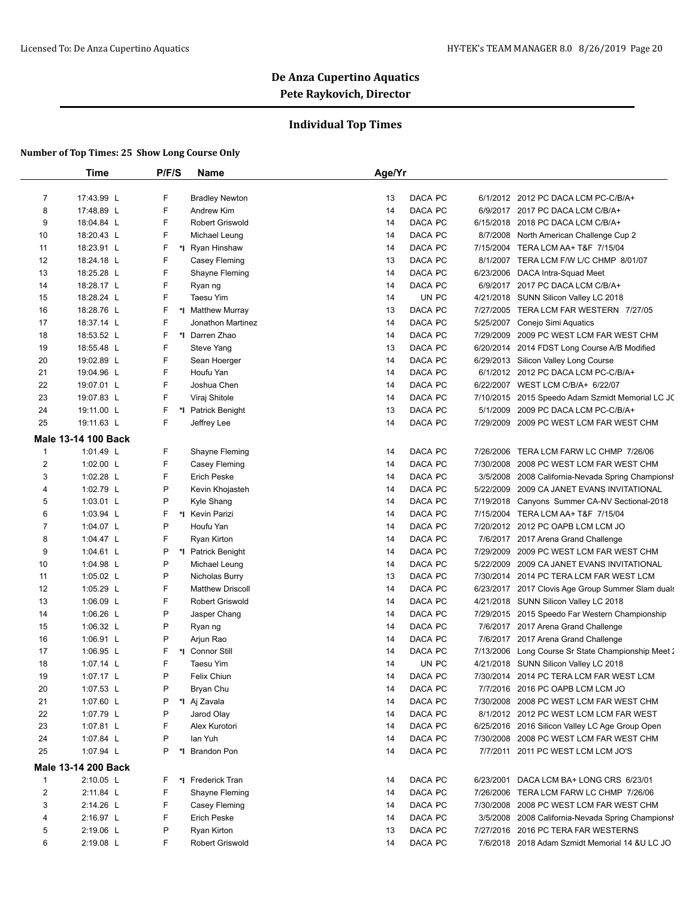### **Individual Top Times**

|                         | <b>Time</b>                | P/F/S   | <b>Name</b>             | Age/Yr                    |                                                    |
|-------------------------|----------------------------|---------|-------------------------|---------------------------|----------------------------------------------------|
|                         |                            |         |                         |                           |                                                    |
| $\overline{7}$          | 17:43.99 L                 | F       | <b>Bradley Newton</b>   | DACA PC<br>13             | 6/1/2012 2012 PC DACA LCM PC-C/B/A+                |
| 8                       | 17:48.89 L                 | F       | Andrew Kim              | DACA PC<br>14             | 6/9/2017 2017 PC DACA LCM C/B/A+                   |
| 9                       | 18:04.84 L                 | F       | <b>Robert Griswold</b>  | 14<br>DACA PC             | 6/15/2018 2018 PC DACA LCM C/B/A+                  |
| 10                      | 18:20.43 L                 | F.      | Michael Leung           | DACA PC<br>14             | 8/7/2008 North American Challenge Cup 2            |
| 11                      | 18:23.91 L                 | F       | *I Ryan Hinshaw         | DACA PC<br>14             | 7/15/2004 TERA LCM AA+ T&F 7/15/04                 |
| 12                      | 18:24.18 L                 | F       | Casey Fleming           | 13<br>DACA PC             | 8/1/2007 TERA LCM F/W L/C CHMP 8/01/07             |
| 13                      | 18:25.28 L                 | F       | Shayne Fleming          | 14<br>DACA PC             | 6/23/2006 DACA Intra-Squad Meet                    |
| 14                      | 18:28.17 L                 | F.      | Ryan ng                 | DACA PC<br>14             | 6/9/2017 2017 PC DACA LCM C/B/A+                   |
| 15                      | 18:28.24 L                 | F.      | Taesu Yim               | UN PC<br>14               | 4/21/2018 SUNN Silicon Valley LC 2018              |
| 16                      | 18:28.76 L                 | F.      | *I Matthew Murray       | DACA PC<br>13             | 7/27/2005 TERA LCM FAR WESTERN 7/27/05             |
| 17                      | 18:37.14 L                 | F       | Jonathon Martinez       | DACA PC<br>14             | 5/25/2007 Conejo Simi Aquatics                     |
| 18                      | 18:53.52 L                 | F       | *I Darren Zhao          | DACA PC<br>14             | 7/29/2009 2009 PC WEST LCM FAR WEST CHM            |
| 19                      | 18:55.48 L                 | F       | Steve Yang              | DACA PC<br>13             | 6/20/2014 2014 FDST Long Course A/B Modified       |
| 20                      | 19:02.89 L                 | F       | Sean Hoerger            | DACA PC<br>14             | 6/29/2013 Silicon Valley Long Course               |
| 21                      | 19:04.96 L                 | F       | Houfu Yan               | 14<br>DACA PC             | 6/1/2012 2012 PC DACA LCM PC-C/B/A+                |
| 22                      | 19:07.01 L                 | F.      | Joshua Chen             | DACA PC<br>14             | 6/22/2007 WEST LCM C/B/A+ 6/22/07                  |
| 23                      | 19:07.83 L                 | F.      | Viraj Shitole           | DACA PC<br>14             | 7/10/2015 2015 Speedo Adam Szmidt Memorial LC JC   |
| 24                      | 19:11.00 L                 | F<br>*l | <b>Patrick Benight</b>  | 13<br>DACA PC             | 5/1/2009 2009 PC DACA LCM PC-C/B/A+                |
| 25                      | 19:11.63 L                 | F       | Jeffrey Lee             | DACA PC<br>14             | 7/29/2009 2009 PC WEST LCM FAR WEST CHM            |
|                         | <b>Male 13-14 100 Back</b> |         |                         |                           |                                                    |
| $\mathbf{1}$            | 1:01.49 $L$                | F       | Shayne Fleming          | DACA PC<br>14             | 7/26/2006 TERA LCM FARW LC CHMP 7/26/06            |
| $\overline{\mathbf{c}}$ | 1:02.00 L                  | F       | Casey Fleming           | DACA PC<br>14             | 7/30/2008 2008 PC WEST LCM FAR WEST CHM            |
| 3                       | 1:02.28 $L$                | F       | <b>Erich Peske</b>      | 14<br>DACA PC<br>3/5/2008 | 2008 California-Nevada Spring Championsh           |
| 4                       | 1:02.79 L                  | P       | Kevin Khojasteh         | 14<br>DACA PC             | 5/22/2009 2009 CA JANET EVANS INVITATIONAL         |
| 5                       | $1:03.01$ L                | P       | Kyle Shang              | DACA PC<br>14             | 7/19/2018 Canyons Summer CA-NV Sectional-2018      |
| 6                       | 1:03.94 $L$                | F.      | *I Kevin Parizi         | DACA PC<br>14             | 7/15/2004 TERA LCM AA+ T&F 7/15/04                 |
| 7                       | 1:04.07 $L$                | P       | Houfu Yan               | DACA PC<br>14             | 7/20/2012 2012 PC OAPB LCM LCM JO                  |
| 8                       | 1:04.47 $L$                | F       | Ryan Kirton             | DACA PC<br>14             | 7/6/2017 2017 Arena Grand Challenge                |
| 9                       | 1:04.61 $L$                | P       | *I Patrick Benight      | 14<br>DACA PC             | 7/29/2009 2009 PC WEST LCM FAR WEST CHM            |
| 10                      | 1:04.98 L                  | P       | Michael Leung           | 14<br>DACA PC             | 5/22/2009 2009 CA JANET EVANS INVITATIONAL         |
| 11                      | 1:05.02 $L$                | P       | Nicholas Burry          | 13<br>DACA PC             | 7/30/2014 2014 PC TERA LCM FAR WEST LCM            |
| 12                      | 1:05.29 $L$                | F       | <b>Matthew Driscoll</b> | 14<br>DACA PC             | 6/23/2017 2017 Clovis Age Group Summer Slam duals  |
| 13                      | 1:06.09 $L$                | F       | Robert Griswold         | DACA PC<br>14             | 4/21/2018 SUNN Silicon Valley LC 2018              |
| 14                      | 1:06.26 L                  | P       | Jasper Chang            | 14<br>DACA PC             | 7/29/2015 2015 Speedo Far Western Championship     |
| 15                      | 1:06.32 $\lfloor$          | P       | Ryan ng                 | 14<br>DACA PC             | 7/6/2017 2017 Arena Grand Challenge                |
| 16                      | 1:06.91 $L$                | P       | Arjun Rao               | 14<br>DACA PC             | 7/6/2017 2017 Arena Grand Challenge                |
| 17                      | 1:06.95 L                  | F<br>*∣ | <b>Connor Still</b>     | DACA PC<br>14             | 7/13/2006 Long Course Sr State Championship Meet 2 |
| 18                      | 1:07.14 $L$                | F       | Taesu Yim               | UN PC<br>14               | 4/21/2018 SUNN Silicon Valley LC 2018              |
| 19                      | 1:07.17 L                  | P       | Felix Chiun             | DACA PC<br>14             | 7/30/2014 2014 PC TERA LCM FAR WEST LCM            |
| 20                      | 1:07.53 $L$                | P       | Bryan Chu               | DACA PC<br>14             | 7/7/2016 2016 PC OAPB LCM LCM JO                   |
| 21                      | 1:07.60 L                  | P       | *I Aj Zavala            | DACA PC<br>14             | 7/30/2008 2008 PC WEST LCM FAR WEST CHM            |
| 22                      | 1:07.79 L                  | P       | Jarod Olay              | DACA PC<br>14             | 8/1/2012 2012 PC WEST LCM LCM FAR WEST             |
| 23                      | 1:07.81 $L$                | F       | Alex Kurotori           | DACA PC<br>14             | 6/25/2016 2016 Silicon Valley LC Age Group Open    |
| 24                      | 1:07.84 $L$                | P       | lan Yuh                 | DACA PC<br>14             | 7/30/2008 2008 PC WEST LCM FAR WEST CHM            |
| 25                      | 1:07.94 L                  | P<br>*∣ | <b>Brandon Pon</b>      | DACA PC<br>14             | 7/7/2011 2011 PC WEST LCM LCM JO'S                 |
|                         | Male 13-14 200 Back        |         |                         |                           |                                                    |
| $\mathbf{1}$            | $2:10.05$ L                | F.      | *I Frederick Tran       | DACA PC<br>14             | 6/23/2001 DACA LCM BA+ LONG CRS 6/23/01            |
| $\overline{2}$          | 2:11.84 L                  | F       | Shayne Fleming          | DACA PC<br>14             | 7/26/2006 TERA LCM FARW LC CHMP 7/26/06            |
| 3                       | 2:14.26 L                  | F       | Casey Fleming           | DACA PC<br>14             | 7/30/2008 2008 PC WEST LCM FAR WEST CHM            |
| 4                       | 2:16.97 L                  | F       | <b>Erich Peske</b>      | DACA PC<br>14             | 3/5/2008 2008 California-Nevada Spring Championsh  |
| 5                       | 2:19.06 L                  | P       | Ryan Kirton             | DACA PC<br>13             | 7/27/2016 2016 PC TERA FAR WESTERNS                |
| 6                       | 2:19.08 L                  | F       | Robert Griswold         | DACA PC<br>14             | 7/6/2018 2018 Adam Szmidt Memorial 14 & U LC JO    |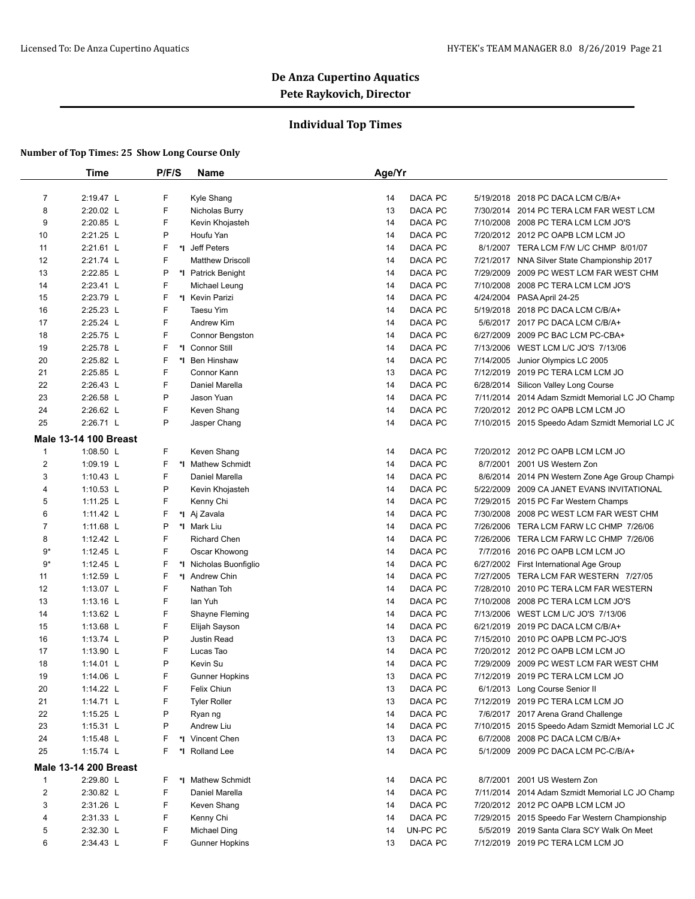### **Individual Top Times**

|                         | <b>Time</b>                  | P/F/S   | Name                         | Age/Yr   |                    |           |                                                                              |
|-------------------------|------------------------------|---------|------------------------------|----------|--------------------|-----------|------------------------------------------------------------------------------|
|                         | 2:19.47 L                    |         |                              |          | DACA PC            |           |                                                                              |
| $\overline{7}$<br>8     | 2:20.02 L                    | F.<br>F | Kyle Shang<br>Nicholas Burry | 14<br>13 | DACA PC            |           | 5/19/2018 2018 PC DACA LCM C/B/A+<br>7/30/2014 2014 PC TERA LCM FAR WEST LCM |
|                         |                              | F       |                              |          | DACA PC            |           |                                                                              |
| 9                       | 2:20.85 L<br>2:21.25 L       | P       | Kevin Khojasteh              | 14<br>14 | DACA PC            |           | 7/10/2008 2008 PC TERA LCM LCM JO'S                                          |
| 10                      |                              | F       | Houfu Yan                    | 14       |                    |           | 7/20/2012 2012 PC OAPB LCM LCM JO                                            |
| 11                      | 2:21.61 L                    | F       | *I Jeff Peters               |          | DACA PC            |           | 8/1/2007 TERA LCM F/W L/C CHMP 8/01/07                                       |
| 12                      | 2:21.74 L                    | P       | <b>Matthew Driscoll</b>      | 14       | DACA PC            |           | 7/21/2017 NNA Silver State Championship 2017                                 |
| 13                      | 2:22.85 L<br>2:23.41 L       | F       | *I Patrick Benight           | 14       | DACA PC<br>DACA PC | 7/29/2009 | 2009 PC WEST LCM FAR WEST CHM                                                |
| 14                      |                              |         | Michael Leung                | 14       |                    |           | 7/10/2008 2008 PC TERA LCM LCM JO'S                                          |
| 15                      | 2:23.79 L                    | F       | *I Kevin Parizi              | 14       | DACA PC            |           | 4/24/2004 PASA April 24-25                                                   |
| 16                      | 2:25.23 L                    | F       | Taesu Yim                    | 14       | DACA PC            |           | 5/19/2018 2018 PC DACA LCM C/B/A+                                            |
| 17                      | 2:25.24 L                    | F       | Andrew Kim                   | 14       | DACA PC            |           | 5/6/2017 2017 PC DACA LCM C/B/A+                                             |
| 18                      | 2:25.75 L                    | F       | Connor Bengston              | 14       | DACA PC            |           | 6/27/2009 2009 PC BAC LCM PC-CBA+                                            |
| 19                      | 2:25.78 L                    | F<br>*∣ | <b>Connor Still</b>          | 14       | DACA PC            | 7/13/2006 | WEST LCM L/C JO'S 7/13/06                                                    |
| 20                      | 2:25.82 L                    | F       | *1 Ben Hinshaw               | 14       | DACA PC            | 7/14/2005 | Junior Olympics LC 2005                                                      |
| 21                      | 2:25.85 L                    | F       | Connor Kann                  | 13       | DACA PC            |           | 7/12/2019 2019 PC TERA LCM LCM JO                                            |
| 22                      | 2:26.43 L                    | F       | Daniel Marella               | 14       | DACA PC            |           | 6/28/2014 Silicon Valley Long Course                                         |
| 23                      | 2:26.58 L                    | P       | Jason Yuan                   | 14       | DACA PC            |           | 7/11/2014 2014 Adam Szmidt Memorial LC JO Champ                              |
| 24                      | 2:26.62 L                    | F       | Keven Shang                  | 14       | DACA PC            |           | 7/20/2012 2012 PC OAPB LCM LCM JO                                            |
| 25                      | 2:26.71 L                    | P       | Jasper Chang                 | 14       | <b>DACA PC</b>     |           | 7/10/2015 2015 Speedo Adam Szmidt Memorial LC JC                             |
|                         | <b>Male 13-14 100 Breast</b> |         |                              |          |                    |           |                                                                              |
| $\mathbf{1}$            | 1:08.50 L                    | F       | Keven Shang                  | 14       | DACA PC            |           | 7/20/2012 2012 PC OAPB LCM LCM JO                                            |
| $\overline{\mathbf{c}}$ | 1:09.19 L                    | F       | *I Mathew Schmidt            | 14       | DACA PC            | 8/7/2001  | 2001 US Western Zon                                                          |
| 3                       | 1:10.43 $L$                  | F       | Daniel Marella               | 14       | DACA PC            |           | 8/6/2014 2014 PN Western Zone Age Group Champi                               |
| 4                       | 1:10.53 L                    | P       | Kevin Khojasteh              | 14       | DACA PC            |           | 5/22/2009 2009 CA JANET EVANS INVITATIONAL                                   |
| 5                       | 1:11.25 L                    | F       | Kenny Chi                    | 14       | DACA PC            |           | 7/29/2015 2015 PC Far Western Champs                                         |
| 6                       | 1:11.42 L                    | F       | *I Aj Zavala                 | 14       | DACA PC            |           | 7/30/2008 2008 PC WEST LCM FAR WEST CHM                                      |
| 7                       | 1:11.68 L                    | P       | *I Mark Liu                  | 14       | DACA PC            |           | 7/26/2006 TERA LCM FARW LC CHMP 7/26/06                                      |
| 8                       | 1:12.42 L                    | F       | <b>Richard Chen</b>          | 14       | DACA PC            | 7/26/2006 | TERA LCM FARW LC CHMP 7/26/06                                                |
| 9*                      | 1:12.45 L                    | F       | Oscar Khowong                | 14       | DACA PC            |           | 7/7/2016 2016 PC OAPB LCM LCM JO                                             |
| $9*$                    | 1:12.45 L                    | F       | *I Nicholas Buonfiglio       | 14       | DACA PC            |           | 6/27/2002 First International Age Group                                      |
| 11                      | 1:12.59 L                    | F       | *1 Andrew Chin               | 14       | DACA PC            |           | 7/27/2005 TERA LCM FAR WESTERN 7/27/05                                       |
| 12                      | 1:13.07 L                    | F       | Nathan Toh                   | 14       | DACA PC            |           | 7/28/2010 2010 PC TERA LCM FAR WESTERN                                       |
| 13                      | $1:13.16$ L                  | F       | lan Yuh                      | 14       | DACA PC            |           | 7/10/2008 2008 PC TERA LCM LCM JO'S                                          |
| 14                      | 1:13.62 L                    | F       | Shayne Fleming               | 14       | DACA PC            |           | 7/13/2006 WEST LCM L/C JO'S 7/13/06                                          |
| 15                      | 1:13.68 $L$                  | F       | Elijah Sayson                | 14       | DACA PC            |           | 6/21/2019 2019 PC DACA LCM C/B/A+                                            |
| 16                      | 1:13.74 L                    | P       | Justin Read                  | 13       | DACA PC            |           | 7/15/2010 2010 PC OAPB LCM PC-JO'S                                           |
| 17                      | 1:13.90 L                    | F       | Lucas Tao                    | 14       | DACA PC            |           | 7/20/2012 2012 PC OAPB LCM LCM JO                                            |
| 18                      | 1:14.01 L                    | P       | Kevin Su                     | 14       | DACA PC            |           | 7/29/2009 2009 PC WEST LCM FAR WEST CHM                                      |
| 19                      | 1:14.06 L                    | F       | <b>Gunner Hopkins</b>        | 13       | DACA PC            |           | 7/12/2019 2019 PC TERA LCM LCM JO                                            |
| 20                      | 1:14.22 L                    | F       | Felix Chiun                  | 13       | DACA PC            |           | 6/1/2013 Long Course Senior II                                               |
| 21                      | 1:14.71 $L$                  | F       | <b>Tyler Roller</b>          | 13       | DACA PC            |           | 7/12/2019 2019 PC TERA LCM LCM JO                                            |
| 22                      | 1:15.25 $L$                  | P       | Ryan ng                      | 14       | DACA PC            |           | 7/6/2017 2017 Arena Grand Challenge                                          |
| 23                      | 1:15.31 $L$                  | P       | Andrew Liu                   | 14       | DACA PC            |           | 7/10/2015 2015 Speedo Adam Szmidt Memorial LC JC                             |
| 24                      | 1:15.48 L                    |         | *I Vincent Chen              | 13       | DACA PC            | 6/7/2008  | 2008 PC DACA LCM C/B/A+                                                      |
| 25                      | 1:15.74 $L$                  | F       | *I Rolland Lee               | 14       | DACA PC            |           | 5/1/2009 2009 PC DACA LCM PC-C/B/A+                                          |
|                         | <b>Male 13-14 200 Breast</b> |         |                              |          |                    |           |                                                                              |
| 1                       | 2:29.80 L                    | F       | *I Mathew Schmidt            | 14       | DACA PC            | 8/7/2001  | 2001 US Western Zon                                                          |
| $\overline{\mathbf{c}}$ | 2:30.82 L                    | F       | Daniel Marella               | 14       | DACA PC            |           | 7/11/2014 2014 Adam Szmidt Memorial LC JO Champ                              |
| 3                       | 2:31.26 L                    | F       | Keven Shang                  | 14       | DACA PC            |           | 7/20/2012 2012 PC OAPB LCM LCM JO                                            |
| 4                       | 2:31.33 L                    | F       | Kenny Chi                    | 14       | DACA PC            |           | 7/29/2015 2015 Speedo Far Western Championship                               |
| 5                       | 2:32.30 L                    | F       | Michael Ding                 | 14       | UN-PC PC           |           | 5/5/2019 2019 Santa Clara SCY Walk On Meet                                   |
| 6                       | 2:34.43 L                    | F.      | <b>Gunner Hopkins</b>        | 13       | DACA PC            |           | 7/12/2019 2019 PC TERA LCM LCM JO                                            |
|                         |                              |         |                              |          |                    |           |                                                                              |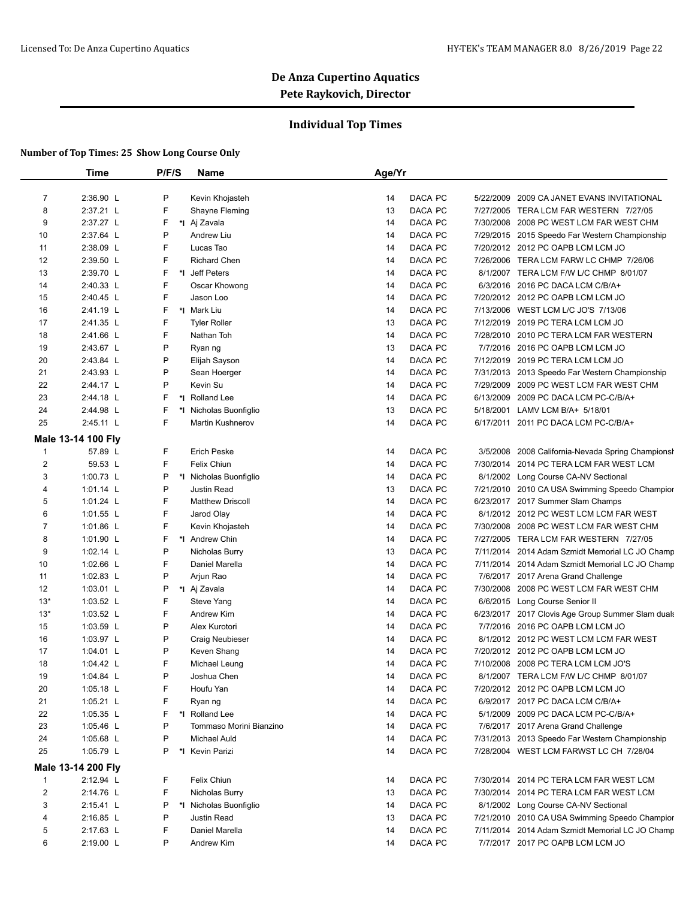### **Individual Top Times**

|                | <b>Time</b>        | P/F/S | Name                    | Age/Yr |         |           |                                                    |
|----------------|--------------------|-------|-------------------------|--------|---------|-----------|----------------------------------------------------|
| $\overline{7}$ | 2:36.90 L          | P     | Kevin Khojasteh         | 14     | DACA PC | 5/22/2009 | 2009 CA JANET EVANS INVITATIONAL                   |
| 8              | 2:37.21 L          | F     | Shayne Fleming          | 13     | DACA PC |           | 7/27/2005 TERA LCM FAR WESTERN 7/27/05             |
| 9              | 2:37.27 L          | F     | *I Aj Zavala            | 14     | DACA PC |           | 7/30/2008 2008 PC WEST LCM FAR WEST CHM            |
| 10             | 2:37.64 L          | P     | <b>Andrew Liu</b>       | 14     | DACA PC |           | 7/29/2015 2015 Speedo Far Western Championship     |
| 11             | 2:38.09 L          | F     | Lucas Tao               | 14     | DACA PC |           | 7/20/2012 2012 PC OAPB LCM LCM JO                  |
| 12             | 2:39.50 L          | F     | <b>Richard Chen</b>     | 14     | DACA PC |           | 7/26/2006 TERA LCM FARW LC CHMP 7/26/06            |
| 13             | 2:39.70 L          | F     | *I Jeff Peters          | 14     | DACA PC |           | 8/1/2007 TERA LCM F/W L/C CHMP 8/01/07             |
| 14             | 2:40.33 L          | F     | Oscar Khowong           | 14     | DACA PC |           | 6/3/2016 2016 PC DACA LCM C/B/A+                   |
| 15             | 2:40.45 L          | F     | Jason Loo               | 14     | DACA PC |           | 7/20/2012 2012 PC OAPB LCM LCM JO                  |
| 16             | 2:41.19 L          | F     | *I Mark Liu             | 14     | DACA PC |           | 7/13/2006 WEST LCM L/C JO'S 7/13/06                |
| 17             | 2:41.35 L          | F     | <b>Tyler Roller</b>     | 13     | DACA PC |           | 7/12/2019 2019 PC TERA LCM LCM JO                  |
| 18             | 2:41.66 L          | F     | Nathan Toh              | 14     | DACA PC |           | 7/28/2010 2010 PC TERA LCM FAR WESTERN             |
| 19             | 2:43.67 L          | P     | Ryan ng                 | 13     | DACA PC |           | 7/7/2016 2016 PC OAPB LCM LCM JO                   |
| 20             | 2:43.84 L          | P     | Elijah Sayson           | 14     | DACA PC |           | 7/12/2019 2019 PC TERA LCM LCM JO                  |
| 21             | 2:43.93 L          | P     | Sean Hoerger            | 14     | DACA PC |           | 7/31/2013 2013 Speedo Far Western Championship     |
| 22             | 2:44.17 L          | P     | Kevin Su                | 14     | DACA PC |           | 7/29/2009 2009 PC WEST LCM FAR WEST CHM            |
| 23             | 2:44.18 L          | F     | *I Rolland Lee          | 14     | DACA PC |           | 6/13/2009 2009 PC DACA LCM PC-C/B/A+               |
| 24             | 2:44.98 L          | F     | *I Nicholas Buonfiglio  | 13     | DACA PC |           | 5/18/2001 LAMV LCM B/A+ 5/18/01                    |
| 25             | 2:45.11 L          | F     | <b>Martin Kushnerov</b> | 14     | DACA PC |           | 6/17/2011 2011 PC DACA LCM PC-C/B/A+               |
|                |                    |       |                         |        |         |           |                                                    |
|                | Male 13-14 100 Fly |       |                         |        |         |           |                                                    |
| $\mathbf{1}$   | 57.89 L            | F     | <b>Erich Peske</b>      | 14     | DACA PC |           | 3/5/2008 2008 California-Nevada Spring Championshi |
| 2              | 59.53 L            | F     | Felix Chiun             | 14     | DACA PC |           | 7/30/2014 2014 PC TERA LCM FAR WEST LCM            |
| 3              | 1:00.73 L          | P     | *I Nicholas Buonfiglio  | 14     | DACA PC |           | 8/1/2002 Long Course CA-NV Sectional               |
| 4              | 1:01.14 L          | P     | Justin Read             | 13     | DACA PC |           | 7/21/2010 2010 CA USA Swimming Speedo Champior     |
| 5              | 1:01.24 L          | F     | <b>Matthew Driscoll</b> | 14     | DACA PC |           | 6/23/2017 2017 Summer Slam Champs                  |
| 6              | 1:01.55 L          | F     | Jarod Olay              | 14     | DACA PC |           | 8/1/2012 2012 PC WEST LCM LCM FAR WEST             |
| $\overline{7}$ | 1:01.86 L          | F     | Kevin Khojasteh         | 14     | DACA PC |           | 7/30/2008 2008 PC WEST LCM FAR WEST CHM            |
| 8              | 1:01.90 L          | F     | *I Andrew Chin          | 14     | DACA PC |           | 7/27/2005 TERA LCM FAR WESTERN 7/27/05             |
| 9              | 1:02.14 L          | P     | Nicholas Burry          | 13     | DACA PC |           | 7/11/2014 2014 Adam Szmidt Memorial LC JO Champ    |
| 10             | 1:02.66 $L$        | F     | Daniel Marella          | 14     | DACA PC |           | 7/11/2014 2014 Adam Szmidt Memorial LC JO Champ    |
| 11             | 1:02.83 $L$        | P     | Arjun Rao               | 14     | DACA PC |           | 7/6/2017 2017 Arena Grand Challenge                |
| 12             | $1:03.01$ L        | P     | *I Aj Zavala            | 14     | DACA PC | 7/30/2008 | 2008 PC WEST LCM FAR WEST CHM                      |
| $13*$          | 1:03.52 $L$        | F     | Steve Yang              | 14     | DACA PC |           | 6/6/2015 Long Course Senior II                     |
| $13*$          | 1:03.52 $L$        | F     | Andrew Kim              | 14     | DACA PC |           | 6/23/2017 2017 Clovis Age Group Summer Slam duals  |
| 15             | 1:03.59 L          | P     | Alex Kurotori           | 14     | DACA PC |           | 7/7/2016 2016 PC OAPB LCM LCM JO                   |
| 16             | 1:03.97 L          | P     | Craig Neubieser         | 14     | DACA PC |           | 8/1/2012 2012 PC WEST LCM LCM FAR WEST             |
| 17             | 1:04.01 $L$        | P     | Keven Shang             | 14     | DACA PC |           | 7/20/2012 2012 PC OAPB LCM LCM JO                  |
| 18             | 1:04.42 $\lfloor$  | F     | Michael Leung           | 14     | DACA PC |           | 7/10/2008 2008 PC TERA LCM LCM JO'S                |
| 19             | 1:04.84 L          | P     | Joshua Chen             |        | DACA PC |           | 8/1/2007 TERA LCM F/W L/C CHMP 8/01/07             |
| 20             | 1:05.18 $L$        | F     | Houfu Yan               | 14     | DACA PC |           | 7/20/2012 2012 PC OAPB LCM LCM JO                  |
| 21             | 1:05.21 $L$        | F     | Ryan ng                 | 14     | DACA PC |           | 6/9/2017 2017 PC DACA LCM C/B/A+                   |
| 22             | 1:05.35 $L$        | F     | *I Rolland Lee          | 14     | DACA PC |           | 5/1/2009 2009 PC DACA LCM PC-C/B/A+                |
| 23             | 1:05.46 $L$        | P     | Tommaso Morini Bianzino | 14     | DACA PC |           | 7/6/2017 2017 Arena Grand Challenge                |
| 24             | 1:05.68 L          | P     | <b>Michael Auld</b>     | 14     | DACA PC |           | 7/31/2013 2013 Speedo Far Western Championship     |
| 25             | 1:05.79 L          | P     | *I Kevin Parizi         | 14     | DACA PC |           | 7/28/2004 WEST LCM FARWST LC CH 7/28/04            |
|                | Male 13-14 200 Fly |       |                         |        |         |           |                                                    |
| $\mathbf{1}$   | 2:12.94 L          | F     | Felix Chiun             | 14     | DACA PC |           | 7/30/2014 2014 PC TERA LCM FAR WEST LCM            |
|                | 2:14.76 L          | F     | Nicholas Burry          | 13     | DACA PC |           | 7/30/2014 2014 PC TERA LCM FAR WEST LCM            |
| 2              |                    |       |                         | 14     | DACA PC |           | 8/1/2002 Long Course CA-NV Sectional               |
| 3              | 2:15.41 L          | P     | *I Nicholas Buonfiglio  |        |         |           |                                                    |
| 4              | 2:16.85 L          | P     | Justin Read             | 13     | DACA PC |           | 7/21/2010 2010 CA USA Swimming Speedo Champior     |
| 5              | 2:17.63 L          | F     | Daniel Marella          | 14     | DACA PC |           | 7/11/2014 2014 Adam Szmidt Memorial LC JO Champ    |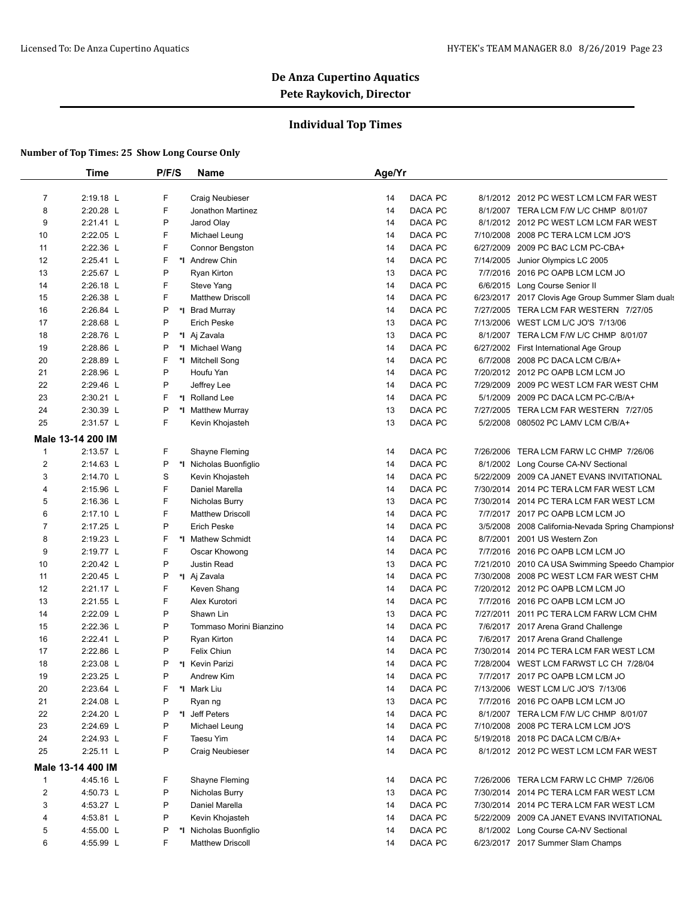### **Individual Top Times**

|                | Time              | P/F/S | Name                    | Age/Yr |         |           |                                                   |
|----------------|-------------------|-------|-------------------------|--------|---------|-----------|---------------------------------------------------|
|                |                   |       |                         |        |         |           |                                                   |
| $\overline{7}$ | 2:19.18 L         | F     | Craig Neubieser         | 14     | DACA PC |           | 8/1/2012 2012 PC WEST LCM LCM FAR WEST            |
| 8              | 2:20.28 L         | F     | Jonathon Martinez       | 14     | DACA PC |           | 8/1/2007 TERA LCM F/W L/C CHMP 8/01/07            |
| 9              | 2:21.41 L         | P     | Jarod Olay              | 14     | DACA PC |           | 8/1/2012 2012 PC WEST LCM LCM FAR WEST            |
| 10             | 2:22.05 L         | F     | Michael Leung           | 14     | DACA PC |           | 7/10/2008 2008 PC TERA LCM LCM JO'S               |
| 11             | 2:22.36 L         | F     | Connor Bengston         | 14     | DACA PC |           | 6/27/2009 2009 PC BAC LCM PC-CBA+                 |
| 12             | 2:25.41 L         | F     | *I Andrew Chin          | 14     | DACA PC | 7/14/2005 | Junior Olympics LC 2005                           |
| 13             | 2:25.67 L         | P     | Ryan Kirton             | 13     | DACA PC |           | 7/7/2016 2016 PC OAPB LCM LCM JO                  |
| 14             | 2:26.18 L         | F     | Steve Yang              | 14     | DACA PC |           | 6/6/2015 Long Course Senior II                    |
| 15             | 2:26.38 L         | F     | <b>Matthew Driscoll</b> | 14     | DACA PC |           | 6/23/2017 2017 Clovis Age Group Summer Slam duals |
| 16             | 2:26.84 L         | P     | *I Brad Murray          | 14     | DACA PC |           | 7/27/2005 TERA LCM FAR WESTERN 7/27/05            |
| 17             | 2:28.68 L         | P     | <b>Erich Peske</b>      | 13     | DACA PC |           | 7/13/2006 WEST LCM L/C JO'S 7/13/06               |
| 18             | 2:28.76 L         | P     | *I Aj Zavala            | 13     | DACA PC |           | 8/1/2007 TERA LCM F/W L/C CHMP 8/01/07            |
| 19             | 2:28.86 L         | P     | *I Michael Wang         | 14     | DACA PC |           | 6/27/2002 First International Age Group           |
| 20             | 2:28.89 L         | F     | *I Mitchell Song        | 14     | DACA PC |           | 6/7/2008 2008 PC DACA LCM C/B/A+                  |
| 21             | 2:28.96 L         | P     | Houfu Yan               | 14     | DACA PC |           | 7/20/2012 2012 PC OAPB LCM LCM JO                 |
| 22             | 2:29.46 L         | P     | Jeffrey Lee             | 14     | DACA PC |           | 7/29/2009 2009 PC WEST LCM FAR WEST CHM           |
| 23             | 2:30.21 L         | F     | *I Rolland Lee          | 14     | DACA PC |           | 5/1/2009 2009 PC DACA LCM PC-C/B/A+               |
| 24             | 2:30.39 L         | P     | *I Matthew Murray       | 13     | DACA PC |           | 7/27/2005 TERA LCM FAR WESTERN 7/27/05            |
| 25             | 2:31.57 L         | F     | Kevin Khojasteh         | 13     | DACA PC |           | 5/2/2008 080502 PC LAMV LCM C/B/A+                |
|                | Male 13-14 200 IM |       |                         |        |         |           |                                                   |
| $\mathbf{1}$   | 2:13.57 L         | F     | Shayne Fleming          | 14     | DACA PC | 7/26/2006 | TERA LCM FARW LC CHMP 7/26/06                     |
| 2              | 2:14.63 L         | P     | *I Nicholas Buonfiglio  | 14     | DACA PC |           | 8/1/2002 Long Course CA-NV Sectional              |
| 3              | 2:14.70 L         | S     | Kevin Khojasteh         | 14     | DACA PC |           | 5/22/2009 2009 CA JANET EVANS INVITATIONAL        |
| 4              | 2:15.96 L         | F     | Daniel Marella          | 14     | DACA PC |           | 7/30/2014 2014 PC TERA LCM FAR WEST LCM           |
| 5              | 2:16.36 L         | F     | Nicholas Burry          | 13     | DACA PC |           | 7/30/2014 2014 PC TERA LCM FAR WEST LCM           |
| 6              | 2:17.10 L         | F     | <b>Matthew Driscoll</b> | 14     | DACA PC |           | 7/7/2017 2017 PC OAPB LCM LCM JO                  |
| $\overline{7}$ | 2:17.25 L         | P     | <b>Erich Peske</b>      | 14     | DACA PC |           | 3/5/2008 2008 California-Nevada Spring Championsh |
| 8              | 2:19.23 L         | F     | *I Mathew Schmidt       | 14     | DACA PC | 8/7/2001  | 2001 US Western Zon                               |
| 9              | 2:19.77 L         | F     | Oscar Khowong           | 14     | DACA PC |           | 7/7/2016 2016 PC OAPB LCM LCM JO                  |
|                | 2:20.42 L         | P     | Justin Read             | 13     | DACA PC |           |                                                   |
| 10             |                   | P     |                         |        |         |           | 7/21/2010 2010 CA USA Swimming Speedo Champior    |
| 11             | 2:20.45 L         |       | *I Aj Zavala            | 14     | DACA PC |           | 7/30/2008 2008 PC WEST LCM FAR WEST CHM           |
| 12             | 2:21.17 L         | F     | Keven Shang             | 14     | DACA PC |           | 7/20/2012 2012 PC OAPB LCM LCM JO                 |
| 13             | 2:21.55 L         | F     | Alex Kurotori           | 14     | DACA PC |           | 7/7/2016 2016 PC OAPB LCM LCM JO                  |
| 14             | 2:22.09 L         | P     | Shawn Lin               | 13     | DACA PC |           | 7/27/2011 2011 PC TERA LCM FARW LCM CHM           |
| 15             | 2:22.36 L         | P     | Tommaso Morini Bianzino | 14     | DACA PC |           | 7/6/2017 2017 Arena Grand Challenge               |
| 16             | 2:22.41 L         | P     | Ryan Kirton             | 14     | DACA PC |           | 7/6/2017 2017 Arena Grand Challenge               |
| 17             | 2:22.86 L         | P     | Felix Chiun             | 14     | DACA PC |           | 7/30/2014 2014 PC TERA LCM FAR WEST LCM           |
| 18             | 2:23.08 L         | P     | *I Kevin Parizi         | 14     | DACA PC |           | 7/28/2004 WEST LCM FARWST LC CH 7/28/04           |
| 19             | 2:23.25 L         | P     | Andrew Kim              | 14     | DACA PC |           | 7/7/2017 2017 PC OAPB LCM LCM JO                  |
| 20             | 2:23.64 L         | F     | *I Mark Liu             | 14     | DACA PC |           | 7/13/2006 WEST LCM L/C JO'S 7/13/06               |
| 21             | 2:24.08 L         | P     | Ryan ng                 | 13     | DACA PC |           | 7/7/2016 2016 PC OAPB LCM LCM JO                  |
| 22             | 2:24.20 L         | P     | *I Jeff Peters          | 14     | DACA PC |           | 8/1/2007 TERA LCM F/W L/C CHMP 8/01/07            |
| 23             | 2:24.69 L         | P     | Michael Leung           | 14     | DACA PC |           | 7/10/2008 2008 PC TERA LCM LCM JO'S               |
| 24             | 2:24.93 L         | F     | Taesu Yim               | 14     | DACA PC |           | 5/19/2018 2018 PC DACA LCM C/B/A+                 |
| 25             | 2:25.11 L         | P     | Craig Neubieser         | 14     | DACA PC |           | 8/1/2012 2012 PC WEST LCM LCM FAR WEST            |
|                | Male 13-14 400 IM |       |                         |        |         |           |                                                   |
| $\mathbf{1}$   | 4:45.16 L         | F     | Shayne Fleming          | 14     | DACA PC |           | 7/26/2006 TERA LCM FARW LC CHMP 7/26/06           |
| 2              | 4:50.73 L         | P     | Nicholas Burry          | 13     | DACA PC |           | 7/30/2014 2014 PC TERA LCM FAR WEST LCM           |
| 3              | 4:53.27 L         | P     | Daniel Marella          | 14     | DACA PC |           | 7/30/2014 2014 PC TERA LCM FAR WEST LCM           |
| 4              | 4:53.81 L         | P     | Kevin Khojasteh         | 14     | DACA PC |           | 5/22/2009 2009 CA JANET EVANS INVITATIONAL        |
| 5              | 4:55.00 L         | P     | *I Nicholas Buonfiglio  | 14     | DACA PC |           | 8/1/2002 Long Course CA-NV Sectional              |
| 6              | 4:55.99 L         | F     | <b>Matthew Driscoll</b> | 14     | DACA PC |           | 6/23/2017 2017 Summer Slam Champs                 |
|                |                   |       |                         |        |         |           |                                                   |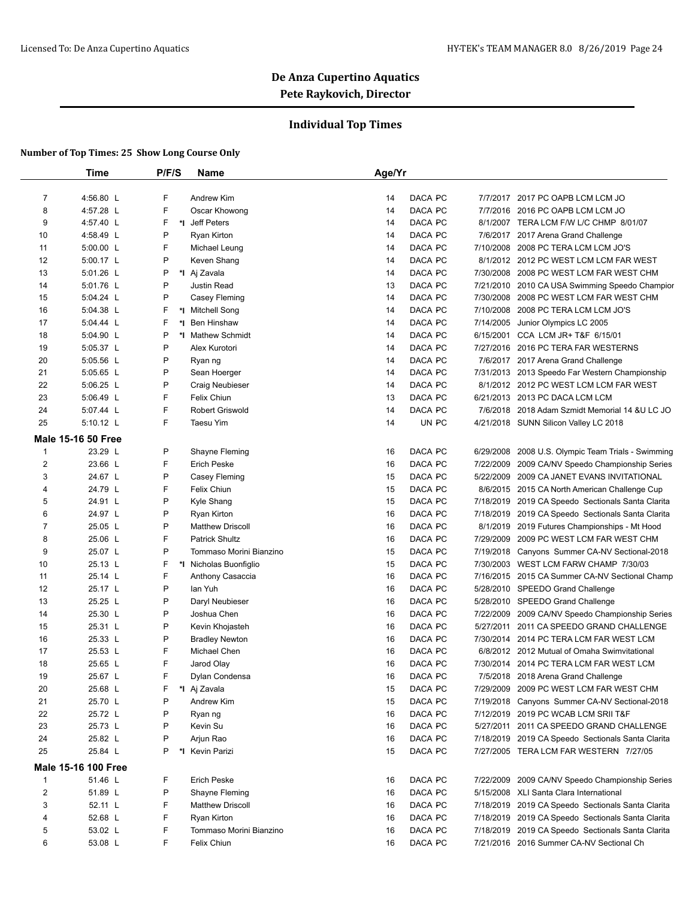### **Individual Top Times**

|                | Time                       | P/F/S  | Name                    | Age/Yr |         |           |                                                   |
|----------------|----------------------------|--------|-------------------------|--------|---------|-----------|---------------------------------------------------|
| $\overline{7}$ | 4:56.80 L                  | F      | Andrew Kim              | 14     | DACA PC |           | 7/7/2017 2017 PC OAPB LCM LCM JO                  |
| 8              | 4:57.28 L                  | F      | Oscar Khowong           | 14     | DACA PC |           | 7/7/2016 2016 PC OAPB LCM LCM JO                  |
|                |                            | F      |                         |        |         |           | 8/1/2007 TERA LCM F/W L/C CHMP 8/01/07            |
| 9              | 4:57.40 L                  |        | *I Jeff Peters          | 14     | DACA PC |           |                                                   |
| 10             | 4:58.49 L                  | P<br>F | <b>Ryan Kirton</b>      | 14     | DACA PC |           | 7/6/2017 2017 Arena Grand Challenge               |
| 11             | 5:00.00 L                  |        | Michael Leung           | 14     | DACA PC |           | 7/10/2008 2008 PC TERA LCM LCM JO'S               |
| 12             | 5:00.17 L                  | P      | Keven Shang             | 14     | DACA PC |           | 8/1/2012 2012 PC WEST LCM LCM FAR WEST            |
| 13             | 5:01.26 L                  | P      | *I Aj Zavala            | 14     | DACA PC |           | 7/30/2008 2008 PC WEST LCM FAR WEST CHM           |
| 14             | 5:01.76 L                  | P      | Justin Read             | 13     | DACA PC |           | 7/21/2010 2010 CA USA Swimming Speedo Champior    |
| 15             | 5:04.24 L                  | P      | Casey Fleming           | 14     | DACA PC |           | 7/30/2008 2008 PC WEST LCM FAR WEST CHM           |
| 16             | 5:04.38 L                  | F      | *1 Mitchell Song        | 14     | DACA PC |           | 7/10/2008 2008 PC TERA LCM LCM JO'S               |
| 17             | 5:04.44 L                  | F      | *1 Ben Hinshaw          | 14     | DACA PC | 7/14/2005 | Junior Olympics LC 2005                           |
| 18             | 5:04.90 L                  | P      | *I Mathew Schmidt       | 14     | DACA PC |           | 6/15/2001 CCA LCM JR+ T&F 6/15/01                 |
| 19             | 5:05.37 L                  | P      | Alex Kurotori           | 14     | DACA PC |           | 7/27/2016 2016 PC TERA FAR WESTERNS               |
| 20             | 5:05.56 L                  | P      | Ryan ng                 | 14     | DACA PC |           | 7/6/2017 2017 Arena Grand Challenge               |
| 21             | 5:05.65 L                  | P      | Sean Hoerger            | 14     | DACA PC |           | 7/31/2013 2013 Speedo Far Western Championship    |
| 22             | $5:06.25$ L                | P      | Craig Neubieser         | 14     | DACA PC |           | 8/1/2012 2012 PC WEST LCM LCM FAR WEST            |
| 23             | 5:06.49 L                  | F      | Felix Chiun             | 13     | DACA PC |           | 6/21/2013 2013 PC DACA LCM LCM                    |
| 24             | 5:07.44 L                  | F      | Robert Griswold         | 14     | DACA PC |           | 7/6/2018 2018 Adam Szmidt Memorial 14 & U LC JO   |
| 25             | 5:10.12 L                  | F      | Taesu Yim               | 14     | UN PC   |           | 4/21/2018 SUNN Silicon Valley LC 2018             |
|                | <b>Male 15-16 50 Free</b>  |        |                         |        |         |           |                                                   |
| $\mathbf{1}$   | 23.29 L                    | P      | Shayne Fleming          | 16     | DACA PC | 6/29/2008 | 2008 U.S. Olympic Team Trials - Swimming          |
| 2              | 23.66 L                    | F      | <b>Erich Peske</b>      | 16     | DACA PC |           | 7/22/2009 2009 CA/NV Speedo Championship Series   |
| 3              | 24.67 L                    | P      | Casey Fleming           | 15     | DACA PC |           | 5/22/2009 2009 CA JANET EVANS INVITATIONAL        |
| 4              | 24.79 L                    | F      | Felix Chiun             | 15     | DACA PC |           | 8/6/2015 2015 CA North American Challenge Cup     |
| 5              | 24.91 L                    | P      | Kyle Shang              | 15     | DACA PC |           | 7/18/2019 2019 CA Speedo Sectionals Santa Clarita |
| 6              | 24.97 L                    | P      | Ryan Kirton             | 16     | DACA PC |           | 7/18/2019 2019 CA Speedo Sectionals Santa Clarita |
| $\overline{7}$ | 25.05 L                    | P      | <b>Matthew Driscoll</b> | 16     | DACA PC |           | 8/1/2019 2019 Futures Championships - Mt Hood     |
| 8              | 25.06 L                    | F      | <b>Patrick Shultz</b>   | 16     | DACA PC | 7/29/2009 | 2009 PC WEST LCM FAR WEST CHM                     |
| 9              | 25.07 L                    | P      | Tommaso Morini Bianzino | 15     | DACA PC |           | 7/19/2018 Canyons Summer CA-NV Sectional-2018     |
| 10             | 25.13 L                    | F      | *I Nicholas Buonfiglio  | 15     | DACA PC |           | 7/30/2003 WEST LCM FARW CHAMP 7/30/03             |
| 11             | 25.14 L                    | F      | Anthony Casaccia        | 16     | DACA PC |           | 7/16/2015 2015 CA Summer CA-NV Sectional Champ    |
| 12             | 25.17 L                    | P      | lan Yuh                 | 16     | DACA PC |           | 5/28/2010 SPEEDO Grand Challenge                  |
| 13             | 25.25 L                    | P      | Daryl Neubieser         | 16     | DACA PC |           | 5/28/2010 SPEEDO Grand Challenge                  |
| 14             | 25.30 L                    | P      | Joshua Chen             | 16     | DACA PC |           | 7/22/2009 2009 CA/NV Speedo Championship Series   |
| 15             | 25.31 L                    | P      | Kevin Khojasteh         | 16     | DACA PC |           | 5/27/2011 2011 CA SPEEDO GRAND CHALLENGE          |
| 16             | 25.33 L                    | P      | <b>Bradley Newton</b>   | 16     | DACA PC |           | 7/30/2014 2014 PC TERA LCM FAR WEST LCM           |
| 17             | 25.53 L                    | F      | Michael Chen            | 16     | DACA PC |           | 6/8/2012 2012 Mutual of Omaha Swimvitational      |
| 18             | 25.65 L                    | F      | Jarod Olay              | 16     | DACA PC |           | 7/30/2014 2014 PC TERA LCM FAR WEST LCM           |
| 19             | 25.67 L                    |        | Dylan Condensa          | 16     | DACA PC |           | 7/5/2018 2018 Arena Grand Challenge               |
| 20             | 25.68 L                    | F      | *I Aj Zavala            | 15     | DACA PC |           | 7/29/2009 2009 PC WEST LCM FAR WEST CHM           |
| 21             | 25.70 L                    | P      | Andrew Kim              | 15     | DACA PC |           | 7/19/2018 Canyons Summer CA-NV Sectional-2018     |
| 22             | 25.72 L                    | P      | Ryan ng                 | 16     | DACA PC |           | 7/12/2019 2019 PC WCAB LCM SRII T&F               |
| 23             | 25.73 L                    | P      | Kevin Su                | 16     | DACA PC |           | 5/27/2011 2011 CA SPEEDO GRAND CHALLENGE          |
| 24             | 25.82 L                    | P      | Arjun Rao               | 16     | DACA PC |           | 7/18/2019 2019 CA Speedo Sectionals Santa Clarita |
| 25             | 25.84 L                    | P      | *I Kevin Parizi         | 15     | DACA PC |           | 7/27/2005 TERA LCM FAR WESTERN 7/27/05            |
|                | <b>Male 15-16 100 Free</b> |        |                         |        |         |           |                                                   |
| $\mathbf{1}$   | 51.46 L                    | F      | <b>Erich Peske</b>      | 16     | DACA PC |           | 7/22/2009 2009 CA/NV Speedo Championship Series   |
| 2              | 51.89 L                    | P      | Shayne Fleming          | 16     | DACA PC |           | 5/15/2008 XLI Santa Clara International           |
| 3              | 52.11 L                    | F      | <b>Matthew Driscoll</b> | 16     | DACA PC |           | 7/18/2019 2019 CA Speedo Sectionals Santa Clarita |
| 4              | 52.68 L                    | F      | <b>Ryan Kirton</b>      | 16     | DACA PC |           | 7/18/2019 2019 CA Speedo Sectionals Santa Clarita |
| 5              | 53.02 L                    | F      | Tommaso Morini Bianzino | 16     | DACA PC |           | 7/18/2019 2019 CA Speedo Sectionals Santa Clarita |
| 6              | 53.08 L                    | F      | Felix Chiun             | 16     | DACA PC |           | 7/21/2016 2016 Summer CA-NV Sectional Ch          |
|                |                            |        |                         |        |         |           |                                                   |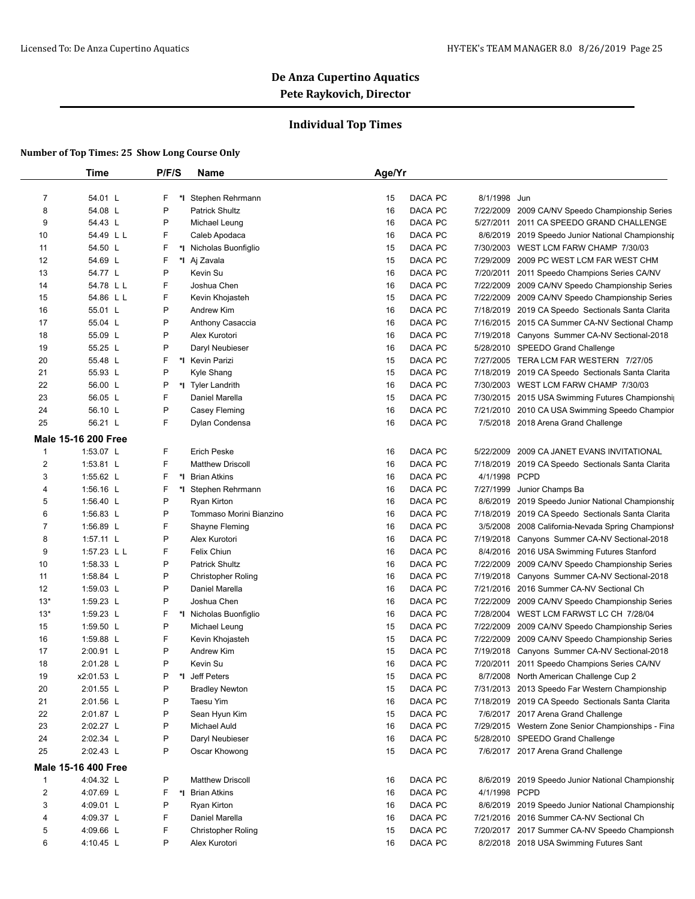### **Individual Top Times**

|              | Time                       | P/F/S   | Name                      | Age/Yr |         |               |                                                    |
|--------------|----------------------------|---------|---------------------------|--------|---------|---------------|----------------------------------------------------|
| 7            | 54.01 L                    | F<br>*I | Stephen Rehrmann          | 15     | DACA PC | 8/1/1998 Jun  |                                                    |
| 8            | 54.08 L                    | P       | <b>Patrick Shultz</b>     | 16     | DACA PC | 7/22/2009     | 2009 CA/NV Speedo Championship Series              |
| 9            | 54.43 L                    | P       | Michael Leung             | 16     | DACA PC |               | 5/27/2011 2011 CA SPEEDO GRAND CHALLENGE           |
| 10           | 54.49 L L                  | F       | Caleb Apodaca             | 16     | DACA PC |               | 8/6/2019 2019 Speedo Junior National Championship  |
| 11           | 54.50 L                    | F       | *I Nicholas Buonfiglio    | 15     | DACA PC |               | 7/30/2003 WEST LCM FARW CHAMP 7/30/03              |
| 12           | 54.69 L                    | F       | *I Aj Zavala              | 15     | DACA PC |               | 7/29/2009 2009 PC WEST LCM FAR WEST CHM            |
| 13           | 54.77 L                    | P       | Kevin Su                  | 16     | DACA PC | 7/20/2011     | 2011 Speedo Champions Series CA/NV                 |
| 14           | 54.78 L L                  | F       | Joshua Chen               | 16     | DACA PC |               | 7/22/2009 2009 CA/NV Speedo Championship Series    |
| 15           | 54.86 L L                  | F       | Kevin Khojasteh           | 15     | DACA PC |               | 7/22/2009 2009 CA/NV Speedo Championship Series    |
| 16           | 55.01 L                    | P       | Andrew Kim                | 16     | DACA PC |               | 7/18/2019 2019 CA Speedo Sectionals Santa Clarita  |
| 17           | 55.04 L                    | P       | Anthony Casaccia          | 16     | DACA PC |               | 7/16/2015 2015 CA Summer CA-NV Sectional Champ     |
| 18           | 55.09 L                    | P       | Alex Kurotori             | 16     | DACA PC |               | 7/19/2018 Canyons Summer CA-NV Sectional-2018      |
|              |                            | P       |                           |        | DACA PC |               |                                                    |
| 19           | 55.25 L                    |         | Daryl Neubieser           | 16     |         |               | 5/28/2010 SPEEDO Grand Challenge                   |
| 20           | 55.48 L                    | F       | *I Kevin Parizi           | 15     | DACA PC |               | 7/27/2005 TERA LCM FAR WESTERN 7/27/05             |
| 21           | 55.93 L                    | P       | Kyle Shang                | 15     | DACA PC |               | 7/18/2019 2019 CA Speedo Sectionals Santa Clarita  |
| 22           | 56.00 L                    | P       | *I Tyler Landrith         | 16     | DACA PC |               | 7/30/2003 WEST LCM FARW CHAMP 7/30/03              |
| 23           | 56.05 L                    | F       | Daniel Marella            | 15     | DACA PC |               | 7/30/2015 2015 USA Swimming Futures Championshi    |
| 24           | 56.10 L                    | P       | Casey Fleming             | 16     | DACA PC |               | 7/21/2010 2010 CA USA Swimming Speedo Champior     |
| 25           | 56.21 L                    | F       | Dylan Condensa            | 16     | DACA PC |               | 7/5/2018 2018 Arena Grand Challenge                |
|              | <b>Male 15-16 200 Free</b> |         |                           |        |         |               |                                                    |
| $\mathbf{1}$ | 1:53.07 L                  | F       | <b>Erich Peske</b>        | 16     | DACA PC | 5/22/2009     | 2009 CA JANET EVANS INVITATIONAL                   |
| 2            | 1:53.81 L                  | F       | <b>Matthew Driscoll</b>   | 16     | DACA PC |               | 7/18/2019 2019 CA Speedo Sectionals Santa Clarita  |
| 3            | 1:55.62 L                  | F<br>*l | <b>Brian Atkins</b>       | 16     | DACA PC | 4/1/1998 PCPD |                                                    |
| 4            | 1:56.16 $L$                | F       | *I Stephen Rehrmann       | 16     | DACA PC | 7/27/1999     | Junior Champs Ba                                   |
| 5            | 1:56.40 L                  | P       | Ryan Kirton               | 16     | DACA PC |               | 8/6/2019 2019 Speedo Junior National Championship  |
| 6            | 1:56.83 L                  | P       | Tommaso Morini Bianzino   | 16     | DACA PC |               | 7/18/2019 2019 CA Speedo Sectionals Santa Clarita  |
| 7            | 1:56.89 L                  | F       | Shayne Fleming            | 16     | DACA PC | 3/5/2008      | 2008 California-Nevada Spring Championsh           |
| 8            | $1:57.11$ L                | P       | Alex Kurotori             | 16     | DACA PC | 7/19/2018     | Canyons Summer CA-NV Sectional-2018                |
| 9            | 1:57.23 L L                | F       | Felix Chiun               | 16     | DACA PC |               | 8/4/2016 2016 USA Swimming Futures Stanford        |
| 10           | 1:58.33 L                  | P       | <b>Patrick Shultz</b>     | 16     | DACA PC | 7/22/2009     | 2009 CA/NV Speedo Championship Series              |
| 11           | 1:58.84 L                  | P       | <b>Christopher Roling</b> | 16     | DACA PC |               | 7/19/2018 Canyons Summer CA-NV Sectional-2018      |
| 12           | 1:59.03 $L$                | P       | Daniel Marella            | 16     | DACA PC |               | 7/21/2016 2016 Summer CA-NV Sectional Ch           |
| $13*$        | 1:59.23 $L$                | P       | Joshua Chen               | 16     | DACA PC |               | 7/22/2009 2009 CA/NV Speedo Championship Series    |
| $13*$        | 1:59.23 L                  | F       | *I Nicholas Buonfiglio    | 16     | DACA PC | 7/28/2004     | WEST LCM FARWST LC CH 7/28/04                      |
| 15           | 1:59.50 L                  | P       | Michael Leung             | 15     | DACA PC | 7/22/2009     | 2009 CA/NV Speedo Championship Series              |
| 16           | 1:59.88 L                  | F       | Kevin Khojasteh           | 15     | DACA PC |               | 7/22/2009 2009 CA/NV Speedo Championship Series    |
| 17           | 2:00.91 L                  | P       | Andrew Kim                | 15     | DACA PC |               | 7/19/2018 Canyons Summer CA-NV Sectional-2018      |
| 18           | 2:01.28 L                  | P       | Kevin Su                  | 16     | DACA PC |               | 7/20/2011 2011 Speedo Champions Series CA/NV       |
| 19           | x2:01.53 L                 |         | Jeff Peters               | 15     | DACA PC |               | 8/7/2008 North American Challenge Cup 2            |
| 20           | 2:01.55 L                  | P       | <b>Bradley Newton</b>     | 15     | DACA PC |               | 7/31/2013 2013 Speedo Far Western Championship     |
| 21           | 2:01.56 L                  | P       | Taesu Yim                 | 16     | DACA PC |               | 7/18/2019 2019 CA Speedo Sectionals Santa Clarita  |
| 22           | 2:01.87 L                  | P       | Sean Hyun Kim             | 15     | DACA PC |               | 7/6/2017 2017 Arena Grand Challenge                |
| 23           | 2:02.27 L                  | P       | Michael Auld              | 16     | DACA PC |               | 7/29/2015 Western Zone Senior Championships - Fina |
| 24           | 2:02.34 L                  | P       | Daryl Neubieser           | 16     | DACA PC |               | 5/28/2010 SPEEDO Grand Challenge                   |
| 25           | 2:02.43 L                  | P       | Oscar Khowong             | 15     | DACA PC |               | 7/6/2017 2017 Arena Grand Challenge                |
|              | <b>Male 15-16 400 Free</b> |         |                           |        |         |               |                                                    |
| $\mathbf{1}$ | 4:04.32 L                  | P       | <b>Matthew Driscoll</b>   | 16     | DACA PC |               | 8/6/2019 2019 Speedo Junior National Championship  |
| 2            | 4:07.69 L                  | F       | *I Brian Atkins           | 16     | DACA PC | 4/1/1998 PCPD |                                                    |
|              |                            | P       | Ryan Kirton               | 16     | DACA PC |               | 8/6/2019 2019 Speedo Junior National Championship  |
| 3            | 4:09.01 L                  |         |                           |        |         |               |                                                    |
| 4            | 4:09.37 L                  | F       | Daniel Marella            | 16     | DACA PC |               | 7/21/2016 2016 Summer CA-NV Sectional Ch           |
| 5            | 4:09.66 L                  | F       | <b>Christopher Roling</b> | 15     | DACA PC |               | 7/20/2017 2017 Summer CA-NV Speedo Championsh      |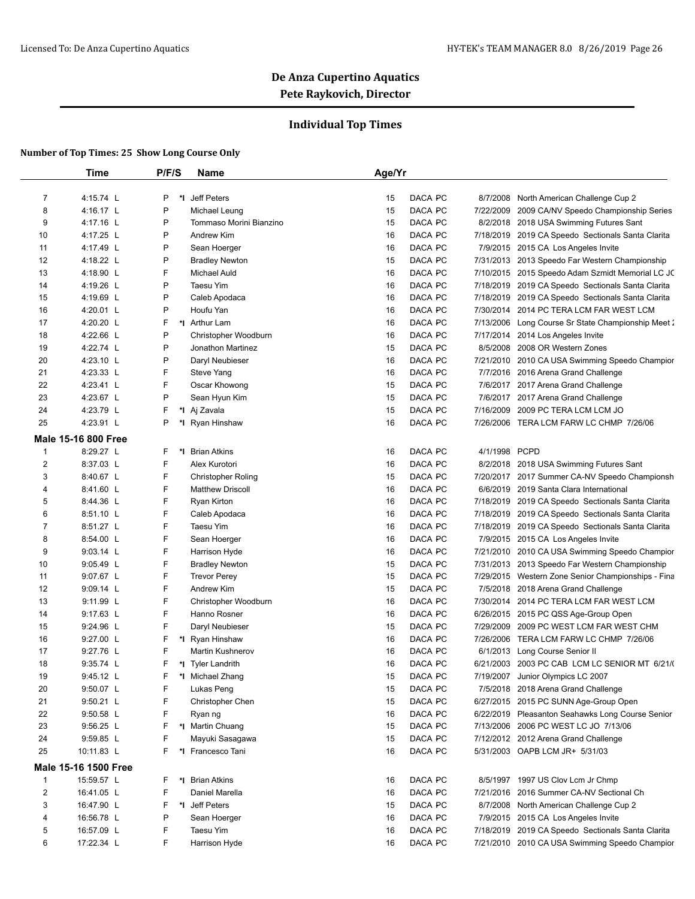### **Individual Top Times**

|                | Time                       | P/F/S   | <b>Name</b>               | Age/Yr |         |               |                                                    |
|----------------|----------------------------|---------|---------------------------|--------|---------|---------------|----------------------------------------------------|
| 7              | 4:15.74 L                  | P<br>*I | Jeff Peters               | 15     | DACA PC | 8/7/2008      | North American Challenge Cup 2                     |
| 8              | 4:16.17 L                  | P       | Michael Leung             | 15     | DACA PC |               | 7/22/2009 2009 CA/NV Speedo Championship Series    |
| 9              | 4:17.16 L                  | P       | Tommaso Morini Bianzino   | 15     | DACA PC |               | 8/2/2018 2018 USA Swimming Futures Sant            |
| 10             | 4:17.25 L                  | P       | Andrew Kim                | 16     | DACA PC |               | 7/18/2019 2019 CA Speedo Sectionals Santa Clarita  |
| 11             | 4:17.49 L                  | P       | Sean Hoerger              | 16     | DACA PC |               | 7/9/2015 2015 CA Los Angeles Invite                |
| 12             | 4:18.22 L                  | P       | <b>Bradley Newton</b>     | 15     | DACA PC |               | 7/31/2013 2013 Speedo Far Western Championship     |
| 13             | 4:18.90 L                  | F       | <b>Michael Auld</b>       | 16     | DACA PC |               | 7/10/2015 2015 Speedo Adam Szmidt Memorial LC JC   |
| 14             | 4:19.26 L                  | P       | Taesu Yim                 | 16     | DACA PC |               | 7/18/2019 2019 CA Speedo Sectionals Santa Clarita  |
| 15             | 4:19.69 L                  | P       | Caleb Apodaca             | 16     | DACA PC |               | 7/18/2019 2019 CA Speedo Sectionals Santa Clarita  |
| 16             | 4:20.01 L                  | P       | Houfu Yan                 | 16     | DACA PC | 7/30/2014     | 2014 PC TERA LCM FAR WEST LCM                      |
| 17             | 4:20.20 L                  | F       | *I Arthur Lam             | 16     | DACA PC |               | 7/13/2006 Long Course Sr State Championship Meet 2 |
| 18             | 4:22.66 L                  | P       |                           | 16     | DACA PC | 7/17/2014     |                                                    |
|                |                            | P       | Christopher Woodburn      |        |         |               | 2014 Los Angeles Invite                            |
| 19             | 4:22.74 L                  |         | Jonathon Martinez         | 15     | DACA PC |               | 8/5/2008 2008 OR Western Zones                     |
| 20             | 4:23.10 L                  | P       | Daryl Neubieser           | 16     | DACA PC |               | 7/21/2010 2010 CA USA Swimming Speedo Champior     |
| 21             | 4:23.33 L                  | F       | Steve Yang                | 16     | DACA PC |               | 7/7/2016 2016 Arena Grand Challenge                |
| 22             | 4:23.41 L                  | F       | Oscar Khowong             | 15     | DACA PC |               | 7/6/2017 2017 Arena Grand Challenge                |
| 23             | 4:23.67 L                  | P       | Sean Hyun Kim             | 15     | DACA PC |               | 7/6/2017 2017 Arena Grand Challenge                |
| 24             | 4:23.79 L                  | F       | *I Aj Zavala              | 15     | DACA PC |               | 7/16/2009 2009 PC TERA LCM LCM JO                  |
| 25             | 4:23.91 L                  | P       | *I Ryan Hinshaw           | 16     | DACA PC |               | 7/26/2006 TERA LCM FARW LC CHMP 7/26/06            |
|                | <b>Male 15-16 800 Free</b> |         |                           |        |         |               |                                                    |
| $\mathbf{1}$   | 8:29.27 L                  | F       | *1 Brian Atkins           | 16     | DACA PC | 4/1/1998 PCPD |                                                    |
| 2              | 8:37.03 L                  | F       | Alex Kurotori             | 16     | DACA PC |               | 8/2/2018 2018 USA Swimming Futures Sant            |
| 3              | 8:40.67 L                  | F       | <b>Christopher Roling</b> | 15     | DACA PC |               | 7/20/2017 2017 Summer CA-NV Speedo Championsh      |
| 4              | 8:41.60 L                  | F       | <b>Matthew Driscoll</b>   | 16     | DACA PC |               | 6/6/2019 2019 Santa Clara International            |
| 5              | 8:44.36 L                  | F       | Ryan Kirton               | 16     | DACA PC |               | 7/18/2019 2019 CA Speedo Sectionals Santa Clarita  |
| 6              | 8:51.10 L                  | F       | Caleb Apodaca             | 16     | DACA PC |               | 7/18/2019 2019 CA Speedo Sectionals Santa Clarita  |
| $\overline{7}$ | 8:51.27 L                  | F       | Taesu Yim                 | 16     | DACA PC |               | 7/18/2019 2019 CA Speedo Sectionals Santa Clarita  |
| 8              | 8:54.00 L                  | F       | Sean Hoerger              | 16     | DACA PC |               | 7/9/2015 2015 CA Los Angeles Invite                |
| 9              | $9:03.14$ L                | F       | Harrison Hyde             | 16     | DACA PC |               | 7/21/2010 2010 CA USA Swimming Speedo Champior     |
| 10             | $9:05.49$ L                | F       | <b>Bradley Newton</b>     | 15     | DACA PC |               | 7/31/2013 2013 Speedo Far Western Championship     |
| 11             | 9:07.67 L                  | F       | <b>Trevor Perey</b>       | 15     | DACA PC |               | 7/29/2015 Western Zone Senior Championships - Fina |
| 12             | 9:09.14 L                  | F       | Andrew Kim                | 15     | DACA PC |               | 7/5/2018 2018 Arena Grand Challenge                |
| 13             | 9:11.99 L                  | F       | Christopher Woodburn      | 16     | DACA PC |               | 7/30/2014 2014 PC TERA LCM FAR WEST LCM            |
| 14             | 9:17.63 L                  | F       | Hanno Rosner              | 16     | DACA PC |               | 6/26/2015 2015 PC QSS Age-Group Open               |
| 15             | 9:24.96 L                  | F       | Daryl Neubieser           | 15     | DACA PC |               | 7/29/2009 2009 PC WEST LCM FAR WEST CHM            |
| 16             | 9:27.00 L                  | F       | *I Ryan Hinshaw           | 16     | DACA PC |               | 7/26/2006 TERA LCM FARW LC CHMP 7/26/06            |
| 17             | 9:27.76 L                  | F       | Martin Kushnerov          | 16     | DACA PC |               | 6/1/2013 Long Course Senior II                     |
| 18             | 9:35.74 L                  | F       | *I Tyler Landrith         | 16     | DACA PC |               | 6/21/2003 2003 PC CAB LCM LC SENIOR MT 6/21/(      |
| 19             | 9:45.12 L                  | F       | *I Michael Zhang          | 15     | DACA PC |               | 7/19/2007 Junior Olympics LC 2007                  |
| 20             | 9:50.07 L                  | F       | Lukas Peng                | 15     | DACA PC |               | 7/5/2018 2018 Arena Grand Challenge                |
| 21             | 9:50.21 L                  | F       | Christopher Chen          | 15     | DACA PC |               | 6/27/2015 2015 PC SUNN Age-Group Open              |
| 22             | 9:50.58 L                  | F       | Ryan ng                   | 16     | DACA PC |               | 6/22/2019 Pleasanton Seahawks Long Course Senior   |
| 23             | $9:56.25$ L                | F       | *I Martin Chuang          | 15     | DACA PC |               | 7/13/2006 2006 PC WEST LC JO 7/13/06               |
| 24             | 9:59.85 L                  | F       | Mayuki Sasagawa           | 15     | DACA PC |               | 7/12/2012 2012 Arena Grand Challenge               |
| 25             | 10:11.83 L                 | F       | *I Francesco Tani         | 16     | DACA PC |               | 5/31/2003 OAPB LCM JR+ 5/31/03                     |
|                | Male 15-16 1500 Free       |         |                           |        |         |               |                                                    |
| $\mathbf{1}$   | 15:59.57 L                 | F       | *I Brian Atkins           | 16     | DACA PC |               | 8/5/1997 1997 US Clov Lcm Jr Chmp                  |
| 2              | 16:41.05 L                 | F       | Daniel Marella            | 16     | DACA PC |               | 7/21/2016 2016 Summer CA-NV Sectional Ch           |
| 3              | 16:47.90 L                 | F       | *I Jeff Peters            | 15     | DACA PC |               | 8/7/2008 North American Challenge Cup 2            |
| 4              | 16:56.78 L                 | P       | Sean Hoerger              | 16     | DACA PC |               | 7/9/2015 2015 CA Los Angeles Invite                |
| 5              | 16:57.09 L                 | F       | Taesu Yim                 | 16     | DACA PC |               | 7/18/2019 2019 CA Speedo Sectionals Santa Clarita  |
| 6              | 17:22.34 L                 | F       | Harrison Hyde             | 16     | DACA PC |               | 7/21/2010 2010 CA USA Swimming Speedo Champior     |
|                |                            |         |                           |        |         |               |                                                    |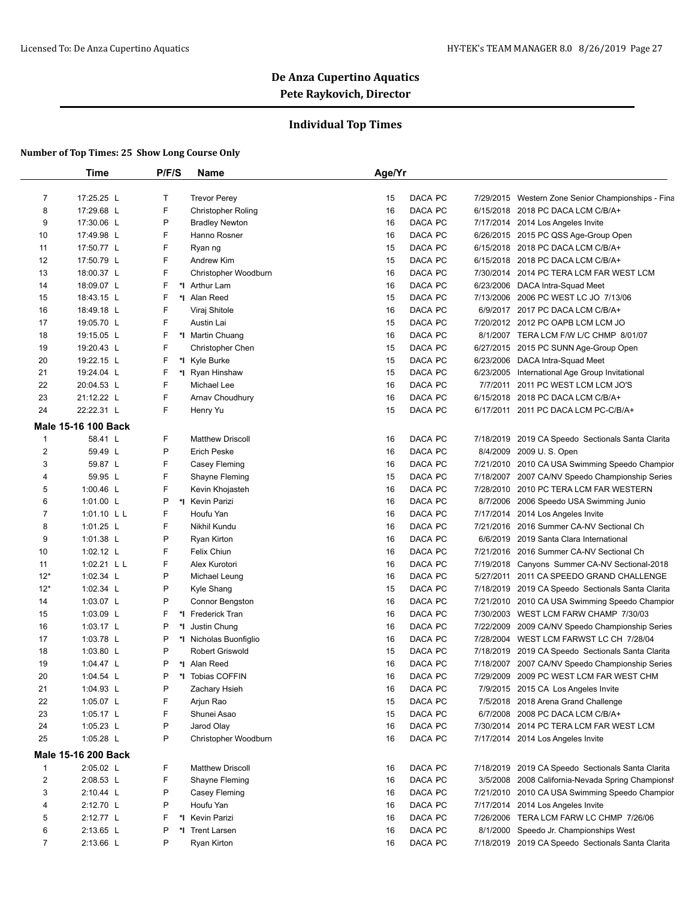### **Individual Top Times**

|                  | <b>Time</b>                | P/F/S  | Name                      | Age/Yr |         |           |                                                    |
|------------------|----------------------------|--------|---------------------------|--------|---------|-----------|----------------------------------------------------|
| 7                | 17:25.25 L                 | Т      | <b>Trevor Perey</b>       | 15     | DACA PC |           | 7/29/2015 Western Zone Senior Championships - Fina |
| 8                | 17:29.68 L                 | F      | <b>Christopher Roling</b> | 16     | DACA PC |           | 6/15/2018 2018 PC DACA LCM C/B/A+                  |
| 9                | 17:30.06 L                 | P      | <b>Bradley Newton</b>     | 16     | DACA PC |           | 7/17/2014 2014 Los Angeles Invite                  |
| 10               | 17:49.98 L                 | F      | Hanno Rosner              | 16     | DACA PC |           | 6/26/2015 2015 PC QSS Age-Group Open               |
| 11               | 17:50.77 L                 | F      | Ryan ng                   | 15     | DACA PC |           | 6/15/2018 2018 PC DACA LCM C/B/A+                  |
| 12               | 17:50.79 L                 | F      | Andrew Kim                | 15     | DACA PC |           | 6/15/2018 2018 PC DACA LCM C/B/A+                  |
| 13               | 18:00.37 L                 | F      | Christopher Woodburn      | 16     | DACA PC |           | 7/30/2014 2014 PC TERA LCM FAR WEST LCM            |
| 14               | 18:09.07 L                 | F      | *I Arthur Lam             | 16     | DACA PC |           | 6/23/2006 DACA Intra-Squad Meet                    |
| 15               | 18:43.15 L                 | F      | *I Alan Reed              | 15     | DACA PC |           | 7/13/2006 2006 PC WEST LC JO 7/13/06               |
| 16               | 18:49.18 L                 | F      | Viraj Shitole             | 16     | DACA PC |           | 6/9/2017 2017 PC DACA LCM C/B/A+                   |
| 17               | 19:05.70 L                 | F      | Austin Lai                | 15     | DACA PC |           | 7/20/2012 2012 PC OAPB LCM LCM JO                  |
| 18               | 19:15.05 L                 | F      | *I Martin Chuang          | 16     | DACA PC |           | 8/1/2007 TERA LCM F/W L/C CHMP 8/01/07             |
| 19               | 19:20.43 L                 | F      | <b>Christopher Chen</b>   | 15     | DACA PC |           | 6/27/2015 2015 PC SUNN Age-Group Open              |
| 20               | 19:22.15 L                 | F      |                           | 15     | DACA PC |           | 6/23/2006 DACA Intra-Squad Meet                    |
|                  |                            |        | *I Kyle Burke             |        |         |           |                                                    |
| 21               | 19:24.04 L                 | F<br>F | *I Ryan Hinshaw           | 15     | DACA PC |           | 6/23/2005 International Age Group Invitational     |
| 22<br>23         | 20:04.53 L                 | F      | Michael Lee               | 16     | DACA PC |           | 7/7/2011 2011 PC WEST LCM LCM JO'S                 |
|                  | 21:12.22 L                 |        | Arnav Choudhury           | 16     | DACA PC |           | 6/15/2018 2018 PC DACA LCM C/B/A+                  |
| 24               | 22:22.31 L                 | F      | Henry Yu                  | 15     | DACA PC |           | 6/17/2011 2011 PC DACA LCM PC-C/B/A+               |
|                  | <b>Male 15-16 100 Back</b> |        |                           |        |         |           |                                                    |
| 1                | 58.41 L                    | F      | <b>Matthew Driscoll</b>   | 16     | DACA PC |           | 7/18/2019 2019 CA Speedo Sectionals Santa Clarita  |
| $\boldsymbol{2}$ | 59.49 L                    | P      | <b>Erich Peske</b>        | 16     | DACA PC |           | 8/4/2009 2009 U.S. Open                            |
| 3                | 59.87 L                    | F      | Casey Fleming             | 16     | DACA PC |           | 7/21/2010 2010 CA USA Swimming Speedo Champior     |
| 4                | 59.95 L                    | F      | Shayne Fleming            | 15     | DACA PC |           | 7/18/2007 2007 CA/NV Speedo Championship Series    |
| 5                | 1:00.46 L                  | F      | Kevin Khojasteh           | 16     | DACA PC |           | 7/28/2010 2010 PC TERA LCM FAR WESTERN             |
| 6                | 1:01.00 L                  | P      | *I Kevin Parizi           | 16     | DACA PC |           | 8/7/2006 2006 Speedo USA Swimming Junio            |
| 7                | 1:01.10 L L                | F      | Houfu Yan                 | 16     | DACA PC |           | 7/17/2014 2014 Los Angeles Invite                  |
| 8                | 1:01.25 L                  | F      | Nikhil Kundu              | 16     | DACA PC | 7/21/2016 | 2016 Summer CA-NV Sectional Ch                     |
| 9                | 1:01.38 L                  | P      | Ryan Kirton               | 16     | DACA PC |           | 6/6/2019 2019 Santa Clara International            |
| 10               | 1:02.12 L                  | F      | Felix Chiun               | 16     | DACA PC |           | 7/21/2016 2016 Summer CA-NV Sectional Ch           |
| 11               | 1:02.21 L L                | F      | Alex Kurotori             | 16     | DACA PC |           | 7/19/2018 Canyons Summer CA-NV Sectional-2018      |
| $12*$            | 1:02.34 L                  | P      | Michael Leung             | 16     | DACA PC |           | 5/27/2011 2011 CA SPEEDO GRAND CHALLENGE           |
| $12*$            | 1:02.34 L                  | P      | Kyle Shang                | 15     | DACA PC |           | 7/18/2019 2019 CA Speedo Sectionals Santa Clarita  |
| 14               | 1:03.07 L                  | P      | Connor Bengston           | 16     | DACA PC |           | 7/21/2010 2010 CA USA Swimming Speedo Champior     |
| 15               | 1:03.09 $L$                | F      | *I Frederick Tran         | 16     | DACA PC |           | 7/30/2003 WEST LCM FARW CHAMP 7/30/03              |
| 16               | 1:03.17 L                  | P      | *I Justin Chung           | 16     | DACA PC |           | 7/22/2009 2009 CA/NV Speedo Championship Series    |
| 17               | 1:03.78 L                  | P      | *I Nicholas Buonfiglio    | 16     | DACA PC |           | 7/28/2004 WEST LCM FARWST LC CH 7/28/04            |
| 18               | 1:03.80 $L$                | P      | Robert Griswold           | 15     | DACA PC |           | 7/18/2019 2019 CA Speedo Sectionals Santa Clarita  |
| 19               | 1:04.47 L                  | P      | *I Alan Reed              | 16     | DACA PC |           | 7/18/2007 2007 CA/NV Speedo Championship Series    |
| 20               | 1:04.54 L                  | P      | *I Tobias COFFIN          | 16     | DACA PC |           | 7/29/2009 2009 PC WEST LCM FAR WEST CHM            |
| 21               | 1:04.93 $L$                | P      | Zachary Hsieh             | 16     | DACA PC |           | 7/9/2015 2015 CA Los Angeles Invite                |
| 22               | 1:05.07 L                  | F      | Arjun Rao                 | 15     | DACA PC |           | 7/5/2018 2018 Arena Grand Challenge                |
| 23               | 1:05.17 L                  | F      | Shunei Asao               | 15     | DACA PC |           | 6/7/2008 2008 PC DACA LCM C/B/A+                   |
| 24               | 1:05.23 $L$                | P      | Jarod Olay                | 16     | DACA PC |           | 7/30/2014 2014 PC TERA LCM FAR WEST LCM            |
| 25               | 1:05.28 L                  | P      | Christopher Woodburn      | 16     | DACA PC |           | 7/17/2014 2014 Los Angeles Invite                  |
|                  |                            |        |                           |        |         |           |                                                    |
|                  | Male 15-16 200 Back        |        |                           |        |         |           |                                                    |
| $\mathbf{1}$     | 2:05.02 L                  | F      | <b>Matthew Driscoll</b>   | 16     | DACA PC |           | 7/18/2019 2019 CA Speedo Sectionals Santa Clarita  |
| $\overline{2}$   | 2:08.53 L                  | F      | Shayne Fleming            | 16     | DACA PC |           | 3/5/2008 2008 California-Nevada Spring Championsh  |
| 3                | 2:10.44 L                  | P      | Casey Fleming             | 16     | DACA PC |           | 7/21/2010 2010 CA USA Swimming Speedo Champior     |
| 4                | 2:12.70 L                  | P      | Houfu Yan                 | 16     | DACA PC |           | 7/17/2014 2014 Los Angeles Invite                  |
| 5                | 2:12.77 L                  | F      | *1 Kevin Parizi           | 16     | DACA PC |           | 7/26/2006 TERA LCM FARW LC CHMP 7/26/06            |
| 6                | 2:13.65 L                  | P      | *I Trent Larsen           | 16     | DACA PC |           | 8/1/2000 Speedo Jr. Championships West             |
| 7                | 2:13.66 L                  | P      | Ryan Kirton               | 16     | DACA PC |           | 7/18/2019 2019 CA Speedo Sectionals Santa Clarita  |
|                  |                            |        |                           |        |         |           |                                                    |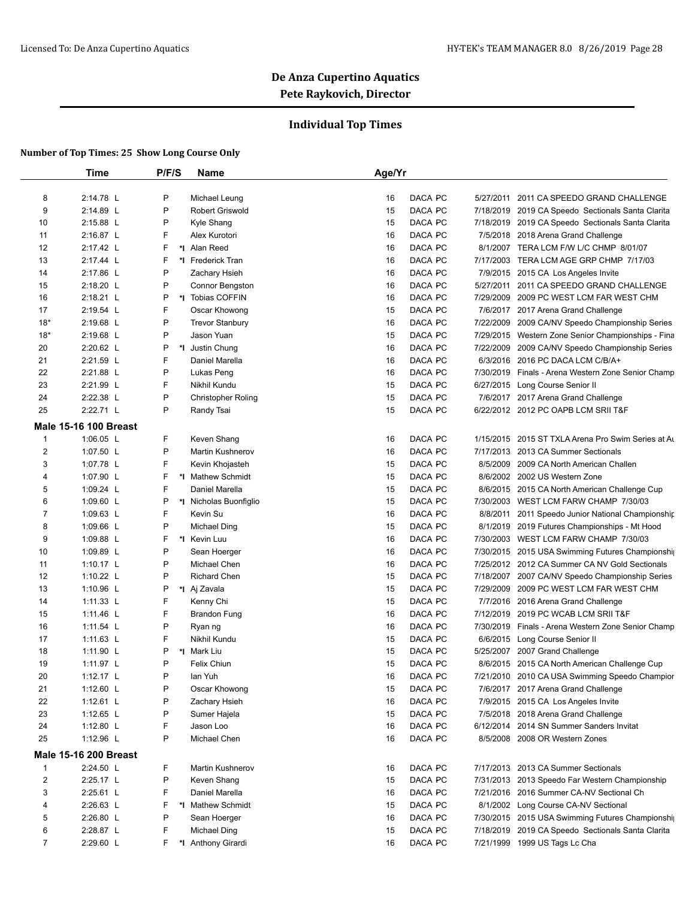### **Individual Top Times**

|                | <b>Time</b>                  | P/F/S   | Name                      | Age/Yr |                |          |                                                    |
|----------------|------------------------------|---------|---------------------------|--------|----------------|----------|----------------------------------------------------|
| 8              | 2:14.78 L                    | P       | Michael Leung             | 16     | DACA PC        |          | 5/27/2011 2011 CA SPEEDO GRAND CHALLENGE           |
| 9              | 2:14.89 L                    | P       | Robert Griswold           | 15     | DACA PC        |          | 7/18/2019 2019 CA Speedo Sectionals Santa Clarita  |
| 10             | 2:15.88 L                    | P       | Kyle Shang                | 15     | DACA PC        |          | 7/18/2019 2019 CA Speedo Sectionals Santa Clarita  |
| 11             | 2:16.87 L                    | F       | Alex Kurotori             | 16     | DACA PC        |          | 7/5/2018 2018 Arena Grand Challenge                |
| 12             | 2:17.42 L                    | F       | *I Alan Reed              | 16     | DACA PC        |          | 8/1/2007 TERA LCM F/W L/C CHMP 8/01/07             |
| 13             | 2:17.44 L                    | F       | *I Frederick Tran         | 16     | DACA PC        |          | 7/17/2003 TERA LCM AGE GRP CHMP 7/17/03            |
| 14             | 2:17.86 L                    | P       | Zachary Hsieh             | 16     | DACA PC        |          | 7/9/2015 2015 CA Los Angeles Invite                |
| 15             | 2:18.20 L                    | P       | Connor Bengston           | 16     | DACA PC        |          | 5/27/2011 2011 CA SPEEDO GRAND CHALLENGE           |
| 16             | 2:18.21 L                    | P       | *I Tobias COFFIN          | 16     | DACA PC        |          | 7/29/2009 2009 PC WEST LCM FAR WEST CHM            |
| 17             | 2:19.54 L                    | F       | Oscar Khowong             | 15     | DACA PC        |          | 7/6/2017 2017 Arena Grand Challenge                |
| $18*$          | 2:19.68 L                    | P       | <b>Trevor Stanbury</b>    | 16     | DACA PC        |          | 7/22/2009 2009 CA/NV Speedo Championship Series    |
| $18*$          | 2:19.68 L                    | P       | Jason Yuan                | 15     | DACA PC        |          | 7/29/2015 Western Zone Senior Championships - Fina |
|                | 2:20.62 L                    | P<br>*∣ |                           | 16     | DACA PC        |          |                                                    |
| 20             |                              | F       | Justin Chung              |        |                |          | 7/22/2009 2009 CA/NV Speedo Championship Series    |
| 21             | 2:21.59 L                    | P       | Daniel Marella            | 16     | DACA PC        |          | 6/3/2016 2016 PC DACA LCM C/B/A+                   |
| 22             | 2:21.88 L                    |         | Lukas Peng                | 16     | DACA PC        |          | 7/30/2019 Finals - Arena Western Zone Senior Champ |
| 23             | 2:21.99 L                    | F       | Nikhil Kundu              | 15     | DACA PC        |          | 6/27/2015 Long Course Senior II                    |
| 24             | 2:22.38 L                    | P       | <b>Christopher Roling</b> | 15     | DACA PC        |          | 7/6/2017 2017 Arena Grand Challenge                |
| 25             | 2:22.71 L                    | P       | Randy Tsai                | 15     | DACA PC        |          | 6/22/2012 2012 PC OAPB LCM SRII T&F                |
|                | <b>Male 15-16 100 Breast</b> |         |                           |        |                |          |                                                    |
| 1              | 1:06.05 $L$                  | F       | Keven Shang               | 16     | DACA PC        |          | 1/15/2015 2015 ST TXLA Arena Pro Swim Series at Au |
| $\overline{2}$ | 1:07.50 L                    | P       | <b>Martin Kushnerov</b>   | 16     | DACA PC        |          | 7/17/2013 2013 CA Summer Sectionals                |
| 3              | 1:07.78 L                    | F       | Kevin Khojasteh           | 15     | DACA PC        |          | 8/5/2009 2009 CA North American Challen            |
| 4              | 1:07.90 L                    | F       | *I Mathew Schmidt         | 15     | DACA PC        |          | 8/6/2002 2002 US Western Zone                      |
| 5              | 1:09.24 L                    | F       | Daniel Marella            | 15     | DACA PC        |          | 8/6/2015 2015 CA North American Challenge Cup      |
| 6              | 1:09.60 L                    | P       | *I Nicholas Buonfiglio    | 15     | DACA PC        |          | 7/30/2003 WEST LCM FARW CHAMP 7/30/03              |
| 7              | 1:09.63 $L$                  | F       | Kevin Su                  | 16     | DACA PC        | 8/8/2011 | 2011 Speedo Junior National Championship           |
| 8              | 1:09.66 L                    | P       | Michael Ding              | 15     | DACA PC        |          | 8/1/2019 2019 Futures Championships - Mt Hood      |
| 9              | 1:09.88 L                    | F<br>*∣ | Kevin Luu                 | 16     | DACA PC        |          | 7/30/2003 WEST LCM FARW CHAMP 7/30/03              |
| 10             | 1:09.89 L                    | P       | Sean Hoerger              | 16     | DACA PC        |          | 7/30/2015 2015 USA Swimming Futures Championshi    |
| 11             | 1:10.17 $L$                  | P       | Michael Chen              | 16     | DACA PC        |          | 7/25/2012 2012 CA Summer CA NV Gold Sectionals     |
| 12             | 1:10.22 L                    | P       | <b>Richard Chen</b>       | 15     | DACA PC        |          | 7/18/2007 2007 CA/NV Speedo Championship Series    |
| 13             | 1:10.96 L                    | P       | *I Aj Zavala              | 15     | DACA PC        |          | 7/29/2009 2009 PC WEST LCM FAR WEST CHM            |
| 14             | 1:11.33 $L$                  | F       | Kenny Chi                 | 15     | DACA PC        |          | 7/7/2016 2016 Arena Grand Challenge                |
| 15             | 1:11.46 L                    | F       | <b>Brandon Fung</b>       | 16     | <b>DACA PC</b> |          | 7/12/2019 2019 PC WCAB LCM SRII T&F                |
| 16             | 1:11.54 $L$                  | P       | Ryan ng                   | 16     | DACA PC        |          | 7/30/2019 Finals - Arena Western Zone Senior Champ |
| 17             | 1:11.63 $L$                  | F       | Nikhil Kundu              | 15     | DACA PC        |          | 6/6/2015 Long Course Senior II                     |
| 18             | 1:11.90 L                    | P       | *I Mark Liu               | 15     | DACA PC        |          | 5/25/2007 2007 Grand Challenge                     |
| 19             | 1:11.97 L                    | P       | Felix Chiun               | 15     | DACA PC        |          | 8/6/2015 2015 CA North American Challenge Cup      |
| 20             | 1:12.17 L                    | P       | lan Yuh                   | 16     | DACA PC        |          | 7/21/2010 2010 CA USA Swimming Speedo Champior     |
| 21             | 1:12.60 L                    | P       | Oscar Khowong             | 15     | DACA PC        |          | 7/6/2017 2017 Arena Grand Challenge                |
| 22             | 1:12.61 $L$                  | P       | Zachary Hsieh             | 16     | DACA PC        |          | 7/9/2015 2015 CA Los Angeles Invite                |
| 23             | 1:12.65 $L$                  | P       | Sumer Hajela              | 15     | DACA PC        |          | 7/5/2018 2018 Arena Grand Challenge                |
| 24             | 1:12.80 L                    | F       | Jason Loo                 | 16     | DACA PC        |          | 6/12/2014 2014 SN Summer Sanders Invitat           |
| 25             | 1:12.96 L                    | P       | Michael Chen              | 16     | DACA PC        |          | 8/5/2008 2008 OR Western Zones                     |
|                |                              |         |                           |        |                |          |                                                    |
|                | <b>Male 15-16 200 Breast</b> |         |                           |        |                |          |                                                    |
| 1              | 2:24.50 L                    | F       | Martin Kushnerov          | 16     | DACA PC        |          | 7/17/2013 2013 CA Summer Sectionals                |
| 2              | 2:25.17 L                    | P       | Keven Shang               | 15     | DACA PC        |          | 7/31/2013 2013 Speedo Far Western Championship     |
| 3              | 2:25.61 L                    | F       | Daniel Marella            | 16     | DACA PC        |          | 7/21/2016 2016 Summer CA-NV Sectional Ch           |
| 4              | 2:26.63 L                    | F       | *I Mathew Schmidt         | 15     | DACA PC        |          | 8/1/2002 Long Course CA-NV Sectional               |
| 5              | 2:26.80 L                    | P       | Sean Hoerger              | 16     | DACA PC        |          | 7/30/2015 2015 USA Swimming Futures Championship   |
| 6              | 2:28.87 L                    | F       | Michael Ding              | 15     | DACA PC        |          | 7/18/2019 2019 CA Speedo Sectionals Santa Clarita  |
| $\overline{7}$ | 2:29.60 L                    | F       | *I Anthony Girardi        | 16     | DACA PC        |          | 7/21/1999 1999 US Tags Lc Cha                      |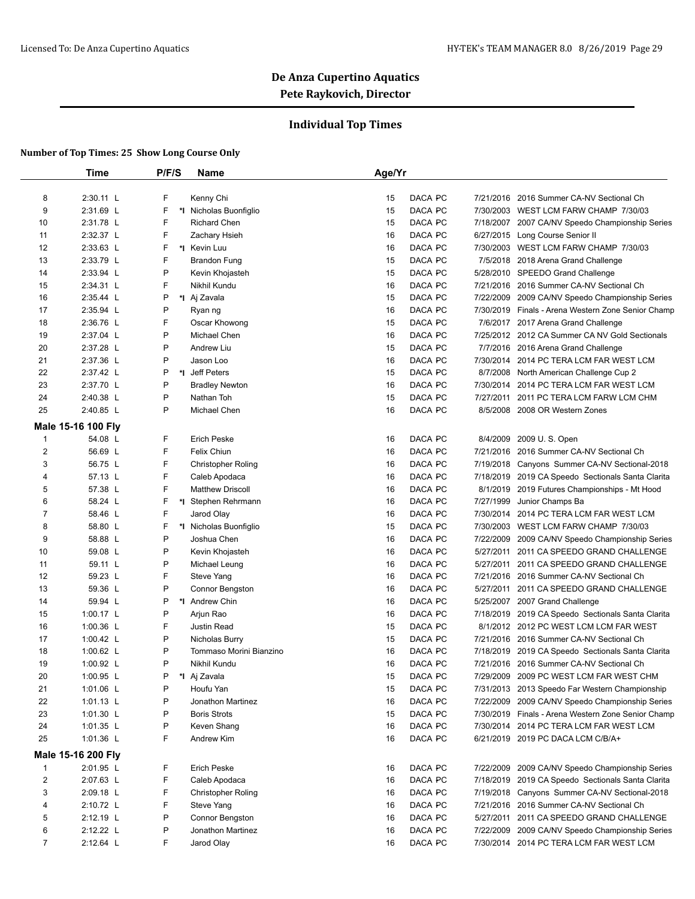### **Individual Top Times**

|                         | Time               | P/F/S | <b>Name</b>               | Age/Yr |         |           |                                                    |
|-------------------------|--------------------|-------|---------------------------|--------|---------|-----------|----------------------------------------------------|
|                         |                    |       |                           |        |         |           |                                                    |
| 8                       | 2:30.11 L          | F     | Kenny Chi                 | 15     | DACA PC | 7/21/2016 | 2016 Summer CA-NV Sectional Ch                     |
| 9                       | 2:31.69 L          | F     | *I Nicholas Buonfiglio    | 15     | DACA PC |           | 7/30/2003 WEST LCM FARW CHAMP 7/30/03              |
| 10                      | 2:31.78 L          | F     | <b>Richard Chen</b>       | 15     | DACA PC |           | 7/18/2007 2007 CA/NV Speedo Championship Series    |
| 11                      | 2:32.37 L          | F     | Zachary Hsieh             | 16     | DACA PC |           | 6/27/2015 Long Course Senior II                    |
| 12                      | 2:33.63 L          | F     | *I Kevin Luu              | 16     | DACA PC |           | 7/30/2003 WEST LCM FARW CHAMP 7/30/03              |
| 13                      | 2:33.79 L          | F     | <b>Brandon Fung</b>       | 15     | DACA PC |           | 7/5/2018 2018 Arena Grand Challenge                |
| 14                      | 2:33.94 L          | P     | Kevin Khojasteh           | 15     | DACA PC |           | 5/28/2010 SPEEDO Grand Challenge                   |
| 15                      | 2:34.31 L          | F     | Nikhil Kundu              | 16     | DACA PC |           | 7/21/2016 2016 Summer CA-NV Sectional Ch           |
| 16                      | 2:35.44 L          | P     | *I Aj Zavala              | 15     | DACA PC | 7/22/2009 | 2009 CA/NV Speedo Championship Series              |
| 17                      | 2:35.94 L          | P     | Ryan ng                   | 16     | DACA PC | 7/30/2019 | Finals - Arena Western Zone Senior Champ           |
| 18                      | 2:36.76 L          | F     | Oscar Khowong             | 15     | DACA PC |           | 7/6/2017 2017 Arena Grand Challenge                |
| 19                      | 2:37.04 L          | P     | Michael Chen              | 16     | DACA PC |           | 7/25/2012 2012 CA Summer CA NV Gold Sectionals     |
| 20                      | 2:37.28 L          | P     | <b>Andrew Liu</b>         | 15     | DACA PC |           | 7/7/2016 2016 Arena Grand Challenge                |
| 21                      | 2:37.36 L          | P     | Jason Loo                 | 16     | DACA PC |           | 7/30/2014 2014 PC TERA LCM FAR WEST LCM            |
| 22                      | 2:37.42 L          | P     | *I Jeff Peters            | 15     | DACA PC | 8/7/2008  | North American Challenge Cup 2                     |
| 23                      | 2:37.70 L          | P     | <b>Bradley Newton</b>     | 16     | DACA PC | 7/30/2014 | 2014 PC TERA LCM FAR WEST LCM                      |
| 24                      | 2:40.38 L          | P     | Nathan Toh                | 15     | DACA PC |           | 7/27/2011 2011 PC TERA LCM FARW LCM CHM            |
| 25                      | 2:40.85 L          | P     | Michael Chen              | 16     | DACA PC |           | 8/5/2008 2008 OR Western Zones                     |
|                         |                    |       |                           |        |         |           |                                                    |
|                         | Male 15-16 100 Fly |       |                           |        |         |           |                                                    |
| $\mathbf{1}$            | 54.08 L            | F     | <b>Erich Peske</b>        | 16     | DACA PC | 8/4/2009  | 2009 U.S. Open                                     |
| $\overline{2}$          | 56.69 L            | F     | <b>Felix Chiun</b>        | 16     | DACA PC |           | 7/21/2016 2016 Summer CA-NV Sectional Ch           |
| 3                       | 56.75 L            | F     | <b>Christopher Roling</b> | 16     | DACA PC | 7/19/2018 | Canyons Summer CA-NV Sectional-2018                |
| 4                       | 57.13 L            | F     | Caleb Apodaca             | 16     | DACA PC | 7/18/2019 | 2019 CA Speedo Sectionals Santa Clarita            |
| 5                       | 57.38 L            | F     | <b>Matthew Driscoll</b>   | 16     | DACA PC | 8/1/2019  | 2019 Futures Championships - Mt Hood               |
| 6                       | 58.24 L            | F     | *I Stephen Rehrmann       | 16     | DACA PC | 7/27/1999 | Junior Champs Ba                                   |
| $\overline{7}$          | 58.46 L            | F     | Jarod Olay                | 16     | DACA PC |           | 7/30/2014 2014 PC TERA LCM FAR WEST LCM            |
| 8                       | 58.80 L            | F     | *I Nicholas Buonfiglio    | 15     | DACA PC |           | 7/30/2003 WEST LCM FARW CHAMP 7/30/03              |
| 9                       | 58.88 L            | P     | Joshua Chen               | 16     | DACA PC | 7/22/2009 | 2009 CA/NV Speedo Championship Series              |
| 10                      | 59.08 L            | P     | Kevin Khojasteh           | 16     | DACA PC | 5/27/2011 | 2011 CA SPEEDO GRAND CHALLENGE                     |
| 11                      | 59.11 L            | P     | Michael Leung             | 16     | DACA PC |           | 5/27/2011 2011 CA SPEEDO GRAND CHALLENGE           |
| 12                      | 59.23 L            | F     | Steve Yang                | 16     | DACA PC | 7/21/2016 | 2016 Summer CA-NV Sectional Ch                     |
| 13                      | 59.36 L            | P     | Connor Bengston           | 16     | DACA PC | 5/27/2011 | 2011 CA SPEEDO GRAND CHALLENGE                     |
| 14                      | 59.94 L            | Ρ     | *1 Andrew Chin            | 16     | DACA PC |           | 5/25/2007 2007 Grand Challenge                     |
| 15                      | 1:00.17 $L$        | P     | Arjun Rao                 | 16     | DACA PC | 7/18/2019 | 2019 CA Speedo Sectionals Santa Clarita            |
| 16                      | 1:00.36 L          | F     | <b>Justin Read</b>        | 15     | DACA PC |           | 8/1/2012 2012 PC WEST LCM LCM FAR WEST             |
| 17                      | 1:00.42 $L$        | P     | Nicholas Burry            | 15     | DACA PC |           | 7/21/2016 2016 Summer CA-NV Sectional Ch           |
| 18                      | 1:00.62 $L$        | P     | Tommaso Morini Bianzino   | 16     | DACA PC | 7/18/2019 | 2019 CA Speedo Sectionals Santa Clarita            |
| 19                      | 1:00.92 $L$        | P     | Nikhil Kundu              | 16     | DACA PC |           | 7/21/2016 2016 Summer CA-NV Sectional Ch           |
| 20                      | 1:00.95 L          | P     | *I Aj Zavala              | 15     | DACA PC |           | 7/29/2009 2009 PC WEST LCM FAR WEST CHM            |
| 21                      | $1:01.06$ L        | P     | Houfu Yan                 | 15     | DACA PC |           | 7/31/2013 2013 Speedo Far Western Championship     |
| 22                      | 1:01.13 $L$        | Ρ     | Jonathon Martinez         |        | DACA PC | 7/22/2009 | 2009 CA/NV Speedo Championship Series              |
|                         |                    |       |                           | 16     |         |           |                                                    |
| 23                      | 1:01.30 L          | P     | <b>Boris Strots</b>       | 15     | DACA PC |           | 7/30/2019 Finals - Arena Western Zone Senior Champ |
| 24                      | $1:01.35$ L        | P     | Keven Shang               | 16     | DACA PC |           | 7/30/2014 2014 PC TERA LCM FAR WEST LCM            |
| 25                      | 1:01.36 L          | F     | Andrew Kim                | 16     | DACA PC |           | 6/21/2019 2019 PC DACA LCM C/B/A+                  |
|                         | Male 15-16 200 Fly |       |                           |        |         |           |                                                    |
| $\mathbf{1}$            | 2:01.95 L          | F     | <b>Erich Peske</b>        | 16     | DACA PC |           | 7/22/2009 2009 CA/NV Speedo Championship Series    |
| $\overline{\mathbf{c}}$ | 2:07.63 L          | F     | Caleb Apodaca             | 16     | DACA PC | 7/18/2019 | 2019 CA Speedo Sectionals Santa Clarita            |
| 3                       | 2:09.18 L          | F     | <b>Christopher Roling</b> | 16     | DACA PC |           | 7/19/2018 Canyons Summer CA-NV Sectional-2018      |
| 4                       | 2:10.72 L          | F     | Steve Yang                | 16     | DACA PC | 7/21/2016 | 2016 Summer CA-NV Sectional Ch                     |
| 5                       | 2:12.19 L          | Ρ     | Connor Bengston           | 16     | DACA PC | 5/27/2011 | 2011 CA SPEEDO GRAND CHALLENGE                     |
| 6                       | 2:12.22 L          | P     | Jonathon Martinez         | 16     | DACA PC | 7/22/2009 | 2009 CA/NV Speedo Championship Series              |
| 7                       | 2:12.64 L          | F     | Jarod Olay                | 16     | DACA PC |           | 7/30/2014 2014 PC TERA LCM FAR WEST LCM            |
|                         |                    |       |                           |        |         |           |                                                    |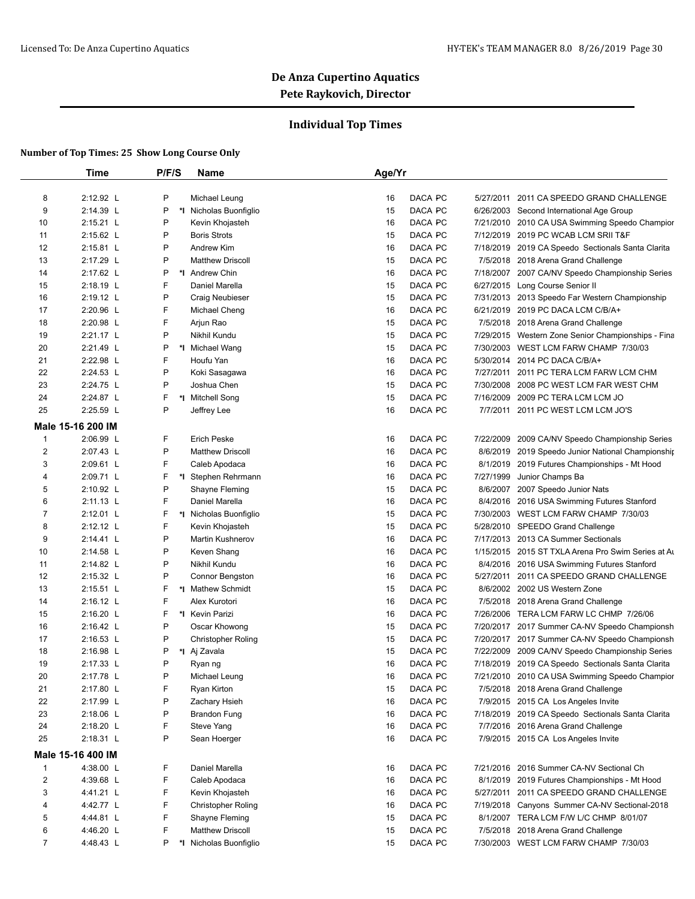### **Individual Top Times**

|                         | Time              | P/F/S | Name                      | Age/Yr |         |           |                                                                                                |
|-------------------------|-------------------|-------|---------------------------|--------|---------|-----------|------------------------------------------------------------------------------------------------|
| 8                       | 2:12.92 L         | P     | Michael Leung             | 16     | DACA PC | 5/27/2011 | 2011 CA SPEEDO GRAND CHALLENGE                                                                 |
| 9                       | 2:14.39 L         | P     | *I Nicholas Buonfiglio    | 15     | DACA PC |           | 6/26/2003 Second International Age Group                                                       |
| 10                      | 2:15.21 L         | P     | Kevin Khojasteh           | 16     | DACA PC |           | 7/21/2010 2010 CA USA Swimming Speedo Champior                                                 |
| 11                      | 2:15.62 L         | P     | <b>Boris Strots</b>       | 15     | DACA PC |           | 7/12/2019 2019 PC WCAB LCM SRII T&F                                                            |
| 12                      | $2:15.81$ L       | P     | Andrew Kim                | 16     | DACA PC |           | 7/18/2019 2019 CA Speedo Sectionals Santa Clarita                                              |
|                         | 2:17.29 L         | P     | <b>Matthew Driscoll</b>   | 15     | DACA PC |           |                                                                                                |
| 13                      | 2:17.62 L         | P     |                           |        |         |           | 7/5/2018 2018 Arena Grand Challenge                                                            |
| 14                      |                   | F     | *1 Andrew Chin            | 16     | DACA PC |           | 7/18/2007 2007 CA/NV Speedo Championship Series                                                |
| 15                      | 2:18.19 L         |       | Daniel Marella            | 15     | DACA PC |           | 6/27/2015 Long Course Senior II                                                                |
| 16                      | 2:19.12 L         | P     | <b>Craig Neubieser</b>    | 15     | DACA PC |           | 7/31/2013 2013 Speedo Far Western Championship                                                 |
| 17                      | 2:20.96 L         | F     | Michael Cheng             | 16     | DACA PC |           | 6/21/2019 2019 PC DACA LCM C/B/A+                                                              |
| 18                      | 2:20.98 L         | F     | Arjun Rao                 | 15     | DACA PC |           | 7/5/2018 2018 Arena Grand Challenge                                                            |
| 19                      | 2:21.17 L         | P     | Nikhil Kundu              | 15     | DACA PC |           | 7/29/2015 Western Zone Senior Championships - Fina                                             |
| 20                      | 2:21.49 L         | P     | *I Michael Wang           | 15     | DACA PC |           | 7/30/2003 WEST LCM FARW CHAMP 7/30/03                                                          |
| 21                      | 2:22.98 L         | F     | Houfu Yan                 | 16     | DACA PC |           | 5/30/2014 2014 PC DACA C/B/A+                                                                  |
| 22                      | 2:24.53 L         | P     | Koki Sasagawa             | 16     | DACA PC |           | 7/27/2011 2011 PC TERA LCM FARW LCM CHM                                                        |
| 23                      | 2:24.75 L         | P     | Joshua Chen               | 15     | DACA PC |           | 7/30/2008 2008 PC WEST LCM FAR WEST CHM                                                        |
| 24                      | 2:24.87 L         | F     | *I Mitchell Song          | 15     | DACA PC |           | 7/16/2009 2009 PC TERA LCM LCM JO                                                              |
| 25                      | 2:25.59 L         | P     | Jeffrey Lee               | 16     | DACA PC |           | 7/7/2011 2011 PC WEST LCM LCM JO'S                                                             |
|                         | Male 15-16 200 IM |       |                           |        |         |           |                                                                                                |
| $\mathbf{1}$            | 2:06.99 L         | F     | <b>Erich Peske</b>        | 16     | DACA PC | 7/22/2009 | 2009 CA/NV Speedo Championship Series                                                          |
| $\overline{\mathbf{c}}$ | 2:07.43 L         | P     | <b>Matthew Driscoll</b>   | 16     | DACA PC |           | 8/6/2019 2019 Speedo Junior National Championship                                              |
| 3                       | 2:09.61 L         | F     | Caleb Apodaca             | 16     | DACA PC |           | 8/1/2019 2019 Futures Championships - Mt Hood                                                  |
| 4                       | 2:09.71 L         | F     | *I Stephen Rehrmann       | 16     | DACA PC | 7/27/1999 | Junior Champs Ba                                                                               |
| 5                       | 2:10.92 L         | P     | Shayne Fleming            | 15     | DACA PC | 8/6/2007  | 2007 Speedo Junior Nats                                                                        |
| 6                       | $2:11.13$ L       | F     | Daniel Marella            | 16     | DACA PC |           | 8/4/2016 2016 USA Swimming Futures Stanford                                                    |
| 7                       | 2:12.01 L         | F     | *I Nicholas Buonfiglio    | 15     | DACA PC |           | 7/30/2003 WEST LCM FARW CHAMP 7/30/03                                                          |
| 8                       | 2:12.12 L         | F     | Kevin Khojasteh           | 15     | DACA PC |           | 5/28/2010 SPEEDO Grand Challenge                                                               |
| 9                       | 2:14.41 L         | P     | <b>Martin Kushnerov</b>   | 16     | DACA PC |           | 7/17/2013 2013 CA Summer Sectionals                                                            |
| 10                      | 2:14.58 L         | P     | Keven Shang               | 16     | DACA PC |           | 1/15/2015 2015 ST TXLA Arena Pro Swim Series at Au                                             |
| 11                      | 2:14.82 L         | P     | Nikhil Kundu              | 16     | DACA PC |           | 8/4/2016 2016 USA Swimming Futures Stanford                                                    |
| 12                      | 2:15.32 L         | P     | Connor Bengston           | 16     | DACA PC |           | 5/27/2011 2011 CA SPEEDO GRAND CHALLENGE                                                       |
| 13                      | 2:15.51 L         | F     | *I Mathew Schmidt         | 15     | DACA PC |           | 8/6/2002 2002 US Western Zone                                                                  |
| 14                      | 2:16.12 L         | F     | Alex Kurotori             | 16     | DACA PC |           | 7/5/2018 2018 Arena Grand Challenge                                                            |
| 15                      | 2:16.20 L         | F     | *I Kevin Parizi           | 16     | DACA PC |           | 7/26/2006 TERA LCM FARW LC CHMP 7/26/06                                                        |
| 16                      | 2:16.42 L         | P     | Oscar Khowong             | 15     | DACA PC |           |                                                                                                |
| 17                      | 2:16.53 L         | P     |                           | 15     | DACA PC |           | 7/20/2017 2017 Summer CA-NV Speedo Championsh<br>7/20/2017 2017 Summer CA-NV Speedo Championsh |
|                         |                   | P     | <b>Christopher Roling</b> |        |         |           |                                                                                                |
| 18                      | 2:16.98 L         | P     | *I Aj Zavala              | 15     | DACA PC |           | 7/22/2009 2009 CA/NV Speedo Championship Series                                                |
| 19                      | 2:17.33 L         |       | Ryan ng                   | 16     | DACA PC |           | 7/18/2019 2019 CA Speedo Sectionals Santa Clarita                                              |
| 20                      | 2:17.78 L         | P     | Michael Leung             | 16     | DACA PC |           | 7/21/2010 2010 CA USA Swimming Speedo Champior                                                 |
| 21                      | 2:17.80 L         | F     | Ryan Kirton               | 15     | DACA PC |           | 7/5/2018 2018 Arena Grand Challenge                                                            |
| 22                      | 2:17.99 L         | P     | Zachary Hsieh             | 16     | DACA PC |           | 7/9/2015 2015 CA Los Angeles Invite                                                            |
| 23                      | 2:18.06 L         | P     | <b>Brandon Fung</b>       | 16     | DACA PC |           | 7/18/2019 2019 CA Speedo Sectionals Santa Clarita                                              |
| 24                      | 2:18.20 L         | F     | Steve Yang                | 16     | DACA PC |           | 7/7/2016 2016 Arena Grand Challenge                                                            |
| 25                      | 2:18.31 L         | P     | Sean Hoerger              | 16     | DACA PC |           | 7/9/2015 2015 CA Los Angeles Invite                                                            |
|                         | Male 15-16 400 IM |       |                           |        |         |           |                                                                                                |
| $\mathbf{1}$            | 4:38.00 L         | F     | Daniel Marella            | 16     | DACA PC |           | 7/21/2016 2016 Summer CA-NV Sectional Ch                                                       |
| $\overline{\mathbf{c}}$ | 4:39.68 L         | F     | Caleb Apodaca             | 16     | DACA PC |           | 8/1/2019 2019 Futures Championships - Mt Hood                                                  |
| 3                       | 4:41.21 L         | F     | Kevin Khojasteh           | 16     | DACA PC |           | 5/27/2011 2011 CA SPEEDO GRAND CHALLENGE                                                       |
| 4                       | 4:42.77 L         | F     | <b>Christopher Roling</b> | 16     | DACA PC |           | 7/19/2018 Canyons Summer CA-NV Sectional-2018                                                  |
| 5                       | 4:44.81 L         | F     | Shayne Fleming            | 15     | DACA PC |           | 8/1/2007 TERA LCM F/W L/C CHMP 8/01/07                                                         |
| 6                       | 4:46.20 L         | F     | <b>Matthew Driscoll</b>   | 15     | DACA PC |           | 7/5/2018 2018 Arena Grand Challenge                                                            |
| 7                       | 4:48.43 L         | P     | *I Nicholas Buonfiglio    | 15     | DACA PC |           | 7/30/2003 WEST LCM FARW CHAMP 7/30/03                                                          |
|                         |                   |       |                           |        |         |           |                                                                                                |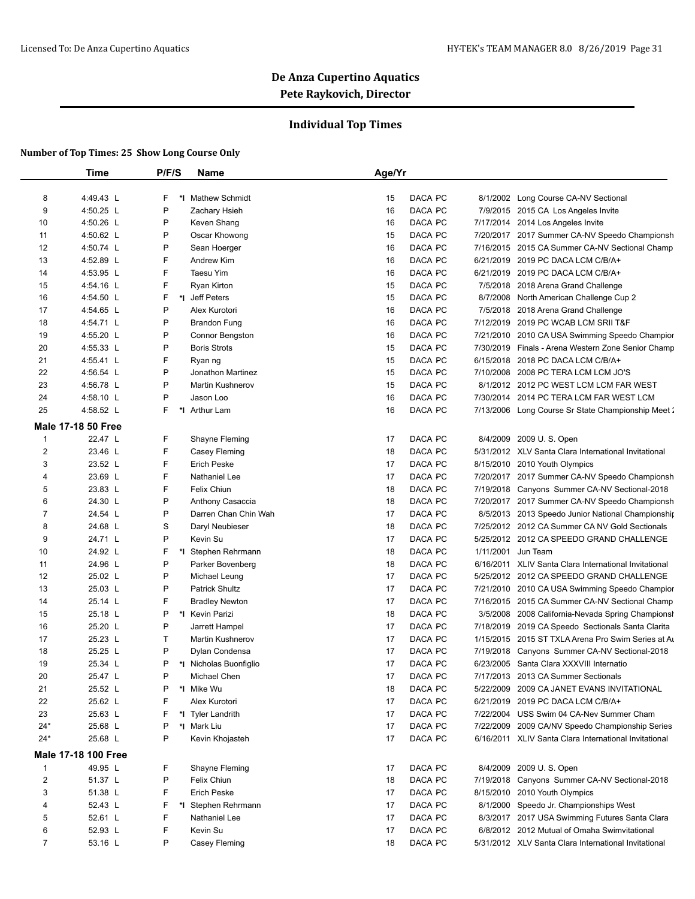### **Individual Top Times**

|                | <b>Time</b>                | P/F/S | Name                    | Age/Yr |                      |                                                                                                |
|----------------|----------------------------|-------|-------------------------|--------|----------------------|------------------------------------------------------------------------------------------------|
| 8              | 4:49.43 L                  | F     | *I Mathew Schmidt       | 15     | DACA PC              | 8/1/2002 Long Course CA-NV Sectional                                                           |
| 9              | 4:50.25 L                  | P     | Zachary Hsieh           | 16     | DACA PC              | 7/9/2015 2015 CA Los Angeles Invite                                                            |
| 10             | 4:50.26 L                  | P     | Keven Shang             | 16     | DACA PC              | 7/17/2014 2014 Los Angeles Invite                                                              |
| 11             | 4:50.62 L                  | Ρ     | Oscar Khowong           | 15     | DACA PC              | 7/20/2017 2017 Summer CA-NV Speedo Championsh                                                  |
| 12             | 4:50.74 L                  | P     | Sean Hoerger            | 16     | DACA PC              | 7/16/2015 2015 CA Summer CA-NV Sectional Champ                                                 |
| 13             | 4:52.89 L                  | F     | Andrew Kim              | 16     | DACA PC              | 6/21/2019 2019 PC DACA LCM C/B/A+                                                              |
| 14             | 4:53.95 L                  | F     | Taesu Yim               | 16     | DACA PC              | 6/21/2019 2019 PC DACA LCM C/B/A+                                                              |
| 15             | 4:54.16 L                  | F     | Ryan Kirton             | 15     | DACA PC              | 7/5/2018 2018 Arena Grand Challenge                                                            |
| 16             | 4:54.50 L                  | F     | *I Jeff Peters          | 15     | DACA PC              | 8/7/2008 North American Challenge Cup 2                                                        |
| 17             | 4:54.65 L                  | Ρ     | Alex Kurotori           | 16     | DACA PC              | 7/5/2018 2018 Arena Grand Challenge                                                            |
| 18             | 4:54.71 L                  | P     | <b>Brandon Fung</b>     | 16     | DACA PC              | 7/12/2019 2019 PC WCAB LCM SRII T&F                                                            |
| 19             | 4:55.20 L                  | P     | Connor Bengston         | 16     | DACA PC              | 7/21/2010 2010 CA USA Swimming Speedo Champior                                                 |
| 20             | 4:55.33 L                  | Ρ     | <b>Boris Strots</b>     | 15     | DACA PC              | 7/30/2019 Finals - Arena Western Zone Senior Champ                                             |
| 21             | 4:55.41 L                  | F     | Ryan ng                 | 15     | DACA PC              | 6/15/2018 2018 PC DACA LCM C/B/A+                                                              |
| 22             | 4:56.54 L                  | P     | Jonathon Martinez       | 15     | DACA PC              | 7/10/2008 2008 PC TERA LCM LCM JO'S                                                            |
| 23             | 4:56.78 L                  | P     | <b>Martin Kushnerov</b> | 15     | DACA PC              | 8/1/2012 2012 PC WEST LCM LCM FAR WEST                                                         |
| 24             | 4:58.10 L                  | P     | Jason Loo               | 16     | DACA PC              | 7/30/2014 2014 PC TERA LCM FAR WEST LCM                                                        |
| 25             | 4:58.52 L                  | F     | *I<br><b>Arthur Lam</b> | 16     | DACA PC              | 7/13/2006 Long Course Sr State Championship Meet 2                                             |
|                |                            |       |                         |        |                      |                                                                                                |
|                | <b>Male 17-18 50 Free</b>  |       |                         |        |                      |                                                                                                |
| 1              | 22.47 L                    | F     | Shayne Fleming          | 17     | DACA PC              | 8/4/2009 2009 U.S. Open                                                                        |
| $\overline{2}$ | 23.46 L                    | F     | Casey Fleming           | 18     | DACA PC              | 5/31/2012 XLV Santa Clara International Invitational                                           |
| 3              | 23.52 L                    | F     | <b>Erich Peske</b>      | 17     | DACA PC              | 8/15/2010 2010 Youth Olympics                                                                  |
| 4              | 23.69 L                    | F     | Nathaniel Lee           | 17     | DACA PC              | 7/20/2017 2017 Summer CA-NV Speedo Championsh                                                  |
| 5              | 23.83 L                    | F     | <b>Felix Chiun</b>      | 18     | DACA PC              | 7/19/2018 Canyons Summer CA-NV Sectional-2018                                                  |
| 6              | 24.30 L                    | P     | Anthony Casaccia        | 18     | DACA PC              | 7/20/2017 2017 Summer CA-NV Speedo Championsh                                                  |
| 7              | 24.54 L                    | Ρ     | Darren Chan Chin Wah    | 17     | DACA PC              | 8/5/2013 2013 Speedo Junior National Championship                                              |
| 8              | 24.68 L                    | S     | Daryl Neubieser         | 18     | DACA PC              | 7/25/2012 2012 CA Summer CA NV Gold Sectionals                                                 |
| 9              | 24.71 L                    | P     | Kevin Su                | 17     | DACA PC              | 5/25/2012 2012 CA SPEEDO GRAND CHALLENGE                                                       |
| 10             | 24.92 L                    | F     | *I Stephen Rehrmann     | 18     | DACA PC<br>1/11/2001 | Jun Team                                                                                       |
| 11             | 24.96 L                    | P     | Parker Bovenberg        | 18     | DACA PC              | 6/16/2011 XLIV Santa Clara International Invitational                                          |
| 12             | 25.02 L                    | P     | Michael Leung           | 17     | DACA PC              | 5/25/2012 2012 CA SPEEDO GRAND CHALLENGE                                                       |
| 13             | 25.03 L                    | P     | <b>Patrick Shultz</b>   | 17     | DACA PC              | 7/21/2010 2010 CA USA Swimming Speedo Champior                                                 |
| 14             | 25.14 L                    | F     | <b>Bradley Newton</b>   | 17     | DACA PC              | 7/16/2015 2015 CA Summer CA-NV Sectional Champ                                                 |
| 15             | 25.18 L                    | P     | *1 Kevin Parizi         | 18     | DACA PC              | 3/5/2008 2008 California-Nevada Spring Championsh                                              |
| 16             | 25.20 L                    | P     | Jarrett Hampel          | 17     | DACA PC              | 7/18/2019 2019 CA Speedo Sectionals Santa Clarita                                              |
| 17             | 25.23 L                    | Т     | <b>Martin Kushnerov</b> | 17     | DACA PC              | 1/15/2015 2015 ST TXLA Arena Pro Swim Series at Au                                             |
| 18             | 25.25 L                    | P     | Dylan Condensa          | 17     | DACA PC              | 7/19/2018 Canyons Summer CA-NV Sectional-2018                                                  |
| 19             | 25.34 L                    | P     | *I Nicholas Buonfiglio  | 17     | DACA PC              | 6/23/2005 Santa Clara XXXVIII Internatio                                                       |
| 20             | 25.47 L                    |       | Michael Chen            | 17     | DACA PC              | 7/17/2013 2013 CA Summer Sectionals                                                            |
| 21             | 25.52 L                    | P     | *I Mike Wu              | 18     | DACA PC              | 5/22/2009 2009 CA JANET EVANS INVITATIONAL                                                     |
| 22             | 25.62 L                    | F     | Alex Kurotori           | 17     | DACA PC              | 6/21/2019 2019 PC DACA LCM C/B/A+                                                              |
| 23             | 25.63 L                    | F     | *1 Tyler Landrith       | 17     | DACA PC              | 7/22/2004 USS Swim 04 CA-Nev Summer Cham                                                       |
| $24*$          | 25.68 L                    | P     | *I Mark Liu             | 17     | DACA PC              | 7/22/2009 2009 CA/NV Speedo Championship Series                                                |
| $24*$          | 25.68 L                    | Ρ     | Kevin Khojasteh         | 17     | DACA PC              | 6/16/2011 XLIV Santa Clara International Invitational                                          |
|                | <b>Male 17-18 100 Free</b> |       |                         |        |                      |                                                                                                |
| -1             | 49.95 L                    | F     | Shayne Fleming          | 17     | DACA PC              | 8/4/2009 2009 U.S. Open                                                                        |
| $\overline{c}$ | 51.37 L                    | Ρ     | Felix Chiun             | 18     | DACA PC              | 7/19/2018 Canyons Summer CA-NV Sectional-2018                                                  |
|                | 51.38 L                    | F     | <b>Erich Peske</b>      | 17     | DACA PC              | 8/15/2010 2010 Youth Olympics                                                                  |
| 3              |                            |       |                         | 17     | DACA PC              | 8/1/2000 Speedo Jr. Championships West                                                         |
| 4              | 52.43 L                    | F     | *I Stephen Rehrmann     |        |                      |                                                                                                |
| 5              | 52.61 L                    | F     | Nathaniel Lee           | 17     | DACA PC              |                                                                                                |
| 6              | 52.93 L                    | F     | Kevin Su                | 17     | DACA PC              | 8/3/2017 2017 USA Swimming Futures Santa Clara<br>6/8/2012 2012 Mutual of Omaha Swimvitational |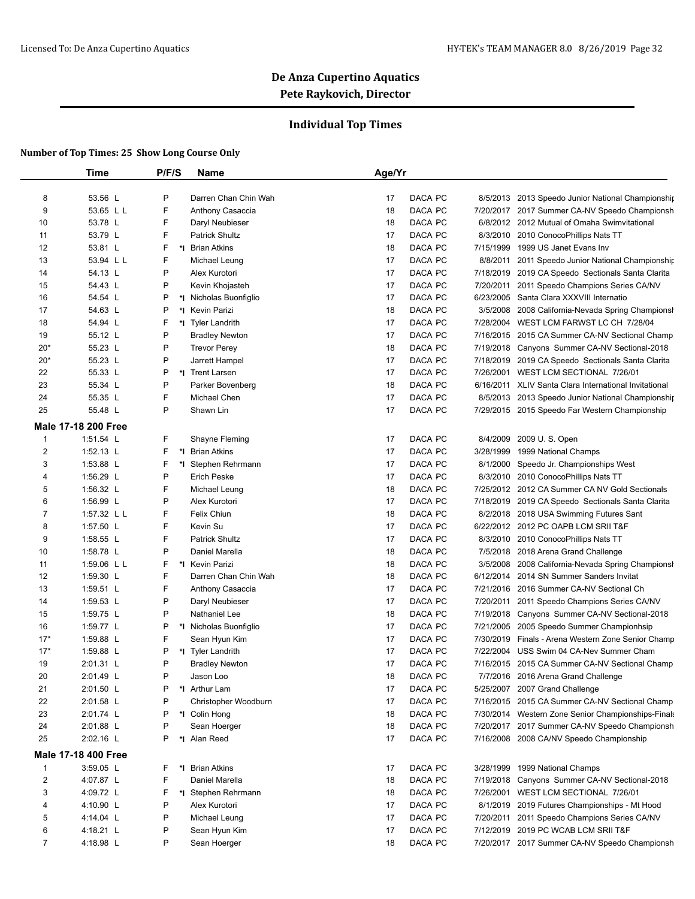### **Individual Top Times**

|                | Time                       | P/F/S | Name                   | Age/Yr        |           |                                                       |
|----------------|----------------------------|-------|------------------------|---------------|-----------|-------------------------------------------------------|
| 8              | 53.56 L                    | P     | Darren Chan Chin Wah   | DACA PC<br>17 |           | 8/5/2013 2013 Speedo Junior National Championship     |
| 9              | 53.65 L L                  | F     | Anthony Casaccia       | DACA PC<br>18 |           | 7/20/2017 2017 Summer CA-NV Speedo Championsh         |
| 10             | 53.78 L                    | F     | Daryl Neubieser        | DACA PC<br>18 |           | 6/8/2012 2012 Mutual of Omaha Swimvitational          |
| 11             | 53.79 L                    | F     | <b>Patrick Shultz</b>  | 17<br>DACA PC | 8/3/2010  | 2010 ConocoPhillips Nats TT                           |
| 12             | 53.81 L                    | F     | *1 Brian Atkins        | DACA PC<br>18 | 7/15/1999 | 1999 US Janet Evans Inv                               |
| 13             | 53.94 L L                  | F     | Michael Leung          | DACA PC<br>17 |           | 8/8/2011 2011 Speedo Junior National Championship     |
| 14             | 54.13 L                    | P     | Alex Kurotori          | 17<br>DACA PC |           | 7/18/2019 2019 CA Speedo Sectionals Santa Clarita     |
| 15             | 54.43 L                    | P     | Kevin Khojasteh        | DACA PC<br>17 | 7/20/2011 | 2011 Speedo Champions Series CA/NV                    |
| 16             | 54.54 L                    | P     | *I Nicholas Buonfiglio | DACA PC<br>17 | 6/23/2005 | Santa Clara XXXVIII Internatio                        |
| 17             | 54.63 L                    | P     | *1 Kevin Parizi        | DACA PC<br>18 | 3/5/2008  | 2008 California-Nevada Spring Championsh              |
| 18             | 54.94 L                    | F     | *I Tyler Landrith      | DACA PC<br>17 |           | 7/28/2004 WEST LCM FARWST LC CH 7/28/04               |
| 19             | 55.12 L                    | P     | <b>Bradley Newton</b>  | DACA PC<br>17 |           | 7/16/2015 2015 CA Summer CA-NV Sectional Champ        |
| $20*$          | 55.23 L                    | P     | <b>Trevor Perey</b>    | DACA PC<br>18 |           | 7/19/2018 Canyons Summer CA-NV Sectional-2018         |
| $20*$          | 55.23 L                    | P     | Jarrett Hampel         | DACA PC<br>17 |           | 7/18/2019 2019 CA Speedo Sectionals Santa Clarita     |
| 22             | 55.33 L                    | P     | *I Trent Larsen        | DACA PC<br>17 |           | 7/26/2001 WEST LCM SECTIONAL 7/26/01                  |
| 23             | 55.34 L                    | P     | Parker Bovenberg       | DACA PC<br>18 |           | 6/16/2011 XLIV Santa Clara International Invitational |
| 24             | 55.35 L                    | F     | Michael Chen           | DACA PC<br>17 |           | 8/5/2013 2013 Speedo Junior National Championship     |
| 25             | 55.48 L                    | P     | Shawn Lin              | DACA PC<br>17 |           | 7/29/2015 2015 Speedo Far Western Championship        |
|                |                            |       |                        |               |           |                                                       |
|                | <b>Male 17-18 200 Free</b> |       |                        |               |           |                                                       |
| $\mathbf{1}$   | $1:51.54$ L                | F     | Shayne Fleming         | 17<br>DACA PC | 8/4/2009  | 2009 U.S. Open                                        |
| $\overline{2}$ | 1:52.13 $L$                | F     | *1 Brian Atkins        | 17<br>DACA PC | 3/28/1999 | 1999 National Champs                                  |
| 3              | 1:53.88 L                  | F     | *I Stephen Rehrmann    | 17<br>DACA PC | 8/1/2000  | Speedo Jr. Championships West                         |
| 4              | 1:56.29 L                  | P     | <b>Erich Peske</b>     | 17<br>DACA PC |           | 8/3/2010 2010 ConocoPhillips Nats TT                  |
| 5              | 1:56.32 L                  | F     | Michael Leung          | DACA PC<br>18 |           | 7/25/2012 2012 CA Summer CA NV Gold Sectionals        |
| 6              | 1:56.99 L                  | P     | Alex Kurotori          | DACA PC<br>17 |           | 7/18/2019 2019 CA Speedo Sectionals Santa Clarita     |
| $\overline{7}$ | 1:57.32 L L                | F     | Felix Chiun            | DACA PC<br>18 |           | 8/2/2018 2018 USA Swimming Futures Sant               |
| 8              | 1:57.50 L                  | F     | Kevin Su               | DACA PC<br>17 |           | 6/22/2012 2012 PC OAPB LCM SRII T&F                   |
| 9              | 1:58.55 L                  | F     | <b>Patrick Shultz</b>  | DACA PC<br>17 |           | 8/3/2010 2010 ConocoPhillips Nats TT                  |
| 10             | 1:58.78 L                  | P     | Daniel Marella         | DACA PC<br>18 |           | 7/5/2018 2018 Arena Grand Challenge                   |
| 11             | 1:59.06 L L                | F     | *1 Kevin Parizi        | DACA PC<br>18 |           | 3/5/2008 2008 California-Nevada Spring Championsh     |
| 12             | 1:59.30 $\lfloor$          | F     | Darren Chan Chin Wah   | DACA PC<br>18 |           | 6/12/2014 2014 SN Summer Sanders Invitat              |
| 13             | 1:59.51 L                  | F     | Anthony Casaccia       | DACA PC<br>17 |           | 7/21/2016 2016 Summer CA-NV Sectional Ch              |
| 14             | 1:59.53 $L$                | P     | Daryl Neubieser        | 17<br>DACA PC |           | 7/20/2011 2011 Speedo Champions Series CA/NV          |
| 15             | 1:59.75 L                  | P     | Nathaniel Lee          | 18<br>DACA PC |           | 7/19/2018 Canyons Summer CA-NV Sectional-2018         |
| 16             | 1:59.77 L                  | P     | *I Nicholas Buonfiglio | 17<br>DACA PC |           | 7/21/2005 2005 Speedo Summer Championhsip             |
| $17*$          | 1:59.88 L                  | F     | Sean Hyun Kim          | 17<br>DACA PC |           | 7/30/2019 Finals - Arena Western Zone Senior Champ    |
| $17*$          | 1:59.88 L                  | P     | *I Tyler Landrith      | DACA PC<br>17 |           | 7/22/2004 USS Swim 04 CA-Nev Summer Cham              |
| 19             | 2:01.31 L                  | Ρ     | <b>Bradley Newton</b>  | 17<br>DACA PC |           | 7/16/2015 2015 CA Summer CA-NV Sectional Champ        |
| 20             | 2:01.49 L                  | D     | Jason Loo              | DACA PC<br>18 |           | 7/7/2016 2016 Arena Grand Challenge                   |
| 21             | 2:01.50 L                  | P     | *I Arthur Lam          | DACA PC<br>17 |           | 5/25/2007 2007 Grand Challenge                        |
| 22             | 2:01.58 L                  | P     | Christopher Woodburn   | DACA PC<br>17 |           | 7/16/2015 2015 CA Summer CA-NV Sectional Champ        |
| 23             | 2:01.74 L                  | Ρ     | *I Colin Hong          | DACA PC<br>18 |           | 7/30/2014 Western Zone Senior Championships-Finals    |
| 24             | 2:01.88 L                  | P     | Sean Hoerger           | DACA PC<br>18 |           | 7/20/2017 2017 Summer CA-NV Speedo Championsh         |
| 25             | 2:02.16 L                  | P     | *I Alan Reed           | DACA PC<br>17 |           | 7/16/2008 2008 CA/NV Speedo Championship              |
|                | <b>Male 17-18 400 Free</b> |       |                        |               |           |                                                       |
| 1              | 3:59.05 L                  | F     | *I Brian Atkins        | DACA PC<br>17 | 3/28/1999 | 1999 National Champs                                  |
| $\overline{2}$ | 4:07.87 L                  | F     | Daniel Marella         | DACA PC<br>18 | 7/19/2018 | Canyons Summer CA-NV Sectional-2018                   |
| 3              | 4:09.72 L                  | F     | *I Stephen Rehrmann    | DACA PC<br>18 |           | 7/26/2001 WEST LCM SECTIONAL 7/26/01                  |
| 4              | 4:10.90 L                  | P     | Alex Kurotori          | DACA PC<br>17 |           | 8/1/2019 2019 Futures Championships - Mt Hood         |
| 5              | 4:14.04 L                  | P     | Michael Leung          | DACA PC<br>17 | 7/20/2011 | 2011 Speedo Champions Series CA/NV                    |
| 6              | 4:18.21 L                  | P     | Sean Hyun Kim          | DACA PC<br>17 |           | 7/12/2019 2019 PC WCAB LCM SRII T&F                   |
| $\overline{7}$ | 4:18.98 L                  | P     | Sean Hoerger           | DACA PC<br>18 |           | 7/20/2017 2017 Summer CA-NV Speedo Championsh         |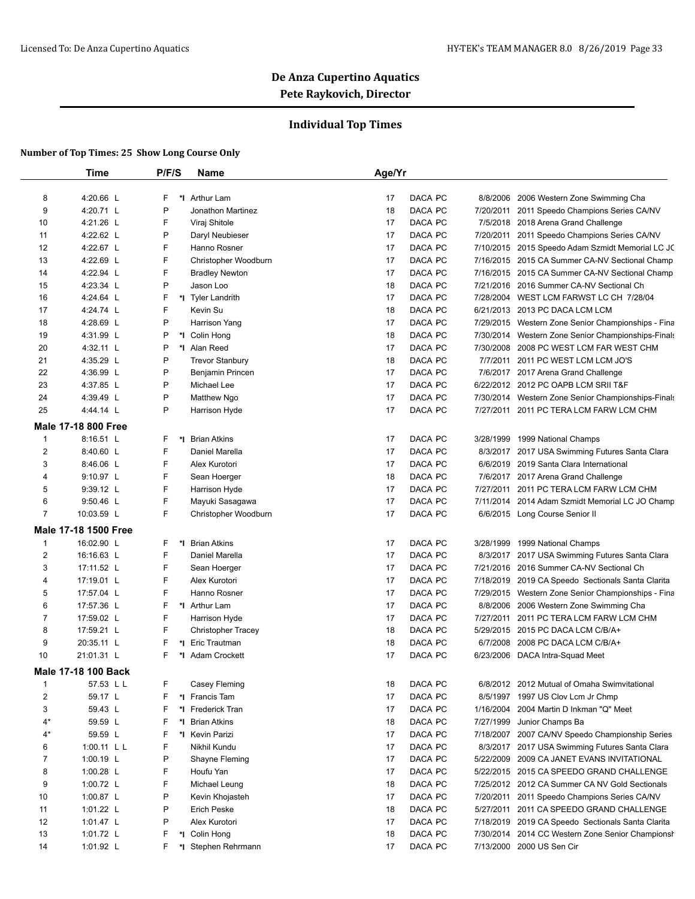### **Individual Top Times**

|                         | Time                       | P/F/S   | <b>Name</b>            | Age/Yr        |           |                                                    |
|-------------------------|----------------------------|---------|------------------------|---------------|-----------|----------------------------------------------------|
|                         |                            |         |                        |               |           |                                                    |
| 8                       | 4:20.66 L                  | F<br>*∣ | Arthur Lam             | DACA PC<br>17 | 8/8/2006  | 2006 Western Zone Swimming Cha                     |
| 9                       | 4:20.71 L                  | P       | Jonathon Martinez      | DACA PC<br>18 |           | 7/20/2011 2011 Speedo Champions Series CA/NV       |
| 10                      | 4:21.26 L                  | F       | Viraj Shitole          | DACA PC<br>17 |           | 7/5/2018 2018 Arena Grand Challenge                |
| 11                      | 4:22.62 L                  | P       | Daryl Neubieser        | DACA PC<br>17 | 7/20/2011 | 2011 Speedo Champions Series CA/NV                 |
| 12                      | 4:22.67 L                  | F       | Hanno Rosner           | DACA PC<br>17 |           | 7/10/2015 2015 Speedo Adam Szmidt Memorial LC JC   |
| 13                      | 4:22.69 L                  | F       | Christopher Woodburn   | DACA PC<br>17 |           | 7/16/2015 2015 CA Summer CA-NV Sectional Champ     |
| 14                      | 4:22.94 L                  | F       | <b>Bradley Newton</b>  | DACA PC<br>17 | 7/16/2015 | 2015 CA Summer CA-NV Sectional Champ               |
| 15                      | 4:23.34 L                  | P       | Jason Loo              | DACA PC<br>18 |           | 7/21/2016 2016 Summer CA-NV Sectional Ch           |
| 16                      | 4:24.64 L                  | F       | *I Tyler Landrith      | DACA PC<br>17 |           | 7/28/2004 WEST LCM FARWST LC CH 7/28/04            |
| 17                      | 4:24.74 L                  | F       | Kevin Su               | DACA PC<br>18 |           | 6/21/2013 2013 PC DACA LCM LCM                     |
| 18                      | 4:28.69 L                  | P       | Harrison Yang          | DACA PC<br>17 |           | 7/29/2015 Western Zone Senior Championships - Fina |
| 19                      | 4:31.99 L                  | P<br>*I | Colin Hong             | DACA PC<br>18 |           | 7/30/2014 Western Zone Senior Championships-Finals |
| 20                      | 4:32.11 L                  | P       | *1 Alan Reed           | DACA PC<br>17 |           | 7/30/2008 2008 PC WEST LCM FAR WEST CHM            |
| 21                      | 4:35.29 L                  | P       | <b>Trevor Stanbury</b> | DACA PC<br>18 |           | 7/7/2011 2011 PC WEST LCM LCM JO'S                 |
| 22                      | 4:36.99 L                  | P       | Benjamin Princen       | DACA PC<br>17 |           | 7/6/2017 2017 Arena Grand Challenge                |
| 23                      | 4:37.85 L                  | P       | Michael Lee            | DACA PC<br>17 |           | 6/22/2012 2012 PC OAPB LCM SRII T&F                |
| 24                      | 4:39.49 L                  | P       | Matthew Ngo            | DACA PC<br>17 |           | 7/30/2014 Western Zone Senior Championships-Finals |
| 25                      | 4:44.14 L                  | P       | Harrison Hyde          | DACA PC<br>17 |           | 7/27/2011 2011 PC TERA LCM FARW LCM CHM            |
|                         | <b>Male 17-18 800 Free</b> |         |                        |               |           |                                                    |
| $\mathbf{1}$            | 8:16.51 L                  | F<br>*l | <b>Brian Atkins</b>    | DACA PC<br>17 | 3/28/1999 | 1999 National Champs                               |
| 2                       | 8:40.60 L                  | F       | Daniel Marella         | 17<br>DACA PC |           | 8/3/2017 2017 USA Swimming Futures Santa Clara     |
| 3                       | 8:46.06 L                  | F       | Alex Kurotori          | DACA PC<br>17 | 6/6/2019  | 2019 Santa Clara International                     |
| 4                       | 9:10.97 L                  | F       | Sean Hoerger           | DACA PC<br>18 |           | 7/6/2017 2017 Arena Grand Challenge                |
| 5                       | 9:39.12 L                  | F       | Harrison Hyde          | DACA PC<br>17 |           | 7/27/2011 2011 PC TERA LCM FARW LCM CHM            |
| 6                       | 9:50.46 L                  | F       | Mayuki Sasagawa        | DACA PC<br>17 |           | 7/11/2014 2014 Adam Szmidt Memorial LC JO Champ    |
| $\overline{7}$          | 10:03.59 L                 | F       | Christopher Woodburn   | DACA PC<br>17 |           | 6/6/2015 Long Course Senior II                     |
|                         | Male 17-18 1500 Free       |         |                        |               |           |                                                    |
| $\mathbf{1}$            | 16:02.90 L                 | F       | *I Brian Atkins        | DACA PC<br>17 | 3/28/1999 | 1999 National Champs                               |
| 2                       | 16:16.63 L                 | F       | Daniel Marella         | DACA PC<br>17 | 8/3/2017  | 2017 USA Swimming Futures Santa Clara              |
| 3                       | 17:11.52 L                 | F       | Sean Hoerger           | DACA PC<br>17 |           | 7/21/2016 2016 Summer CA-NV Sectional Ch           |
| 4                       | 17:19.01 L                 | F       | Alex Kurotori          | DACA PC<br>17 | 7/18/2019 | 2019 CA Speedo Sectionals Santa Clarita            |
| 5                       | 17:57.04 L                 | F       | Hanno Rosner           | DACA PC<br>17 | 7/29/2015 | Western Zone Senior Championships - Fina           |
| 6                       | 17:57.36 L                 | F       | *I Arthur Lam          | DACA PC<br>17 |           | 8/8/2006 2006 Western Zone Swimming Cha            |
| $\overline{7}$          | 17:59.02 L                 | F       | Harrison Hyde          | DACA PC<br>17 |           | 7/27/2011 2011 PC TERA LCM FARW LCM CHM            |
| 8                       | 17:59.21 L                 | F       | Christopher Tracey     | DACA PC<br>18 |           | 5/29/2015 2015 PC DACA LCM C/B/A+                  |
| 9                       | 20:35.11 L                 | F<br>*∣ | Eric Trautman          | 18<br>DACA PC | 6/7/2008  | 2008 PC DACA LCM C/B/A+                            |
| 10                      | 21:01.31 L                 | F<br>*I | <b>Adam Crockett</b>   | DACA PC<br>17 |           | 6/23/2006 DACA Intra-Squad Meet                    |
|                         | Male 17-18 100 Back        |         |                        |               |           |                                                    |
| 1                       | 57.53 L L                  | F       | Casey Fleming          | DACA PC<br>18 |           | 6/8/2012 2012 Mutual of Omaha Swimvitational       |
| $\overline{\mathbf{c}}$ | 59.17 L                    | F       | *I Francis Tam         | DACA PC<br>17 | 8/5/1997  | 1997 US Clov Lcm Jr Chmp                           |
| 3                       | 59.43 L                    | F<br>*I | Frederick Tran         | 17<br>DACA PC | 1/16/2004 | 2004 Martin D Inkman "Q" Meet                      |
| 4*                      | 59.59 L                    | F       | *I Brian Atkins        | 18<br>DACA PC | 7/27/1999 | Junior Champs Ba                                   |
| $4^*$                   | 59.59 L                    | F       | *I Kevin Parizi        | DACA PC<br>17 |           | 7/18/2007 2007 CA/NV Speedo Championship Series    |
| 6                       | 1:00.11 L L                | F       | Nikhil Kundu           | DACA PC<br>17 |           | 8/3/2017 2017 USA Swimming Futures Santa Clara     |
| 7                       | 1:00.19 L                  | P       | Shayne Fleming         | 17<br>DACA PC | 5/22/2009 | 2009 CA JANET EVANS INVITATIONAL                   |
| 8                       | 1:00.28 L                  | F       | Houfu Yan              | 17<br>DACA PC |           | 5/22/2015 2015 CA SPEEDO GRAND CHALLENGE           |
| 9                       | 1:00.72 $L$                | F       | Michael Leung          | 18<br>DACA PC |           | 7/25/2012 2012 CA Summer CA NV Gold Sectionals     |
| 10                      | 1:00.87 L                  | P       | Kevin Khojasteh        | DACA PC<br>17 | 7/20/2011 | 2011 Speedo Champions Series CA/NV                 |
| 11                      | 1:01.22 L                  | P       | Erich Peske            | DACA PC<br>18 |           | 5/27/2011 2011 CA SPEEDO GRAND CHALLENGE           |
| 12                      | 1:01.47 L                  | P       | Alex Kurotori          | DACA PC<br>17 |           |                                                    |
|                         |                            |         |                        |               |           | 7/18/2019 2019 CA Speedo Sectionals Santa Clarita  |
| 13                      | 1:01.72 L                  | F<br>F  | *I Colin Hong          | 18<br>DACA PC | 7/30/2014 | 2014 CC Western Zone Senior Championsh             |
| 14                      | 1:01.92 L                  |         | *I Stephen Rehrmann    | DACA PC<br>17 |           | 7/13/2000 2000 US Sen Cir                          |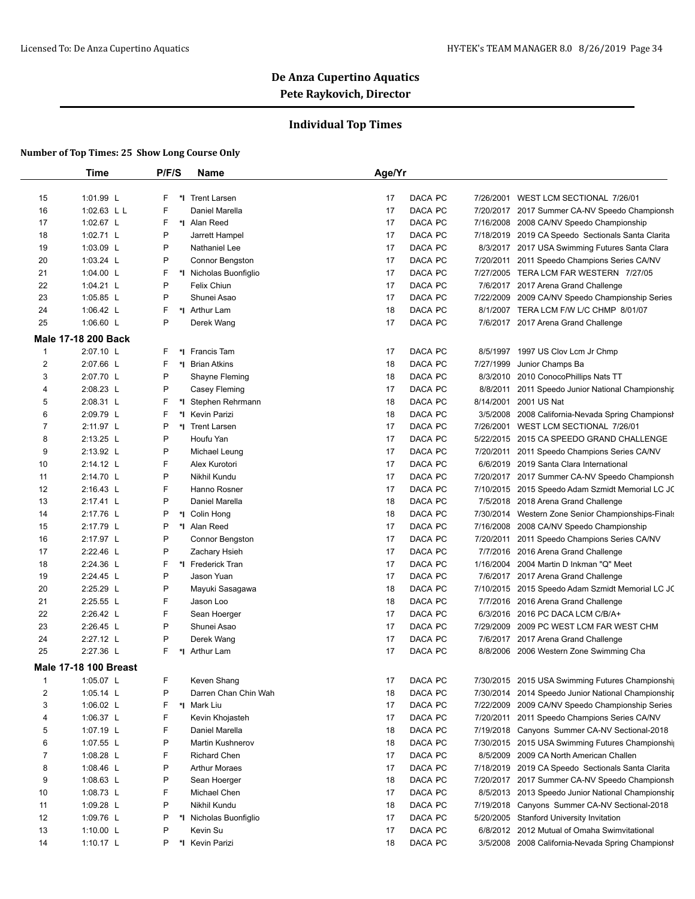### **Individual Top Times**

|    | <b>Time</b>                  | P/F/S   | Name                   | Age/Yr                     |                                                      |
|----|------------------------------|---------|------------------------|----------------------------|------------------------------------------------------|
|    |                              |         |                        |                            |                                                      |
| 15 | 1:01.99 L                    | F<br>*∣ | <b>Trent Larsen</b>    | 17<br>DACA PC<br>7/26/2001 | WEST LCM SECTIONAL 7/26/01                           |
| 16 | 1:02.63 L L                  | F       | Daniel Marella         | 17<br>DACA PC              | 7/20/2017 2017 Summer CA-NV Speedo Championsh        |
| 17 | 1:02.67 $L$                  | F       | *I Alan Reed           | DACA PC<br>17<br>7/16/2008 | 2008 CA/NV Speedo Championship                       |
| 18 | 1:02.71 L                    | P       | Jarrett Hampel         | 17<br>DACA PC              | 7/18/2019 2019 CA Speedo Sectionals Santa Clarita    |
| 19 | 1:03.09 L                    | P       | Nathaniel Lee          | DACA PC<br>17              | 8/3/2017 2017 USA Swimming Futures Santa Clara       |
| 20 | 1:03.24 L                    | P       | Connor Bengston        | 17<br>DACA PC              | 7/20/2011<br>2011 Speedo Champions Series CA/NV      |
| 21 | 1:04.00 L                    | F       | *I Nicholas Buonfiglio | 17<br>DACA PC              | 7/27/2005 TERA LCM FAR WESTERN 7/27/05               |
| 22 | 1:04.21 L                    | P       | Felix Chiun            | DACA PC<br>17              | 7/6/2017 2017 Arena Grand Challenge                  |
| 23 | $1:05.85$ L                  | P       | Shunei Asao            | DACA PC<br>17              | 7/22/2009 2009 CA/NV Speedo Championship Series      |
| 24 | 1:06.42 L                    | F       | *I Arthur Lam          | 18<br>DACA PC              | 8/1/2007 TERA LCM F/W L/C CHMP 8/01/07               |
| 25 | 1:06.60 L                    | P       | Derek Wang             | DACA PC<br>17              | 7/6/2017 2017 Arena Grand Challenge                  |
|    | Male 17-18 200 Back          |         |                        |                            |                                                      |
| 1  | 2:07.10 L                    | F       | *1 Francis Tam         | DACA PC<br>17              | 8/5/1997 1997 US Clov Lcm Jr Chmp                    |
| 2  | 2:07.66 L                    | F       | *I Brian Atkins        | DACA PC<br>18<br>7/27/1999 | Junior Champs Ba                                     |
| 3  | 2:07.70 L                    | P       | Shayne Fleming         | DACA PC<br>18              | 8/3/2010<br>2010 ConocoPhillips Nats TT              |
| 4  | 2:08.23 L                    | P       | Casey Fleming          | DACA PC<br>17              | 8/8/2011<br>2011 Speedo Junior National Championship |
| 5  | 2:08.31 L                    | F       | *I Stephen Rehrmann    | DACA PC<br>18<br>8/14/2001 | 2001 US Nat                                          |
| 6  | 2:09.79 L                    | F<br>*l | <b>Kevin Parizi</b>    | DACA PC<br>18              | 3/5/2008<br>2008 California-Nevada Spring Championsh |
| 7  | 2:11.97 L                    | P       | *1 Trent Larsen        | DACA PC<br>17<br>7/26/2001 | WEST LCM SECTIONAL 7/26/01                           |
| 8  | 2:13.25 L                    | P       | Houfu Yan              | DACA PC<br>17<br>5/22/2015 | 2015 CA SPEEDO GRAND CHALLENGE                       |
| 9  | 2:13.92 L                    | P       | Michael Leung          | DACA PC<br>17<br>7/20/2011 | 2011 Speedo Champions Series CA/NV                   |
| 10 | 2:14.12 L                    | F       | Alex Kurotori          | 17<br>DACA PC              | 6/6/2019<br>2019 Santa Clara International           |
| 11 | 2:14.70 L                    | P       | Nikhil Kundu           | DACA PC<br>17              | 7/20/2017 2017 Summer CA-NV Speedo Championsh        |
| 12 | $2:16.43$ L                  | F       | Hanno Rosner           | 17<br>DACA PC              | 7/10/2015 2015 Speedo Adam Szmidt Memorial LC JC     |
| 13 | 2:17.41 L                    | P       | Daniel Marella         | DACA PC<br>18              | 7/5/2018 2018 Arena Grand Challenge                  |
| 14 | 2:17.76 L                    | P       | *I Colin Hong          | DACA PC<br>18              | 7/30/2014 Western Zone Senior Championships-Finals   |
| 15 | 2:17.79 L                    | P       | *I Alan Reed           | DACA PC<br>17<br>7/16/2008 | 2008 CA/NV Speedo Championship                       |
| 16 | 2:17.97 L                    | P       | Connor Bengston        | DACA PC<br>17              | 7/20/2011<br>2011 Speedo Champions Series CA/NV      |
| 17 | 2:22.46 L                    | P       | Zachary Hsieh          | DACA PC<br>17              | 7/7/2016<br>2016 Arena Grand Challenge               |
| 18 | 2:24.36 L                    | F       | *I Frederick Tran      | 17<br>DACA PC              | 1/16/2004 2004 Martin D Inkman "Q" Meet              |
| 19 | 2:24.45 L                    | P       | Jason Yuan             | 17<br>DACA PC              | 7/6/2017 2017 Arena Grand Challenge                  |
| 20 | 2:25.29 L                    | P       | Mayuki Sasagawa        | DACA PC<br>18              | 7/10/2015 2015 Speedo Adam Szmidt Memorial LC JC     |
| 21 | 2:25.55 L                    | F       |                        | DACA PC                    |                                                      |
|    |                              | F       | Jason Loo              | 18                         | 7/7/2016 2016 Arena Grand Challenge                  |
| 22 | 2:26.42 L                    | P       | Sean Hoerger           | DACA PC<br>17              | 6/3/2016<br>2016 PC DACA LCM C/B/A+                  |
| 23 | 2:26.45 L                    | P       | Shunei Asao            | 17<br>DACA PC<br>7/29/2009 | 2009 PC WEST LCM FAR WEST CHM                        |
| 24 | 2:27.12 L                    | F.      | Derek Wang             | 17<br>DACA PC              | 7/6/2017 2017 Arena Grand Challenge                  |
| 25 | 2:27.36 L                    |         | *1 Arthur Lam          | 17<br>DACA PC              | 8/8/2006 2006 Western Zone Swimming Cha              |
|    | <b>Male 17-18 100 Breast</b> |         |                        |                            |                                                      |
| 1  | 1:05.07 L                    | F       | Keven Shang            | DACA PC<br>17              | 7/30/2015 2015 USA Swimming Futures Championship     |
| 2  | 1:05.14 L                    | P       | Darren Chan Chin Wah   | DACA PC<br>18              | 7/30/2014 2014 Speedo Junior National Championship   |
| 3  | 1:06.02 $L$                  | F       | *I Mark Liu            | DACA PC<br>17<br>7/22/2009 | 2009 CA/NV Speedo Championship Series                |
| 4  | 1:06.37 $L$                  | F       | Kevin Khojasteh        | DACA PC<br>17<br>7/20/2011 | 2011 Speedo Champions Series CA/NV                   |
| 5  | 1:07.19 L                    | F       | Daniel Marella         | DACA PC<br>18              | 7/19/2018 Canyons Summer CA-NV Sectional-2018        |
| 6  | 1:07.55 L                    | P       | Martin Kushnerov       | DACA PC<br>18              | 7/30/2015 2015 USA Swimming Futures Championshi      |
| 7  | 1:08.28 $L$                  | F       | <b>Richard Chen</b>    | 17<br>DACA PC              | 2009 CA North American Challen<br>8/5/2009           |
| 8  | 1:08.46 L                    | P       | <b>Arthur Moraes</b>   | DACA PC<br>17              | 7/18/2019 2019 CA Speedo Sectionals Santa Clarita    |
| 9  | 1:08.63 $L$                  | P       | Sean Hoerger           | DACA PC<br>18              | 7/20/2017 2017 Summer CA-NV Speedo Championsh        |
| 10 | 1:08.73 $L$                  | F       | Michael Chen           | DACA PC<br>17              | 8/5/2013 2013 Speedo Junior National Championship    |
| 11 | 1:09.28 L                    | P       | Nikhil Kundu           | DACA PC<br>18<br>7/19/2018 | Canyons Summer CA-NV Sectional-2018                  |
| 12 | 1:09.76 L                    | P       | *I Nicholas Buonfiglio | DACA PC<br>17              | 5/20/2005 Stanford University Invitation             |
| 13 | 1:10.00 $\lfloor$            | P       | Kevin Su               | DACA PC<br>17              | 6/8/2012 2012 Mutual of Omaha Swimvitational         |
| 14 | 1:10.17 $L$                  | P       | *I Kevin Parizi        | DACA PC<br>18              | 3/5/2008 2008 California-Nevada Spring Championsh    |
|    |                              |         |                        |                            |                                                      |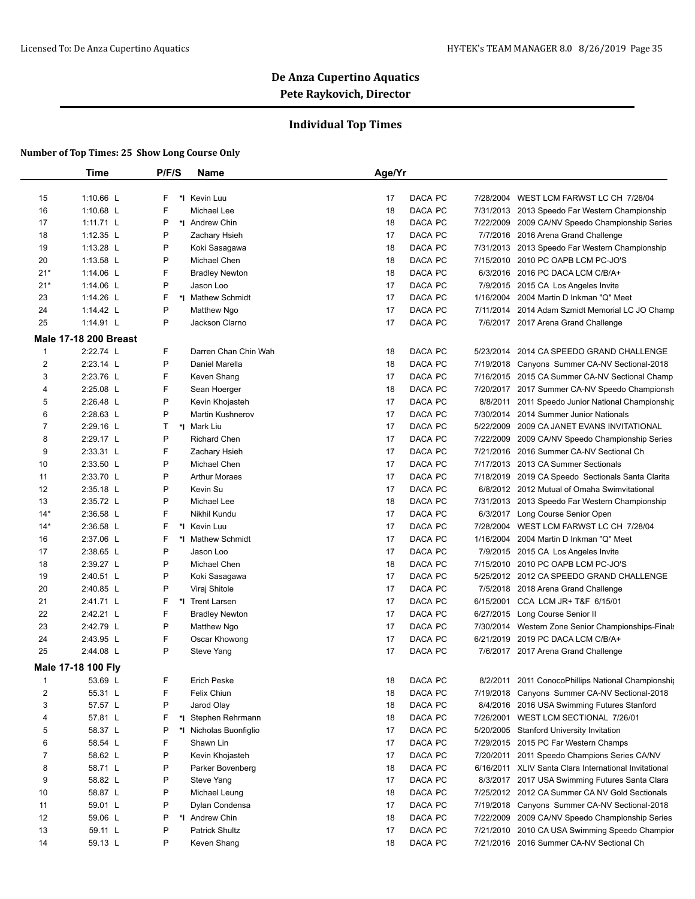### **Individual Top Times**

|                    | Time                         | P/F/S        | <b>Name</b>             | Age/Yr |         |           |                                                       |
|--------------------|------------------------------|--------------|-------------------------|--------|---------|-----------|-------------------------------------------------------|
|                    |                              |              |                         |        |         |           |                                                       |
| 15                 | 1:10.66 L                    | F            | *1 Kevin Luu            | 17     | DACA PC | 7/28/2004 | WEST LCM FARWST LC CH 7/28/04                         |
| 16                 | 1:10.68 L                    | F            | Michael Lee             | 18     | DACA PC |           | 7/31/2013 2013 Speedo Far Western Championship        |
| 17                 | $1:11.71$ L                  | P            | *I Andrew Chin          | 18     | DACA PC |           | 7/22/2009 2009 CA/NV Speedo Championship Series       |
| 18                 | 1:12.35 L                    | P            | Zachary Hsieh           | 17     | DACA PC |           | 7/7/2016 2016 Arena Grand Challenge                   |
| 19                 | 1:13.28 L                    | P            | Koki Sasagawa           | 18     | DACA PC |           | 7/31/2013 2013 Speedo Far Western Championship        |
| 20                 | 1:13.58 L                    | P            | Michael Chen            | 18     | DACA PC | 7/15/2010 | 2010 PC OAPB LCM PC-JO'S                              |
| $21*$              | 1:14.06 L                    | F            | <b>Bradley Newton</b>   | 18     | DACA PC |           | 6/3/2016 2016 PC DACA LCM C/B/A+                      |
| $21*$              | 1:14.06 L                    | P            | Jason Loo               | 17     | DACA PC |           | 7/9/2015 2015 CA Los Angeles Invite                   |
| 23                 | 1:14.26 L                    | F            | *I Mathew Schmidt       | 17     | DACA PC | 1/16/2004 | 2004 Martin D Inkman "Q" Meet                         |
| 24                 | 1:14.42 L                    | P            | Matthew Ngo             | 17     | DACA PC |           | 7/11/2014 2014 Adam Szmidt Memorial LC JO Champ       |
| 25                 | 1:14.91 L                    | P            | Jackson Clarno          | 17     | DACA PC |           | 7/6/2017 2017 Arena Grand Challenge                   |
|                    | <b>Male 17-18 200 Breast</b> |              |                         |        |         |           |                                                       |
| $\mathbf{1}$       | 2:22.74 L                    | F            | Darren Chan Chin Wah    | 18     | DACA PC | 5/23/2014 | 2014 CA SPEEDO GRAND CHALLENGE                        |
| 2                  | 2:23.14 L                    | P            | Daniel Marella          | 18     | DACA PC | 7/19/2018 | Canyons Summer CA-NV Sectional-2018                   |
| 3                  | 2:23.76 L                    | F            | Keven Shang             | 17     | DACA PC |           | 7/16/2015 2015 CA Summer CA-NV Sectional Champ        |
| 4                  | 2:25.08 L                    | F            | Sean Hoerger            | 18     | DACA PC |           | 7/20/2017 2017 Summer CA-NV Speedo Championsh         |
| 5                  | 2:26.48 L                    | P            | Kevin Khojasteh         | 17     | DACA PC |           | 8/8/2011 2011 Speedo Junior National Championship     |
| 6                  | 2:28.63 L                    | P            | <b>Martin Kushnerov</b> | 17     | DACA PC |           | 7/30/2014 2014 Summer Junior Nationals                |
| 7                  | 2:29.16 L                    | $\mathsf{T}$ | *I Mark Liu             | 17     | DACA PC | 5/22/2009 | 2009 CA JANET EVANS INVITATIONAL                      |
| 8                  | 2:29.17 L                    | P            | <b>Richard Chen</b>     | 17     | DACA PC | 7/22/2009 | 2009 CA/NV Speedo Championship Series                 |
| 9                  | 2:33.31 L                    | F            | Zachary Hsieh           | 17     | DACA PC |           | 7/21/2016 2016 Summer CA-NV Sectional Ch              |
| 10                 | 2:33.50 L                    | P            | Michael Chen            | 17     | DACA PC | 7/17/2013 | 2013 CA Summer Sectionals                             |
| 11                 | 2:33.70 L                    | P            | <b>Arthur Moraes</b>    | 17     | DACA PC |           | 7/18/2019 2019 CA Speedo Sectionals Santa Clarita     |
| 12                 | 2:35.18 L                    | P            | Kevin Su                | 17     | DACA PC |           | 6/8/2012 2012 Mutual of Omaha Swimvitational          |
| 13                 | 2:35.72 L                    | P            | Michael Lee             | 18     | DACA PC |           | 7/31/2013 2013 Speedo Far Western Championship        |
| $14*$              | 2:36.58 L                    | F            | Nikhil Kundu            | 17     | DACA PC |           | 6/3/2017 Long Course Senior Open                      |
| $14*$              | 2:36.58 L                    | F            | *I Kevin Luu            | 17     | DACA PC | 7/28/2004 | WEST LCM FARWST LC CH 7/28/04                         |
| 16                 | 2:37.06 L                    | F            | *I Mathew Schmidt       | 17     | DACA PC | 1/16/2004 | 2004 Martin D Inkman "Q" Meet                         |
| 17                 | 2:38.65 L                    | P            | Jason Loo               | 17     | DACA PC |           | 7/9/2015 2015 CA Los Angeles Invite                   |
| 18                 | 2:39.27 L                    | P            | Michael Chen            | 18     | DACA PC |           | 7/15/2010 2010 PC OAPB LCM PC-JO'S                    |
| 19                 | 2:40.51 L                    | P            | Koki Sasagawa           | 17     | DACA PC |           | 5/25/2012 2012 CA SPEEDO GRAND CHALLENGE              |
| 20                 | 2:40.85 L                    | P            | Viraj Shitole           | 17     | DACA PC |           | 7/5/2018 2018 Arena Grand Challenge                   |
| 21                 | 2:41.71 L                    | F<br>*∣      | <b>Trent Larsen</b>     | 17     | DACA PC | 6/15/2001 | CCA LCM JR+ T&F 6/15/01                               |
| 22                 | 2:42.21 L                    | F            | <b>Bradley Newton</b>   | 17     | DACA PC |           | 6/27/2015 Long Course Senior II                       |
| 23                 | 2:42.79 L                    | P            | Matthew Ngo             | 17     | DACA PC |           | 7/30/2014 Western Zone Senior Championships-Finals    |
| 24                 | 2:43.95 L                    | F            | Oscar Khowong           | 17     | DACA PC |           | 6/21/2019 2019 PC DACA LCM C/B/A+                     |
| 25                 | 2:44.08 L                    | P            | Steve Yang              | 17     | DACA PC |           | 7/6/2017 2017 Arena Grand Challenge                   |
| Male 17-18 100 Fly |                              |              |                         |        |         |           |                                                       |
| 1                  | 53.69 L                      | F            | <b>Erich Peske</b>      | 18     | DACA PC |           | 8/2/2011 2011 ConocoPhillips National Championship    |
| 2                  | 55.31 L                      | F            | Felix Chiun             | 18     | DACA PC |           | 7/19/2018 Canyons Summer CA-NV Sectional-2018         |
| 3                  | 57.57 L                      | P            | Jarod Olay              | 18     | DACA PC |           | 8/4/2016 2016 USA Swimming Futures Stanford           |
| 4                  | 57.81 L                      | F            | *I Stephen Rehrmann     | 18     | DACA PC |           | 7/26/2001 WEST LCM SECTIONAL 7/26/01                  |
| 5                  | 58.37 L                      | P            | *I Nicholas Buonfiglio  | 17     | DACA PC |           | 5/20/2005 Stanford University Invitation              |
| 6                  | 58.54 L                      | F            | Shawn Lin               | 17     | DACA PC |           | 7/29/2015 2015 PC Far Western Champs                  |
| 7                  | 58.62 L                      | P            | Kevin Khojasteh         | 17     | DACA PC | 7/20/2011 | 2011 Speedo Champions Series CA/NV                    |
| 8                  | 58.71 L                      | P            | Parker Bovenberg        | 18     | DACA PC |           | 6/16/2011 XLIV Santa Clara International Invitational |
| 9                  | 58.82 L                      | P            | Steve Yang              | 17     | DACA PC | 8/3/2017  | 2017 USA Swimming Futures Santa Clara                 |
| 10                 | 58.87 L                      | P            | Michael Leung           | 18     | DACA PC |           | 7/25/2012 2012 CA Summer CA NV Gold Sectionals        |
| 11                 | 59.01 L                      | P            | Dylan Condensa          | 17     | DACA PC |           | 7/19/2018 Canyons Summer CA-NV Sectional-2018         |
| 12                 | 59.06 L                      | P            | *I Andrew Chin          | 18     | DACA PC |           | 7/22/2009 2009 CA/NV Speedo Championship Series       |
| 13                 | 59.11 L                      | P            | <b>Patrick Shultz</b>   | 17     | DACA PC |           | 7/21/2010 2010 CA USA Swimming Speedo Champior        |
| 14                 | 59.13 L                      | P            | Keven Shang             | 18     | DACA PC |           | 7/21/2016 2016 Summer CA-NV Sectional Ch              |
|                    |                              |              |                         |        |         |           |                                                       |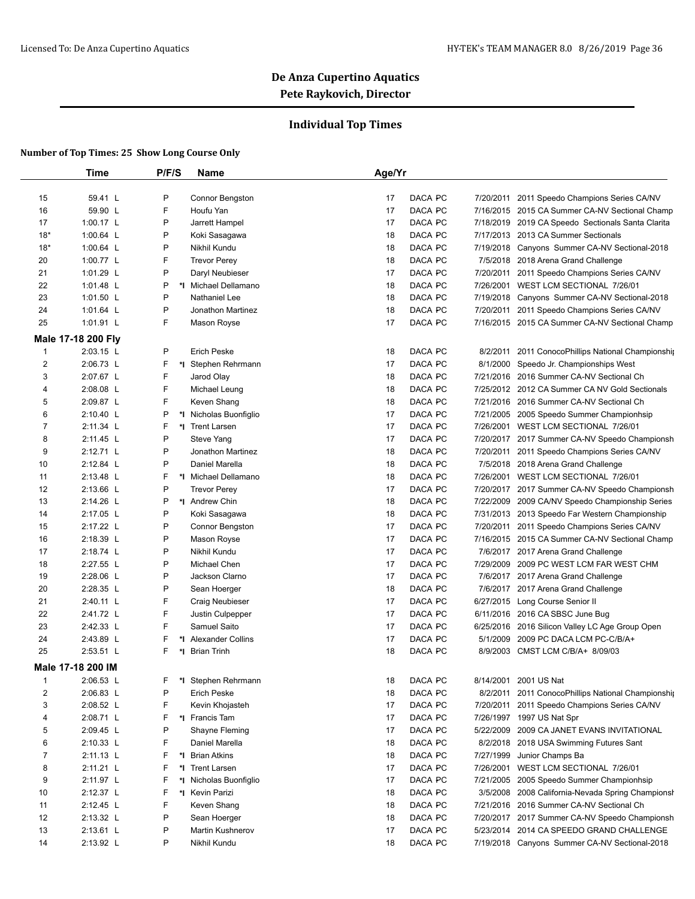### **Individual Top Times**

|                | <b>Time</b>        | P/F/S   | Name                                  | Age/Yr        |                                                      |
|----------------|--------------------|---------|---------------------------------------|---------------|------------------------------------------------------|
|                |                    |         |                                       |               |                                                      |
| 15             | 59.41 L            | P       | Connor Bengston                       | DACA PC<br>17 | 2011 Speedo Champions Series CA/NV<br>7/20/2011      |
| 16             | 59.90 L            | F       | Houfu Yan                             | DACA PC<br>17 | 7/16/2015 2015 CA Summer CA-NV Sectional Champ       |
| 17             | 1:00.17 L          | P       | Jarrett Hampel                        | DACA PC<br>17 | 7/18/2019 2019 CA Speedo Sectionals Santa Clarita    |
| $18*$          | 1:00.64 L          | P       | Koki Sasagawa                         | DACA PC<br>18 | 7/17/2013 2013 CA Summer Sectionals                  |
| $18*$          | 1:00.64 L          | P       | Nikhil Kundu                          | DACA PC<br>18 | 7/19/2018 Canyons Summer CA-NV Sectional-2018        |
| 20             | 1:00.77 L          | F       | <b>Trevor Perey</b>                   | DACA PC<br>18 | 7/5/2018 2018 Arena Grand Challenge                  |
| 21             | 1:01.29 L          | P       | Daryl Neubieser                       | DACA PC<br>17 | 7/20/2011 2011 Speedo Champions Series CA/NV         |
| 22             | 1:01.48 L          | P       | *I Michael Dellamano                  | DACA PC<br>18 | 7/26/2001 WEST LCM SECTIONAL 7/26/01                 |
| 23             | 1:01.50 L          | P       | Nathaniel Lee                         | DACA PC<br>18 | Canyons Summer CA-NV Sectional-2018<br>7/19/2018     |
| 24             | 1:01.64 L          | P       | <b>Jonathon Martinez</b>              | DACA PC<br>18 | 7/20/2011 2011 Speedo Champions Series CA/NV         |
| 25             | 1:01.91 L          | F       | Mason Royse                           | DACA PC<br>17 | 7/16/2015 2015 CA Summer CA-NV Sectional Champ       |
|                | Male 17-18 200 Fly |         |                                       |               |                                                      |
| $\mathbf{1}$   | 2:03.15 L          | P       | <b>Erich Peske</b>                    | DACA PC<br>18 | 8/2/2011 2011 ConocoPhillips National Championship   |
| 2              | 2:06.73 L          | F       | *I Stephen Rehrmann                   | DACA PC<br>17 | Speedo Jr. Championships West<br>8/1/2000            |
| 3              | 2:07.67 L          | F       | Jarod Olay                            | DACA PC<br>18 | 7/21/2016 2016 Summer CA-NV Sectional Ch             |
| 4              | 2:08.08 L          | F       | Michael Leung                         | DACA PC<br>18 | 7/25/2012 2012 CA Summer CA NV Gold Sectionals       |
| 5              | 2:09.87 L          | F       | Keven Shang                           | DACA PC<br>18 | 7/21/2016 2016 Summer CA-NV Sectional Ch             |
| 6              | 2:10.40 L          | P       | *I Nicholas Buonfiglio                | DACA PC<br>17 | 7/21/2005 2005 Speedo Summer Championhsip            |
| $\overline{7}$ | 2:11.34 L          | F       | *1 Trent Larsen                       | DACA PC<br>17 | 7/26/2001 WEST LCM SECTIONAL 7/26/01                 |
| 8              | 2:11.45 L          | P       | Steve Yang                            | DACA PC<br>17 | 7/20/2017 2017 Summer CA-NV Speedo Championsh        |
| 9              | 2:12.71 L          | P       | Jonathon Martinez                     | DACA PC<br>18 | 7/20/2011 2011 Speedo Champions Series CA/NV         |
| 10             | 2:12.84 L          | P       | Daniel Marella                        | DACA PC<br>18 | 7/5/2018 2018 Arena Grand Challenge                  |
| 11             | 2:13.48 L          | F       | *I Michael Dellamano                  | DACA PC<br>18 | 7/26/2001 WEST LCM SECTIONAL 7/26/01                 |
| 12             | 2:13.66 L          | P       | <b>Trevor Perev</b>                   | DACA PC<br>17 | 7/20/2017 2017 Summer CA-NV Speedo Championsh        |
| 13             | 2:14.26 L          | P       | *1 Andrew Chin                        | DACA PC<br>18 | 7/22/2009 2009 CA/NV Speedo Championship Series      |
| 14             | 2:17.05 L          | P       | Koki Sasagawa                         | DACA PC<br>18 | 7/31/2013 2013 Speedo Far Western Championship       |
| 15             | 2:17.22 L          | P       | Connor Bengston                       | DACA PC<br>17 | 7/20/2011 2011 Speedo Champions Series CA/NV         |
| 16             | 2:18.39 L          | P       | Mason Royse                           | DACA PC<br>17 | 7/16/2015 2015 CA Summer CA-NV Sectional Champ       |
| 17             | 2:18.74 L          | P       | Nikhil Kundu                          | DACA PC<br>17 | 7/6/2017 2017 Arena Grand Challenge                  |
| 18             | 2:27.55 L          | P       | Michael Chen                          | 17<br>DACA PC | 7/29/2009 2009 PC WEST LCM FAR WEST CHM              |
| 19             | 2:28.06 L          | P       | Jackson Clarno                        | 17<br>DACA PC | 7/6/2017 2017 Arena Grand Challenge                  |
| 20             | 2:28.35 L          | P       | Sean Hoerger                          | DACA PC<br>18 | 7/6/2017 2017 Arena Grand Challenge                  |
| 21             | 2:40.11 L          | F       | Craig Neubieser                       | 17<br>DACA PC | 6/27/2015 Long Course Senior II                      |
| 22             | 2:41.72 L          | F       | Justin Culpepper                      | DACA PC<br>17 | 6/11/2016 2016 CA SBSC June Bug                      |
| 23             | 2:42.33 L          | F       | Samuel Saito                          | DACA PC<br>17 | 6/25/2016 2016 Silicon Valley LC Age Group Open      |
| 24             | 2:43.89 L          | F       | *I Alexander Collins                  | 17<br>DACA PC | 2009 PC DACA LCM PC-C/B/A+<br>5/1/2009               |
| 25             | 2:53.51 L          | F<br>*1 | <b>Brian Trinh</b>                    | DACA PC<br>18 | 8/9/2003 CMST LCM C/B/A+ 8/09/03                     |
|                |                    |         |                                       |               |                                                      |
| $\mathbf{1}$   | Male 17-18 200 IM  | F       |                                       | DACA PC       |                                                      |
|                | 2:06.53 L          | *∣      | Stephen Rehrmann                      | 18            | 8/14/2001 2001 US Nat                                |
| $\overline{2}$ | 2:06.83 L          | P       | <b>Erich Peske</b><br>Kevin Khojasteh | DACA PC<br>18 | 8/2/2011 2011 ConocoPhillips National Championship   |
| 3              | 2:08.52 L          | F       |                                       | DACA PC<br>17 | 7/20/2011 2011 Speedo Champions Series CA/NV         |
| 4              | 2:08.71 L          | F       | *I Francis Tam                        | DACA PC<br>17 | 7/26/1997 1997 US Nat Spr                            |
| 5              | 2:09.45 L          | P       | Shayne Fleming                        | DACA PC<br>17 | 5/22/2009 2009 CA JANET EVANS INVITATIONAL           |
| 6              | 2:10.33 L          | F       | Daniel Marella                        | DACA PC<br>18 | 8/2/2018<br>2018 USA Swimming Futures Sant           |
| 7              | 2:11.13 L          | F       | *I Brian Atkins                       | DACA PC<br>18 | Junior Champs Ba<br>7/27/1999                        |
| 8              | 2:11.21 L          | F       | *I Trent Larsen                       | DACA PC<br>17 | 7/26/2001 WEST LCM SECTIONAL 7/26/01                 |
| 9              | 2:11.97 L          | F<br>*∣ | Nicholas Buonfiglio                   | DACA PC<br>17 | 7/21/2005 2005 Speedo Summer Championhsip            |
| 10             | 2:12.37 L          | F       | *I Kevin Parizi                       | DACA PC<br>18 | 3/5/2008<br>2008 California-Nevada Spring Championsh |
| 11             | 2:12.45 L          | F       | Keven Shang                           | DACA PC<br>18 | 7/21/2016 2016 Summer CA-NV Sectional Ch             |
| 12             | 2:13.32 L          | P       | Sean Hoerger                          | DACA PC<br>18 | 7/20/2017 2017 Summer CA-NV Speedo Championsh        |
| 13             | 2:13.61 L          | P       | Martin Kushnerov                      | DACA PC<br>17 | 5/23/2014 2014 CA SPEEDO GRAND CHALLENGE             |
| 14             | 2:13.92 L          | P       | Nikhil Kundu                          | DACA PC<br>18 | 7/19/2018 Canyons Summer CA-NV Sectional-2018        |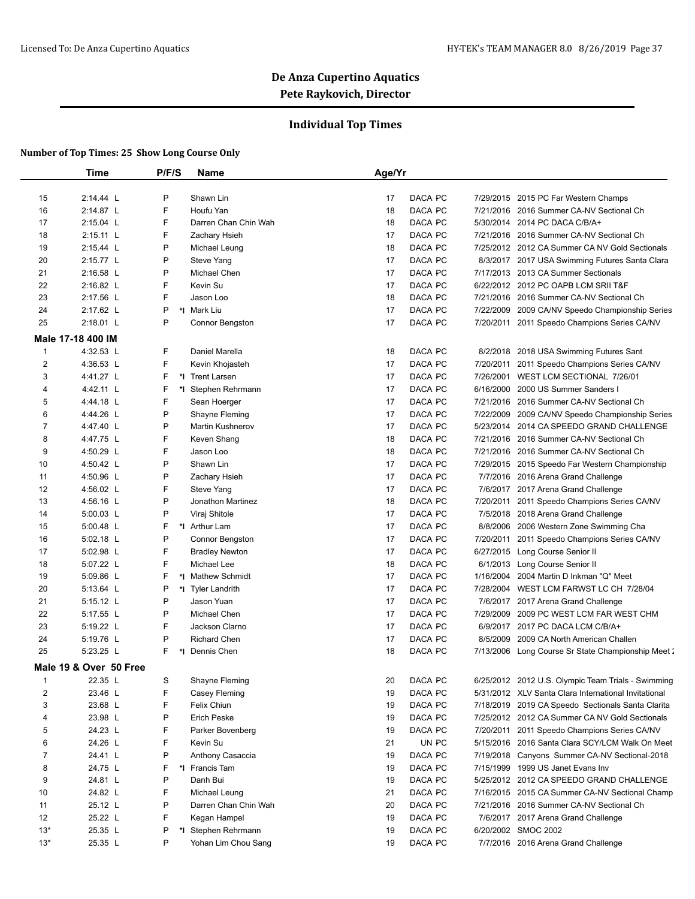### **Individual Top Times**

|                | <b>Time</b>            | P/F/S   | <b>Name</b>           | Age/Yr               |           |                                                      |
|----------------|------------------------|---------|-----------------------|----------------------|-----------|------------------------------------------------------|
|                |                        |         |                       |                      |           |                                                      |
| 15             | 2:14.44 L              | P       | Shawn Lin             | 17<br>DACA PC        |           | 7/29/2015 2015 PC Far Western Champs                 |
| 16             | 2:14.87 L              | F       | Houfu Yan             | DACA PC<br>18        |           | 7/21/2016 2016 Summer CA-NV Sectional Ch             |
| 17             | 2:15.04 L              | F       | Darren Chan Chin Wah  | DACA PC<br>18        | 5/30/2014 | 2014 PC DACA C/B/A+                                  |
| 18             | 2:15.11 L              | F       | Zachary Hsieh         | DACA PC<br>17        |           | 7/21/2016 2016 Summer CA-NV Sectional Ch             |
| 19             | $2:15.44$ L            | P       | Michael Leung         | DACA PC<br>18        |           | 7/25/2012 2012 CA Summer CA NV Gold Sectionals       |
| 20             | 2:15.77 L              | P       | Steve Yang            | DACA PC<br>17        | 8/3/2017  | 2017 USA Swimming Futures Santa Clara                |
| 21             | 2:16.58 L              | P       | Michael Chen          | DACA PC<br>17        |           | 7/17/2013 2013 CA Summer Sectionals                  |
| 22             | 2:16.82 L              | F       | Kevin Su              | 17<br>DACA PC        |           | 6/22/2012 2012 PC OAPB LCM SRII T&F                  |
| 23             | 2:17.56 L              | F       | Jason Loo             | DACA PC<br>18        |           | 7/21/2016 2016 Summer CA-NV Sectional Ch             |
| 24             | 2:17.62 L              | P       | *I Mark Liu           | DACA PC<br>17        |           | 7/22/2009 2009 CA/NV Speedo Championship Series      |
| 25             | 2:18.01 L              | P       | Connor Bengston       | DACA PC<br>17        |           | 7/20/2011 2011 Speedo Champions Series CA/NV         |
|                | Male 17-18 400 IM      |         |                       |                      |           |                                                      |
| $\mathbf{1}$   | 4:32.53 L              | F       | Daniel Marella        | DACA PC<br>18        |           | 8/2/2018 2018 USA Swimming Futures Sant              |
| $\overline{2}$ | 4:36.53 L              | F       | Kevin Khojasteh       | DACA PC<br>17        |           | 7/20/2011 2011 Speedo Champions Series CA/NV         |
| 3              | 4:41.27 L              | F       | *1 Trent Larsen       | DACA PC<br>17        | 7/26/2001 | WEST LCM SECTIONAL 7/26/01                           |
| 4              | 4:42.11 L              | F       | *I Stephen Rehrmann   | DACA PC<br>17        |           | 6/16/2000 2000 US Summer Sanders I                   |
| 5              | 4:44.18 L              | F       | Sean Hoerger          | DACA PC<br>17        |           | 7/21/2016 2016 Summer CA-NV Sectional Ch             |
| 6              | 4:44.26 L              | P       | Shayne Fleming        | DACA PC<br>17        | 7/22/2009 | 2009 CA/NV Speedo Championship Series                |
| $\overline{7}$ | 4:47.40 L              | P       | Martin Kushnerov      | 17<br>DACA PC        | 5/23/2014 | 2014 CA SPEEDO GRAND CHALLENGE                       |
| 8              | 4:47.75 L              | F       | Keven Shang           | DACA PC<br>18        |           | 7/21/2016 2016 Summer CA-NV Sectional Ch             |
| 9              | 4:50.29 L              | F       | Jason Loo             | DACA PC<br>18        | 7/21/2016 | 2016 Summer CA-NV Sectional Ch                       |
| 10             | 4:50.42 L              | P       | Shawn Lin             | 17<br>DACA PC        |           | 7/29/2015 2015 Speedo Far Western Championship       |
| 11             | 4:50.96 L              | P       | Zachary Hsieh         | DACA PC<br>17        |           | 7/7/2016 2016 Arena Grand Challenge                  |
| 12             | 4:56.02 L              | F       | Steve Yang            | DACA PC<br>17        |           | 7/6/2017 2017 Arena Grand Challenge                  |
| 13             | 4:56.16 L              | P       | Jonathon Martinez     | DACA PC<br>18        |           | 7/20/2011 2011 Speedo Champions Series CA/NV         |
| 14             | 5:00.03 L              | P       | Viraj Shitole         | DACA PC<br>17        |           | 7/5/2018 2018 Arena Grand Challenge                  |
| 15             | 5:00.48 L              | F       | *I Arthur Lam         | DACA PC<br>17        |           | 8/8/2006 2006 Western Zone Swimming Cha              |
| 16             | 5:02.18 L              | P       | Connor Bengston       | 17<br>DACA PC        | 7/20/2011 | 2011 Speedo Champions Series CA/NV                   |
| 17             | 5:02.98 L              | F       | <b>Bradley Newton</b> | DACA PC<br>17        |           | 6/27/2015 Long Course Senior II                      |
| 18             | 5:07.22 L              | F       | Michael Lee           | DACA PC<br>18        | 6/1/2013  | Long Course Senior II                                |
| 19             | 5:09.86 L              | F<br>*1 | <b>Mathew Schmidt</b> | DACA PC<br>17        | 1/16/2004 | 2004 Martin D Inkman "Q" Meet                        |
| 20             | 5:13.64 L              | P       | *I Tyler Landrith     | DACA PC<br>17        |           | 7/28/2004 WEST LCM FARWST LC CH 7/28/04              |
| 21             | 5:15.12 L              | P       | Jason Yuan            | DACA PC<br>17        | 7/6/2017  | 2017 Arena Grand Challenge                           |
| 22             | 5:17.55 L              | P       | Michael Chen          | 17<br>DACA PC        | 7/29/2009 | 2009 PC WEST LCM FAR WEST CHM                        |
| 23             | 5:19.22 L              | F       | Jackson Clarno        | DACA PC<br>17        |           | 6/9/2017 2017 PC DACA LCM C/B/A+                     |
| 24             | 5:19.76 L              | P       | <b>Richard Chen</b>   | DACA PC<br>17        | 8/5/2009  | 2009 CA North American Challen                       |
| 25             | 5:23.25 L              | F<br>*1 | Dennis Chen           | <b>DACA PC</b><br>18 |           | 7/13/2006 Long Course Sr State Championship Meet 2   |
|                |                        |         |                       |                      |           |                                                      |
|                | Male 19 & Over 50 Free |         |                       |                      |           |                                                      |
| 1              | 22.35 L                | S       | Shayne Fleming        | 20<br>DACA PC        |           | 6/25/2012 2012 U.S. Olympic Team Trials - Swimming   |
| 2              | 23.46 L                | F       | Casey Fleming         | 19<br>DACA PC        |           | 5/31/2012 XLV Santa Clara International Invitational |
| 3              | 23.68 L                | F       | Felix Chiun           | DACA PC<br>19        |           | 7/18/2019 2019 CA Speedo Sectionals Santa Clarita    |
| 4              | 23.98 L                | P       | Erich Peske           | 19<br>DACA PC        |           | 7/25/2012 2012 CA Summer CA NV Gold Sectionals       |
| 5              | 24.23 L                | F       | Parker Bovenberg      | 19<br>DACA PC        | 7/20/2011 | 2011 Speedo Champions Series CA/NV                   |
| 6              | 24.26 L                | F       | Kevin Su              | UN PC<br>21          |           | 5/15/2016 2016 Santa Clara SCY/LCM Walk On Meet      |
| 7              | 24.41 L                | P       | Anthony Casaccia      | DACA PC<br>19        |           | 7/19/2018 Canyons Summer CA-NV Sectional-2018        |
| 8              | 24.75 L                | F       | *I Francis Tam        | 19<br>DACA PC        |           | 7/15/1999 1999 US Janet Evans Inv                    |
| 9              | 24.81 L                | P       | Danh Bui              | DACA PC<br>19        |           | 5/25/2012 2012 CA SPEEDO GRAND CHALLENGE             |
| 10             | 24.82 L                | F       | Michael Leung         | DACA PC<br>21        |           | 7/16/2015 2015 CA Summer CA-NV Sectional Champ       |
| 11             | 25.12 L                | P       | Darren Chan Chin Wah  | DACA PC<br>20        |           | 7/21/2016 2016 Summer CA-NV Sectional Ch             |
| 12             | 25.22 L                | F       | Kegan Hampel          | DACA PC<br>19        |           | 7/6/2017 2017 Arena Grand Challenge                  |
| $13*$          | 25.35 L                | P       | *I Stephen Rehrmann   | DACA PC<br>19        |           | 6/20/2002 SMOC 2002                                  |
| $13*$          | 25.35 L                | P       | Yohan Lim Chou Sang   | DACA PC<br>19        |           | 7/7/2016 2016 Arena Grand Challenge                  |
|                |                        |         |                       |                      |           |                                                      |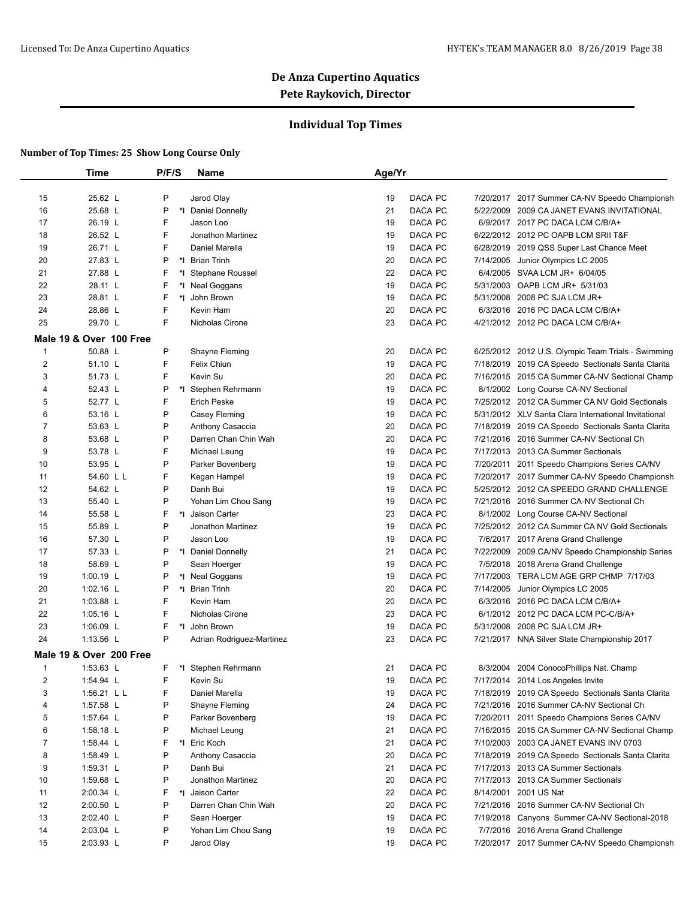### **Individual Top Times**

|              | <b>Time</b>             | P/F/S | Name                          | Age/Yr        |           |                                                                              |
|--------------|-------------------------|-------|-------------------------------|---------------|-----------|------------------------------------------------------------------------------|
|              |                         |       |                               |               |           |                                                                              |
| 15           | 25.62 L                 | P     | Jarod Olay                    | 19<br>DACA PC |           | 7/20/2017 2017 Summer CA-NV Speedo Championsh                                |
| 16           | 25.68 L                 | P     | Daniel Donnelly<br>*I         | 21<br>DACA PC | 5/22/2009 | 2009 CA JANET EVANS INVITATIONAL                                             |
| 17           | 26.19 L                 | F     | Jason Loo                     | DACA PC<br>19 | 6/9/2017  | 2017 PC DACA LCM C/B/A+                                                      |
| 18           | 26.52 L                 | F     | Jonathon Martinez             | 19<br>DACA PC |           | 6/22/2012 2012 PC OAPB LCM SRII T&F                                          |
| 19           | 26.71 L                 | F     | Daniel Marella                | 19<br>DACA PC |           | 6/28/2019 2019 QSS Super Last Chance Meet                                    |
| 20           | 27.83 L                 | P     | *∣<br><b>Brian Trinh</b>      | DACA PC<br>20 | 7/14/2005 | Junior Olympics LC 2005                                                      |
| 21           | 27.88 L                 | F     | <b>Stephane Roussel</b><br>*I | DACA PC<br>22 |           | 6/4/2005 SVAA LCM JR+ 6/04/05                                                |
| 22           | 28.11 L                 | F     | *I Neal Goggans               | 19<br>DACA PC |           | 5/31/2003 OAPB LCM JR+ 5/31/03                                               |
| 23           | 28.81 L                 | F     | *I John Brown                 | DACA PC<br>19 | 5/31/2008 | 2008 PC SJA LCM JR+                                                          |
| 24           | 28.86 L                 | F     | Kevin Ham                     | 20<br>DACA PC |           | 6/3/2016 2016 PC DACA LCM C/B/A+                                             |
| 25           | 29.70 L                 | F     | Nicholas Cirone               | DACA PC<br>23 |           | 4/21/2012 2012 PC DACA LCM C/B/A+                                            |
|              | Male 19 & Over 100 Free |       |                               |               |           |                                                                              |
| $\mathbf{1}$ | 50.88 L                 | P     | Shayne Fleming                | 20<br>DACA PC |           | 6/25/2012 2012 U.S. Olympic Team Trials - Swimming                           |
| 2            | 51.10 L                 | F     | Felix Chiun                   | DACA PC<br>19 |           | 7/18/2019 2019 CA Speedo Sectionals Santa Clarita                            |
| 3            | 51.73 L                 | F     | Kevin Su                      | DACA PC<br>20 |           | 7/16/2015 2015 CA Summer CA-NV Sectional Champ                               |
| 4            | 52.43 L                 | P     | *I Stephen Rehrmann           | DACA PC<br>19 |           | 8/1/2002 Long Course CA-NV Sectional                                         |
| 5            | 52.77 L                 | F     | <b>Erich Peske</b>            | DACA PC<br>19 |           | 7/25/2012 2012 CA Summer CA NV Gold Sectionals                               |
| 6            | 53.16 L                 | P     | Casey Fleming                 | 19<br>DACA PC |           | 5/31/2012 XLV Santa Clara International Invitational                         |
| 7            | 53.63 L                 | P     | Anthony Casaccia              | 20<br>DACA PC |           | 7/18/2019 2019 CA Speedo Sectionals Santa Clarita                            |
| 8            | 53.68 L                 | P     | Darren Chan Chin Wah          | DACA PC<br>20 |           | 7/21/2016 2016 Summer CA-NV Sectional Ch                                     |
| 9            | 53.78 L                 | F     | Michael Leung                 | 19<br>DACA PC |           | 7/17/2013 2013 CA Summer Sectionals                                          |
| 10           | 53.95 L                 | P     | Parker Bovenberg              | DACA PC<br>19 |           | 7/20/2011 2011 Speedo Champions Series CA/NV                                 |
| 11           | 54.60 L L               | F     | Kegan Hampel                  | DACA PC<br>19 |           | 7/20/2017 2017 Summer CA-NV Speedo Championsh                                |
| 12           | 54.62 L                 | P     | Danh Bui                      | DACA PC<br>19 |           | 5/25/2012 2012 CA SPEEDO GRAND CHALLENGE                                     |
| 13           | 55.40 L                 | P     | Yohan Lim Chou Sang           | DACA PC<br>19 |           | 7/21/2016 2016 Summer CA-NV Sectional Ch                                     |
| 14           | 55.58 L                 | F     | *I Jaison Carter              | DACA PC<br>23 |           | 8/1/2002 Long Course CA-NV Sectional                                         |
| 15           | 55.89 L                 | P     | Jonathon Martinez             | 19<br>DACA PC |           | 7/25/2012 2012 CA Summer CA NV Gold Sectionals                               |
| 16           | 57.30 L                 | P     | Jason Loo                     | DACA PC<br>19 |           | 7/6/2017 2017 Arena Grand Challenge                                          |
| 17           | 57.33 L                 | P     | *I Daniel Donnelly            | DACA PC<br>21 |           | 7/22/2009 2009 CA/NV Speedo Championship Series                              |
| 18           | 58.69 L                 | P     | Sean Hoerger                  | 19<br>DACA PC |           | 7/5/2018 2018 Arena Grand Challenge                                          |
| 19           | 1:00.19 L               | P     | *I Neal Goggans               | 19<br>DACA PC |           | 7/17/2003 TERA LCM AGE GRP CHMP 7/17/03                                      |
| 20           | 1:02.16 L               | P     | *∣<br><b>Brian Trinh</b>      | 20<br>DACA PC | 7/14/2005 | Junior Olympics LC 2005                                                      |
| 21           | 1:03.88 L               | F     | Kevin Ham                     | 20<br>DACA PC |           | 6/3/2016 2016 PC DACA LCM C/B/A+                                             |
| 22           | 1:05.16 L               | F     | Nicholas Cirone               | 23<br>DACA PC |           | 6/1/2012 2012 PC DACA LCM PC-C/B/A+                                          |
| 23           | 1:06.09 L               | F     | *I John Brown                 | DACA PC<br>19 |           | 5/31/2008 2008 PC SJA LCM JR+                                                |
| 24           | 1:13.56 $L$             | P     | Adrian Rodriguez-Martinez     | 23<br>DACA PC |           | 7/21/2017 NNA Silver State Championship 2017                                 |
|              |                         |       |                               |               |           |                                                                              |
|              | Male 19 & Over 200 Free |       |                               |               |           |                                                                              |
| 1            | 1:53.63 L               | F.    | *I Stephen Rehrmann           | 21<br>DACA PC |           | 8/3/2004 2004 ConocoPhillips Nat. Champ<br>7/17/2014 2014 Los Angeles Invite |
| 2            | 1:54.94 L               | F     | Kevin Su                      | DACA PC<br>19 |           |                                                                              |
| 3            | 1:56.21 L L             | F     | Daniel Marella                | DACA PC<br>19 |           | 7/18/2019 2019 CA Speedo Sectionals Santa Clarita                            |
| 4            | 1:57.58 L               | P     | Shayne Fleming                | DACA PC<br>24 |           | 7/21/2016 2016 Summer CA-NV Sectional Ch                                     |
| 5            | 1:57.64 L               | P     | Parker Bovenberg              | 19<br>DACA PC |           | 7/20/2011 2011 Speedo Champions Series CA/NV                                 |
| 6            | 1:58.18 $L$             | P     | Michael Leung                 | DACA PC<br>21 |           | 7/16/2015 2015 CA Summer CA-NV Sectional Champ                               |
| 7            | 1:58.44 L               | F     | *I Eric Koch                  | 21<br>DACA PC |           | 7/10/2003 2003 CA JANET EVANS INV 0703                                       |
| 8            | 1:58.49 L               | P     | Anthony Casaccia              | 20<br>DACA PC |           | 7/18/2019 2019 CA Speedo Sectionals Santa Clarita                            |
| 9            | $1:59.31$ L             | P     | Danh Bui                      | DACA PC<br>21 |           | 7/17/2013 2013 CA Summer Sectionals                                          |
| 10           | 1:59.68 L               | P     | Jonathon Martinez             | 20<br>DACA PC |           | 7/17/2013 2013 CA Summer Sectionals                                          |
| 11           | 2:00.34 L               | F     | *1 Jaison Carter              | 22<br>DACA PC |           | 8/14/2001 2001 US Nat                                                        |
| 12           | 2:00.50 L               | P     | Darren Chan Chin Wah          | 20<br>DACA PC |           | 7/21/2016 2016 Summer CA-NV Sectional Ch                                     |
| 13           | 2:02.40 L               | P     | Sean Hoerger                  | DACA PC<br>19 |           | 7/19/2018 Canyons Summer CA-NV Sectional-2018                                |
| 14           | 2:03.04 L               | P     | Yohan Lim Chou Sang           | DACA PC<br>19 |           | 7/7/2016 2016 Arena Grand Challenge                                          |
| 15           | 2:03.93 L               | P     | Jarod Olay                    | DACA PC<br>19 |           | 7/20/2017 2017 Summer CA-NV Speedo Championsh                                |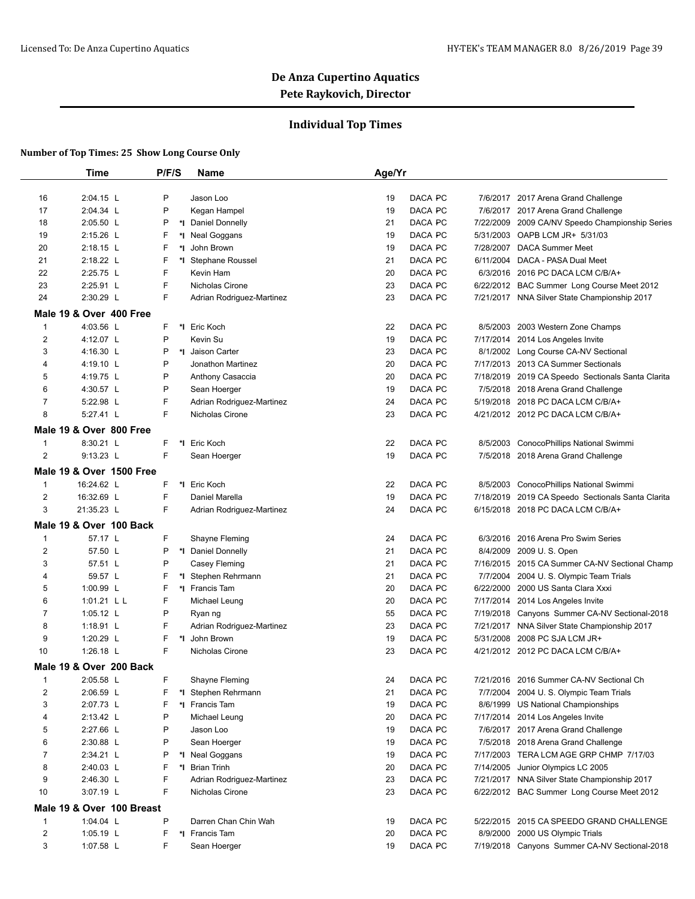### **Individual Top Times**

|                | <b>Time</b>               | P/F/S | <b>Name</b>               | Age/Yr |         |           |                                                   |
|----------------|---------------------------|-------|---------------------------|--------|---------|-----------|---------------------------------------------------|
|                |                           |       |                           |        |         |           |                                                   |
| 16             | 2:04.15 L                 | P     | Jason Loo                 | 19     | DACA PC |           | 7/6/2017 2017 Arena Grand Challenge               |
| 17             | 2:04.34 L                 | P     | Kegan Hampel              | 19     | DACA PC |           | 7/6/2017 2017 Arena Grand Challenge               |
| 18             | 2:05.50 L                 | P     | *I Daniel Donnelly        | 21     | DACA PC | 7/22/2009 | 2009 CA/NV Speedo Championship Series             |
| 19             | 2:15.26 L                 | F     | *I Neal Goggans           | 19     | DACA PC |           | 5/31/2003 OAPB LCM JR+ 5/31/03                    |
| 20             | 2:18.15 L                 | F     | *I John Brown             | 19     | DACA PC |           | 7/28/2007 DACA Summer Meet                        |
| 21             | 2:18.22 L                 | F     | *I Stephane Roussel       | 21     | DACA PC | 6/11/2004 | DACA - PASA Dual Meet                             |
| 22             | 2:25.75 L                 | F     | Kevin Ham                 | 20     | DACA PC |           | 6/3/2016 2016 PC DACA LCM C/B/A+                  |
| 23             | 2:25.91 L                 | F     | Nicholas Cirone           | 23     | DACA PC |           | 6/22/2012 BAC Summer Long Course Meet 2012        |
| 24             | 2:30.29 L                 | F     | Adrian Rodriguez-Martinez | 23     | DACA PC |           | 7/21/2017 NNA Silver State Championship 2017      |
|                | Male 19 & Over 400 Free   |       |                           |        |         |           |                                                   |
| $\mathbf{1}$   | 4:03.56 L                 | F     | *I Eric Koch              | 22     | DACA PC |           | 8/5/2003 2003 Western Zone Champs                 |
| $\overline{2}$ | 4:12.07 L                 | P     | Kevin Su                  | 19     | DACA PC |           | 7/17/2014 2014 Los Angeles Invite                 |
| 3              | 4:16.30 L                 | P     | *1 Jaison Carter          | 23     | DACA PC |           | 8/1/2002 Long Course CA-NV Sectional              |
| 4              | 4:19.10 L                 | Ρ     | Jonathon Martinez         | 20     | DACA PC |           | 7/17/2013 2013 CA Summer Sectionals               |
| 5              | 4:19.75 L                 | Ρ     | Anthony Casaccia          | 20     | DACA PC |           | 7/18/2019 2019 CA Speedo Sectionals Santa Clarita |
| 6              | 4:30.57 L                 | P     | Sean Hoerger              | 19     | DACA PC |           | 7/5/2018 2018 Arena Grand Challenge               |
| 7              | 5:22.98 L                 | F     | Adrian Rodriguez-Martinez | 24     | DACA PC |           | 5/19/2018 2018 PC DACA LCM C/B/A+                 |
| 8              | 5:27.41 L                 | F     | Nicholas Cirone           | 23     | DACA PC |           | 4/21/2012 2012 PC DACA LCM C/B/A+                 |
|                | Male 19 & Over 800 Free   |       |                           |        |         |           |                                                   |
| $\mathbf{1}$   | 8:30.21 L                 | F     | *1 Eric Koch              | 22     | DACA PC |           | 8/5/2003 ConocoPhillips National Swimmi           |
| $\overline{2}$ | $9:13.23$ L               | F     | Sean Hoerger              | 19     | DACA PC |           | 7/5/2018 2018 Arena Grand Challenge               |
|                |                           |       |                           |        |         |           |                                                   |
|                | Male 19 & Over 1500 Free  |       |                           |        |         |           |                                                   |
| $\mathbf{1}$   | 16:24.62 L                | F     | *1 Eric Koch              | 22     | DACA PC | 8/5/2003  | ConocoPhillips National Swimmi                    |
| $\overline{2}$ | 16:32.69 L                | F     | Daniel Marella            | 19     | DACA PC | 7/18/2019 | 2019 CA Speedo Sectionals Santa Clarita           |
| 3              | 21:35.23 L                | F     | Adrian Rodriguez-Martinez | 24     | DACA PC |           | 6/15/2018 2018 PC DACA LCM C/B/A+                 |
|                | Male 19 & Over 100 Back   |       |                           |        |         |           |                                                   |
| $\mathbf{1}$   | 57.17 L                   | F     | Shayne Fleming            | 24     | DACA PC | 6/3/2016  | 2016 Arena Pro Swim Series                        |
| $\overline{2}$ | 57.50 L                   | Ρ     | *I Daniel Donnelly        | 21     | DACA PC |           | 8/4/2009 2009 U.S. Open                           |
| 3              | 57.51 L                   | P     | Casey Fleming             | 21     | DACA PC |           | 7/16/2015 2015 CA Summer CA-NV Sectional Champ    |
| 4              | 59.57 L                   | F     | *I Stephen Rehrmann       | 21     | DACA PC | 7/7/2004  | 2004 U. S. Olympic Team Trials                    |
| 5              | 1:00.99 L                 | F     | *1 Francis Tam            | 20     | DACA PC |           | 6/22/2000 2000 US Santa Clara Xxxi                |
| 6              | 1:01.21 L L               | F     | Michael Leung             | 20     | DACA PC |           | 7/17/2014 2014 Los Angeles Invite                 |
| 7              | 1:05.12 L                 | P     | Ryan ng                   | 55     | DACA PC |           | 7/19/2018 Canyons Summer CA-NV Sectional-2018     |
| 8              | 1:18.91 $L$               | F     | Adrian Rodriguez-Martinez | 23     | DACA PC |           | 7/21/2017 NNA Silver State Championship 2017      |
| 9              | 1:20.29 L                 | F     | *I John Brown             | 19     | DACA PC | 5/31/2008 | 2008 PC SJA LCM JR+                               |
| 10             | 1:26.18 L                 | F     | Nicholas Cirone           | 23     | DACA PC |           | 4/21/2012 2012 PC DACA LCM C/B/A+                 |
|                | Male 19 & Over 200 Back   |       |                           |        |         |           |                                                   |
| $\mathbf 1$    | 2:05.58 L                 | F     | Shayne Fleming            | 24     | DACA PC |           | 7/21/2016 2016 Summer CA-NV Sectional Ch          |
| $\overline{2}$ | 2:06.59 L                 | F     | *I Stephen Rehrmann       | 21     | DACA PC |           | 7/7/2004 2004 U.S. Olympic Team Trials            |
| 3              | 2:07.73 L                 | F     | *I Francis Tam            | 19     | DACA PC |           | 8/6/1999 US National Championships                |
| 4              | 2:13.42 L                 | Ρ     | Michael Leung             | 20     | DACA PC |           | 7/17/2014 2014 Los Angeles Invite                 |
| 5              | 2:27.66 L                 | P     | Jason Loo                 | 19     | DACA PC |           | 7/6/2017 2017 Arena Grand Challenge               |
| 6              | 2:30.88 L                 | Ρ     | Sean Hoerger              | 19     | DACA PC |           | 7/5/2018 2018 Arena Grand Challenge               |
| $\overline{7}$ | 2:34.21 L                 | P     | *I Neal Goggans           | 19     | DACA PC |           | 7/17/2003 TERA LCM AGE GRP CHMP 7/17/03           |
| 8              | 2:40.03 L                 | F     | *I Brian Trinh            | 20     | DACA PC |           | 7/14/2005 Junior Olympics LC 2005                 |
| 9              | 2:46.30 L                 | F     | Adrian Rodriguez-Martinez | 23     | DACA PC |           | 7/21/2017 NNA Silver State Championship 2017      |
| 10             | 3:07.19 L                 | F     | Nicholas Cirone           | 23     | DACA PC |           | 6/22/2012 BAC Summer Long Course Meet 2012        |
|                | Male 19 & Over 100 Breast |       |                           |        |         |           |                                                   |
| $\mathbf{1}$   | 1:04.04 L                 | P     | Darren Chan Chin Wah      | 19     | DACA PC |           | 5/22/2015 2015 CA SPEEDO GRAND CHALLENGE          |
| $\overline{2}$ | 1:05.19 L                 | F     | *I Francis Tam            | 20     | DACA PC |           | 8/9/2000 2000 US Olympic Trials                   |
| 3              | 1:07.58 L                 | F     | Sean Hoerger              | 19     | DACA PC |           | 7/19/2018 Canyons Summer CA-NV Sectional-2018     |
|                |                           |       |                           |        |         |           |                                                   |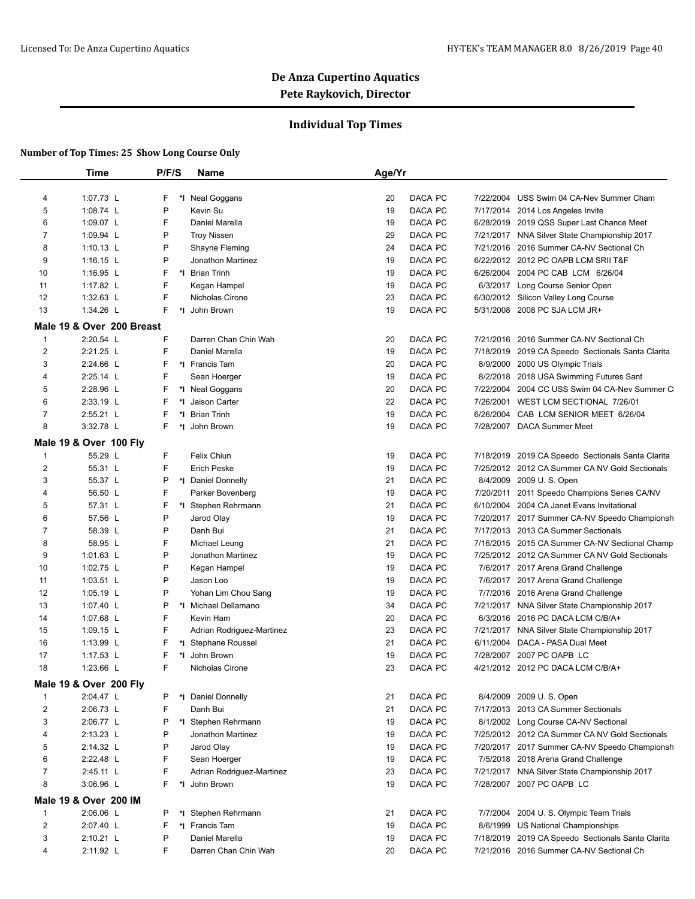### **Individual Top Times**

|                | Time                      | P/F/S   | <b>Name</b>                          | Age/Yr   |                      |                                                              |
|----------------|---------------------------|---------|--------------------------------------|----------|----------------------|--------------------------------------------------------------|
|                |                           |         |                                      |          |                      |                                                              |
| 4              | 1:07.73 L                 | F<br>*∣ | <b>Neal Goggans</b>                  | 20       | DACA PC              | 7/22/2004 USS Swim 04 CA-Nev Summer Cham                     |
| 5              | 1:08.74 L                 | P       | Kevin Su                             | 19       | DACA PC              | 7/17/2014 2014 Los Angeles Invite                            |
| 6              | 1:09.07 L                 | F       | Daniel Marella                       | 19       | DACA PC              | 6/28/2019 2019 QSS Super Last Chance Meet                    |
| 7              | 1:09.94 L                 | P       | <b>Troy Nissen</b>                   | 29       | DACA PC              | 7/21/2017 NNA Silver State Championship 2017                 |
| 8              | 1:10.13 $L$               | P       | Shayne Fleming                       | 24       | DACA PC              | 7/21/2016 2016 Summer CA-NV Sectional Ch                     |
| 9              | $1:16.15$ L               | P       | Jonathon Martinez                    | 19       | DACA PC              | 6/22/2012 2012 PC OAPB LCM SRII T&F                          |
| 10             | 1:16.95 $L$               | F       | *1 Brian Trinh                       | 19       | DACA PC              | 6/26/2004 2004 PC CAB LCM 6/26/04                            |
| 11             | 1:17.82 L                 | F       | Kegan Hampel                         | 19       | DACA PC              | 6/3/2017 Long Course Senior Open                             |
| 12             | 1:32.63 L                 | F       | Nicholas Cirone                      | 23       | DACA PC              | 6/30/2012 Silicon Valley Long Course                         |
| 13             | 1:34.26 L                 | F.      | *I John Brown                        | 19       | DACA PC              | 5/31/2008 2008 PC SJA LCM JR+                                |
|                | Male 19 & Over 200 Breast |         |                                      |          |                      |                                                              |
| 1              | 2:20.54 L                 | F       | Darren Chan Chin Wah                 | 20       | DACA PC              | 7/21/2016 2016 Summer CA-NV Sectional Ch                     |
| $\overline{2}$ | 2:21.25 L                 | F       | Daniel Marella                       | 19       | DACA PC              | 7/18/2019 2019 CA Speedo Sectionals Santa Clarita            |
| 3              | 2:24.66 L                 | F       | *I Francis Tam                       | 20       | DACA PC              | 8/9/2000 2000 US Olympic Trials                              |
| 4              | 2:25.14 L                 | F       | Sean Hoerger                         | 19       | DACA PC              | 8/2/2018 2018 USA Swimming Futures Sant                      |
| 5              | 2:28.96 L                 | F       | *I Neal Goggans                      | 20       | DACA PC              | 7/22/2004 2004 CC USS Swim 04 CA-Nev Summer CI               |
| 6              | 2:33.19 L                 | F       | *I Jaison Carter                     | 22       | DACA PC<br>7/26/2001 | WEST LCM SECTIONAL 7/26/01                                   |
| 7              | 2:55.21 L                 | F       | *1 Brian Trinh                       | 19       | DACA PC              | 6/26/2004 CAB LCM SENIOR MEET 6/26/04                        |
| 8              | 3:32.78 L                 | F.      | *I John Brown                        | 19       | DACA PC              | 7/28/2007 DACA Summer Meet                                   |
|                | Male 19 & Over 100 Fly    |         |                                      |          |                      |                                                              |
| 1              | 55.29 L                   | F       | Felix Chiun                          | 19       | DACA PC              | 7/18/2019 2019 CA Speedo Sectionals Santa Clarita            |
| $\overline{2}$ | 55.31 L                   | F       | <b>Erich Peske</b>                   | 19       | DACA PC              | 7/25/2012 2012 CA Summer CA NV Gold Sectionals               |
| 3              | 55.37 L                   | Ρ       | *1 Daniel Donnelly                   | 21       | DACA PC              | 8/4/2009 2009 U.S. Open                                      |
| 4              | 56.50 L                   | F       | Parker Bovenberg                     | 19       | DACA PC              | 7/20/2011 2011 Speedo Champions Series CA/NV                 |
| 5              | 57.31 L                   | F       | *I Stephen Rehrmann                  | 21       | DACA PC              | 6/10/2004 2004 CA Janet Evans Invitational                   |
| 6              | 57.56 L                   | P       | Jarod Olay                           | 19       | DACA PC              | 7/20/2017 2017 Summer CA-NV Speedo Championsh                |
| 7              | 58.39 L                   | P       | Danh Bui                             | 21       | DACA PC              | 7/17/2013 2013 CA Summer Sectionals                          |
| 8              | 58.95 L                   | F       | Michael Leung                        | 21       | DACA PC              | 7/16/2015 2015 CA Summer CA-NV Sectional Champ               |
| 9              | 1:01.63 $L$               | P       | Jonathon Martinez                    | 19       | DACA PC              | 7/25/2012 2012 CA Summer CA NV Gold Sectionals               |
| 10             | 1:02.75 L                 | P       | Kegan Hampel                         | 19       | DACA PC              | 7/6/2017 2017 Arena Grand Challenge                          |
| 11             | 1:03.51 L                 | P       | Jason Loo                            | 19       | DACA PC              | 7/6/2017 2017 Arena Grand Challenge                          |
| 12             | $1:05.19$ L               | P       | Yohan Lim Chou Sang                  | 19       | DACA PC              | 7/7/2016 2016 Arena Grand Challenge                          |
| 13             | 1:07.40 L                 | P       | *I Michael Dellamano                 | 34       | DACA PC              | 7/21/2017 NNA Silver State Championship 2017                 |
|                | 1:07.68 L                 | F       | Kevin Ham                            | 20       | DACA PC              | 6/3/2016 2016 PC DACA LCM C/B/A+                             |
| 14             |                           | F       |                                      |          | DACA PC              | 7/21/2017 NNA Silver State Championship 2017                 |
| 15             | 1:09.15 $\lfloor$         | F       | Adrian Rodriguez-Martinez            | 23<br>21 | DACA PC              |                                                              |
| 16             | 1:13.99 $L$               | F       | *I Stephane Roussel<br>*I John Brown |          |                      | 6/11/2004 DACA - PASA Dual Meet<br>7/28/2007 2007 PC OAPB LC |
| 17             | 1:17.53 L                 | F       |                                      | 19       | DACA PC              | 4/21/2012 2012 PC DACA LCM C/B/A+                            |
| 18             | 1:23.66 $L$               |         | Nicholas Cirone                      | 23       | DACA PC              |                                                              |
|                | Male 19 & Over 200 Fly    |         |                                      |          |                      |                                                              |
| $\mathbf{1}$   | 2:04.47 L                 | P       | *1 Daniel Donnelly                   | 21       | DACA PC              | 8/4/2009 2009 U.S. Open                                      |
| 2              | 2:06.73 L                 | F       | Danh Bui                             | 21       | DACA PC              | 7/17/2013 2013 CA Summer Sectionals                          |
| 3              | 2:06.77 L                 | Ρ       | *I Stephen Rehrmann                  | 19       | DACA PC              | 8/1/2002 Long Course CA-NV Sectional                         |
| 4              | 2:13.23 L                 | P       | Jonathon Martinez                    | 19       | DACA PC              | 7/25/2012 2012 CA Summer CA NV Gold Sectionals               |
| 5              | 2:14.32 L                 | P       | Jarod Olay                           | 19       | DACA PC              | 7/20/2017 2017 Summer CA-NV Speedo Championsh                |
| 6              | 2:22.48 L                 | F       | Sean Hoerger                         | 19       | DACA PC              | 7/5/2018 2018 Arena Grand Challenge                          |
| 7              | 2:45.11 L                 | F       | Adrian Rodriguez-Martinez            | 23       | DACA PC              | 7/21/2017 NNA Silver State Championship 2017                 |
| 8              | 3:06.96 L                 | F.      | *I John Brown                        | 19       | DACA PC              | 7/28/2007 2007 PC OAPB LC                                    |
|                | Male 19 & Over 200 IM     |         |                                      |          |                      |                                                              |
| $\mathbf{1}$   | 2:06.06 L                 | P       | *I Stephen Rehrmann                  | 21       | DACA PC              | 7/7/2004 2004 U.S. Olympic Team Trials                       |
| $\overline{2}$ | 2:07.40 L                 | F       | *I Francis Tam                       | 19       | DACA PC              | 8/6/1999 US National Championships                           |
| 3              | $2:10.21$ L               | P       | Daniel Marella                       | 19       | DACA PC              | 7/18/2019 2019 CA Speedo Sectionals Santa Clarita            |
| 4              | 2:11.92 L                 | F       | Darren Chan Chin Wah                 | 20       | DACA PC              | 7/21/2016 2016 Summer CA-NV Sectional Ch                     |
|                |                           |         |                                      |          |                      |                                                              |